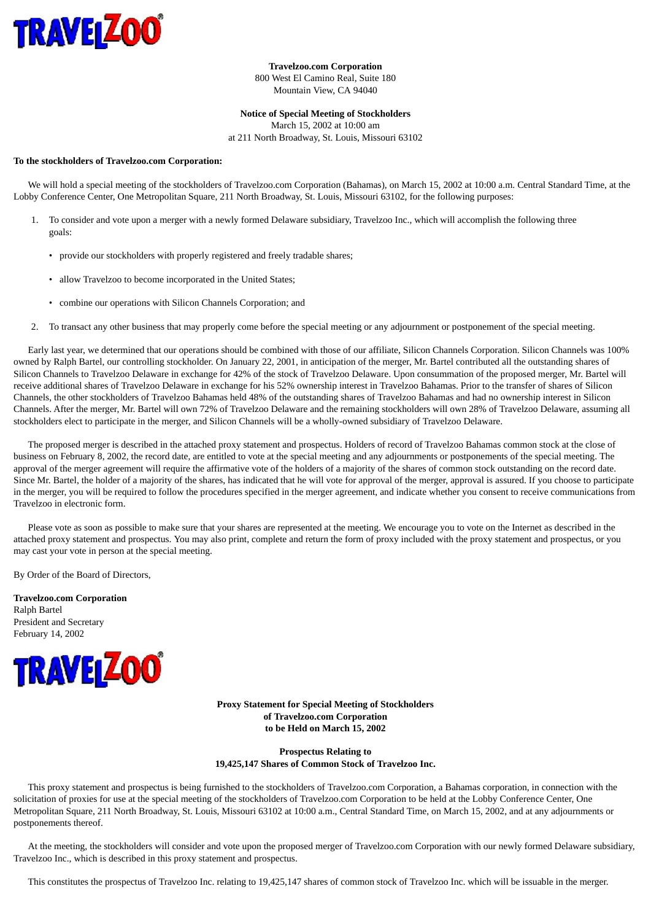

**Travelzoo.com Corporation** 800 West El Camino Real, Suite 180 Mountain View, CA 94040

**Notice of Special Meeting of Stockholders** March 15, 2002 at 10:00 am

at 211 North Broadway, St. Louis, Missouri 63102

#### **To the stockholders of Travelzoo.com Corporation:**

 We will hold a special meeting of the stockholders of Travelzoo.com Corporation (Bahamas), on March 15, 2002 at 10:00 a.m. Central Standard Time, at the Lobby Conference Center, One Metropolitan Square, 211 North Broadway, St. Louis, Missouri 63102, for the following purposes:

- 1. To consider and vote upon a merger with a newly formed Delaware subsidiary, Travelzoo Inc., which will accomplish the following three goals:
	- provide our stockholders with properly registered and freely tradable shares;
	- allow Travelzoo to become incorporated in the United States;
	- combine our operations with Silicon Channels Corporation; and
- 2. To transact any other business that may properly come before the special meeting or any adjournment or postponement of the special meeting.

 Early last year, we determined that our operations should be combined with those of our affiliate, Silicon Channels Corporation. Silicon Channels was 100% owned by Ralph Bartel, our controlling stockholder. On January 22, 2001, in anticipation of the merger, Mr. Bartel contributed all the outstanding shares of Silicon Channels to Travelzoo Delaware in exchange for 42% of the stock of Travelzoo Delaware. Upon consummation of the proposed merger, Mr. Bartel will receive additional shares of Travelzoo Delaware in exchange for his 52% ownership interest in Travelzoo Bahamas. Prior to the transfer of shares of Silicon Channels, the other stockholders of Travelzoo Bahamas held 48% of the outstanding shares of Travelzoo Bahamas and had no ownership interest in Silicon Channels. After the merger, Mr. Bartel will own 72% of Travelzoo Delaware and the remaining stockholders will own 28% of Travelzoo Delaware, assuming all stockholders elect to participate in the merger, and Silicon Channels will be a wholly-owned subsidiary of Travelzoo Delaware.

 The proposed merger is described in the attached proxy statement and prospectus. Holders of record of Travelzoo Bahamas common stock at the close of business on February 8, 2002, the record date, are entitled to vote at the special meeting and any adjournments or postponements of the special meeting. The approval of the merger agreement will require the affirmative vote of the holders of a majority of the shares of common stock outstanding on the record date. Since Mr. Bartel, the holder of a majority of the shares, has indicated that he will vote for approval of the merger, approval is assured. If you choose to participate in the merger, you will be required to follow the procedures specified in the merger agreement, and indicate whether you consent to receive communications from Travelzoo in electronic form.

 Please vote as soon as possible to make sure that your shares are represented at the meeting. We encourage you to vote on the Internet as described in the attached proxy statement and prospectus. You may also print, complete and return the form of proxy included with the proxy statement and prospectus, or you may cast your vote in person at the special meeting.

By Order of the Board of Directors,

**Travelzoo.com Corporation** Ralph Bartel President and Secretary February 14, 2002



**Proxy Statement for Special Meeting of Stockholders of Travelzoo.com Corporation to be Held on March 15, 2002**

**Prospectus Relating to 19,425,147 Shares of Common Stock of Travelzoo Inc.**

 This proxy statement and prospectus is being furnished to the stockholders of Travelzoo.com Corporation, a Bahamas corporation, in connection with the solicitation of proxies for use at the special meeting of the stockholders of Travelzoo.com Corporation to be held at the Lobby Conference Center, One Metropolitan Square, 211 North Broadway, St. Louis, Missouri 63102 at 10:00 a.m., Central Standard Time, on March 15, 2002, and at any adjournments or postponements thereof.

 At the meeting, the stockholders will consider and vote upon the proposed merger of Travelzoo.com Corporation with our newly formed Delaware subsidiary, Travelzoo Inc., which is described in this proxy statement and prospectus.

This constitutes the prospectus of Travelzoo Inc. relating to 19,425,147 shares of common stock of Travelzoo Inc. which will be issuable in the merger.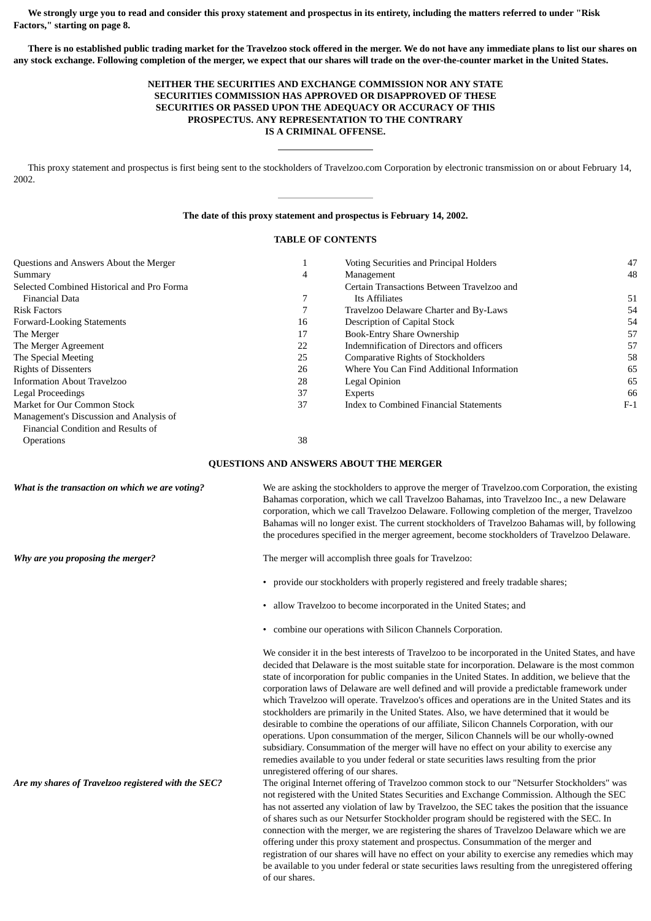**We strongly urge you to read and consider this proxy statement and prospectus in its entirety, including the matters referred to under "Risk Factors," starting on page 8.**

 **There is no established public trading market for the Travelzoo stock offered in the merger. We do not have any immediate plans to list our shares on any stock exchange. Following completion of the merger, we expect that our shares will trade on the over-the-counter market in the United States.**

### **NEITHER THE SECURITIES AND EXCHANGE COMMISSION NOR ANY STATE SECURITIES COMMISSION HAS APPROVED OR DISAPPROVED OF THESE SECURITIES OR PASSED UPON THE ADEQUACY OR ACCURACY OF THIS PROSPECTUS. ANY REPRESENTATION TO THE CONTRARY IS A CRIMINAL OFFENSE.**

 This proxy statement and prospectus is first being sent to the stockholders of Travelzoo.com Corporation by electronic transmission on or about February 14, 2002.

#### **The date of this proxy statement and prospectus is February 14, 2002.**

### **TABLE OF CONTENTS**

| Questions and Answers About the Merger     |    | Voting Securities and Principal Holders    | 47    |
|--------------------------------------------|----|--------------------------------------------|-------|
| Summary                                    | 4  | Management                                 | 48    |
| Selected Combined Historical and Pro Forma |    | Certain Transactions Between Travelzoo and |       |
| <b>Financial Data</b>                      |    | Its Affiliates                             | 51    |
| <b>Risk Factors</b>                        |    | Travelzoo Delaware Charter and By-Laws     | 54    |
| Forward-Looking Statements                 | 16 | Description of Capital Stock               | 54    |
| The Merger                                 | 17 | <b>Book-Entry Share Ownership</b>          | 57    |
| The Merger Agreement                       | 22 | Indemnification of Directors and officers  | 57    |
| The Special Meeting                        | 25 | <b>Comparative Rights of Stockholders</b>  | 58    |
| <b>Rights of Dissenters</b>                | 26 | Where You Can Find Additional Information  | 65    |
| Information About Travelzoo                | 28 | Legal Opinion                              | 65    |
| Legal Proceedings                          | 37 | <b>Experts</b>                             | 66    |
| Market for Our Common Stock                | 37 | Index to Combined Financial Statements     | $F-1$ |
| Management's Discussion and Analysis of    |    |                                            |       |
| Financial Condition and Results of         |    |                                            |       |
| <b>Operations</b>                          | 38 |                                            |       |

#### **QUESTIONS AND ANSWERS ABOUT THE MERGER**

*What is the transaction on which we are voting?* We are asking the stockholders to approve the merger of Travelzoo.com Corporation, the existing Bahamas corporation, which we call Travelzoo Bahamas, into Travelzoo Inc., a new Delaware corporation, which we call Travelzoo Delaware. Following completion of the merger, Travelzoo Bahamas will no longer exist. The current stockholders of Travelzoo Bahamas will, by following the procedures specified in the merger agreement, become stockholders of Travelzoo Delaware.

*Why are you proposing the merger?* The merger will accomplish three goals for Travelzoo:

- provide our stockholders with properly registered and freely tradable shares;
- allow Travelzoo to become incorporated in the United States; and
- combine our operations with Silicon Channels Corporation.

We consider it in the best interests of Travelzoo to be incorporated in the United States, and have decided that Delaware is the most suitable state for incorporation. Delaware is the most common state of incorporation for public companies in the United States. In addition, we believe that the corporation laws of Delaware are well defined and will provide a predictable framework under which Travelzoo will operate. Travelzoo's offices and operations are in the United States and its stockholders are primarily in the United States. Also, we have determined that it would be desirable to combine the operations of our affiliate, Silicon Channels Corporation, with our operations. Upon consummation of the merger, Silicon Channels will be our wholly-owned subsidiary. Consummation of the merger will have no effect on your ability to exercise any remedies available to you under federal or state securities laws resulting from the prior unregistered offering of our shares.

*Are my shares of Travelzoo registered with the SEC?* The original Internet offering of Travelzoo common stock to our "Netsurfer Stockholders" was not registered with the United States Securities and Exchange Commission. Although the SEC has not asserted any violation of law by Travelzoo, the SEC takes the position that the issuance of shares such as our Netsurfer Stockholder program should be registered with the SEC. In connection with the merger, we are registering the shares of Travelzoo Delaware which we are offering under this proxy statement and prospectus. Consummation of the merger and registration of our shares will have no effect on your ability to exercise any remedies which may be available to you under federal or state securities laws resulting from the unregistered offering of our shares.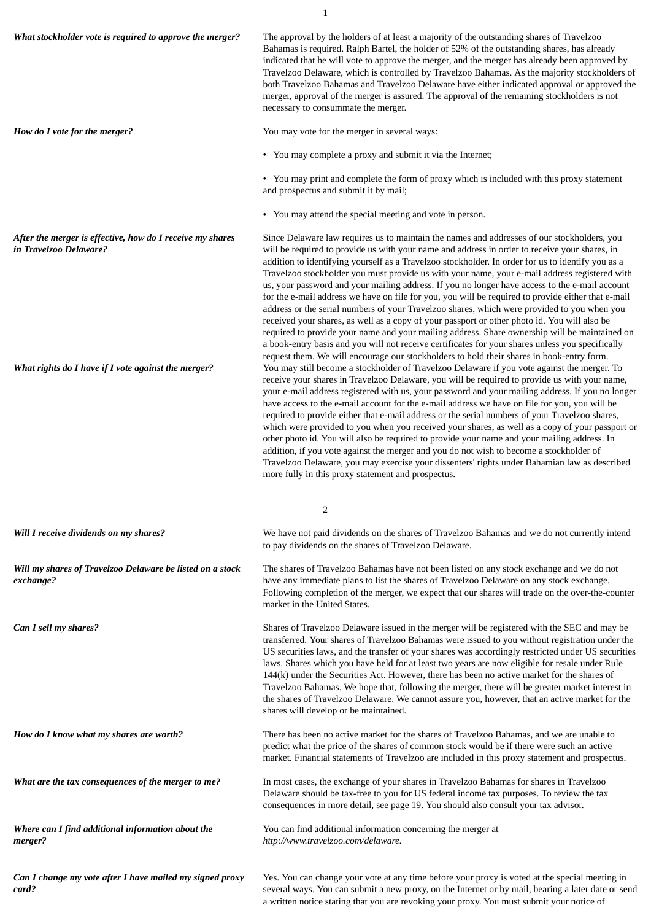*What stockholder vote is required to approve the merger?* The approval by the holders of at least a majority of the outstanding shares of Travelzoo Bahamas is required. Ralph Bartel, the holder of 52% of the outstanding shares, has already indicated that he will vote to approve the merger, and the merger has already been approved by Travelzoo Delaware, which is controlled by Travelzoo Bahamas. As the majority stockholders of both Travelzoo Bahamas and Travelzoo Delaware have either indicated approval or approved the merger, approval of the merger is assured. The approval of the remaining stockholders is not necessary to consummate the merger. *How do I vote for the merger?* You may vote for the merger in several ways: • You may complete a proxy and submit it via the Internet; • You may print and complete the form of proxy which is included with this proxy statement and prospectus and submit it by mail; • You may attend the special meeting and vote in person. *After the merger is effective, how do I receive my shares in Travelzoo Delaware?* Since Delaware law requires us to maintain the names and addresses of our stockholders, you will be required to provide us with your name and address in order to receive your shares, in addition to identifying yourself as a Travelzoo stockholder. In order for us to identify you as a Travelzoo stockholder you must provide us with your name, your e-mail address registered with us, your password and your mailing address. If you no longer have access to the e-mail account for the e-mail address we have on file for you, you will be required to provide either that e-mail address or the serial numbers of your Travelzoo shares, which were provided to you when you received your shares, as well as a copy of your passport or other photo id. You will also be required to provide your name and your mailing address. Share ownership will be maintained on a book-entry basis and you will not receive certificates for your shares unless you specifically request them. We will encourage our stockholders to hold their shares in book-entry form. *What rights do I have if I vote against the merger?* You may still become a stockholder of Travelzoo Delaware if you vote against the merger. To receive your shares in Travelzoo Delaware, you will be required to provide us with your name, your e-mail address registered with us, your password and your mailing address. If you no longer have access to the e-mail account for the e-mail address we have on file for you, you will be required to provide either that e-mail address or the serial numbers of your Travelzoo shares, which were provided to you when you received your shares, as well as a copy of your passport or other photo id. You will also be required to provide your name and your mailing address. In addition, if you vote against the merger and you do not wish to become a stockholder of Travelzoo Delaware, you may exercise your dissenters' rights under Bahamian law as described more fully in this proxy statement and prospectus. 2 *Will I receive dividends on my shares?* We have not paid dividends on the shares of Travelzoo Bahamas and we do not currently intend to pay dividends on the shares of Travelzoo Delaware. *Will my shares of Travelzoo Delaware be listed on a stock exchange?* The shares of Travelzoo Bahamas have not been listed on any stock exchange and we do not have any immediate plans to list the shares of Travelzoo Delaware on any stock exchange. Following completion of the merger, we expect that our shares will trade on the over-the-counter market in the United States. *Can I sell my shares?* Shares of Travelzoo Delaware issued in the merger will be registered with the SEC and may be transferred. Your shares of Travelzoo Bahamas were issued to you without registration under the US securities laws, and the transfer of your shares was accordingly restricted under US securities laws. Shares which you have held for at least two years are now eligible for resale under Rule 144(k) under the Securities Act. However, there has been no active market for the shares of Travelzoo Bahamas. We hope that, following the merger, there will be greater market interest in the shares of Travelzoo Delaware. We cannot assure you, however, that an active market for the shares will develop or be maintained. *How do I know what my shares are worth?* There has been no active market for the shares of Travelzoo Bahamas, and we are unable to predict what the price of the shares of common stock would be if there were such an active market. Financial statements of Travelzoo are included in this proxy statement and prospectus. *What are the tax consequences of the merger to me?* In most cases, the exchange of your shares in Travelzoo Bahamas for shares in Travelzoo Delaware should be tax-free to you for US federal income tax purposes. To review the tax consequences in more detail, see page 19. You should also consult your tax advisor. *Where can I find additional information about the merger?* You can find additional information concerning the merger at *http://www.travelzoo.com/delaware.*

1

*Can I change my vote after I have mailed my signed proxy card?*

Yes. You can change your vote at any time before your proxy is voted at the special meeting in several ways. You can submit a new proxy, on the Internet or by mail, bearing a later date or send a written notice stating that you are revoking your proxy. You must submit your notice of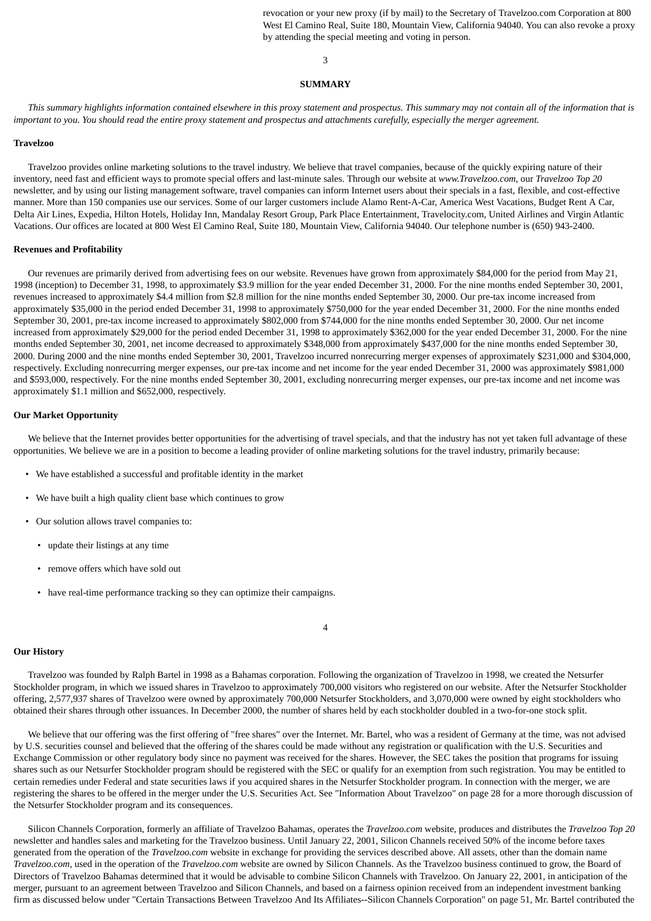revocation or your new proxy (if by mail) to the Secretary of Travelzoo.com Corporation at 800 West El Camino Real, Suite 180, Mountain View, California 94040. You can also revoke a proxy by attending the special meeting and voting in person.

### 3

#### **SUMMARY**

 *This summary highlights information contained elsewhere in this proxy statement and prospectus. This summary may not contain all of the information that is important to you. You should read the entire proxy statement and prospectus and attachments carefully, especially the merger agreement.*

#### **Travelzoo**

 Travelzoo provides online marketing solutions to the travel industry. We believe that travel companies, because of the quickly expiring nature of their inventory, need fast and efficient ways to promote special offers and last-minute sales. Through our website at *www.Travelzoo.com*, our *Travelzoo Top 20* newsletter, and by using our listing management software, travel companies can inform Internet users about their specials in a fast, flexible, and cost-effective manner. More than 150 companies use our services. Some of our larger customers include Alamo Rent-A-Car, America West Vacations, Budget Rent A Car, Delta Air Lines, Expedia, Hilton Hotels, Holiday Inn, Mandalay Resort Group, Park Place Entertainment, Travelocity.com, United Airlines and Virgin Atlantic Vacations. Our offices are located at 800 West El Camino Real, Suite 180, Mountain View, California 94040. Our telephone number is (650) 943-2400.

#### **Revenues and Profitability**

 Our revenues are primarily derived from advertising fees on our website. Revenues have grown from approximately \$84,000 for the period from May 21, 1998 (inception) to December 31, 1998, to approximately \$3.9 million for the year ended December 31, 2000. For the nine months ended September 30, 2001, revenues increased to approximately \$4.4 million from \$2.8 million for the nine months ended September 30, 2000. Our pre-tax income increased from approximately \$35,000 in the period ended December 31, 1998 to approximately \$750,000 for the year ended December 31, 2000. For the nine months ended September 30, 2001, pre-tax income increased to approximately \$802,000 from \$744,000 for the nine months ended September 30, 2000. Our net income increased from approximately \$29,000 for the period ended December 31, 1998 to approximately \$362,000 for the year ended December 31, 2000. For the nine months ended September 30, 2001, net income decreased to approximately \$348,000 from approximately \$437,000 for the nine months ended September 30, 2000. During 2000 and the nine months ended September 30, 2001, Travelzoo incurred nonrecurring merger expenses of approximately \$231,000 and \$304,000, respectively. Excluding nonrecurring merger expenses, our pre-tax income and net income for the year ended December 31, 2000 was approximately \$981,000 and \$593,000, respectively. For the nine months ended September 30, 2001, excluding nonrecurring merger expenses, our pre-tax income and net income was approximately \$1.1 million and \$652,000, respectively.

### **Our Market Opportunity**

We believe that the Internet provides better opportunities for the advertising of travel specials, and that the industry has not yet taken full advantage of these opportunities. We believe we are in a position to become a leading provider of online marketing solutions for the travel industry, primarily because:

- We have established a successful and profitable identity in the market
- We have built a high quality client base which continues to grow
- Our solution allows travel companies to:
	- update their listings at any time
	- remove offers which have sold out
	- have real-time performance tracking so they can optimize their campaigns.

#### 4

### **Our History**

 Travelzoo was founded by Ralph Bartel in 1998 as a Bahamas corporation. Following the organization of Travelzoo in 1998, we created the Netsurfer Stockholder program, in which we issued shares in Travelzoo to approximately 700,000 visitors who registered on our website. After the Netsurfer Stockholder offering, 2,577,937 shares of Travelzoo were owned by approximately 700,000 Netsurfer Stockholders, and 3,070,000 were owned by eight stockholders who obtained their shares through other issuances. In December 2000, the number of shares held by each stockholder doubled in a two-for-one stock split.

 We believe that our offering was the first offering of "free shares" over the Internet. Mr. Bartel, who was a resident of Germany at the time, was not advised by U.S. securities counsel and believed that the offering of the shares could be made without any registration or qualification with the U.S. Securities and Exchange Commission or other regulatory body since no payment was received for the shares. However, the SEC takes the position that programs for issuing shares such as our Netsurfer Stockholder program should be registered with the SEC or qualify for an exemption from such registration. You may be entitled to certain remedies under Federal and state securities laws if you acquired shares in the Netsurfer Stockholder program. In connection with the merger, we are registering the shares to be offered in the merger under the U.S. Securities Act. See "Information About Travelzoo" on page 28 for a more thorough discussion of the Netsurfer Stockholder program and its consequences.

 Silicon Channels Corporation, formerly an affiliate of Travelzoo Bahamas, operates the *Travelzoo.com* website, produces and distributes the *Travelzoo Top 20* newsletter and handles sales and marketing for the Travelzoo business. Until January 22, 2001, Silicon Channels received 50% of the income before taxes generated from the operation of the *Travelzoo.com* website in exchange for providing the services described above. All assets, other than the domain name *Travelzoo.com*, used in the operation of the *Travelzoo.com* website are owned by Silicon Channels. As the Travelzoo business continued to grow, the Board of Directors of Travelzoo Bahamas determined that it would be advisable to combine Silicon Channels with Travelzoo. On January 22, 2001, in anticipation of the merger, pursuant to an agreement between Travelzoo and Silicon Channels, and based on a fairness opinion received from an independent investment banking firm as discussed below under "Certain Transactions Between Travelzoo And Its Affiliates--Silicon Channels Corporation" on page 51, Mr. Bartel contributed the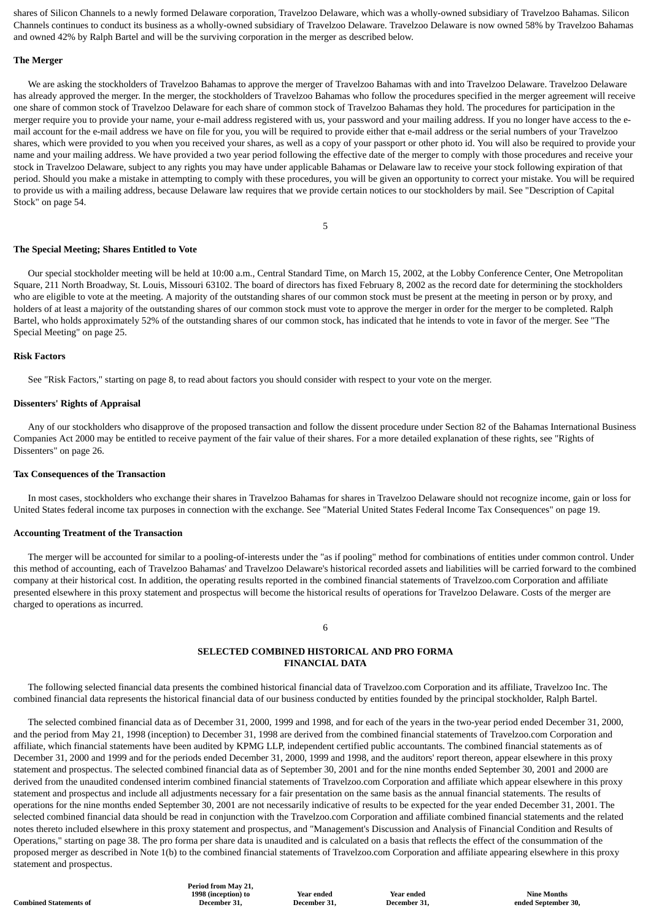shares of Silicon Channels to a newly formed Delaware corporation, Travelzoo Delaware, which was a wholly-owned subsidiary of Travelzoo Bahamas. Silicon Channels continues to conduct its business as a wholly-owned subsidiary of Travelzoo Delaware. Travelzoo Delaware is now owned 58% by Travelzoo Bahamas and owned 42% by Ralph Bartel and will be the surviving corporation in the merger as described below.

#### **The Merger**

 We are asking the stockholders of Travelzoo Bahamas to approve the merger of Travelzoo Bahamas with and into Travelzoo Delaware. Travelzoo Delaware has already approved the merger. In the merger, the stockholders of Travelzoo Bahamas who follow the procedures specified in the merger agreement will receive one share of common stock of Travelzoo Delaware for each share of common stock of Travelzoo Bahamas they hold. The procedures for participation in the merger require you to provide your name, your e-mail address registered with us, your password and your mailing address. If you no longer have access to the email account for the e-mail address we have on file for you, you will be required to provide either that e-mail address or the serial numbers of your Travelzoo shares, which were provided to you when you received your shares, as well as a copy of your passport or other photo id. You will also be required to provide your name and your mailing address. We have provided a two year period following the effective date of the merger to comply with those procedures and receive your stock in Travelzoo Delaware, subject to any rights you may have under applicable Bahamas or Delaware law to receive your stock following expiration of that period. Should you make a mistake in attempting to comply with these procedures, you will be given an opportunity to correct your mistake. You will be required to provide us with a mailing address, because Delaware law requires that we provide certain notices to our stockholders by mail. See "Description of Capital Stock" on page 54.

5

#### **The Special Meeting; Shares Entitled to Vote**

 Our special stockholder meeting will be held at 10:00 a.m., Central Standard Time, on March 15, 2002, at the Lobby Conference Center, One Metropolitan Square, 211 North Broadway, St. Louis, Missouri 63102. The board of directors has fixed February 8, 2002 as the record date for determining the stockholders who are eligible to vote at the meeting. A majority of the outstanding shares of our common stock must be present at the meeting in person or by proxy, and holders of at least a majority of the outstanding shares of our common stock must vote to approve the merger in order for the merger to be completed. Ralph Bartel, who holds approximately 52% of the outstanding shares of our common stock, has indicated that he intends to vote in favor of the merger. See "The Special Meeting" on page 25.

### **Risk Factors**

See "Risk Factors," starting on page 8, to read about factors you should consider with respect to your vote on the merger.

#### **Dissenters' Rights of Appraisal**

 Any of our stockholders who disapprove of the proposed transaction and follow the dissent procedure under Section 82 of the Bahamas International Business Companies Act 2000 may be entitled to receive payment of the fair value of their shares. For a more detailed explanation of these rights, see "Rights of Dissenters" on page 26.

#### **Tax Consequences of the Transaction**

 In most cases, stockholders who exchange their shares in Travelzoo Bahamas for shares in Travelzoo Delaware should not recognize income, gain or loss for United States federal income tax purposes in connection with the exchange. See "Material United States Federal Income Tax Consequences" on page 19.

#### **Accounting Treatment of the Transaction**

 The merger will be accounted for similar to a pooling-of-interests under the "as if pooling" method for combinations of entities under common control. Under this method of accounting, each of Travelzoo Bahamas' and Travelzoo Delaware's historical recorded assets and liabilities will be carried forward to the combined company at their historical cost. In addition, the operating results reported in the combined financial statements of Travelzoo.com Corporation and affiliate presented elsewhere in this proxy statement and prospectus will become the historical results of operations for Travelzoo Delaware. Costs of the merger are charged to operations as incurred.

### 6

### **SELECTED COMBINED HISTORICAL AND PRO FORMA FINANCIAL DATA**

 The following selected financial data presents the combined historical financial data of Travelzoo.com Corporation and its affiliate, Travelzoo Inc. The combined financial data represents the historical financial data of our business conducted by entities founded by the principal stockholder, Ralph Bartel.

 The selected combined financial data as of December 31, 2000, 1999 and 1998, and for each of the years in the two-year period ended December 31, 2000, and the period from May 21, 1998 (inception) to December 31, 1998 are derived from the combined financial statements of Travelzoo.com Corporation and affiliate, which financial statements have been audited by KPMG LLP, independent certified public accountants. The combined financial statements as of December 31, 2000 and 1999 and for the periods ended December 31, 2000, 1999 and 1998, and the auditors' report thereon, appear elsewhere in this proxy statement and prospectus. The selected combined financial data as of September 30, 2001 and for the nine months ended September 30, 2001 and 2000 are derived from the unaudited condensed interim combined financial statements of Travelzoo.com Corporation and affiliate which appear elsewhere in this proxy statement and prospectus and include all adjustments necessary for a fair presentation on the same basis as the annual financial statements. The results of operations for the nine months ended September 30, 2001 are not necessarily indicative of results to be expected for the year ended December 31, 2001. The selected combined financial data should be read in conjunction with the Travelzoo.com Corporation and affiliate combined financial statements and the related notes thereto included elsewhere in this proxy statement and prospectus, and "Management's Discussion and Analysis of Financial Condition and Results of Operations," starting on page 38. The pro forma per share data is unaudited and is calculated on a basis that reflects the effect of the consummation of the proposed merger as described in Note 1(b) to the combined financial statements of Travelzoo.com Corporation and affiliate appearing elsewhere in this proxy statement and prospectus.

**Period from May 21, 1998 (inception) to December 31,**

**Year ended December 31,**

**Year ended December 31,**

**Nine Months ended September 30,**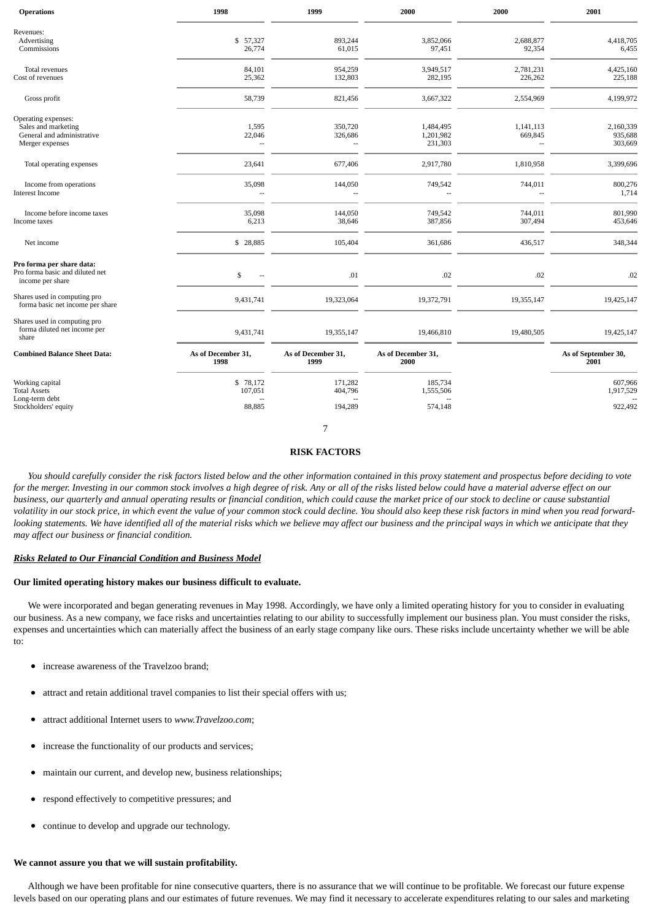| <b>Operations</b>                                                                           | 1998                       | 1999                       | 2000                              | 2000                 | 2001                            |
|---------------------------------------------------------------------------------------------|----------------------------|----------------------------|-----------------------------------|----------------------|---------------------------------|
| Revenues:<br>Advertising<br>Commissions                                                     | \$ 57,327<br>26,774        | 893,244<br>61,015          | 3,852,066<br>97,451               | 2,688,877<br>92,354  | 4,418,705<br>6,455              |
| Total revenues<br>Cost of revenues                                                          | 84,101<br>25,362           | 954,259<br>132,803         | 3,949,517<br>282,195              | 2,781,231<br>226,262 | 4,425,160<br>225,188            |
| Gross profit                                                                                | 58,739                     | 821,456                    | 3,667,322                         | 2,554,969            | 4,199,972                       |
| Operating expenses:<br>Sales and marketing<br>General and administrative<br>Merger expenses | 1,595<br>22,046            | 350,720<br>326,686<br>--   | 1,484,495<br>1,201,982<br>231,303 | 1,141,113<br>669,845 | 2,160,339<br>935,688<br>303,669 |
| Total operating expenses                                                                    | 23,641                     | 677,406                    | 2,917,780                         | 1,810,958            | 3,399,696                       |
| Income from operations<br><b>Interest Income</b>                                            | 35,098<br>$\sim$           | 144,050<br>$\overline{a}$  | 749,542<br>Ξ.                     | 744,011<br>$\sim$    | 800,276<br>1,714                |
| Income before income taxes<br>Income taxes                                                  | 35,098<br>6,213            | 144,050<br>38,646          | 749,542<br>387,856                | 744,011<br>307,494   | 801,990<br>453,646              |
| Net income                                                                                  | \$28,885                   | 105,404                    | 361,686                           | 436,517              | 348,344                         |
| Pro forma per share data:<br>Pro forma basic and diluted net<br>income per share            | \$<br>$\mathbf{u}$         | .01                        | .02                               | .02                  | .02                             |
| Shares used in computing pro<br>forma basic net income per share                            | 9,431,741                  | 19,323,064                 | 19,372,791                        | 19,355,147           | 19,425,147                      |
| Shares used in computing pro<br>forma diluted net income per<br>share                       | 9,431,741                  | 19,355,147                 | 19,466,810                        | 19,480,505           | 19,425,147                      |
| <b>Combined Balance Sheet Data:</b>                                                         | As of December 31,<br>1998 | As of December 31,<br>1999 | As of December 31,<br>2000        |                      | As of September 30,<br>2001     |
| Working capital<br><b>Total Assets</b>                                                      | \$78,172<br>107,051        | 171,282<br>404,796         | 185,734<br>1,555,506              |                      | 607,966<br>1,917,529            |
| Long-term debt<br>Stockholders' equity                                                      | 88,885                     | 194,289                    | 574,148                           |                      | 922,492                         |
|                                                                                             |                            | 7                          |                                   |                      |                                 |

### **RISK FACTORS**

 *You should carefully consider the risk factors listed below and the other information contained in this proxy statement and prospectus before deciding to vote for the merger. Investing in our common stock involves a high degree of risk. Any or all of the risks listed below could have a material adverse effect on our business, our quarterly and annual operating results or financial condition, which could cause the market price of our stock to decline or cause substantial volatility in our stock price, in which event the value of your common stock could decline. You should also keep these risk factors in mind when you read forwardlooking statements. We have identified all of the material risks which we believe may affect our business and the principal ways in which we anticipate that they may affect our business or financial condition.*

### *Risks Related to Our Financial Condition and Business Model*

#### **Our limited operating history makes our business difficult to evaluate.**

 We were incorporated and began generating revenues in May 1998. Accordingly, we have only a limited operating history for you to consider in evaluating our business. As a new company, we face risks and uncertainties relating to our ability to successfully implement our business plan. You must consider the risks, expenses and uncertainties which can materially affect the business of an early stage company like ours. These risks include uncertainty whether we will be able to:

- increase awareness of the Travelzoo brand;
- attract and retain additional travel companies to list their special offers with us;
- attract additional Internet users to *www.Travelzoo.com*;  $\bullet$
- increase the functionality of our products and services;
- maintain our current, and develop new, business relationships;  $\bullet$
- respond effectively to competitive pressures; and  $\bullet$
- continue to develop and upgrade our technology.

#### **We cannot assure you that we will sustain profitability.**

 Although we have been profitable for nine consecutive quarters, there is no assurance that we will continue to be profitable. We forecast our future expense levels based on our operating plans and our estimates of future revenues. We may find it necessary to accelerate expenditures relating to our sales and marketing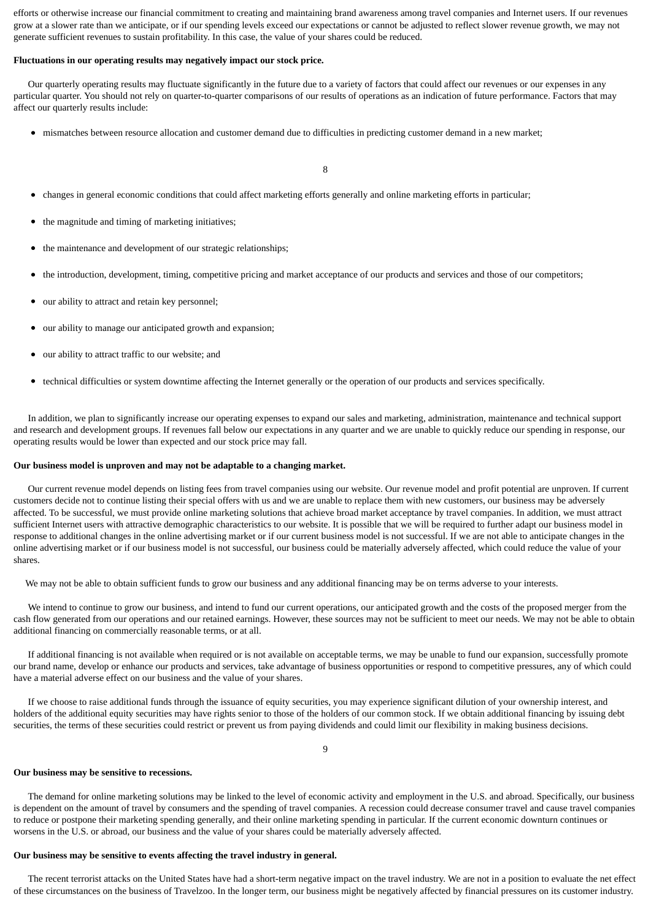efforts or otherwise increase our financial commitment to creating and maintaining brand awareness among travel companies and Internet users. If our revenues grow at a slower rate than we anticipate, or if our spending levels exceed our expectations or cannot be adjusted to reflect slower revenue growth, we may not generate sufficient revenues to sustain profitability. In this case, the value of your shares could be reduced.

#### **Fluctuations in our operating results may negatively impact our stock price.**

 Our quarterly operating results may fluctuate significantly in the future due to a variety of factors that could affect our revenues or our expenses in any particular quarter. You should not rely on quarter-to-quarter comparisons of our results of operations as an indication of future performance. Factors that may affect our quarterly results include:

mismatches between resource allocation and customer demand due to difficulties in predicting customer demand in a new market;

8

- changes in general economic conditions that could affect marketing efforts generally and online marketing efforts in particular;
- the magnitude and timing of marketing initiatives;
- the maintenance and development of our strategic relationships;
- the introduction, development, timing, competitive pricing and market acceptance of our products and services and those of our competitors;
- our ability to attract and retain key personnel;
- our ability to manage our anticipated growth and expansion;
- our ability to attract traffic to our website; and
- $\bullet$ technical difficulties or system downtime affecting the Internet generally or the operation of our products and services specifically.

 In addition, we plan to significantly increase our operating expenses to expand our sales and marketing, administration, maintenance and technical support and research and development groups. If revenues fall below our expectations in any quarter and we are unable to quickly reduce our spending in response, our operating results would be lower than expected and our stock price may fall.

#### **Our business model is unproven and may not be adaptable to a changing market.**

 Our current revenue model depends on listing fees from travel companies using our website. Our revenue model and profit potential are unproven. If current customers decide not to continue listing their special offers with us and we are unable to replace them with new customers, our business may be adversely affected. To be successful, we must provide online marketing solutions that achieve broad market acceptance by travel companies. In addition, we must attract sufficient Internet users with attractive demographic characteristics to our website. It is possible that we will be required to further adapt our business model in response to additional changes in the online advertising market or if our current business model is not successful. If we are not able to anticipate changes in the online advertising market or if our business model is not successful, our business could be materially adversely affected, which could reduce the value of your shares.

We may not be able to obtain sufficient funds to grow our business and any additional financing may be on terms adverse to your interests.

 We intend to continue to grow our business, and intend to fund our current operations, our anticipated growth and the costs of the proposed merger from the cash flow generated from our operations and our retained earnings. However, these sources may not be sufficient to meet our needs. We may not be able to obtain additional financing on commercially reasonable terms, or at all.

 If additional financing is not available when required or is not available on acceptable terms, we may be unable to fund our expansion, successfully promote our brand name, develop or enhance our products and services, take advantage of business opportunities or respond to competitive pressures, any of which could have a material adverse effect on our business and the value of your shares.

 If we choose to raise additional funds through the issuance of equity securities, you may experience significant dilution of your ownership interest, and holders of the additional equity securities may have rights senior to those of the holders of our common stock. If we obtain additional financing by issuing debt securities, the terms of these securities could restrict or prevent us from paying dividends and could limit our flexibility in making business decisions.

9

#### **Our business may be sensitive to recessions.**

 The demand for online marketing solutions may be linked to the level of economic activity and employment in the U.S. and abroad. Specifically, our business is dependent on the amount of travel by consumers and the spending of travel companies. A recession could decrease consumer travel and cause travel companies to reduce or postpone their marketing spending generally, and their online marketing spending in particular. If the current economic downturn continues or worsens in the U.S. or abroad, our business and the value of your shares could be materially adversely affected.

#### **Our business may be sensitive to events affecting the travel industry in general.**

 The recent terrorist attacks on the United States have had a short-term negative impact on the travel industry. We are not in a position to evaluate the net effect of these circumstances on the business of Travelzoo. In the longer term, our business might be negatively affected by financial pressures on its customer industry.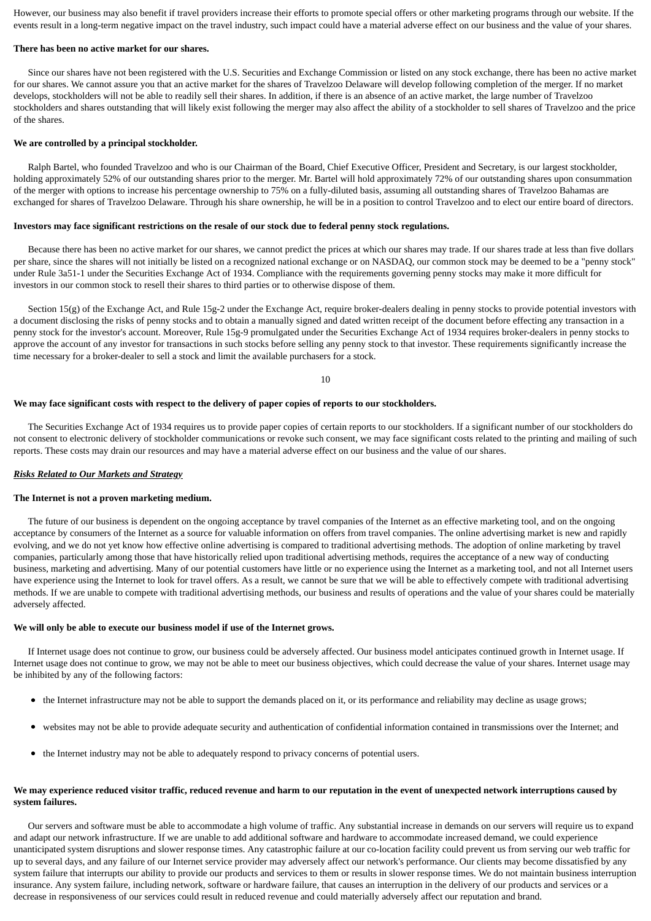However, our business may also benefit if travel providers increase their efforts to promote special offers or other marketing programs through our website. If the events result in a long-term negative impact on the travel industry, such impact could have a material adverse effect on our business and the value of your shares.

#### **There has been no active market for our shares.**

 Since our shares have not been registered with the U.S. Securities and Exchange Commission or listed on any stock exchange, there has been no active market for our shares. We cannot assure you that an active market for the shares of Travelzoo Delaware will develop following completion of the merger. If no market develops, stockholders will not be able to readily sell their shares. In addition, if there is an absence of an active market, the large number of Travelzoo stockholders and shares outstanding that will likely exist following the merger may also affect the ability of a stockholder to sell shares of Travelzoo and the price of the shares.

#### **We are controlled by a principal stockholder.**

 Ralph Bartel, who founded Travelzoo and who is our Chairman of the Board, Chief Executive Officer, President and Secretary, is our largest stockholder, holding approximately 52% of our outstanding shares prior to the merger. Mr. Bartel will hold approximately 72% of our outstanding shares upon consummation of the merger with options to increase his percentage ownership to 75% on a fully-diluted basis, assuming all outstanding shares of Travelzoo Bahamas are exchanged for shares of Travelzoo Delaware. Through his share ownership, he will be in a position to control Travelzoo and to elect our entire board of directors.

#### **Investors may face significant restrictions on the resale of our stock due to federal penny stock regulations.**

 Because there has been no active market for our shares, we cannot predict the prices at which our shares may trade. If our shares trade at less than five dollars per share, since the shares will not initially be listed on a recognized national exchange or on NASDAQ, our common stock may be deemed to be a "penny stock" under Rule 3a51-1 under the Securities Exchange Act of 1934. Compliance with the requirements governing penny stocks may make it more difficult for investors in our common stock to resell their shares to third parties or to otherwise dispose of them.

 Section 15(g) of the Exchange Act, and Rule 15g-2 under the Exchange Act, require broker-dealers dealing in penny stocks to provide potential investors with a document disclosing the risks of penny stocks and to obtain a manually signed and dated written receipt of the document before effecting any transaction in a penny stock for the investor's account. Moreover, Rule 15g-9 promulgated under the Securities Exchange Act of 1934 requires broker-dealers in penny stocks to approve the account of any investor for transactions in such stocks before selling any penny stock to that investor. These requirements significantly increase the time necessary for a broker-dealer to sell a stock and limit the available purchasers for a stock.

#### 10

#### **We may face significant costs with respect to the delivery of paper copies of reports to our stockholders.**

 The Securities Exchange Act of 1934 requires us to provide paper copies of certain reports to our stockholders. If a significant number of our stockholders do not consent to electronic delivery of stockholder communications or revoke such consent, we may face significant costs related to the printing and mailing of such reports. These costs may drain our resources and may have a material adverse effect on our business and the value of our shares.

#### *Risks Related to Our Markets and Strategy*

#### **The Internet is not a proven marketing medium.**

 The future of our business is dependent on the ongoing acceptance by travel companies of the Internet as an effective marketing tool, and on the ongoing acceptance by consumers of the Internet as a source for valuable information on offers from travel companies. The online advertising market is new and rapidly evolving, and we do not yet know how effective online advertising is compared to traditional advertising methods. The adoption of online marketing by travel companies, particularly among those that have historically relied upon traditional advertising methods, requires the acceptance of a new way of conducting business, marketing and advertising. Many of our potential customers have little or no experience using the Internet as a marketing tool, and not all Internet users have experience using the Internet to look for travel offers. As a result, we cannot be sure that we will be able to effectively compete with traditional advertising methods. If we are unable to compete with traditional advertising methods, our business and results of operations and the value of your shares could be materially adversely affected.

#### **We will only be able to execute our business model if use of the Internet grows.**

 If Internet usage does not continue to grow, our business could be adversely affected. Our business model anticipates continued growth in Internet usage. If Internet usage does not continue to grow, we may not be able to meet our business objectives, which could decrease the value of your shares. Internet usage may be inhibited by any of the following factors:

- the Internet infrastructure may not be able to support the demands placed on it, or its performance and reliability may decline as usage grows;
- $\bullet$ websites may not be able to provide adequate security and authentication of confidential information contained in transmissions over the Internet; and
- the Internet industry may not be able to adequately respond to privacy concerns of potential users.

#### **We may experience reduced visitor traffic, reduced revenue and harm to our reputation in the event of unexpected network interruptions caused by system failures.**

 Our servers and software must be able to accommodate a high volume of traffic. Any substantial increase in demands on our servers will require us to expand and adapt our network infrastructure. If we are unable to add additional software and hardware to accommodate increased demand, we could experience unanticipated system disruptions and slower response times. Any catastrophic failure at our co-location facility could prevent us from serving our web traffic for up to several days, and any failure of our Internet service provider may adversely affect our network's performance. Our clients may become dissatisfied by any system failure that interrupts our ability to provide our products and services to them or results in slower response times. We do not maintain business interruption insurance. Any system failure, including network, software or hardware failure, that causes an interruption in the delivery of our products and services or a decrease in responsiveness of our services could result in reduced revenue and could materially adversely affect our reputation and brand.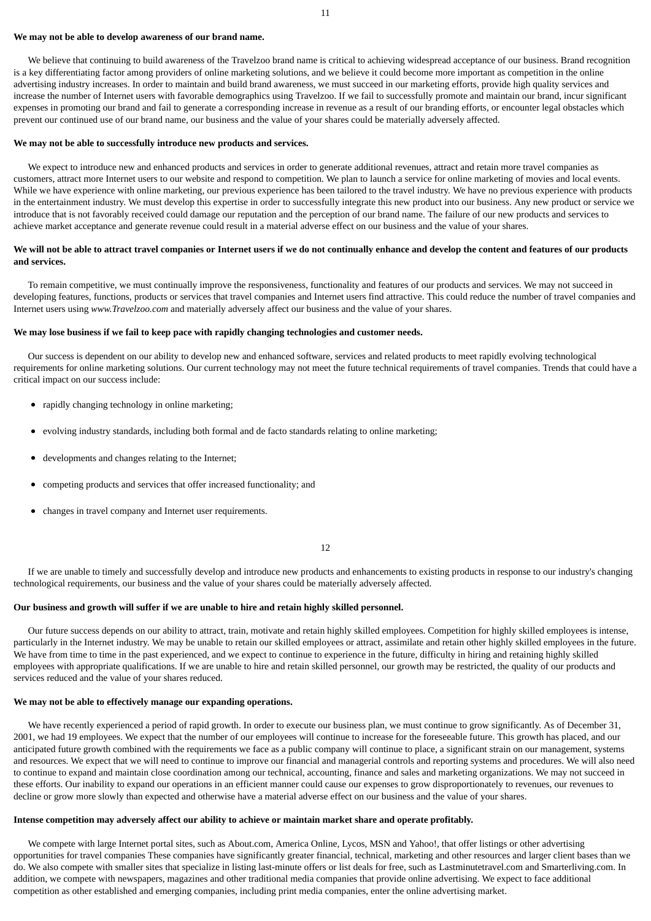#### **We may not be able to develop awareness of our brand name.**

 We believe that continuing to build awareness of the Travelzoo brand name is critical to achieving widespread acceptance of our business. Brand recognition is a key differentiating factor among providers of online marketing solutions, and we believe it could become more important as competition in the online advertising industry increases. In order to maintain and build brand awareness, we must succeed in our marketing efforts, provide high quality services and increase the number of Internet users with favorable demographics using Travelzoo. If we fail to successfully promote and maintain our brand, incur significant expenses in promoting our brand and fail to generate a corresponding increase in revenue as a result of our branding efforts, or encounter legal obstacles which prevent our continued use of our brand name, our business and the value of your shares could be materially adversely affected.

#### **We may not be able to successfully introduce new products and services.**

 We expect to introduce new and enhanced products and services in order to generate additional revenues, attract and retain more travel companies as customers, attract more Internet users to our website and respond to competition. We plan to launch a service for online marketing of movies and local events. While we have experience with online marketing, our previous experience has been tailored to the travel industry. We have no previous experience with products in the entertainment industry. We must develop this expertise in order to successfully integrate this new product into our business. Any new product or service we introduce that is not favorably received could damage our reputation and the perception of our brand name. The failure of our new products and services to achieve market acceptance and generate revenue could result in a material adverse effect on our business and the value of your shares.

### **We will not be able to attract travel companies or Internet users if we do not continually enhance and develop the content and features of our products and services.**

 To remain competitive, we must continually improve the responsiveness, functionality and features of our products and services. We may not succeed in developing features, functions, products or services that travel companies and Internet users find attractive. This could reduce the number of travel companies and Internet users using *www.Travelzoo.com* and materially adversely affect our business and the value of your shares.

### **We may lose business if we fail to keep pace with rapidly changing technologies and customer needs.**

 Our success is dependent on our ability to develop new and enhanced software, services and related products to meet rapidly evolving technological requirements for online marketing solutions. Our current technology may not meet the future technical requirements of travel companies. Trends that could have a critical impact on our success include:

- rapidly changing technology in online marketing;
- evolving industry standards, including both formal and de facto standards relating to online marketing;
- developments and changes relating to the Internet;
- competing products and services that offer increased functionality; and
- changes in travel company and Internet user requirements.  $\bullet$

12

 If we are unable to timely and successfully develop and introduce new products and enhancements to existing products in response to our industry's changing technological requirements, our business and the value of your shares could be materially adversely affected.

#### **Our business and growth will suffer if we are unable to hire and retain highly skilled personnel.**

 Our future success depends on our ability to attract, train, motivate and retain highly skilled employees. Competition for highly skilled employees is intense, particularly in the Internet industry. We may be unable to retain our skilled employees or attract, assimilate and retain other highly skilled employees in the future. We have from time to time in the past experienced, and we expect to continue to experience in the future, difficulty in hiring and retaining highly skilled employees with appropriate qualifications. If we are unable to hire and retain skilled personnel, our growth may be restricted, the quality of our products and services reduced and the value of your shares reduced.

#### **We may not be able to effectively manage our expanding operations.**

We have recently experienced a period of rapid growth. In order to execute our business plan, we must continue to grow significantly. As of December 31, 2001, we had 19 employees. We expect that the number of our employees will continue to increase for the foreseeable future. This growth has placed, and our anticipated future growth combined with the requirements we face as a public company will continue to place, a significant strain on our management, systems and resources. We expect that we will need to continue to improve our financial and managerial controls and reporting systems and procedures. We will also need to continue to expand and maintain close coordination among our technical, accounting, finance and sales and marketing organizations. We may not succeed in these efforts. Our inability to expand our operations in an efficient manner could cause our expenses to grow disproportionately to revenues, our revenues to decline or grow more slowly than expected and otherwise have a material adverse effect on our business and the value of your shares.

#### **Intense competition may adversely affect our ability to achieve or maintain market share and operate profitably.**

 We compete with large Internet portal sites, such as About.com, America Online, Lycos, MSN and Yahoo!, that offer listings or other advertising opportunities for travel companies These companies have significantly greater financial, technical, marketing and other resources and larger client bases than we do. We also compete with smaller sites that specialize in listing last-minute offers or list deals for free, such as Lastminutetravel.com and Smarterliving.com. In addition, we compete with newspapers, magazines and other traditional media companies that provide online advertising. We expect to face additional competition as other established and emerging companies, including print media companies, enter the online advertising market.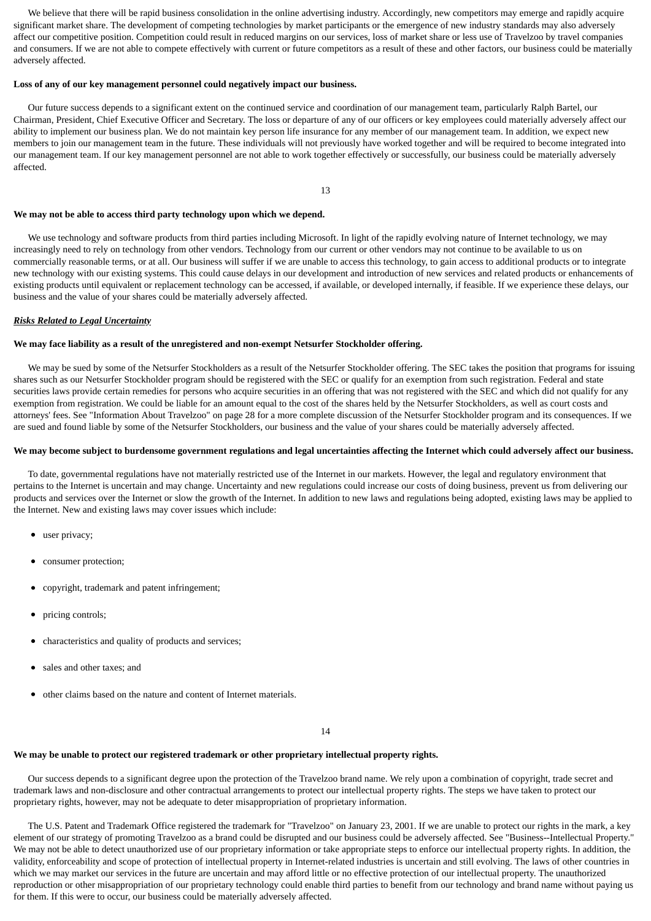We believe that there will be rapid business consolidation in the online advertising industry. Accordingly, new competitors may emerge and rapidly acquire significant market share. The development of competing technologies by market participants or the emergence of new industry standards may also adversely affect our competitive position. Competition could result in reduced margins on our services, loss of market share or less use of Travelzoo by travel companies and consumers. If we are not able to compete effectively with current or future competitors as a result of these and other factors, our business could be materially adversely affected.

#### **Loss of any of our key management personnel could negatively impact our business.**

 Our future success depends to a significant extent on the continued service and coordination of our management team, particularly Ralph Bartel, our Chairman, President, Chief Executive Officer and Secretary. The loss or departure of any of our officers or key employees could materially adversely affect our ability to implement our business plan. We do not maintain key person life insurance for any member of our management team. In addition, we expect new members to join our management team in the future. These individuals will not previously have worked together and will be required to become integrated into our management team. If our key management personnel are not able to work together effectively or successfully, our business could be materially adversely affected.

13

#### **We may not be able to access third party technology upon which we depend.**

 We use technology and software products from third parties including Microsoft. In light of the rapidly evolving nature of Internet technology, we may increasingly need to rely on technology from other vendors. Technology from our current or other vendors may not continue to be available to us on commercially reasonable terms, or at all. Our business will suffer if we are unable to access this technology, to gain access to additional products or to integrate new technology with our existing systems. This could cause delays in our development and introduction of new services and related products or enhancements of existing products until equivalent or replacement technology can be accessed, if available, or developed internally, if feasible. If we experience these delays, our business and the value of your shares could be materially adversely affected.

#### *Risks Related to Legal Uncertainty*

#### **We may face liability as a result of the unregistered and non-exempt Netsurfer Stockholder offering.**

 We may be sued by some of the Netsurfer Stockholders as a result of the Netsurfer Stockholder offering. The SEC takes the position that programs for issuing shares such as our Netsurfer Stockholder program should be registered with the SEC or qualify for an exemption from such registration. Federal and state securities laws provide certain remedies for persons who acquire securities in an offering that was not registered with the SEC and which did not qualify for any exemption from registration. We could be liable for an amount equal to the cost of the shares held by the Netsurfer Stockholders, as well as court costs and attorneys' fees. See "Information About Travelzoo" on page 28 for a more complete discussion of the Netsurfer Stockholder program and its consequences. If we are sued and found liable by some of the Netsurfer Stockholders, our business and the value of your shares could be materially adversely affected.

#### **We may become subject to burdensome government regulations and legal uncertainties affecting the Internet which could adversely affect our business.**

 To date, governmental regulations have not materially restricted use of the Internet in our markets. However, the legal and regulatory environment that pertains to the Internet is uncertain and may change. Uncertainty and new regulations could increase our costs of doing business, prevent us from delivering our products and services over the Internet or slow the growth of the Internet. In addition to new laws and regulations being adopted, existing laws may be applied to the Internet. New and existing laws may cover issues which include:

- user privacy;
- consumer protection;
- copyright, trademark and patent infringement;
- pricing controls;
- characteristics and quality of products and services;
- sales and other taxes; and
- other claims based on the nature and content of Internet materials.

14

### **We may be unable to protect our registered trademark or other proprietary intellectual property rights.**

 Our success depends to a significant degree upon the protection of the Travelzoo brand name. We rely upon a combination of copyright, trade secret and trademark laws and non-disclosure and other contractual arrangements to protect our intellectual property rights. The steps we have taken to protect our proprietary rights, however, may not be adequate to deter misappropriation of proprietary information.

 The U.S. Patent and Trademark Office registered the trademark for "Travelzoo" on January 23, 2001. If we are unable to protect our rights in the mark, a key element of our strategy of promoting Travelzoo as a brand could be disrupted and our business could be adversely affected. See "Business--Intellectual Property." We may not be able to detect unauthorized use of our proprietary information or take appropriate steps to enforce our intellectual property rights. In addition, the validity, enforceability and scope of protection of intellectual property in Internet-related industries is uncertain and still evolving. The laws of other countries in which we may market our services in the future are uncertain and may afford little or no effective protection of our intellectual property. The unauthorized reproduction or other misappropriation of our proprietary technology could enable third parties to benefit from our technology and brand name without paying us for them. If this were to occur, our business could be materially adversely affected.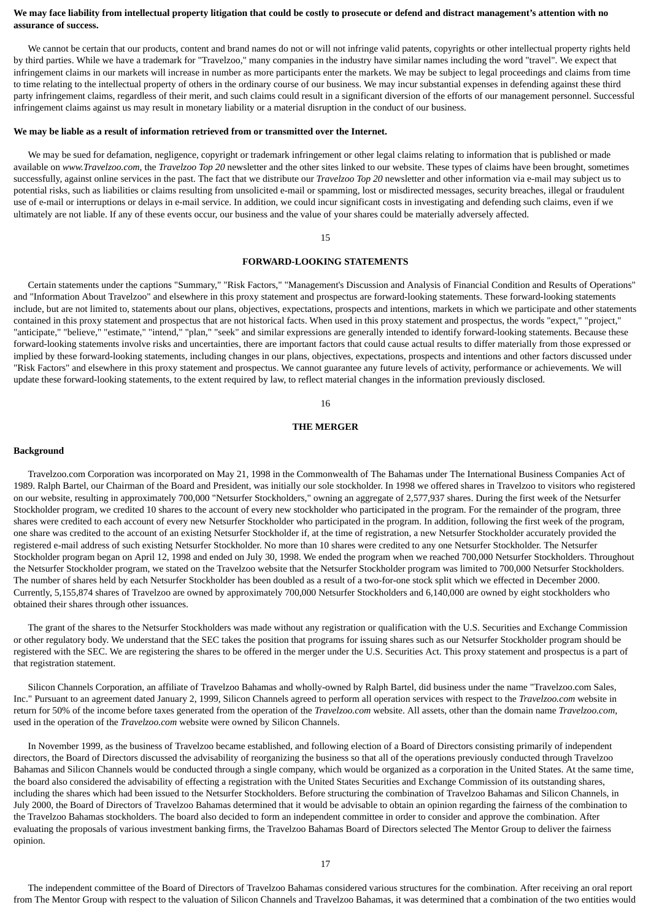### **We may face liability from intellectual property litigation that could be costly to prosecute or defend and distract management's attention with no assurance of success.**

 We cannot be certain that our products, content and brand names do not or will not infringe valid patents, copyrights or other intellectual property rights held by third parties. While we have a trademark for "Travelzoo," many companies in the industry have similar names including the word "travel". We expect that infringement claims in our markets will increase in number as more participants enter the markets. We may be subject to legal proceedings and claims from time to time relating to the intellectual property of others in the ordinary course of our business. We may incur substantial expenses in defending against these third party infringement claims, regardless of their merit, and such claims could result in a significant diversion of the efforts of our management personnel. Successful infringement claims against us may result in monetary liability or a material disruption in the conduct of our business.

#### **We may be liable as a result of information retrieved from or transmitted over the Internet.**

 We may be sued for defamation, negligence, copyright or trademark infringement or other legal claims relating to information that is published or made available on *www.Travelzoo.com*, the *Travelzoo Top 20* newsletter and the other sites linked to our website. These types of claims have been brought, sometimes successfully, against online services in the past. The fact that we distribute our *Travelzoo Top 20* newsletter and other information via e-mail may subject us to potential risks, such as liabilities or claims resulting from unsolicited e-mail or spamming, lost or misdirected messages, security breaches, illegal or fraudulent use of e-mail or interruptions or delays in e-mail service. In addition, we could incur significant costs in investigating and defending such claims, even if we ultimately are not liable. If any of these events occur, our business and the value of your shares could be materially adversely affected.

### 15

### **FORWARD-LOOKING STATEMENTS**

 Certain statements under the captions "Summary," "Risk Factors," "Management's Discussion and Analysis of Financial Condition and Results of Operations" and "Information About Travelzoo" and elsewhere in this proxy statement and prospectus are forward-looking statements. These forward-looking statements include, but are not limited to, statements about our plans, objectives, expectations, prospects and intentions, markets in which we participate and other statements contained in this proxy statement and prospectus that are not historical facts. When used in this proxy statement and prospectus, the words "expect," "project," "anticipate," "believe," "estimate," "intend," "plan," "seek" and similar expressions are generally intended to identify forward-looking statements. Because these forward-looking statements involve risks and uncertainties, there are important factors that could cause actual results to differ materially from those expressed or implied by these forward-looking statements, including changes in our plans, objectives, expectations, prospects and intentions and other factors discussed under "Risk Factors" and elsewhere in this proxy statement and prospectus. We cannot guarantee any future levels of activity, performance or achievements. We will update these forward-looking statements, to the extent required by law, to reflect material changes in the information previously disclosed.

#### 16

### **THE MERGER**

#### **Background**

 Travelzoo.com Corporation was incorporated on May 21, 1998 in the Commonwealth of The Bahamas under The International Business Companies Act of 1989. Ralph Bartel, our Chairman of the Board and President, was initially our sole stockholder. In 1998 we offered shares in Travelzoo to visitors who registered on our website, resulting in approximately 700,000 "Netsurfer Stockholders," owning an aggregate of 2,577,937 shares. During the first week of the Netsurfer Stockholder program, we credited 10 shares to the account of every new stockholder who participated in the program. For the remainder of the program, three shares were credited to each account of every new Netsurfer Stockholder who participated in the program. In addition, following the first week of the program, one share was credited to the account of an existing Netsurfer Stockholder if, at the time of registration, a new Netsurfer Stockholder accurately provided the registered e-mail address of such existing Netsurfer Stockholder. No more than 10 shares were credited to any one Netsurfer Stockholder. The Netsurfer Stockholder program began on April 12, 1998 and ended on July 30, 1998. We ended the program when we reached 700,000 Netsurfer Stockholders. Throughout the Netsurfer Stockholder program, we stated on the Travelzoo website that the Netsurfer Stockholder program was limited to 700,000 Netsurfer Stockholders. The number of shares held by each Netsurfer Stockholder has been doubled as a result of a two-for-one stock split which we effected in December 2000. Currently, 5,155,874 shares of Travelzoo are owned by approximately 700,000 Netsurfer Stockholders and 6,140,000 are owned by eight stockholders who obtained their shares through other issuances.

 The grant of the shares to the Netsurfer Stockholders was made without any registration or qualification with the U.S. Securities and Exchange Commission or other regulatory body. We understand that the SEC takes the position that programs for issuing shares such as our Netsurfer Stockholder program should be registered with the SEC. We are registering the shares to be offered in the merger under the U.S. Securities Act. This proxy statement and prospectus is a part of that registration statement.

 Silicon Channels Corporation, an affiliate of Travelzoo Bahamas and wholly-owned by Ralph Bartel, did business under the name "Travelzoo.com Sales, Inc." Pursuant to an agreement dated January 2, 1999, Silicon Channels agreed to perform all operation services with respect to the *Travelzoo.com* website in return for 50% of the income before taxes generated from the operation of the *Travelzoo.com* website. All assets, other than the domain name *Travelzoo.com*, used in the operation of the *Travelzoo.com* website were owned by Silicon Channels.

 In November 1999, as the business of Travelzoo became established, and following election of a Board of Directors consisting primarily of independent directors, the Board of Directors discussed the advisability of reorganizing the business so that all of the operations previously conducted through Travelzoo Bahamas and Silicon Channels would be conducted through a single company, which would be organized as a corporation in the United States. At the same time, the board also considered the advisability of effecting a registration with the United States Securities and Exchange Commission of its outstanding shares, including the shares which had been issued to the Netsurfer Stockholders. Before structuring the combination of Travelzoo Bahamas and Silicon Channels, in July 2000, the Board of Directors of Travelzoo Bahamas determined that it would be advisable to obtain an opinion regarding the fairness of the combination to the Travelzoo Bahamas stockholders. The board also decided to form an independent committee in order to consider and approve the combination. After evaluating the proposals of various investment banking firms, the Travelzoo Bahamas Board of Directors selected The Mentor Group to deliver the fairness opinion.

 The independent committee of the Board of Directors of Travelzoo Bahamas considered various structures for the combination. After receiving an oral report from The Mentor Group with respect to the valuation of Silicon Channels and Travelzoo Bahamas, it was determined that a combination of the two entities would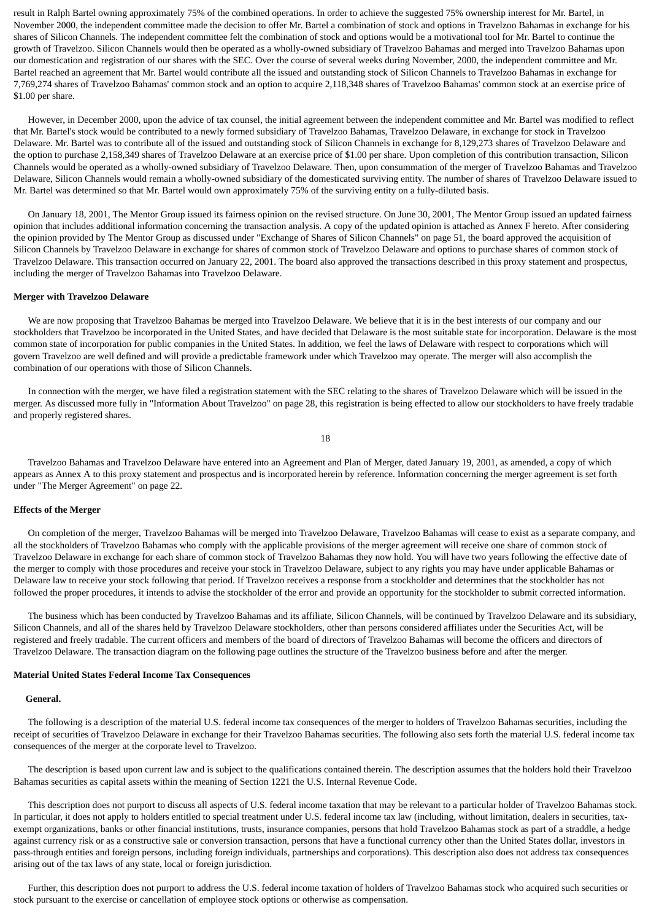result in Ralph Bartel owning approximately 75% of the combined operations. In order to achieve the suggested 75% ownership interest for Mr. Bartel, in November 2000, the independent committee made the decision to offer Mr. Bartel a combination of stock and options in Travelzoo Bahamas in exchange for his shares of Silicon Channels. The independent committee felt the combination of stock and options would be a motivational tool for Mr. Bartel to continue the growth of Travelzoo. Silicon Channels would then be operated as a wholly-owned subsidiary of Travelzoo Bahamas and merged into Travelzoo Bahamas upon our domestication and registration of our shares with the SEC. Over the course of several weeks during November, 2000, the independent committee and Mr. Bartel reached an agreement that Mr. Bartel would contribute all the issued and outstanding stock of Silicon Channels to Travelzoo Bahamas in exchange for 7,769,274 shares of Travelzoo Bahamas' common stock and an option to acquire 2,118,348 shares of Travelzoo Bahamas' common stock at an exercise price of \$1.00 per share.

 However, in December 2000, upon the advice of tax counsel, the initial agreement between the independent committee and Mr. Bartel was modified to reflect that Mr. Bartel's stock would be contributed to a newly formed subsidiary of Travelzoo Bahamas, Travelzoo Delaware, in exchange for stock in Travelzoo Delaware. Mr. Bartel was to contribute all of the issued and outstanding stock of Silicon Channels in exchange for 8,129,273 shares of Travelzoo Delaware and the option to purchase 2,158,349 shares of Travelzoo Delaware at an exercise price of \$1.00 per share. Upon completion of this contribution transaction, Silicon Channels would be operated as a wholly-owned subsidiary of Travelzoo Delaware. Then, upon consummation of the merger of Travelzoo Bahamas and Travelzoo Delaware, Silicon Channels would remain a wholly-owned subsidiary of the domesticated surviving entity. The number of shares of Travelzoo Delaware issued to Mr. Bartel was determined so that Mr. Bartel would own approximately 75% of the surviving entity on a fully-diluted basis.

 On January 18, 2001, The Mentor Group issued its fairness opinion on the revised structure. On June 30, 2001, The Mentor Group issued an updated fairness opinion that includes additional information concerning the transaction analysis. A copy of the updated opinion is attached as Annex F hereto. After considering the opinion provided by The Mentor Group as discussed under "Exchange of Shares of Silicon Channels" on page 51, the board approved the acquisition of Silicon Channels by Travelzoo Delaware in exchange for shares of common stock of Travelzoo Delaware and options to purchase shares of common stock of Travelzoo Delaware. This transaction occurred on January 22, 2001. The board also approved the transactions described in this proxy statement and prospectus, including the merger of Travelzoo Bahamas into Travelzoo Delaware.

#### **Merger with Travelzoo Delaware**

 We are now proposing that Travelzoo Bahamas be merged into Travelzoo Delaware. We believe that it is in the best interests of our company and our stockholders that Travelzoo be incorporated in the United States, and have decided that Delaware is the most suitable state for incorporation. Delaware is the most common state of incorporation for public companies in the United States. In addition, we feel the laws of Delaware with respect to corporations which will govern Travelzoo are well defined and will provide a predictable framework under which Travelzoo may operate. The merger will also accomplish the combination of our operations with those of Silicon Channels.

 In connection with the merger, we have filed a registration statement with the SEC relating to the shares of Travelzoo Delaware which will be issued in the merger. As discussed more fully in "Information About Travelzoo" on page 28, this registration is being effected to allow our stockholders to have freely tradable and properly registered shares.

18

 Travelzoo Bahamas and Travelzoo Delaware have entered into an Agreement and Plan of Merger, dated January 19, 2001, as amended, a copy of which appears as Annex A to this proxy statement and prospectus and is incorporated herein by reference. Information concerning the merger agreement is set forth under "The Merger Agreement" on page 22.

#### **Effects of the Merger**

 On completion of the merger, Travelzoo Bahamas will be merged into Travelzoo Delaware, Travelzoo Bahamas will cease to exist as a separate company, and all the stockholders of Travelzoo Bahamas who comply with the applicable provisions of the merger agreement will receive one share of common stock of Travelzoo Delaware in exchange for each share of common stock of Travelzoo Bahamas they now hold. You will have two years following the effective date of the merger to comply with those procedures and receive your stock in Travelzoo Delaware, subject to any rights you may have under applicable Bahamas or Delaware law to receive your stock following that period. If Travelzoo receives a response from a stockholder and determines that the stockholder has not followed the proper procedures, it intends to advise the stockholder of the error and provide an opportunity for the stockholder to submit corrected information.

 The business which has been conducted by Travelzoo Bahamas and its affiliate, Silicon Channels, will be continued by Travelzoo Delaware and its subsidiary, Silicon Channels, and all of the shares held by Travelzoo Delaware stockholders, other than persons considered affiliates under the Securities Act, will be registered and freely tradable. The current officers and members of the board of directors of Travelzoo Bahamas will become the officers and directors of Travelzoo Delaware. The transaction diagram on the following page outlines the structure of the Travelzoo business before and after the merger.

### **Material United States Federal Income Tax Consequences**

#### **General.**

 The following is a description of the material U.S. federal income tax consequences of the merger to holders of Travelzoo Bahamas securities, including the receipt of securities of Travelzoo Delaware in exchange for their Travelzoo Bahamas securities. The following also sets forth the material U.S. federal income tax consequences of the merger at the corporate level to Travelzoo.

 The description is based upon current law and is subject to the qualifications contained therein. The description assumes that the holders hold their Travelzoo Bahamas securities as capital assets within the meaning of Section 1221 the U.S. Internal Revenue Code.

 This description does not purport to discuss all aspects of U.S. federal income taxation that may be relevant to a particular holder of Travelzoo Bahamas stock. In particular, it does not apply to holders entitled to special treatment under U.S. federal income tax law (including, without limitation, dealers in securities, taxexempt organizations, banks or other financial institutions, trusts, insurance companies, persons that hold Travelzoo Bahamas stock as part of a straddle, a hedge against currency risk or as a constructive sale or conversion transaction, persons that have a functional currency other than the United States dollar, investors in pass-through entities and foreign persons, including foreign individuals, partnerships and corporations). This description also does not address tax consequences arising out of the tax laws of any state, local or foreign jurisdiction.

 Further, this description does not purport to address the U.S. federal income taxation of holders of Travelzoo Bahamas stock who acquired such securities or stock pursuant to the exercise or cancellation of employee stock options or otherwise as compensation.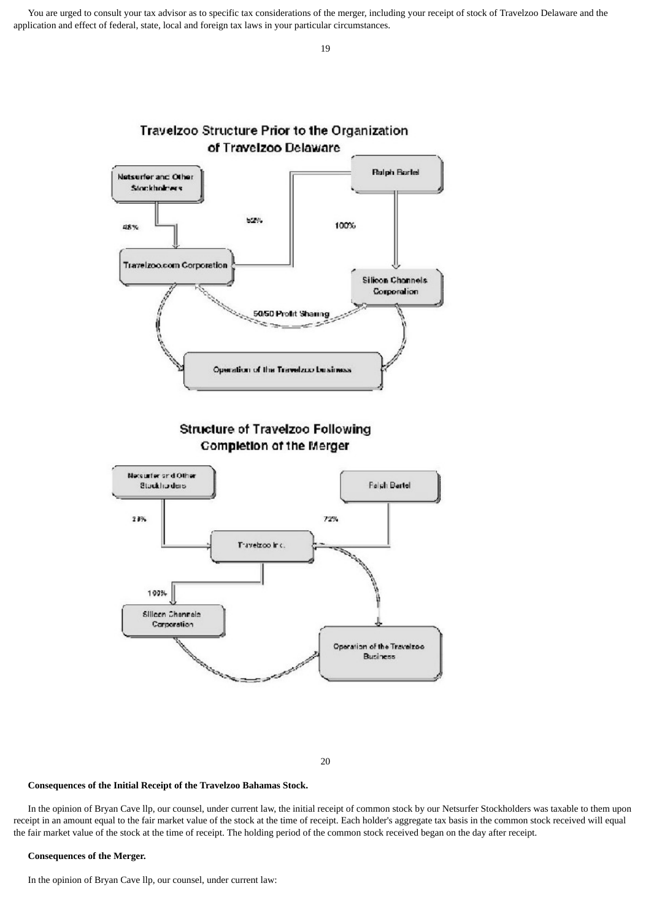You are urged to consult your tax advisor as to specific tax considerations of the merger, including your receipt of stock of Travelzoo Delaware and the application and effect of federal, state, local and foreign tax laws in your particular circumstances.



20

#### **Consequences of the Initial Receipt of the Travelzoo Bahamas Stock.**

 In the opinion of Bryan Cave llp, our counsel, under current law, the initial receipt of common stock by our Netsurfer Stockholders was taxable to them upon receipt in an amount equal to the fair market value of the stock at the time of receipt. Each holder's aggregate tax basis in the common stock received will equal the fair market value of the stock at the time of receipt. The holding period of the common stock received began on the day after receipt.

#### **Consequences of the Merger.**

In the opinion of Bryan Cave llp, our counsel, under current law: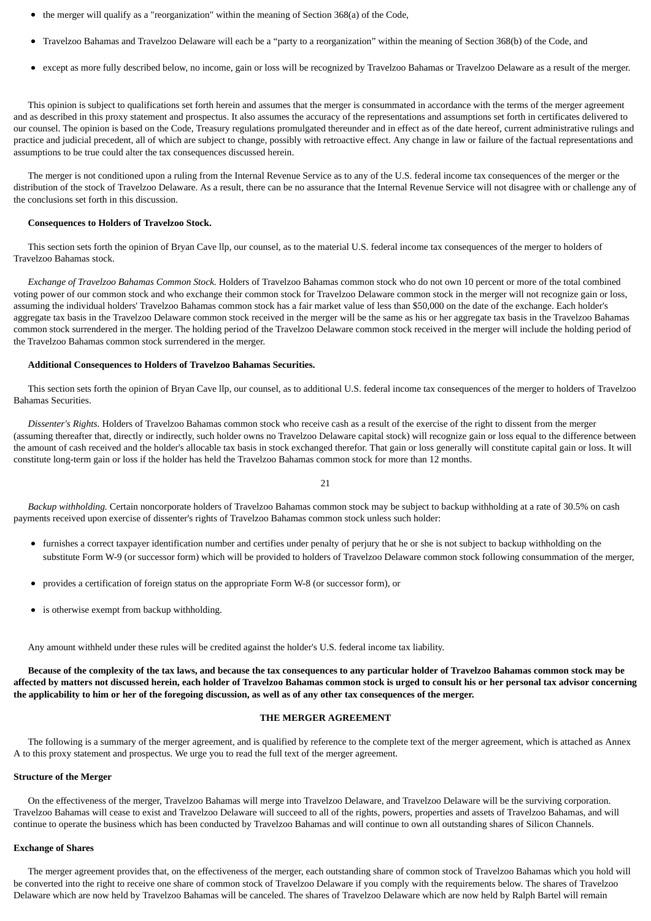- the merger will qualify as a "reorganization" within the meaning of Section 368(a) of the Code,
- Travelzoo Bahamas and Travelzoo Delaware will each be a "party to a reorganization" within the meaning of Section 368(b) of the Code, and
- except as more fully described below, no income, gain or loss will be recognized by Travelzoo Bahamas or Travelzoo Delaware as a result of the merger.

 This opinion is subject to qualifications set forth herein and assumes that the merger is consummated in accordance with the terms of the merger agreement and as described in this proxy statement and prospectus. It also assumes the accuracy of the representations and assumptions set forth in certificates delivered to our counsel. The opinion is based on the Code, Treasury regulations promulgated thereunder and in effect as of the date hereof, current administrative rulings and practice and judicial precedent, all of which are subject to change, possibly with retroactive effect. Any change in law or failure of the factual representations and assumptions to be true could alter the tax consequences discussed herein.

 The merger is not conditioned upon a ruling from the Internal Revenue Service as to any of the U.S. federal income tax consequences of the merger or the distribution of the stock of Travelzoo Delaware. As a result, there can be no assurance that the Internal Revenue Service will not disagree with or challenge any of the conclusions set forth in this discussion.

#### **Consequences to Holders of Travelzoo Stock.**

 This section sets forth the opinion of Bryan Cave llp, our counsel, as to the material U.S. federal income tax consequences of the merger to holders of Travelzoo Bahamas stock.

 *Exchange of Travelzoo Bahamas Common Stock.* Holders of Travelzoo Bahamas common stock who do not own 10 percent or more of the total combined voting power of our common stock and who exchange their common stock for Travelzoo Delaware common stock in the merger will not recognize gain or loss, assuming the individual holders' Travelzoo Bahamas common stock has a fair market value of less than \$50,000 on the date of the exchange. Each holder's aggregate tax basis in the Travelzoo Delaware common stock received in the merger will be the same as his or her aggregate tax basis in the Travelzoo Bahamas common stock surrendered in the merger. The holding period of the Travelzoo Delaware common stock received in the merger will include the holding period of the Travelzoo Bahamas common stock surrendered in the merger.

### **Additional Consequences to Holders of Travelzoo Bahamas Securities.**

 This section sets forth the opinion of Bryan Cave llp, our counsel, as to additional U.S. federal income tax consequences of the merger to holders of Travelzoo Bahamas Securities.

 *Dissenter's Rights.* Holders of Travelzoo Bahamas common stock who receive cash as a result of the exercise of the right to dissent from the merger (assuming thereafter that, directly or indirectly, such holder owns no Travelzoo Delaware capital stock) will recognize gain or loss equal to the difference between the amount of cash received and the holder's allocable tax basis in stock exchanged therefor. That gain or loss generally will constitute capital gain or loss. It will constitute long-term gain or loss if the holder has held the Travelzoo Bahamas common stock for more than 12 months.

21

 *Backup withholding.* Certain noncorporate holders of Travelzoo Bahamas common stock may be subject to backup withholding at a rate of 30.5% on cash payments received upon exercise of dissenter's rights of Travelzoo Bahamas common stock unless such holder:

- furnishes a correct taxpayer identification number and certifies under penalty of perjury that he or she is not subject to backup withholding on the substitute Form W-9 (or successor form) which will be provided to holders of Travelzoo Delaware common stock following consummation of the merger,
- provides a certification of foreign status on the appropriate Form W-8 (or successor form), or
- $\bullet$ is otherwise exempt from backup withholding.

Any amount withheld under these rules will be credited against the holder's U.S. federal income tax liability.

 **Because of the complexity of the tax laws, and because the tax consequences to any particular holder of Travelzoo Bahamas common stock may be affected by matters not discussed herein, each holder of Travelzoo Bahamas common stock is urged to consult his or her personal tax advisor concerning the applicability to him or her of the foregoing discussion, as well as of any other tax consequences of the merger.**

#### **THE MERGER AGREEMENT**

 The following is a summary of the merger agreement, and is qualified by reference to the complete text of the merger agreement, which is attached as Annex A to this proxy statement and prospectus. We urge you to read the full text of the merger agreement.

#### **Structure of the Merger**

 On the effectiveness of the merger, Travelzoo Bahamas will merge into Travelzoo Delaware, and Travelzoo Delaware will be the surviving corporation. Travelzoo Bahamas will cease to exist and Travelzoo Delaware will succeed to all of the rights, powers, properties and assets of Travelzoo Bahamas, and will continue to operate the business which has been conducted by Travelzoo Bahamas and will continue to own all outstanding shares of Silicon Channels.

#### **Exchange of Shares**

 The merger agreement provides that, on the effectiveness of the merger, each outstanding share of common stock of Travelzoo Bahamas which you hold will be converted into the right to receive one share of common stock of Travelzoo Delaware if you comply with the requirements below. The shares of Travelzoo Delaware which are now held by Travelzoo Bahamas will be canceled. The shares of Travelzoo Delaware which are now held by Ralph Bartel will remain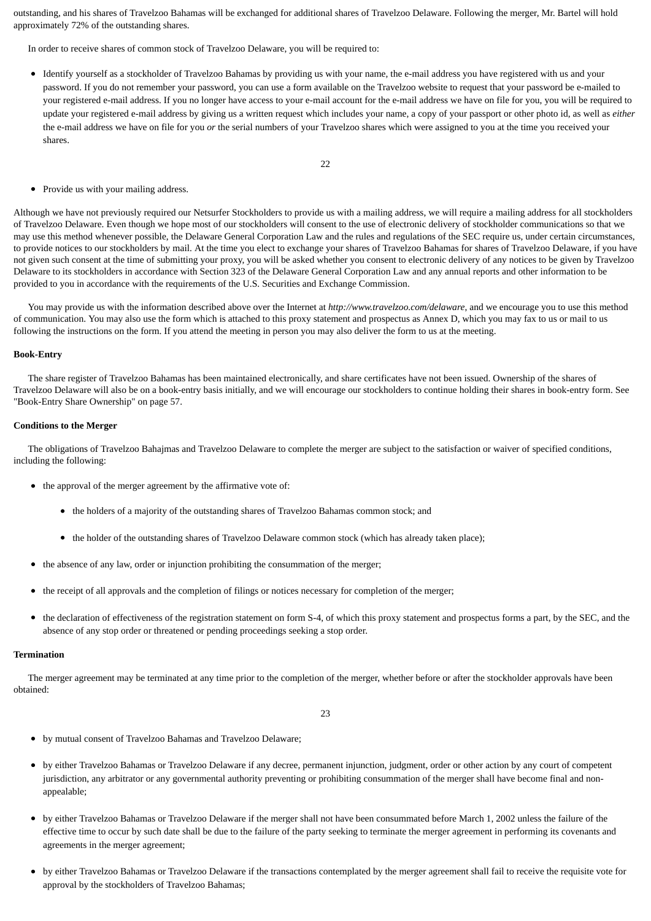outstanding, and his shares of Travelzoo Bahamas will be exchanged for additional shares of Travelzoo Delaware. Following the merger, Mr. Bartel will hold approximately 72% of the outstanding shares.

In order to receive shares of common stock of Travelzoo Delaware, you will be required to:

- Identify yourself as a stockholder of Travelzoo Bahamas by providing us with your name, the e-mail address you have registered with us and your password. If you do not remember your password, you can use a form available on the Travelzoo website to request that your password be e-mailed to your registered e-mail address. If you no longer have access to your e-mail account for the e-mail address we have on file for you, you will be required to update your registered e-mail address by giving us a written request which includes your name, a copy of your passport or other photo id, as well as *either* the e-mail address we have on file for you *or* the serial numbers of your Travelzoo shares which were assigned to you at the time you received your shares.
	- 22

• Provide us with your mailing address.

Although we have not previously required our Netsurfer Stockholders to provide us with a mailing address, we will require a mailing address for all stockholders of Travelzoo Delaware. Even though we hope most of our stockholders will consent to the use of electronic delivery of stockholder communications so that we may use this method whenever possible, the Delaware General Corporation Law and the rules and regulations of the SEC require us, under certain circumstances, to provide notices to our stockholders by mail. At the time you elect to exchange your shares of Travelzoo Bahamas for shares of Travelzoo Delaware, if you have not given such consent at the time of submitting your proxy, you will be asked whether you consent to electronic delivery of any notices to be given by Travelzoo Delaware to its stockholders in accordance with Section 323 of the Delaware General Corporation Law and any annual reports and other information to be provided to you in accordance with the requirements of the U.S. Securities and Exchange Commission.

 You may provide us with the information described above over the Internet at *http://www.travelzoo.com/delaware*, and we encourage you to use this method of communication. You may also use the form which is attached to this proxy statement and prospectus as Annex D, which you may fax to us or mail to us following the instructions on the form. If you attend the meeting in person you may also deliver the form to us at the meeting.

#### **Book-Entry**

 The share register of Travelzoo Bahamas has been maintained electronically, and share certificates have not been issued. Ownership of the shares of Travelzoo Delaware will also be on a book-entry basis initially, and we will encourage our stockholders to continue holding their shares in book-entry form. See "Book-Entry Share Ownership" on page 57.

#### **Conditions to the Merger**

 The obligations of Travelzoo Bahajmas and Travelzoo Delaware to complete the merger are subject to the satisfaction or waiver of specified conditions, including the following:

- the approval of the merger agreement by the affirmative vote of:
	- the holders of a majority of the outstanding shares of Travelzoo Bahamas common stock; and
	- the holder of the outstanding shares of Travelzoo Delaware common stock (which has already taken place);
- the absence of any law, order or injunction prohibiting the consummation of the merger;
- the receipt of all approvals and the completion of filings or notices necessary for completion of the merger;
- $\bullet$ the declaration of effectiveness of the registration statement on form S-4, of which this proxy statement and prospectus forms a part, by the SEC, and the absence of any stop order or threatened or pending proceedings seeking a stop order.

#### **Termination**

 The merger agreement may be terminated at any time prior to the completion of the merger, whether before or after the stockholder approvals have been obtained:

23

- by mutual consent of Travelzoo Bahamas and Travelzoo Delaware;
- by either Travelzoo Bahamas or Travelzoo Delaware if any decree, permanent injunction, judgment, order or other action by any court of competent jurisdiction, any arbitrator or any governmental authority preventing or prohibiting consummation of the merger shall have become final and nonappealable;
- $\bullet$ by either Travelzoo Bahamas or Travelzoo Delaware if the merger shall not have been consummated before March 1, 2002 unless the failure of the effective time to occur by such date shall be due to the failure of the party seeking to terminate the merger agreement in performing its covenants and agreements in the merger agreement;
- $\bullet$ by either Travelzoo Bahamas or Travelzoo Delaware if the transactions contemplated by the merger agreement shall fail to receive the requisite vote for approval by the stockholders of Travelzoo Bahamas;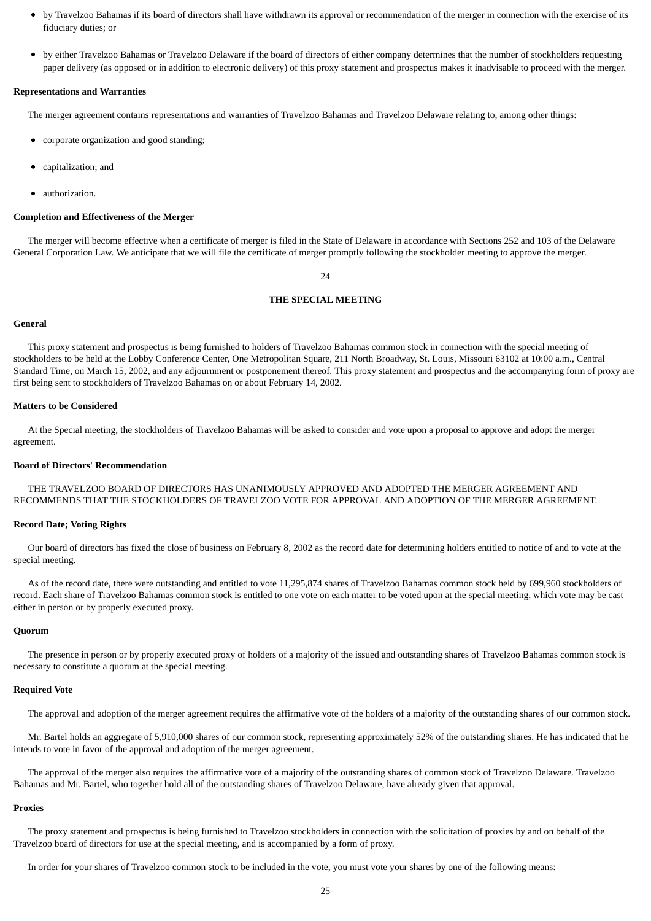- by Travelzoo Bahamas if its board of directors shall have withdrawn its approval or recommendation of the merger in connection with the exercise of its  $\bullet$ fiduciary duties; or
- by either Travelzoo Bahamas or Travelzoo Delaware if the board of directors of either company determines that the number of stockholders requesting paper delivery (as opposed or in addition to electronic delivery) of this proxy statement and prospectus makes it inadvisable to proceed with the merger.

#### **Representations and Warranties**

The merger agreement contains representations and warranties of Travelzoo Bahamas and Travelzoo Delaware relating to, among other things:

- corporate organization and good standing;
- capitalization; and
- authorization.

#### **Completion and Effectiveness of the Merger**

 The merger will become effective when a certificate of merger is filed in the State of Delaware in accordance with Sections 252 and 103 of the Delaware General Corporation Law. We anticipate that we will file the certificate of merger promptly following the stockholder meeting to approve the merger.

 $24$ 

#### **THE SPECIAL MEETING**

#### **General**

 This proxy statement and prospectus is being furnished to holders of Travelzoo Bahamas common stock in connection with the special meeting of stockholders to be held at the Lobby Conference Center, One Metropolitan Square, 211 North Broadway, St. Louis, Missouri 63102 at 10:00 a.m., Central Standard Time, on March 15, 2002, and any adjournment or postponement thereof. This proxy statement and prospectus and the accompanying form of proxy are first being sent to stockholders of Travelzoo Bahamas on or about February 14, 2002.

#### **Matters to be Considered**

 At the Special meeting, the stockholders of Travelzoo Bahamas will be asked to consider and vote upon a proposal to approve and adopt the merger agreement.

#### **Board of Directors' Recommendation**

 THE TRAVELZOO BOARD OF DIRECTORS HAS UNANIMOUSLY APPROVED AND ADOPTED THE MERGER AGREEMENT AND RECOMMENDS THAT THE STOCKHOLDERS OF TRAVELZOO VOTE FOR APPROVAL AND ADOPTION OF THE MERGER AGREEMENT.

#### **Record Date; Voting Rights**

 Our board of directors has fixed the close of business on February 8, 2002 as the record date for determining holders entitled to notice of and to vote at the special meeting.

 As of the record date, there were outstanding and entitled to vote 11,295,874 shares of Travelzoo Bahamas common stock held by 699,960 stockholders of record. Each share of Travelzoo Bahamas common stock is entitled to one vote on each matter to be voted upon at the special meeting, which vote may be cast either in person or by properly executed proxy.

#### **Quorum**

 The presence in person or by properly executed proxy of holders of a majority of the issued and outstanding shares of Travelzoo Bahamas common stock is necessary to constitute a quorum at the special meeting.

#### **Required Vote**

The approval and adoption of the merger agreement requires the affirmative vote of the holders of a majority of the outstanding shares of our common stock.

 Mr. Bartel holds an aggregate of 5,910,000 shares of our common stock, representing approximately 52% of the outstanding shares. He has indicated that he intends to vote in favor of the approval and adoption of the merger agreement.

 The approval of the merger also requires the affirmative vote of a majority of the outstanding shares of common stock of Travelzoo Delaware. Travelzoo Bahamas and Mr. Bartel, who together hold all of the outstanding shares of Travelzoo Delaware, have already given that approval.

#### **Proxies**

 The proxy statement and prospectus is being furnished to Travelzoo stockholders in connection with the solicitation of proxies by and on behalf of the Travelzoo board of directors for use at the special meeting, and is accompanied by a form of proxy.

In order for your shares of Travelzoo common stock to be included in the vote, you must vote your shares by one of the following means: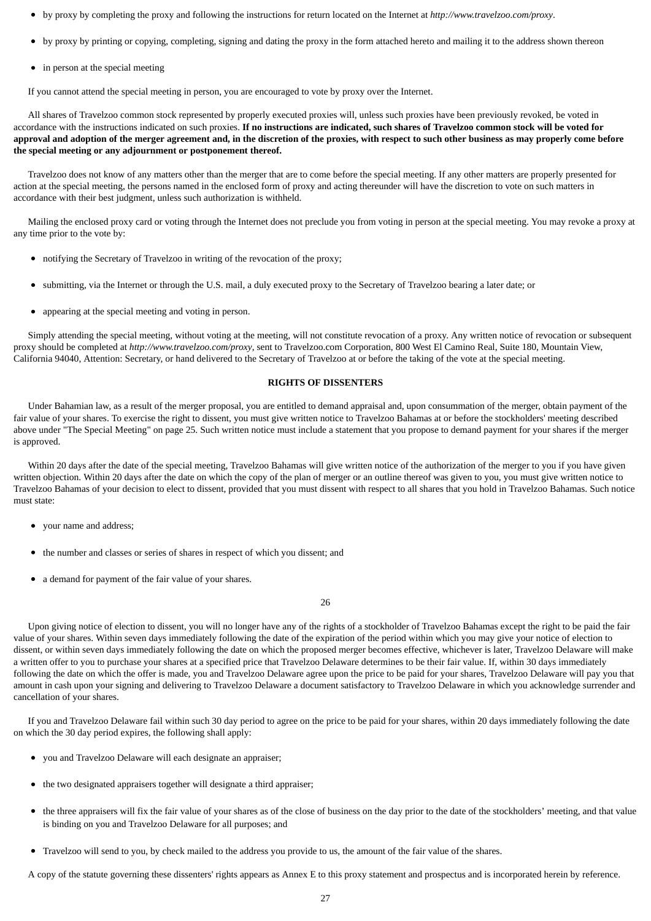- by proxy by completing the proxy and following the instructions for return located on the Internet at *http://www.travelzoo.com/proxy*.
- by proxy by printing or copying, completing, signing and dating the proxy in the form attached hereto and mailing it to the address shown thereon
- in person at the special meeting

If you cannot attend the special meeting in person, you are encouraged to vote by proxy over the Internet.

 All shares of Travelzoo common stock represented by properly executed proxies will, unless such proxies have been previously revoked, be voted in accordance with the instructions indicated on such proxies. **If no instructions are indicated, such shares of Travelzoo common stock will be voted for approval and adoption of the merger agreement and, in the discretion of the proxies, with respect to such other business as may properly come before the special meeting or any adjournment or postponement thereof.**

 Travelzoo does not know of any matters other than the merger that are to come before the special meeting. If any other matters are properly presented for action at the special meeting, the persons named in the enclosed form of proxy and acting thereunder will have the discretion to vote on such matters in accordance with their best judgment, unless such authorization is withheld.

 Mailing the enclosed proxy card or voting through the Internet does not preclude you from voting in person at the special meeting. You may revoke a proxy at any time prior to the vote by:

- notifying the Secretary of Travelzoo in writing of the revocation of the proxy;
- $\bullet$ submitting, via the Internet or through the U.S. mail, a duly executed proxy to the Secretary of Travelzoo bearing a later date; or
- appearing at the special meeting and voting in person.

 Simply attending the special meeting, without voting at the meeting, will not constitute revocation of a proxy. Any written notice of revocation or subsequent proxy should be completed at *http://www.travelzoo.com/proxy*, sent to Travelzoo.com Corporation, 800 West El Camino Real, Suite 180, Mountain View, California 94040, Attention: Secretary, or hand delivered to the Secretary of Travelzoo at or before the taking of the vote at the special meeting.

### **RIGHTS OF DISSENTERS**

 Under Bahamian law, as a result of the merger proposal, you are entitled to demand appraisal and, upon consummation of the merger, obtain payment of the fair value of your shares. To exercise the right to dissent, you must give written notice to Travelzoo Bahamas at or before the stockholders' meeting described above under "The Special Meeting" on page 25. Such written notice must include a statement that you propose to demand payment for your shares if the merger is approved.

 Within 20 days after the date of the special meeting, Travelzoo Bahamas will give written notice of the authorization of the merger to you if you have given written objection. Within 20 days after the date on which the copy of the plan of merger or an outline thereof was given to you, you must give written notice to Travelzoo Bahamas of your decision to elect to dissent, provided that you must dissent with respect to all shares that you hold in Travelzoo Bahamas. Such notice must state:

- your name and address;
- the number and classes or series of shares in respect of which you dissent; and
- $\bullet$ a demand for payment of the fair value of your shares.

26

 Upon giving notice of election to dissent, you will no longer have any of the rights of a stockholder of Travelzoo Bahamas except the right to be paid the fair value of your shares. Within seven days immediately following the date of the expiration of the period within which you may give your notice of election to dissent, or within seven days immediately following the date on which the proposed merger becomes effective, whichever is later, Travelzoo Delaware will make a written offer to you to purchase your shares at a specified price that Travelzoo Delaware determines to be their fair value. If, within 30 days immediately following the date on which the offer is made, you and Travelzoo Delaware agree upon the price to be paid for your shares, Travelzoo Delaware will pay you that amount in cash upon your signing and delivering to Travelzoo Delaware a document satisfactory to Travelzoo Delaware in which you acknowledge surrender and cancellation of your shares.

 If you and Travelzoo Delaware fail within such 30 day period to agree on the price to be paid for your shares, within 20 days immediately following the date on which the 30 day period expires, the following shall apply:

- you and Travelzoo Delaware will each designate an appraiser;
- $\bullet$ the two designated appraisers together will designate a third appraiser;
- the three appraisers will fix the fair value of your shares as of the close of business on the day prior to the date of the stockholders' meeting, and that value  $\bullet$ is binding on you and Travelzoo Delaware for all purposes; and
- $\bullet$ Travelzoo will send to you, by check mailed to the address you provide to us, the amount of the fair value of the shares.

A copy of the statute governing these dissenters' rights appears as Annex E to this proxy statement and prospectus and is incorporated herein by reference.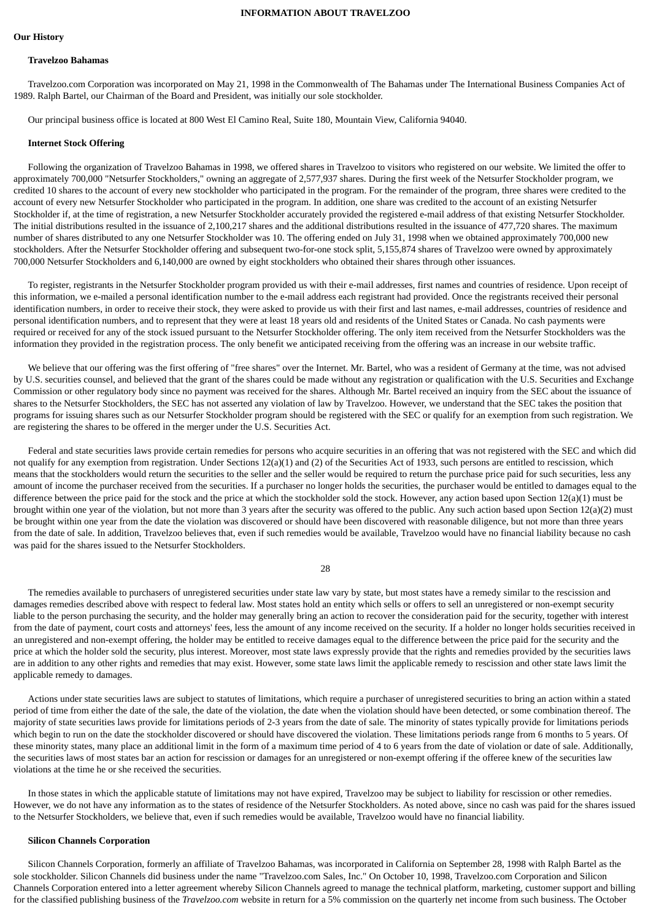### **INFORMATION ABOUT TRAVELZOO**

#### **Our History**

#### **Travelzoo Bahamas**

 Travelzoo.com Corporation was incorporated on May 21, 1998 in the Commonwealth of The Bahamas under The International Business Companies Act of 1989. Ralph Bartel, our Chairman of the Board and President, was initially our sole stockholder.

Our principal business office is located at 800 West El Camino Real, Suite 180, Mountain View, California 94040.

#### **Internet Stock Offering**

 Following the organization of Travelzoo Bahamas in 1998, we offered shares in Travelzoo to visitors who registered on our website. We limited the offer to approximately 700,000 "Netsurfer Stockholders," owning an aggregate of 2,577,937 shares. During the first week of the Netsurfer Stockholder program, we credited 10 shares to the account of every new stockholder who participated in the program. For the remainder of the program, three shares were credited to the account of every new Netsurfer Stockholder who participated in the program. In addition, one share was credited to the account of an existing Netsurfer Stockholder if, at the time of registration, a new Netsurfer Stockholder accurately provided the registered e-mail address of that existing Netsurfer Stockholder. The initial distributions resulted in the issuance of 2,100,217 shares and the additional distributions resulted in the issuance of 477,720 shares. The maximum number of shares distributed to any one Netsurfer Stockholder was 10. The offering ended on July 31, 1998 when we obtained approximately 700,000 new stockholders. After the Netsurfer Stockholder offering and subsequent two-for-one stock split, 5,155,874 shares of Travelzoo were owned by approximately 700,000 Netsurfer Stockholders and 6,140,000 are owned by eight stockholders who obtained their shares through other issuances.

 To register, registrants in the Netsurfer Stockholder program provided us with their e-mail addresses, first names and countries of residence. Upon receipt of this information, we e-mailed a personal identification number to the e-mail address each registrant had provided. Once the registrants received their personal identification numbers, in order to receive their stock, they were asked to provide us with their first and last names, e-mail addresses, countries of residence and personal identification numbers, and to represent that they were at least 18 years old and residents of the United States or Canada. No cash payments were required or received for any of the stock issued pursuant to the Netsurfer Stockholder offering. The only item received from the Netsurfer Stockholders was the information they provided in the registration process. The only benefit we anticipated receiving from the offering was an increase in our website traffic.

 We believe that our offering was the first offering of "free shares" over the Internet. Mr. Bartel, who was a resident of Germany at the time, was not advised by U.S. securities counsel, and believed that the grant of the shares could be made without any registration or qualification with the U.S. Securities and Exchange Commission or other regulatory body since no payment was received for the shares. Although Mr. Bartel received an inquiry from the SEC about the issuance of shares to the Netsurfer Stockholders, the SEC has not asserted any violation of law by Travelzoo. However, we understand that the SEC takes the position that programs for issuing shares such as our Netsurfer Stockholder program should be registered with the SEC or qualify for an exemption from such registration. We are registering the shares to be offered in the merger under the U.S. Securities Act.

 Federal and state securities laws provide certain remedies for persons who acquire securities in an offering that was not registered with the SEC and which did not qualify for any exemption from registration. Under Sections 12(a)(1) and (2) of the Securities Act of 1933, such persons are entitled to rescission, which means that the stockholders would return the securities to the seller and the seller would be required to return the purchase price paid for such securities, less any amount of income the purchaser received from the securities. If a purchaser no longer holds the securities, the purchaser would be entitled to damages equal to the difference between the price paid for the stock and the price at which the stockholder sold the stock. However, any action based upon Section 12(a)(1) must be brought within one year of the violation, but not more than 3 years after the security was offered to the public. Any such action based upon Section 12(a)(2) must be brought within one year from the date the violation was discovered or should have been discovered with reasonable diligence, but not more than three years from the date of sale. In addition, Travelzoo believes that, even if such remedies would be available, Travelzoo would have no financial liability because no cash was paid for the shares issued to the Netsurfer Stockholders.

28

The remedies available to purchasers of unregistered securities under state law vary by state, but most states have a remedy similar to the rescission and damages remedies described above with respect to federal law. Most states hold an entity which sells or offers to sell an unregistered or non-exempt security liable to the person purchasing the security, and the holder may generally bring an action to recover the consideration paid for the security, together with interest from the date of payment, court costs and attorneys' fees, less the amount of any income received on the security. If a holder no longer holds securities received in an unregistered and non-exempt offering, the holder may be entitled to receive damages equal to the difference between the price paid for the security and the price at which the holder sold the security, plus interest. Moreover, most state laws expressly provide that the rights and remedies provided by the securities laws are in addition to any other rights and remedies that may exist. However, some state laws limit the applicable remedy to rescission and other state laws limit the applicable remedy to damages.

 Actions under state securities laws are subject to statutes of limitations, which require a purchaser of unregistered securities to bring an action within a stated period of time from either the date of the sale, the date of the violation, the date when the violation should have been detected, or some combination thereof. The majority of state securities laws provide for limitations periods of 2-3 years from the date of sale. The minority of states typically provide for limitations periods which begin to run on the date the stockholder discovered or should have discovered the violation. These limitations periods range from 6 months to 5 years. Of these minority states, many place an additional limit in the form of a maximum time period of 4 to 6 years from the date of violation or date of sale. Additionally, the securities laws of most states bar an action for rescission or damages for an unregistered or non-exempt offering if the offeree knew of the securities law violations at the time he or she received the securities.

 In those states in which the applicable statute of limitations may not have expired, Travelzoo may be subject to liability for rescission or other remedies. However, we do not have any information as to the states of residence of the Netsurfer Stockholders. As noted above, since no cash was paid for the shares issued to the Netsurfer Stockholders, we believe that, even if such remedies would be available, Travelzoo would have no financial liability.

#### **Silicon Channels Corporation**

 Silicon Channels Corporation, formerly an affiliate of Travelzoo Bahamas, was incorporated in California on September 28, 1998 with Ralph Bartel as the sole stockholder. Silicon Channels did business under the name "Travelzoo.com Sales, Inc." On October 10, 1998, Travelzoo.com Corporation and Silicon Channels Corporation entered into a letter agreement whereby Silicon Channels agreed to manage the technical platform, marketing, customer support and billing for the classified publishing business of the *Travelzoo.com* website in return for a 5% commission on the quarterly net income from such business. The October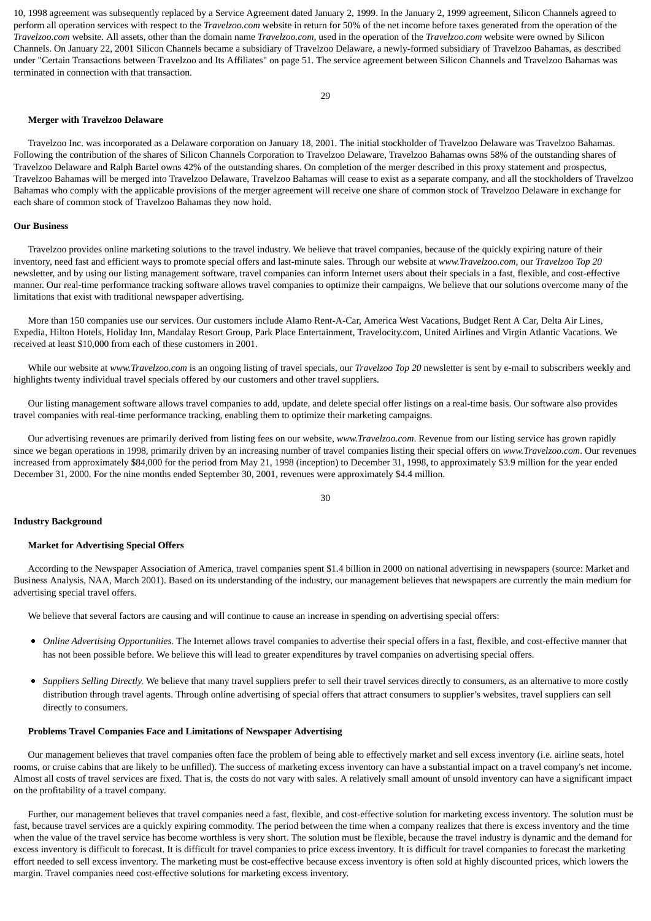10, 1998 agreement was subsequently replaced by a Service Agreement dated January 2, 1999. In the January 2, 1999 agreement, Silicon Channels agreed to perform all operation services with respect to the *Travelzoo.com* website in return for 50% of the net income before taxes generated from the operation of the *Travelzoo.com* website. All assets, other than the domain name *Travelzoo.com*, used in the operation of the *Travelzoo.com* website were owned by Silicon Channels. On January 22, 2001 Silicon Channels became a subsidiary of Travelzoo Delaware, a newly-formed subsidiary of Travelzoo Bahamas, as described under "Certain Transactions between Travelzoo and Its Affiliates" on page 51. The service agreement between Silicon Channels and Travelzoo Bahamas was terminated in connection with that transaction.

#### **Merger with Travelzoo Delaware**

 Travelzoo Inc. was incorporated as a Delaware corporation on January 18, 2001. The initial stockholder of Travelzoo Delaware was Travelzoo Bahamas. Following the contribution of the shares of Silicon Channels Corporation to Travelzoo Delaware, Travelzoo Bahamas owns 58% of the outstanding shares of Travelzoo Delaware and Ralph Bartel owns 42% of the outstanding shares. On completion of the merger described in this proxy statement and prospectus, Travelzoo Bahamas will be merged into Travelzoo Delaware, Travelzoo Bahamas will cease to exist as a separate company, and all the stockholders of Travelzoo Bahamas who comply with the applicable provisions of the merger agreement will receive one share of common stock of Travelzoo Delaware in exchange for each share of common stock of Travelzoo Bahamas they now hold.

#### **Our Business**

 Travelzoo provides online marketing solutions to the travel industry. We believe that travel companies, because of the quickly expiring nature of their inventory, need fast and efficient ways to promote special offers and last-minute sales. Through our website at *www.Travelzoo.com*, our *Travelzoo Top 20* newsletter, and by using our listing management software, travel companies can inform Internet users about their specials in a fast, flexible, and cost-effective manner. Our real-time performance tracking software allows travel companies to optimize their campaigns. We believe that our solutions overcome many of the limitations that exist with traditional newspaper advertising.

 More than 150 companies use our services. Our customers include Alamo Rent-A-Car, America West Vacations, Budget Rent A Car, Delta Air Lines, Expedia, Hilton Hotels, Holiday Inn, Mandalay Resort Group, Park Place Entertainment, Travelocity.com, United Airlines and Virgin Atlantic Vacations. We received at least \$10,000 from each of these customers in 2001.

 While our website at *www.Travelzoo.com* is an ongoing listing of travel specials, our *Travelzoo Top 20* newsletter is sent by e-mail to subscribers weekly and highlights twenty individual travel specials offered by our customers and other travel suppliers.

 Our listing management software allows travel companies to add, update, and delete special offer listings on a real-time basis. Our software also provides travel companies with real-time performance tracking, enabling them to optimize their marketing campaigns.

 Our advertising revenues are primarily derived from listing fees on our website, *www.Travelzoo.com*. Revenue from our listing service has grown rapidly since we began operations in 1998, primarily driven by an increasing number of travel companies listing their special offers on *www.Travelzoo.com*. Our revenues increased from approximately \$84,000 for the period from May 21, 1998 (inception) to December 31, 1998, to approximately \$3.9 million for the year ended December 31, 2000. For the nine months ended September 30, 2001, revenues were approximately \$4.4 million.

30

#### **Industry Background**

#### **Market for Advertising Special Offers**

 According to the Newspaper Association of America, travel companies spent \$1.4 billion in 2000 on national advertising in newspapers (source: Market and Business Analysis, NAA, March 2001). Based on its understanding of the industry, our management believes that newspapers are currently the main medium for advertising special travel offers.

We believe that several factors are causing and will continue to cause an increase in spending on advertising special offers:

- $\bullet$ *Online Advertising Opportunities.* The Internet allows travel companies to advertise their special offers in a fast, flexible, and cost-effective manner that has not been possible before. We believe this will lead to greater expenditures by travel companies on advertising special offers.
- $\bullet$ *Suppliers Selling Directly.* We believe that many travel suppliers prefer to sell their travel services directly to consumers, as an alternative to more costly distribution through travel agents. Through online advertising of special offers that attract consumers to supplier's websites, travel suppliers can sell directly to consumers.

#### **Problems Travel Companies Face and Limitations of Newspaper Advertising**

 Our management believes that travel companies often face the problem of being able to effectively market and sell excess inventory (i.e. airline seats, hotel rooms, or cruise cabins that are likely to be unfilled). The success of marketing excess inventory can have a substantial impact on a travel company's net income. Almost all costs of travel services are fixed. That is, the costs do not vary with sales. A relatively small amount of unsold inventory can have a significant impact on the profitability of a travel company.

 Further, our management believes that travel companies need a fast, flexible, and cost-effective solution for marketing excess inventory. The solution must be fast, because travel services are a quickly expiring commodity. The period between the time when a company realizes that there is excess inventory and the time when the value of the travel service has become worthless is very short. The solution must be flexible, because the travel industry is dynamic and the demand for excess inventory is difficult to forecast. It is difficult for travel companies to price excess inventory. It is difficult for travel companies to forecast the marketing effort needed to sell excess inventory. The marketing must be cost-effective because excess inventory is often sold at highly discounted prices, which lowers the margin. Travel companies need cost-effective solutions for marketing excess inventory.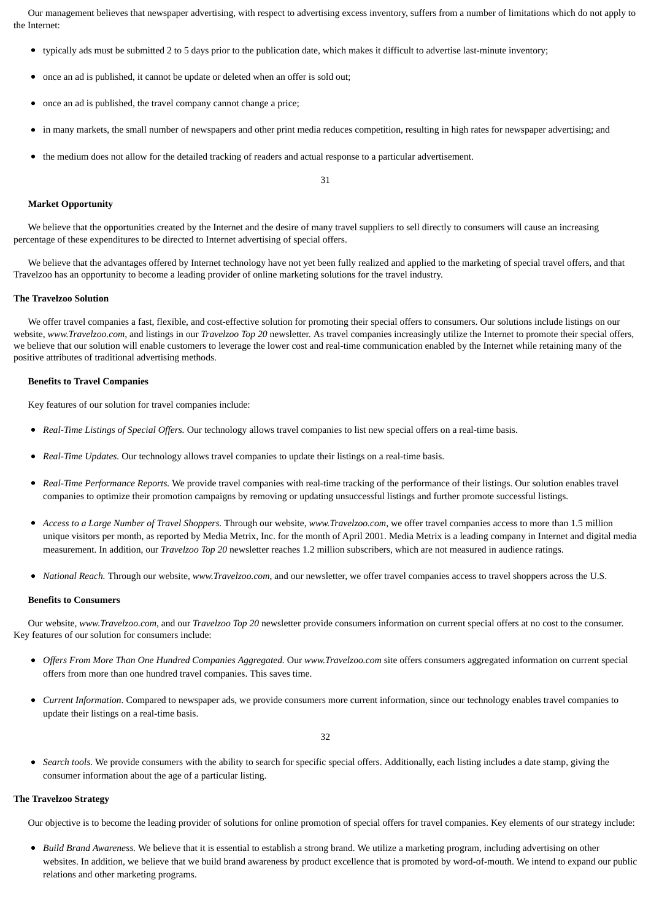Our management believes that newspaper advertising, with respect to advertising excess inventory, suffers from a number of limitations which do not apply to the Internet:

- typically ads must be submitted 2 to 5 days prior to the publication date, which makes it difficult to advertise last-minute inventory;
- once an ad is published, it cannot be update or deleted when an offer is sold out;
- once an ad is published, the travel company cannot change a price;
- in many markets, the small number of newspapers and other print media reduces competition, resulting in high rates for newspaper advertising; and
- the medium does not allow for the detailed tracking of readers and actual response to a particular advertisement.

31

#### **Market Opportunity**

We believe that the opportunities created by the Internet and the desire of many travel suppliers to sell directly to consumers will cause an increasing percentage of these expenditures to be directed to Internet advertising of special offers.

 We believe that the advantages offered by Internet technology have not yet been fully realized and applied to the marketing of special travel offers, and that Travelzoo has an opportunity to become a leading provider of online marketing solutions for the travel industry.

#### **The Travelzoo Solution**

 We offer travel companies a fast, flexible, and cost-effective solution for promoting their special offers to consumers. Our solutions include listings on our website, *www.Travelzoo.com*, and listings in our *Travelzoo Top 20* newsletter. As travel companies increasingly utilize the Internet to promote their special offers, we believe that our solution will enable customers to leverage the lower cost and real-time communication enabled by the Internet while retaining many of the positive attributes of traditional advertising methods.

#### **Benefits to Travel Companies**

Key features of our solution for travel companies include:

- *Real-Time Listings of Special Offers.* Our technology allows travel companies to list new special offers on a real-time basis.
- *Real-Time Updates.* Our technology allows travel companies to update their listings on a real-time basis.
- *Real-Time Performance Reports.* We provide travel companies with real-time tracking of the performance of their listings. Our solution enables travel companies to optimize their promotion campaigns by removing or updating unsuccessful listings and further promote successful listings.
- *Access to a Large Number of Travel Shoppers.* Through our website, *www.Travelzoo.com*, we offer travel companies access to more than 1.5 million unique visitors per month, as reported by Media Metrix, Inc. for the month of April 2001. Media Metrix is a leading company in Internet and digital media measurement. In addition, our *Travelzoo Top 20* newsletter reaches 1.2 million subscribers, which are not measured in audience ratings.
- *National Reach.* Through our website, *www.Travelzoo.com*, and our newsletter, we offer travel companies access to travel shoppers across the U.S.

#### **Benefits to Consumers**

 Our website, *www.Travelzoo.com*, and our *Travelzoo Top 20* newsletter provide consumers information on current special offers at no cost to the consumer. Key features of our solution for consumers include:

- *Offers From More Than One Hundred Companies Aggregated.* Our *www.Travelzoo.com* site offers consumers aggregated information on current special offers from more than one hundred travel companies. This saves time.
- $\bullet$ *Current Information.* Compared to newspaper ads, we provide consumers more current information, since our technology enables travel companies to update their listings on a real-time basis.

32

*Search tools.* We provide consumers with the ability to search for specific special offers. Additionally, each listing includes a date stamp, giving the  $\bullet$ consumer information about the age of a particular listing.

### **The Travelzoo Strategy**

Our objective is to become the leading provider of solutions for online promotion of special offers for travel companies. Key elements of our strategy include:

*Build Brand Awareness.* We believe that it is essential to establish a strong brand. We utilize a marketing program, including advertising on other websites. In addition, we believe that we build brand awareness by product excellence that is promoted by word-of-mouth. We intend to expand our public relations and other marketing programs.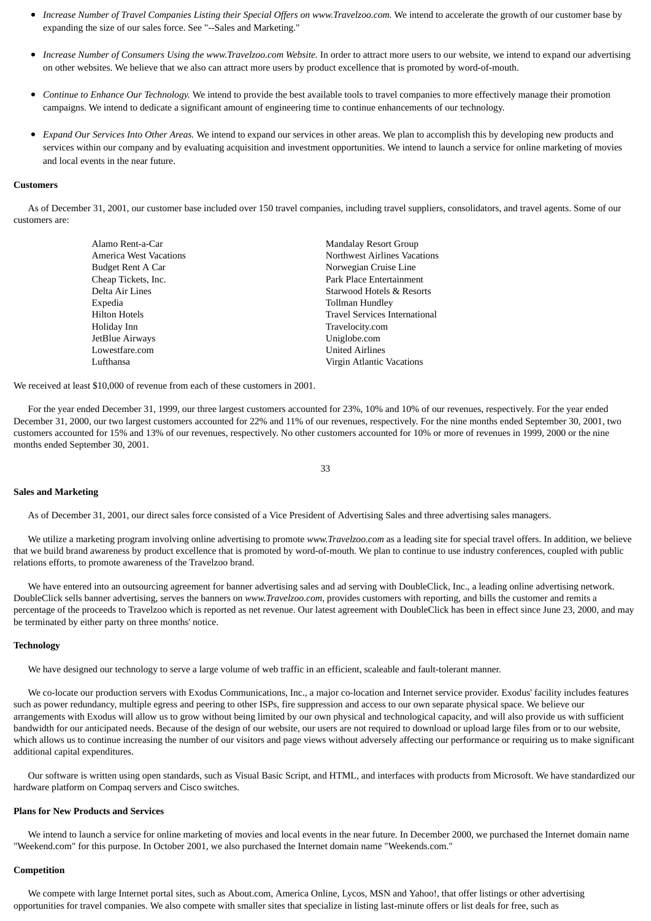- *Increase Number of Travel Companies Listing their Special Offers on www.Travelzoo.com.* We intend to accelerate the growth of our customer base by expanding the size of our sales force. See "--Sales and Marketing."
- *Increase Number of Consumers Using the www.Travelzoo.com Website.* In order to attract more users to our website, we intend to expand our advertising  $\bullet$ on other websites. We believe that we also can attract more users by product excellence that is promoted by word-of-mouth.
- *Continue to Enhance Our Technology.* We intend to provide the best available tools to travel companies to more effectively manage their promotion campaigns. We intend to dedicate a significant amount of engineering time to continue enhancements of our technology.
- *Expand Our Services Into Other Areas.* We intend to expand our services in other areas. We plan to accomplish this by developing new products and services within our company and by evaluating acquisition and investment opportunities. We intend to launch a service for online marketing of movies and local events in the near future.

#### **Customers**

 As of December 31, 2001, our customer base included over 150 travel companies, including travel suppliers, consolidators, and travel agents. Some of our customers are:

| Alamo Rent-a-Car       | <b>Mandalay Resort Group</b>  |
|------------------------|-------------------------------|
| America West Vacations | Northwest Airlines Vacations  |
| Budget Rent A Car      | Norwegian Cruise Line         |
| Cheap Tickets, Inc.    | Park Place Entertainment      |
| Delta Air Lines        | Starwood Hotels & Resorts     |
| Expedia                | Tollman Hundley               |
| Hilton Hotels          | Travel Services International |
| Holiday Inn            | Travelocity.com               |
| JetBlue Airways        | Uniglobe.com                  |
| Lowestfare.com         | <b>United Airlines</b>        |
| Lufthansa              | Virgin Atlantic Vacations     |

We received at least \$10,000 of revenue from each of these customers in 2001.

 For the year ended December 31, 1999, our three largest customers accounted for 23%, 10% and 10% of our revenues, respectively. For the year ended December 31, 2000, our two largest customers accounted for 22% and 11% of our revenues, respectively. For the nine months ended September 30, 2001, two customers accounted for 15% and 13% of our revenues, respectively. No other customers accounted for 10% or more of revenues in 1999, 2000 or the nine months ended September 30, 2001.

33

#### **Sales and Marketing**

As of December 31, 2001, our direct sales force consisted of a Vice President of Advertising Sales and three advertising sales managers.

 We utilize a marketing program involving online advertising to promote *www.Travelzoo.com* as a leading site for special travel offers. In addition, we believe that we build brand awareness by product excellence that is promoted by word-of-mouth. We plan to continue to use industry conferences, coupled with public relations efforts, to promote awareness of the Travelzoo brand.

 We have entered into an outsourcing agreement for banner advertising sales and ad serving with DoubleClick, Inc., a leading online advertising network. DoubleClick sells banner advertising, serves the banners on *www.Travelzoo.com*, provides customers with reporting, and bills the customer and remits a percentage of the proceeds to Travelzoo which is reported as net revenue. Our latest agreement with DoubleClick has been in effect since June 23, 2000, and may be terminated by either party on three months' notice.

#### **Technology**

We have designed our technology to serve a large volume of web traffic in an efficient, scaleable and fault-tolerant manner.

 We co-locate our production servers with Exodus Communications, Inc., a major co-location and Internet service provider. Exodus' facility includes features such as power redundancy, multiple egress and peering to other ISPs, fire suppression and access to our own separate physical space. We believe our arrangements with Exodus will allow us to grow without being limited by our own physical and technological capacity, and will also provide us with sufficient bandwidth for our anticipated needs. Because of the design of our website, our users are not required to download or upload large files from or to our website, which allows us to continue increasing the number of our visitors and page views without adversely affecting our performance or requiring us to make significant additional capital expenditures.

 Our software is written using open standards, such as Visual Basic Script, and HTML, and interfaces with products from Microsoft. We have standardized our hardware platform on Compaq servers and Cisco switches.

#### **Plans for New Products and Services**

 We intend to launch a service for online marketing of movies and local events in the near future. In December 2000, we purchased the Internet domain name "Weekend.com" for this purpose. In October 2001, we also purchased the Internet domain name "Weekends.com."

#### **Competition**

 We compete with large Internet portal sites, such as About.com, America Online, Lycos, MSN and Yahoo!, that offer listings or other advertising opportunities for travel companies. We also compete with smaller sites that specialize in listing last-minute offers or list deals for free, such as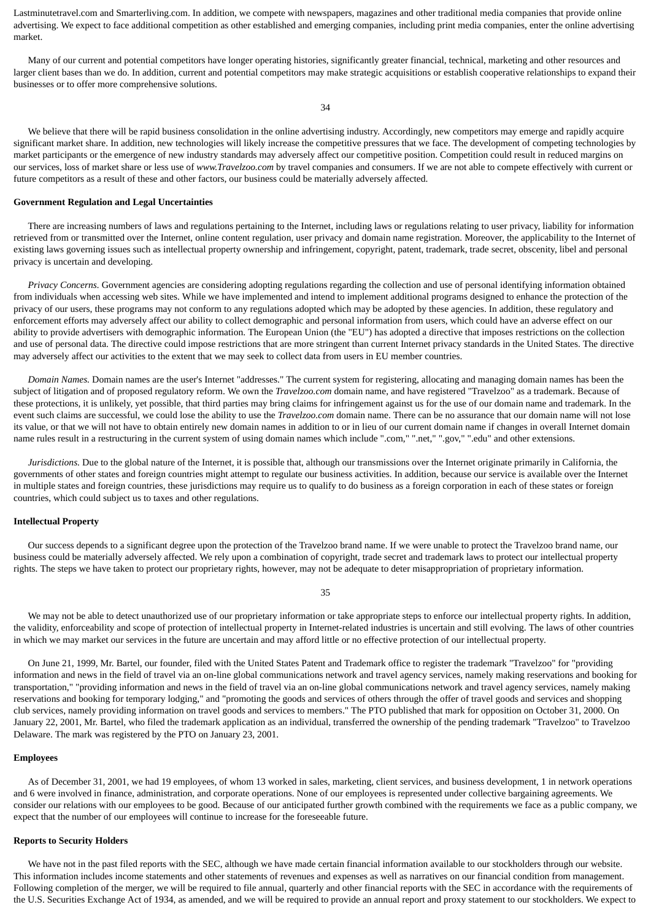Lastminutetravel.com and Smarterliving.com. In addition, we compete with newspapers, magazines and other traditional media companies that provide online advertising. We expect to face additional competition as other established and emerging companies, including print media companies, enter the online advertising market.

 Many of our current and potential competitors have longer operating histories, significantly greater financial, technical, marketing and other resources and larger client bases than we do. In addition, current and potential competitors may make strategic acquisitions or establish cooperative relationships to expand their businesses or to offer more comprehensive solutions.

34

 We believe that there will be rapid business consolidation in the online advertising industry. Accordingly, new competitors may emerge and rapidly acquire significant market share. In addition, new technologies will likely increase the competitive pressures that we face. The development of competing technologies by market participants or the emergence of new industry standards may adversely affect our competitive position. Competition could result in reduced margins on our services, loss of market share or less use of *www.Travelzoo.com* by travel companies and consumers. If we are not able to compete effectively with current or future competitors as a result of these and other factors, our business could be materially adversely affected.

#### **Government Regulation and Legal Uncertainties**

 There are increasing numbers of laws and regulations pertaining to the Internet, including laws or regulations relating to user privacy, liability for information retrieved from or transmitted over the Internet, online content regulation, user privacy and domain name registration. Moreover, the applicability to the Internet of existing laws governing issues such as intellectual property ownership and infringement, copyright, patent, trademark, trade secret, obscenity, libel and personal privacy is uncertain and developing.

 *Privacy Concerns.* Government agencies are considering adopting regulations regarding the collection and use of personal identifying information obtained from individuals when accessing web sites. While we have implemented and intend to implement additional programs designed to enhance the protection of the privacy of our users, these programs may not conform to any regulations adopted which may be adopted by these agencies. In addition, these regulatory and enforcement efforts may adversely affect our ability to collect demographic and personal information from users, which could have an adverse effect on our ability to provide advertisers with demographic information. The European Union (the "EU") has adopted a directive that imposes restrictions on the collection and use of personal data. The directive could impose restrictions that are more stringent than current Internet privacy standards in the United States. The directive may adversely affect our activities to the extent that we may seek to collect data from users in EU member countries.

 *Domain Names.* Domain names are the user's Internet "addresses." The current system for registering, allocating and managing domain names has been the subject of litigation and of proposed regulatory reform. We own the *Travelzoo.com* domain name, and have registered "Travelzoo" as a trademark. Because of these protections, it is unlikely, yet possible, that third parties may bring claims for infringement against us for the use of our domain name and trademark. In the event such claims are successful, we could lose the ability to use the *Travelzoo.com* domain name. There can be no assurance that our domain name will not lose its value, or that we will not have to obtain entirely new domain names in addition to or in lieu of our current domain name if changes in overall Internet domain name rules result in a restructuring in the current system of using domain names which include ".com," ".net," ".gov," ".edu" and other extensions.

 *Jurisdictions.* Due to the global nature of the Internet, it is possible that, although our transmissions over the Internet originate primarily in California, the governments of other states and foreign countries might attempt to regulate our business activities. In addition, because our service is available over the Internet in multiple states and foreign countries, these jurisdictions may require us to qualify to do business as a foreign corporation in each of these states or foreign countries, which could subject us to taxes and other regulations.

#### **Intellectual Property**

 Our success depends to a significant degree upon the protection of the Travelzoo brand name. If we were unable to protect the Travelzoo brand name, our business could be materially adversely affected. We rely upon a combination of copyright, trade secret and trademark laws to protect our intellectual property rights. The steps we have taken to protect our proprietary rights, however, may not be adequate to deter misappropriation of proprietary information.

35

 We may not be able to detect unauthorized use of our proprietary information or take appropriate steps to enforce our intellectual property rights. In addition, the validity, enforceability and scope of protection of intellectual property in Internet-related industries is uncertain and still evolving. The laws of other countries in which we may market our services in the future are uncertain and may afford little or no effective protection of our intellectual property.

 On June 21, 1999, Mr. Bartel, our founder, filed with the United States Patent and Trademark office to register the trademark "Travelzoo" for "providing information and news in the field of travel via an on-line global communications network and travel agency services, namely making reservations and booking for transportation," "providing information and news in the field of travel via an on-line global communications network and travel agency services, namely making reservations and booking for temporary lodging," and "promoting the goods and services of others through the offer of travel goods and services and shopping club services, namely providing information on travel goods and services to members." The PTO published that mark for opposition on October 31, 2000. On January 22, 2001, Mr. Bartel, who filed the trademark application as an individual, transferred the ownership of the pending trademark "Travelzoo" to Travelzoo Delaware. The mark was registered by the PTO on January 23, 2001.

### **Employees**

 As of December 31, 2001, we had 19 employees, of whom 13 worked in sales, marketing, client services, and business development, 1 in network operations and 6 were involved in finance, administration, and corporate operations. None of our employees is represented under collective bargaining agreements. We consider our relations with our employees to be good. Because of our anticipated further growth combined with the requirements we face as a public company, we expect that the number of our employees will continue to increase for the foreseeable future.

#### **Reports to Security Holders**

 We have not in the past filed reports with the SEC, although we have made certain financial information available to our stockholders through our website. This information includes income statements and other statements of revenues and expenses as well as narratives on our financial condition from management. Following completion of the merger, we will be required to file annual, quarterly and other financial reports with the SEC in accordance with the requirements of the U.S. Securities Exchange Act of 1934, as amended, and we will be required to provide an annual report and proxy statement to our stockholders. We expect to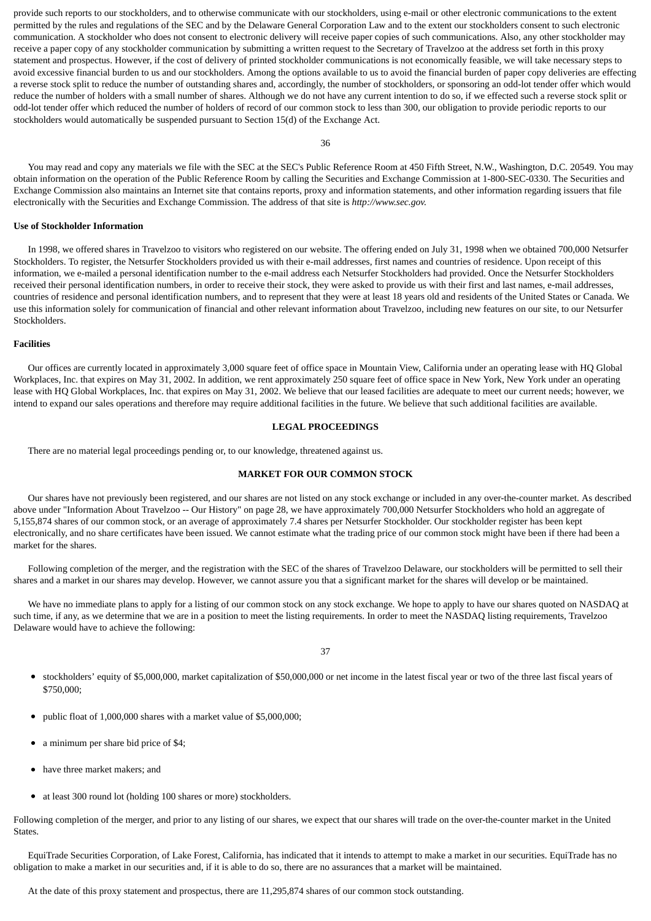provide such reports to our stockholders, and to otherwise communicate with our stockholders, using e-mail or other electronic communications to the extent permitted by the rules and regulations of the SEC and by the Delaware General Corporation Law and to the extent our stockholders consent to such electronic communication. A stockholder who does not consent to electronic delivery will receive paper copies of such communications. Also, any other stockholder may receive a paper copy of any stockholder communication by submitting a written request to the Secretary of Travelzoo at the address set forth in this proxy statement and prospectus. However, if the cost of delivery of printed stockholder communications is not economically feasible, we will take necessary steps to avoid excessive financial burden to us and our stockholders. Among the options available to us to avoid the financial burden of paper copy deliveries are effecting a reverse stock split to reduce the number of outstanding shares and, accordingly, the number of stockholders, or sponsoring an odd-lot tender offer which would reduce the number of holders with a small number of shares. Although we do not have any current intention to do so, if we effected such a reverse stock split or odd-lot tender offer which reduced the number of holders of record of our common stock to less than 300, our obligation to provide periodic reports to our stockholders would automatically be suspended pursuant to Section 15(d) of the Exchange Act.

36

 You may read and copy any materials we file with the SEC at the SEC's Public Reference Room at 450 Fifth Street, N.W., Washington, D.C. 20549. You may obtain information on the operation of the Public Reference Room by calling the Securities and Exchange Commission at 1-800-SEC-0330. The Securities and Exchange Commission also maintains an Internet site that contains reports, proxy and information statements, and other information regarding issuers that file electronically with the Securities and Exchange Commission. The address of that site is *http://www.sec.gov.*

#### **Use of Stockholder Information**

 In 1998, we offered shares in Travelzoo to visitors who registered on our website. The offering ended on July 31, 1998 when we obtained 700,000 Netsurfer Stockholders. To register, the Netsurfer Stockholders provided us with their e-mail addresses, first names and countries of residence. Upon receipt of this information, we e-mailed a personal identification number to the e-mail address each Netsurfer Stockholders had provided. Once the Netsurfer Stockholders received their personal identification numbers, in order to receive their stock, they were asked to provide us with their first and last names, e-mail addresses, countries of residence and personal identification numbers, and to represent that they were at least 18 years old and residents of the United States or Canada. We use this information solely for communication of financial and other relevant information about Travelzoo, including new features on our site, to our Netsurfer Stockholders.

#### **Facilities**

 Our offices are currently located in approximately 3,000 square feet of office space in Mountain View, California under an operating lease with HQ Global Workplaces, Inc. that expires on May 31, 2002. In addition, we rent approximately 250 square feet of office space in New York, New York under an operating lease with HQ Global Workplaces, Inc. that expires on May 31, 2002. We believe that our leased facilities are adequate to meet our current needs; however, we intend to expand our sales operations and therefore may require additional facilities in the future. We believe that such additional facilities are available.

### **LEGAL PROCEEDINGS**

There are no material legal proceedings pending or, to our knowledge, threatened against us.

### **MARKET FOR OUR COMMON STOCK**

 Our shares have not previously been registered, and our shares are not listed on any stock exchange or included in any over-the-counter market. As described above under "Information About Travelzoo -- Our History" on page 28, we have approximately 700,000 Netsurfer Stockholders who hold an aggregate of 5,155,874 shares of our common stock, or an average of approximately 7.4 shares per Netsurfer Stockholder. Our stockholder register has been kept electronically, and no share certificates have been issued. We cannot estimate what the trading price of our common stock might have been if there had been a market for the shares.

 Following completion of the merger, and the registration with the SEC of the shares of Travelzoo Delaware, our stockholders will be permitted to sell their shares and a market in our shares may develop. However, we cannot assure you that a significant market for the shares will develop or be maintained.

 We have no immediate plans to apply for a listing of our common stock on any stock exchange. We hope to apply to have our shares quoted on NASDAQ at such time, if any, as we determine that we are in a position to meet the listing requirements. In order to meet the NASDAQ listing requirements, Travelzoo Delaware would have to achieve the following:

- stockholders' equity of \$5,000,000, market capitalization of \$50,000,000 or net income in the latest fiscal year or two of the three last fiscal years of  $\bullet$ \$750,000;
- public float of 1,000,000 shares with a market value of \$5,000,000;
- a minimum per share bid price of \$4;
- have three market makers; and
- at least 300 round lot (holding 100 shares or more) stockholders.

Following completion of the merger, and prior to any listing of our shares, we expect that our shares will trade on the over-the-counter market in the United States.

 EquiTrade Securities Corporation, of Lake Forest, California, has indicated that it intends to attempt to make a market in our securities. EquiTrade has no obligation to make a market in our securities and, if it is able to do so, there are no assurances that a market will be maintained.

At the date of this proxy statement and prospectus, there are 11,295,874 shares of our common stock outstanding.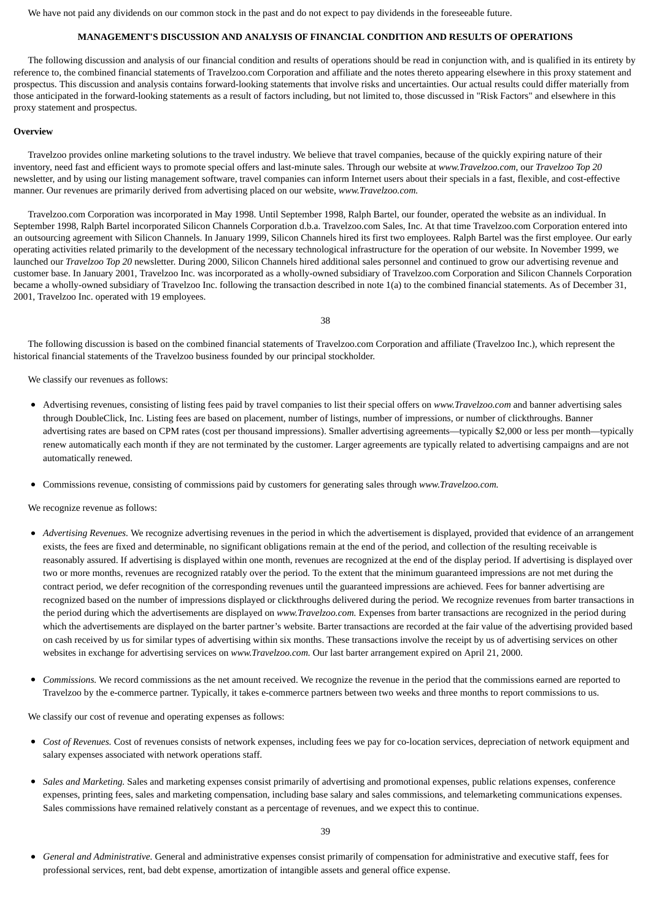We have not paid any dividends on our common stock in the past and do not expect to pay dividends in the foreseeable future.

### **MANAGEMENT'S DISCUSSION AND ANALYSIS OF FINANCIAL CONDITION AND RESULTS OF OPERATIONS**

 The following discussion and analysis of our financial condition and results of operations should be read in conjunction with, and is qualified in its entirety by reference to, the combined financial statements of Travelzoo.com Corporation and affiliate and the notes thereto appearing elsewhere in this proxy statement and prospectus. This discussion and analysis contains forward-looking statements that involve risks and uncertainties. Our actual results could differ materially from those anticipated in the forward-looking statements as a result of factors including, but not limited to, those discussed in "Risk Factors" and elsewhere in this proxy statement and prospectus.

#### **Overview**

 Travelzoo provides online marketing solutions to the travel industry. We believe that travel companies, because of the quickly expiring nature of their inventory, need fast and efficient ways to promote special offers and last-minute sales. Through our website at *www.Travelzoo.com*, our *Travelzoo Top 20* newsletter, and by using our listing management software, travel companies can inform Internet users about their specials in a fast, flexible, and cost-effective manner. Our revenues are primarily derived from advertising placed on our website, *www.Travelzoo.com.*

 Travelzoo.com Corporation was incorporated in May 1998. Until September 1998, Ralph Bartel, our founder, operated the website as an individual. In September 1998, Ralph Bartel incorporated Silicon Channels Corporation d.b.a. Travelzoo.com Sales, Inc. At that time Travelzoo.com Corporation entered into an outsourcing agreement with Silicon Channels. In January 1999, Silicon Channels hired its first two employees. Ralph Bartel was the first employee. Our early operating activities related primarily to the development of the necessary technological infrastructure for the operation of our website. In November 1999, we launched our *Travelzoo Top 20* newsletter. During 2000, Silicon Channels hired additional sales personnel and continued to grow our advertising revenue and customer base. In January 2001, Travelzoo Inc. was incorporated as a wholly-owned subsidiary of Travelzoo.com Corporation and Silicon Channels Corporation became a wholly-owned subsidiary of Travelzoo Inc. following the transaction described in note 1(a) to the combined financial statements. As of December 31, 2001, Travelzoo Inc. operated with 19 employees.

38

 The following discussion is based on the combined financial statements of Travelzoo.com Corporation and affiliate (Travelzoo Inc.), which represent the historical financial statements of the Travelzoo business founded by our principal stockholder.

We classify our revenues as follows:

- Advertising revenues, consisting of listing fees paid by travel companies to list their special offers on *www.Travelzoo.com* and banner advertising sales through DoubleClick, Inc. Listing fees are based on placement, number of listings, number of impressions, or number of clickthroughs. Banner advertising rates are based on CPM rates (cost per thousand impressions). Smaller advertising agreements—typically \$2,000 or less per month—typically renew automatically each month if they are not terminated by the customer. Larger agreements are typically related to advertising campaigns and are not automatically renewed.
- Commissions revenue, consisting of commissions paid by customers for generating sales through *www.Travelzoo.com.*

We recognize revenue as follows:

- *Advertising Revenues.* We recognize advertising revenues in the period in which the advertisement is displayed, provided that evidence of an arrangement exists, the fees are fixed and determinable, no significant obligations remain at the end of the period, and collection of the resulting receivable is reasonably assured. If advertising is displayed within one month, revenues are recognized at the end of the display period. If advertising is displayed over two or more months, revenues are recognized ratably over the period. To the extent that the minimum guaranteed impressions are not met during the contract period, we defer recognition of the corresponding revenues until the guaranteed impressions are achieved. Fees for banner advertising are recognized based on the number of impressions displayed or clickthroughs delivered during the period. We recognize revenues from barter transactions in the period during which the advertisements are displayed on *www.Travelzoo.com.* Expenses from barter transactions are recognized in the period during which the advertisements are displayed on the barter partner's website. Barter transactions are recorded at the fair value of the advertising provided based on cash received by us for similar types of advertising within six months. These transactions involve the receipt by us of advertising services on other websites in exchange for advertising services on *www.Travelzoo.com.* Our last barter arrangement expired on April 21, 2000.
- $\bullet$ *Commissions.* We record commissions as the net amount received. We recognize the revenue in the period that the commissions earned are reported to Travelzoo by the e-commerce partner. Typically, it takes e-commerce partners between two weeks and three months to report commissions to us.

We classify our cost of revenue and operating expenses as follows:

- *Cost of Revenues.* Cost of revenues consists of network expenses, including fees we pay for co-location services, depreciation of network equipment and salary expenses associated with network operations staff.
- $\bullet$ *Sales and Marketing.* Sales and marketing expenses consist primarily of advertising and promotional expenses, public relations expenses, conference expenses, printing fees, sales and marketing compensation, including base salary and sales commissions, and telemarketing communications expenses. Sales commissions have remained relatively constant as a percentage of revenues, and we expect this to continue.

*General and Administrative.* General and administrative expenses consist primarily of compensation for administrative and executive staff, fees for professional services, rent, bad debt expense, amortization of intangible assets and general office expense.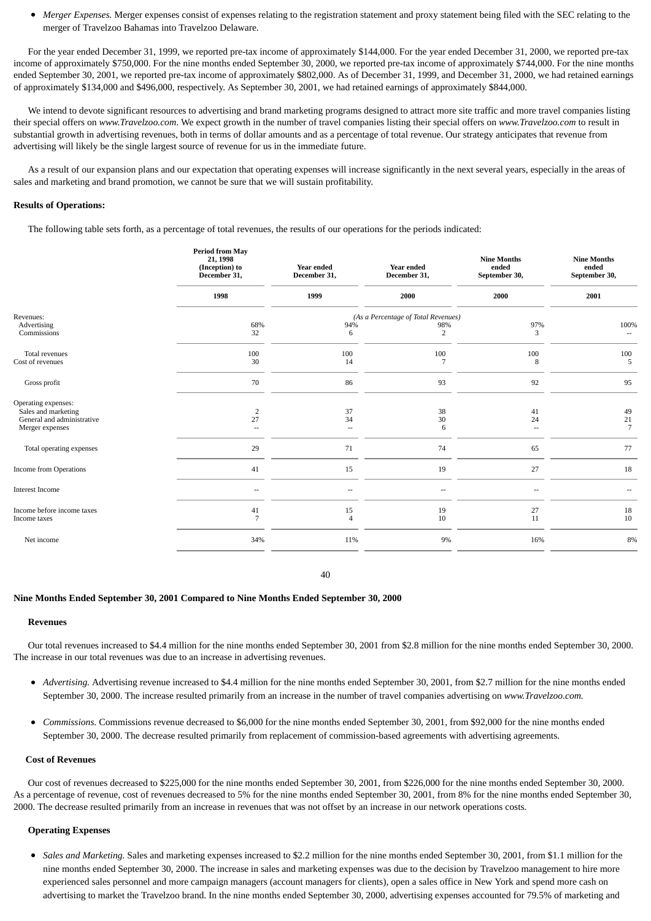*Merger Expenses.* Merger expenses consist of expenses relating to the registration statement and proxy statement being filed with the SEC relating to the merger of Travelzoo Bahamas into Travelzoo Delaware.

 For the year ended December 31, 1999, we reported pre-tax income of approximately \$144,000. For the year ended December 31, 2000, we reported pre-tax income of approximately \$750,000. For the nine months ended September 30, 2000, we reported pre-tax income of approximately \$744,000. For the nine months ended September 30, 2001, we reported pre-tax income of approximately \$802,000. As of December 31, 1999, and December 31, 2000, we had retained earnings of approximately \$134,000 and \$496,000, respectively. As September 30, 2001, we had retained earnings of approximately \$844,000.

We intend to devote significant resources to advertising and brand marketing programs designed to attract more site traffic and more travel companies listing their special offers on *www.Travelzoo.com*. We expect growth in the number of travel companies listing their special offers on *www.Travelzoo.com* to result in substantial growth in advertising revenues, both in terms of dollar amounts and as a percentage of total revenue. Our strategy anticipates that revenue from advertising will likely be the single largest source of revenue for us in the immediate future.

 As a result of our expansion plans and our expectation that operating expenses will increase significantly in the next several years, especially in the areas of sales and marketing and brand promotion, we cannot be sure that we will sustain profitability.

### **Results of Operations:**

The following table sets forth, as a percentage of total revenues, the results of our operations for the periods indicated:

|                                                                                             | <b>Period from May</b><br>21, 1998<br>(Inception) to<br>December 31, | <b>Year ended</b><br>December 31,    | <b>Year ended</b><br>December 31,          | <b>Nine Months</b><br>ended<br>September 30, | <b>Nine Months</b><br>ended<br>September 30, |
|---------------------------------------------------------------------------------------------|----------------------------------------------------------------------|--------------------------------------|--------------------------------------------|----------------------------------------------|----------------------------------------------|
|                                                                                             | 1998                                                                 | 1999                                 | 2000                                       | 2000                                         | 2001                                         |
| Revenues:<br>Advertising                                                                    | 68%                                                                  | 94%                                  | (As a Percentage of Total Revenues)<br>98% | 97%                                          | 100%                                         |
| Commissions                                                                                 | 32                                                                   | 6                                    | 2                                          | 3                                            | $\sim$                                       |
| Total revenues<br>Cost of revenues                                                          | 100<br>30                                                            | 100<br>14                            | 100                                        | 100<br>8                                     | 100<br>5                                     |
| Gross profit                                                                                | 70                                                                   | 86                                   | 93                                         | 92                                           | 95                                           |
| Operating expenses:<br>Sales and marketing<br>General and administrative<br>Merger expenses | $\overline{2}$<br>27<br>--                                           | 37<br>34<br>$\overline{\phantom{a}}$ | 38<br>30<br>6                              | 41<br>24<br>$\overline{\phantom{a}}$         | 49<br>21<br>$\overline{7}$                   |
| Total operating expenses                                                                    | 29                                                                   | 71                                   | 74                                         | 65                                           | 77                                           |
| Income from Operations                                                                      | 41                                                                   | 15                                   | 19                                         | 27                                           | 18                                           |
| <b>Interest Income</b>                                                                      | --                                                                   | --                                   |                                            |                                              |                                              |
| Income before income taxes<br>Income taxes                                                  | 41                                                                   | 15<br>$\boldsymbol{\Delta}$          | 19<br>10                                   | 27<br>11                                     | 18<br>10                                     |
| Net income                                                                                  | 34%                                                                  | 11%                                  | 9%                                         | 16%                                          | 8%                                           |
|                                                                                             |                                                                      |                                      |                                            |                                              |                                              |

40

#### **Nine Months Ended September 30, 2001 Compared to Nine Months Ended September 30, 2000**

#### **Revenues**

 Our total revenues increased to \$4.4 million for the nine months ended September 30, 2001 from \$2.8 million for the nine months ended September 30, 2000. The increase in our total revenues was due to an increase in advertising revenues.

- *Advertising.* Advertising revenue increased to \$4.4 million for the nine months ended September 30, 2001, from \$2.7 million for the nine months ended September 30, 2000. The increase resulted primarily from an increase in the number of travel companies advertising on *www.Travelzoo.com.*
- $\bullet$ *Commissions.* Commissions revenue decreased to \$6,000 for the nine months ended September 30, 2001, from \$92,000 for the nine months ended September 30, 2000. The decrease resulted primarily from replacement of commission-based agreements with advertising agreements.

### **Cost of Revenues**

 Our cost of revenues decreased to \$225,000 for the nine months ended September 30, 2001, from \$226,000 for the nine months ended September 30, 2000. As a percentage of revenue, cost of revenues decreased to 5% for the nine months ended September 30, 2001, from 8% for the nine months ended September 30, 2000. The decrease resulted primarily from an increase in revenues that was not offset by an increase in our network operations costs.

#### **Operating Expenses**

*Sales and Marketing.* Sales and marketing expenses increased to \$2.2 million for the nine months ended September 30, 2001, from \$1.1 million for the nine months ended September 30, 2000. The increase in sales and marketing expenses was due to the decision by Travelzoo management to hire more experienced sales personnel and more campaign managers (account managers for clients), open a sales office in New York and spend more cash on advertising to market the Travelzoo brand. In the nine months ended September 30, 2000, advertising expenses accounted for 79.5% of marketing and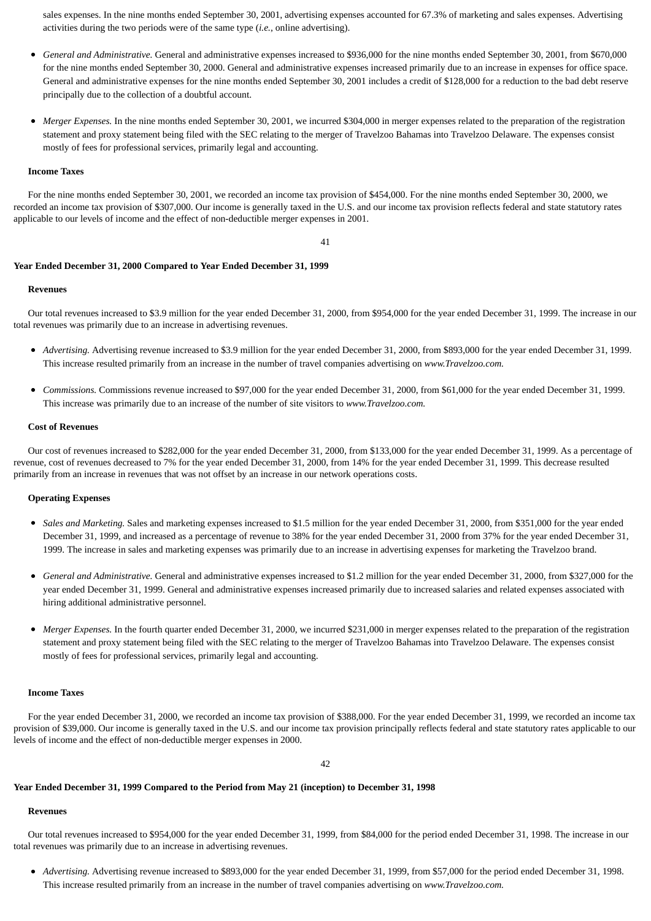sales expenses. In the nine months ended September 30, 2001, advertising expenses accounted for 67.3% of marketing and sales expenses. Advertising activities during the two periods were of the same type (*i.e.*, online advertising).

- *General and Administrative.* General and administrative expenses increased to \$936,000 for the nine months ended September 30, 2001, from \$670,000  $\bullet$ for the nine months ended September 30, 2000. General and administrative expenses increased primarily due to an increase in expenses for office space. General and administrative expenses for the nine months ended September 30, 2001 includes a credit of \$128,000 for a reduction to the bad debt reserve principally due to the collection of a doubtful account.
- *Merger Expenses.* In the nine months ended September 30, 2001, we incurred \$304,000 in merger expenses related to the preparation of the registration  $\bullet$ statement and proxy statement being filed with the SEC relating to the merger of Travelzoo Bahamas into Travelzoo Delaware. The expenses consist mostly of fees for professional services, primarily legal and accounting.

#### **Income Taxes**

 For the nine months ended September 30, 2001, we recorded an income tax provision of \$454,000. For the nine months ended September 30, 2000, we recorded an income tax provision of \$307,000. Our income is generally taxed in the U.S. and our income tax provision reflects federal and state statutory rates applicable to our levels of income and the effect of non-deductible merger expenses in 2001.

#### 41

#### **Year Ended December 31, 2000 Compared to Year Ended December 31, 1999**

#### **Revenues**

 Our total revenues increased to \$3.9 million for the year ended December 31, 2000, from \$954,000 for the year ended December 31, 1999. The increase in our total revenues was primarily due to an increase in advertising revenues.

- *Advertising.* Advertising revenue increased to \$3.9 million for the year ended December 31, 2000, from \$893,000 for the year ended December 31, 1999. This increase resulted primarily from an increase in the number of travel companies advertising on *www.Travelzoo.com.*
- *Commissions.* Commissions revenue increased to \$97,000 for the year ended December 31, 2000, from \$61,000 for the year ended December 31, 1999. This increase was primarily due to an increase of the number of site visitors to *www.Travelzoo.com.*

### **Cost of Revenues**

 Our cost of revenues increased to \$282,000 for the year ended December 31, 2000, from \$133,000 for the year ended December 31, 1999. As a percentage of revenue, cost of revenues decreased to 7% for the year ended December 31, 2000, from 14% for the year ended December 31, 1999. This decrease resulted primarily from an increase in revenues that was not offset by an increase in our network operations costs.

### **Operating Expenses**

- *Sales and Marketing.* Sales and marketing expenses increased to \$1.5 million for the year ended December 31, 2000, from \$351,000 for the year ended December 31, 1999, and increased as a percentage of revenue to 38% for the year ended December 31, 2000 from 37% for the year ended December 31, 1999. The increase in sales and marketing expenses was primarily due to an increase in advertising expenses for marketing the Travelzoo brand.
- *General and Administrative.* General and administrative expenses increased to \$1.2 million for the year ended December 31, 2000, from \$327,000 for the year ended December 31, 1999. General and administrative expenses increased primarily due to increased salaries and related expenses associated with hiring additional administrative personnel.
- *Merger Expenses.* In the fourth quarter ended December 31, 2000, we incurred \$231,000 in merger expenses related to the preparation of the registration statement and proxy statement being filed with the SEC relating to the merger of Travelzoo Bahamas into Travelzoo Delaware. The expenses consist mostly of fees for professional services, primarily legal and accounting.

#### **Income Taxes**

 For the year ended December 31, 2000, we recorded an income tax provision of \$388,000. For the year ended December 31, 1999, we recorded an income tax provision of \$39,000. Our income is generally taxed in the U.S. and our income tax provision principally reflects federal and state statutory rates applicable to our levels of income and the effect of non-deductible merger expenses in 2000.

 $42$ 

#### **Year Ended December 31, 1999 Compared to the Period from May 21 (inception) to December 31, 1998**

### **Revenues**

 Our total revenues increased to \$954,000 for the year ended December 31, 1999, from \$84,000 for the period ended December 31, 1998. The increase in our total revenues was primarily due to an increase in advertising revenues.

*Advertising.* Advertising revenue increased to \$893,000 for the year ended December 31, 1999, from \$57,000 for the period ended December 31, 1998. This increase resulted primarily from an increase in the number of travel companies advertising on *www.Travelzoo.com.*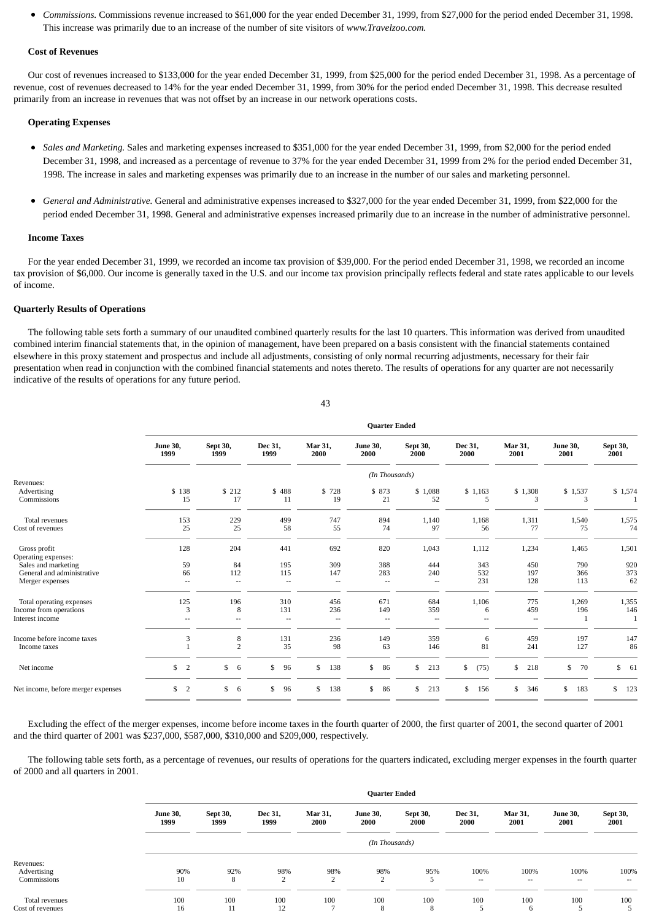*Commissions.* Commissions revenue increased to \$61,000 for the year ended December 31, 1999, from \$27,000 for the period ended December 31, 1998.  $\bullet$ This increase was primarily due to an increase of the number of site visitors of *www.Travelzoo.com.*

#### **Cost of Revenues**

 Our cost of revenues increased to \$133,000 for the year ended December 31, 1999, from \$25,000 for the period ended December 31, 1998. As a percentage of revenue, cost of revenues decreased to 14% for the year ended December 31, 1999, from 30% for the period ended December 31, 1998. This decrease resulted primarily from an increase in revenues that was not offset by an increase in our network operations costs.

### **Operating Expenses**

- *Sales and Marketing.* Sales and marketing expenses increased to \$351,000 for the year ended December 31, 1999, from \$2,000 for the period ended December 31, 1998, and increased as a percentage of revenue to 37% for the year ended December 31, 1999 from 2% for the period ended December 31, 1998. The increase in sales and marketing expenses was primarily due to an increase in the number of our sales and marketing personnel.
- $\bullet$ *General and Administrative.* General and administrative expenses increased to \$327,000 for the year ended December 31, 1999, from \$22,000 for the period ended December 31, 1998. General and administrative expenses increased primarily due to an increase in the number of administrative personnel.

#### **Income Taxes**

 For the year ended December 31, 1999, we recorded an income tax provision of \$39,000. For the period ended December 31, 1998, we recorded an income tax provision of \$6,000. Our income is generally taxed in the U.S. and our income tax provision principally reflects federal and state rates applicable to our levels of income.

#### **Quarterly Results of Operations**

 The following table sets forth a summary of our unaudited combined quarterly results for the last 10 quarters. This information was derived from unaudited combined interim financial statements that, in the opinion of management, have been prepared on a basis consistent with the financial statements contained elsewhere in this proxy statement and prospectus and include all adjustments, consisting of only normal recurring adjustments, necessary for their fair presentation when read in conjunction with the combined financial statements and notes thereto. The results of operations for any quarter are not necessarily indicative of the results of operations for any future period.

|                                                                       | <b>Quarter Ended</b>    |                     |                                        |                                        |                         |                      |                   |                      |                         |                   |
|-----------------------------------------------------------------------|-------------------------|---------------------|----------------------------------------|----------------------------------------|-------------------------|----------------------|-------------------|----------------------|-------------------------|-------------------|
|                                                                       | <b>June 30,</b><br>1999 | Sept 30,<br>1999    | Dec 31,<br>1999                        | Mar 31,<br>2000                        | <b>June 30,</b><br>2000 | Sept 30,<br>2000     | Dec 31,<br>2000   | Mar 31,<br>2001      | <b>June 30,</b><br>2001 | Sept 30,<br>2001  |
|                                                                       |                         |                     |                                        |                                        | (In Thousands)          |                      |                   |                      |                         |                   |
| Revenues:<br>Advertising<br>Commissions                               | \$138<br>15             | \$ 212<br>17        | \$488<br>11                            | \$728<br>19                            | \$ 873<br>21            | \$1,088<br>52        | \$1,163<br>5      | \$1,308<br>3         | \$1,537<br>3            | \$1,574           |
| <b>Total revenues</b><br>Cost of revenues                             | 153<br>25               | 229<br>25           | 499<br>58                              | 747<br>55                              | 894<br>74               | 1,140<br>97          | 1,168<br>56       | 1,311<br>77          | 1,540<br>75             | 1,575<br>74       |
| Gross profit<br>Operating expenses:                                   | 128                     | 204                 | 441                                    | 692                                    | 820                     | 1,043                | 1,112             | 1,234                | 1,465                   | 1,501             |
| Sales and marketing<br>General and administrative<br>Merger expenses  | 59<br>66<br>--          | 84<br>112<br>$-$    | 195<br>115<br>--                       | 309<br>147<br>$\overline{\phantom{a}}$ | 388<br>283<br>--        | 444<br>240<br>--     | 343<br>532<br>231 | 450<br>197<br>128    | 790<br>366<br>113       | 920<br>373<br>62  |
| Total operating expenses<br>Income from operations<br>Interest income | 125<br>3<br>$-$         | 196<br>8<br>$\sim$  | 310<br>131<br>$\overline{\phantom{a}}$ | 456<br>236<br>--                       | 671<br>149<br>$\sim$    | 684<br>359<br>$\sim$ | 1,106<br>6<br>--  | 775<br>459<br>$\sim$ | 1,269<br>196            | 1,355<br>146<br>1 |
| Income before income taxes<br>Income taxes                            | 3                       | 8<br>$\overline{2}$ | 131<br>35                              | 236<br>98                              | 149<br>63               | 359<br>146           | 6<br>81           | 459<br>241           | 197<br>127              | 147<br>86         |
| Net income                                                            | $\mathbb{S}$<br>2       | \$<br>6             | \$<br>96                               | \$<br>138                              | \$<br>86                | \$<br>213            | \$<br>(75)        | \$<br>218            | \$<br>70                | \$61              |
| Net income, before merger expenses                                    | $\mathbb{S}$<br>2       | \$<br>6             | \$<br>96                               | \$<br>138                              | \$<br>86                | \$<br>213            | 156<br>\$         | \$<br>346            | 183<br>\$               | \$<br>123         |

 Excluding the effect of the merger expenses, income before income taxes in the fourth quarter of 2000, the first quarter of 2001, the second quarter of 2001 and the third quarter of 2001 was \$237,000, \$587,000, \$310,000 and \$209,000, respectively.

 The following table sets forth, as a percentage of revenues, our results of operations for the quarters indicated, excluding merger expenses in the fourth quarter of 2000 and all quarters in 2001.

|                                         | <b>Quarter Ended</b>    |                  |                 |                        |                         |                  |                 |                                  |                                  |                         |
|-----------------------------------------|-------------------------|------------------|-----------------|------------------------|-------------------------|------------------|-----------------|----------------------------------|----------------------------------|-------------------------|
|                                         | <b>June 30,</b><br>1999 | Sept 30,<br>1999 | Dec 31,<br>1999 | <b>Mar 31,</b><br>2000 | <b>June 30,</b><br>2000 | Sept 30,<br>2000 | Dec 31,<br>2000 | Mar 31,<br>2001                  | <b>June 30,</b><br>2001          | <b>Sept 30,</b><br>2001 |
|                                         | (In Thousands)          |                  |                 |                        |                         |                  |                 |                                  |                                  |                         |
| Revenues:<br>Advertising<br>Commissions | 90%<br>10               | 92%<br>8         | 98%<br>2        | 98%<br>$\overline{2}$  | 98%<br>2                | 95%<br>5         | 100%<br>$- -$   | 100%<br>$\overline{\phantom{a}}$ | 100%<br>$\overline{\phantom{a}}$ | 100%<br>$- -$           |
| Total revenues<br>Cost of revenues      | 100<br>16               | 100<br>11        | 100<br>12       | 100<br>٠               | 100<br>8                | 100<br>8         | 100<br>5        | 100<br>6                         | 100<br>5                         | 100                     |

43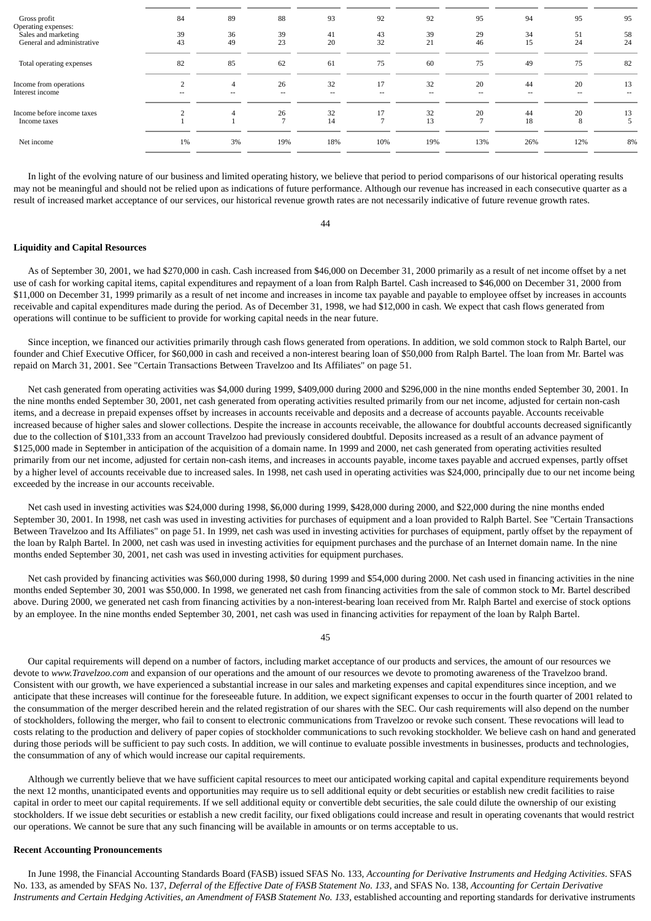| Gross profit               | 84             | 89             | 88     | 93    | 92     | 92     | 95     | 94     | 95     | 95     |
|----------------------------|----------------|----------------|--------|-------|--------|--------|--------|--------|--------|--------|
| Operating expenses:        |                |                |        |       |        |        |        |        |        |        |
| Sales and marketing        | 39             | 36             | 39     | 41    | 43     | 39     | 29     | 34     | 51     | 58     |
| General and administrative | 43             | 49             | 23     | 20    | 32     | 21     | 46     | 15     | 24     | 24     |
| Total operating expenses   | 82             | 85             | 62     | 61    | 75     | 60     | 75     | 49     | 75     | 82     |
| Income from operations     | $\overline{2}$ | $\overline{4}$ | 26     | 32    | 17     | 32     | 20     | 44     | 20     | 13     |
| Interest income            | $\sim$         | $\sim$         | $\sim$ | $- -$ | $\sim$ | $\sim$ | $\sim$ | $\sim$ | $\sim$ | $\sim$ |
| Income before income taxes |                |                | 26     | 32    | 17     | 32     | 20     | 44     | 20     | 13     |
| Income taxes               |                |                |        | 14    |        | 13     |        | 18     | 8      |        |
| Net income                 | 1%             | 3%             | 19%    | 18%   | 10%    | 19%    | 13%    | 26%    | 12%    | 8%     |

 In light of the evolving nature of our business and limited operating history, we believe that period to period comparisons of our historical operating results may not be meaningful and should not be relied upon as indications of future performance. Although our revenue has increased in each consecutive quarter as a result of increased market acceptance of our services, our historical revenue growth rates are not necessarily indicative of future revenue growth rates.

44

#### **Liquidity and Capital Resources**

 As of September 30, 2001, we had \$270,000 in cash. Cash increased from \$46,000 on December 31, 2000 primarily as a result of net income offset by a net use of cash for working capital items, capital expenditures and repayment of a loan from Ralph Bartel. Cash increased to \$46,000 on December 31, 2000 from \$11,000 on December 31, 1999 primarily as a result of net income and increases in income tax payable and payable to employee offset by increases in accounts receivable and capital expenditures made during the period. As of December 31, 1998, we had \$12,000 in cash. We expect that cash flows generated from operations will continue to be sufficient to provide for working capital needs in the near future.

 Since inception, we financed our activities primarily through cash flows generated from operations. In addition, we sold common stock to Ralph Bartel, our founder and Chief Executive Officer, for \$60,000 in cash and received a non-interest bearing loan of \$50,000 from Ralph Bartel. The loan from Mr. Bartel was repaid on March 31, 2001. See "Certain Transactions Between Travelzoo and Its Affiliates" on page 51.

Net cash generated from operating activities was \$4,000 during 1999, \$409,000 during 2000 and \$296,000 in the nine months ended September 30, 2001. In the nine months ended September 30, 2001, net cash generated from operating activities resulted primarily from our net income, adjusted for certain non-cash items, and a decrease in prepaid expenses offset by increases in accounts receivable and deposits and a decrease of accounts payable. Accounts receivable increased because of higher sales and slower collections. Despite the increase in accounts receivable, the allowance for doubtful accounts decreased significantly due to the collection of \$101,333 from an account Travelzoo had previously considered doubtful. Deposits increased as a result of an advance payment of \$125,000 made in September in anticipation of the acquisition of a domain name. In 1999 and 2000, net cash generated from operating activities resulted primarily from our net income, adjusted for certain non-cash items, and increases in accounts payable, income taxes payable and accrued expenses, partly offset by a higher level of accounts receivable due to increased sales. In 1998, net cash used in operating activities was \$24,000, principally due to our net income being exceeded by the increase in our accounts receivable.

 Net cash used in investing activities was \$24,000 during 1998, \$6,000 during 1999, \$428,000 during 2000, and \$22,000 during the nine months ended September 30, 2001. In 1998, net cash was used in investing activities for purchases of equipment and a loan provided to Ralph Bartel. See "Certain Transactions Between Travelzoo and Its Affiliates" on page 51. In 1999, net cash was used in investing activities for purchases of equipment, partly offset by the repayment of the loan by Ralph Bartel. In 2000, net cash was used in investing activities for equipment purchases and the purchase of an Internet domain name. In the nine months ended September 30, 2001, net cash was used in investing activities for equipment purchases.

 Net cash provided by financing activities was \$60,000 during 1998, \$0 during 1999 and \$54,000 during 2000. Net cash used in financing activities in the nine months ended September 30, 2001 was \$50,000. In 1998, we generated net cash from financing activities from the sale of common stock to Mr. Bartel described above. During 2000, we generated net cash from financing activities by a non-interest-bearing loan received from Mr. Ralph Bartel and exercise of stock options by an employee. In the nine months ended September 30, 2001, net cash was used in financing activities for repayment of the loan by Ralph Bartel.

45

 Our capital requirements will depend on a number of factors, including market acceptance of our products and services, the amount of our resources we devote to *www.Travelzoo.com* and expansion of our operations and the amount of our resources we devote to promoting awareness of the Travelzoo brand. Consistent with our growth, we have experienced a substantial increase in our sales and marketing expenses and capital expenditures since inception, and we anticipate that these increases will continue for the foreseeable future. In addition, we expect significant expenses to occur in the fourth quarter of 2001 related to the consummation of the merger described herein and the related registration of our shares with the SEC. Our cash requirements will also depend on the number of stockholders, following the merger, who fail to consent to electronic communications from Travelzoo or revoke such consent. These revocations will lead to costs relating to the production and delivery of paper copies of stockholder communications to such revoking stockholder. We believe cash on hand and generated during those periods will be sufficient to pay such costs. In addition, we will continue to evaluate possible investments in businesses, products and technologies, the consummation of any of which would increase our capital requirements.

 Although we currently believe that we have sufficient capital resources to meet our anticipated working capital and capital expenditure requirements beyond the next 12 months, unanticipated events and opportunities may require us to sell additional equity or debt securities or establish new credit facilities to raise capital in order to meet our capital requirements. If we sell additional equity or convertible debt securities, the sale could dilute the ownership of our existing stockholders. If we issue debt securities or establish a new credit facility, our fixed obligations could increase and result in operating covenants that would restrict our operations. We cannot be sure that any such financing will be available in amounts or on terms acceptable to us.

#### **Recent Accounting Pronouncements**

 In June 1998, the Financial Accounting Standards Board (FASB) issued SFAS No. 133, *Accounting for Derivative Instruments and Hedging Activities*. SFAS No. 133, as amended by SFAS No. 137, *Deferral of the Effective Date of FASB Statement No. 133*, and SFAS No. 138, *Accounting for Certain Derivative Instruments and Certain Hedging Activities, an Amendment of FASB Statement No. 133*, established accounting and reporting standards for derivative instruments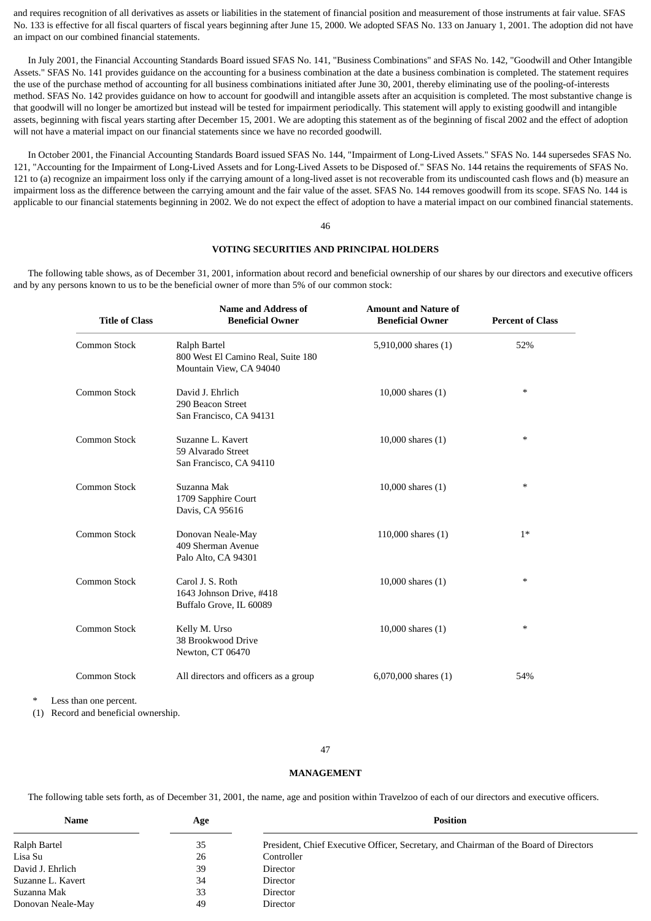and requires recognition of all derivatives as assets or liabilities in the statement of financial position and measurement of those instruments at fair value. SFAS No. 133 is effective for all fiscal quarters of fiscal years beginning after June 15, 2000. We adopted SFAS No. 133 on January 1, 2001. The adoption did not have an impact on our combined financial statements.

 In July 2001, the Financial Accounting Standards Board issued SFAS No. 141, "Business Combinations" and SFAS No. 142, "Goodwill and Other Intangible Assets." SFAS No. 141 provides guidance on the accounting for a business combination at the date a business combination is completed. The statement requires the use of the purchase method of accounting for all business combinations initiated after June 30, 2001, thereby eliminating use of the pooling-of-interests method. SFAS No. 142 provides guidance on how to account for goodwill and intangible assets after an acquisition is completed. The most substantive change is that goodwill will no longer be amortized but instead will be tested for impairment periodically. This statement will apply to existing goodwill and intangible assets, beginning with fiscal years starting after December 15, 2001. We are adopting this statement as of the beginning of fiscal 2002 and the effect of adoption will not have a material impact on our financial statements since we have no recorded goodwill.

 In October 2001, the Financial Accounting Standards Board issued SFAS No. 144, "Impairment of Long-Lived Assets." SFAS No. 144 supersedes SFAS No. 121, "Accounting for the Impairment of Long-Lived Assets and for Long-Lived Assets to be Disposed of." SFAS No. 144 retains the requirements of SFAS No. 121 to (a) recognize an impairment loss only if the carrying amount of a long-lived asset is not recoverable from its undiscounted cash flows and (b) measure an impairment loss as the difference between the carrying amount and the fair value of the asset. SFAS No. 144 removes goodwill from its scope. SFAS No. 144 is applicable to our financial statements beginning in 2002. We do not expect the effect of adoption to have a material impact on our combined financial statements.

#### 46

### **VOTING SECURITIES AND PRINCIPAL HOLDERS**

 The following table shows, as of December 31, 2001, information about record and beneficial ownership of our shares by our directors and executive officers and by any persons known to us to be the beneficial owner of more than 5% of our common stock:

| <b>Title of Class</b> | <b>Name and Address of</b><br><b>Beneficial Owner</b>                         | <b>Amount and Nature of</b><br><b>Beneficial Owner</b> | <b>Percent of Class</b> |
|-----------------------|-------------------------------------------------------------------------------|--------------------------------------------------------|-------------------------|
| Common Stock          | Ralph Bartel<br>800 West El Camino Real, Suite 180<br>Mountain View, CA 94040 | 5,910,000 shares (1)                                   | 52%                     |
| Common Stock          | David J. Ehrlich<br>290 Beacon Street<br>San Francisco, CA 94131              | 10,000 shares $(1)$                                    | $\ast$                  |
| Common Stock          | Suzanne L. Kavert<br>59 Alvarado Street<br>San Francisco, CA 94110            | 10,000 shares $(1)$                                    | $*$                     |
| Common Stock          | Suzanna Mak<br>1709 Sapphire Court<br>Davis, CA 95616                         | 10,000 shares $(1)$                                    | $*$                     |
| <b>Common Stock</b>   | Donovan Neale-May<br>409 Sherman Avenue<br>Palo Alto, CA 94301                | 110,000 shares (1)                                     | $1*$                    |
| <b>Common Stock</b>   | Carol J. S. Roth<br>1643 Johnson Drive, #418<br>Buffalo Grove, IL 60089       | 10,000 shares $(1)$                                    | $\ast$                  |
| <b>Common Stock</b>   | Kelly M. Urso<br>38 Brookwood Drive<br>Newton, CT 06470                       | 10,000 shares $(1)$                                    | $*$                     |
| <b>Common Stock</b>   | All directors and officers as a group                                         | 6,070,000 shares $(1)$                                 | 54%                     |

Less than one percent.

(1) Record and beneficial ownership.

#### 47

#### **MANAGEMENT**

The following table sets forth, as of December 31, 2001, the name, age and position within Travelzoo of each of our directors and executive officers.

| Name              | Age | <b>Position</b>                                                                       |
|-------------------|-----|---------------------------------------------------------------------------------------|
| Ralph Bartel      | 35  | President, Chief Executive Officer, Secretary, and Chairman of the Board of Directors |
| Lisa Su           | 26  | Controller                                                                            |
| David J. Ehrlich  | 39  | Director                                                                              |
| Suzanne L. Kavert | 34  | Director                                                                              |
| Suzanna Mak       | 33  | Director                                                                              |
| Donovan Neale-May | 49  | Director                                                                              |
|                   |     |                                                                                       |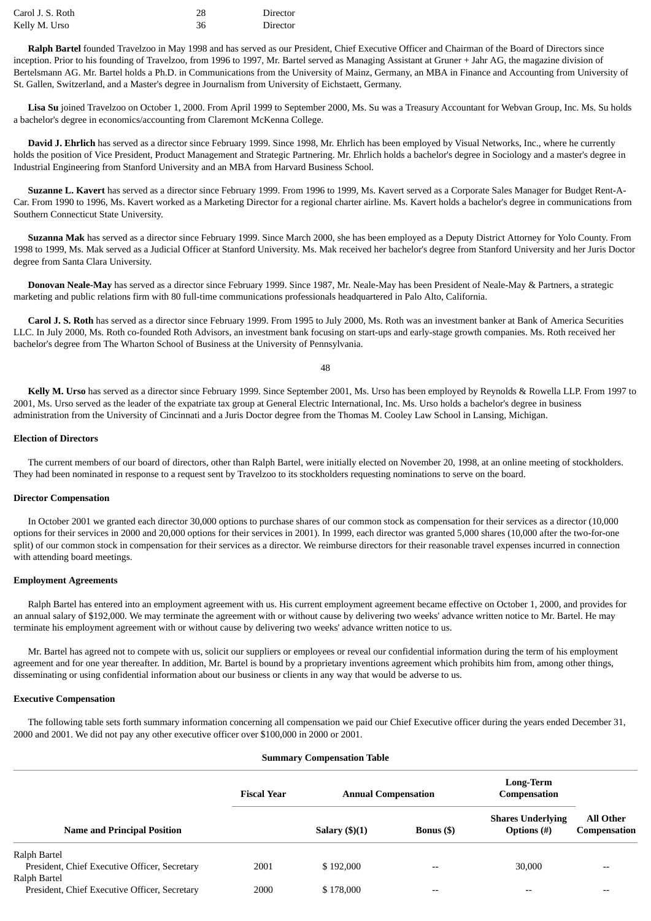| Carol J. S. Roth | 28 | Director |
|------------------|----|----------|
| Kelly M. Urso    | 36 | Director |

 **Ralph Bartel** founded Travelzoo in May 1998 and has served as our President, Chief Executive Officer and Chairman of the Board of Directors since inception. Prior to his founding of Travelzoo, from 1996 to 1997, Mr. Bartel served as Managing Assistant at Gruner + Jahr AG, the magazine division of Bertelsmann AG. Mr. Bartel holds a Ph.D. in Communications from the University of Mainz, Germany, an MBA in Finance and Accounting from University of St. Gallen, Switzerland, and a Master's degree in Journalism from University of Eichstaett, Germany.

 **Lisa Su** joined Travelzoo on October 1, 2000. From April 1999 to September 2000, Ms. Su was a Treasury Accountant for Webvan Group, Inc. Ms. Su holds a bachelor's degree in economics/accounting from Claremont McKenna College.

 **David J. Ehrlich** has served as a director since February 1999. Since 1998, Mr. Ehrlich has been employed by Visual Networks, Inc., where he currently holds the position of Vice President, Product Management and Strategic Partnering. Mr. Ehrlich holds a bachelor's degree in Sociology and a master's degree in Industrial Engineering from Stanford University and an MBA from Harvard Business School.

 **Suzanne L. Kavert** has served as a director since February 1999. From 1996 to 1999, Ms. Kavert served as a Corporate Sales Manager for Budget Rent-A-Car. From 1990 to 1996, Ms. Kavert worked as a Marketing Director for a regional charter airline. Ms. Kavert holds a bachelor's degree in communications from Southern Connecticut State University.

 **Suzanna Mak** has served as a director since February 1999. Since March 2000, she has been employed as a Deputy District Attorney for Yolo County. From 1998 to 1999, Ms. Mak served as a Judicial Officer at Stanford University. Ms. Mak received her bachelor's degree from Stanford University and her Juris Doctor degree from Santa Clara University.

 **Donovan Neale-May** has served as a director since February 1999. Since 1987, Mr. Neale-May has been President of Neale-May & Partners, a strategic marketing and public relations firm with 80 full-time communications professionals headquartered in Palo Alto, California.

 **Carol J. S. Roth** has served as a director since February 1999. From 1995 to July 2000, Ms. Roth was an investment banker at Bank of America Securities LLC. In July 2000, Ms. Roth co-founded Roth Advisors, an investment bank focusing on start-ups and early-stage growth companies. Ms. Roth received her bachelor's degree from The Wharton School of Business at the University of Pennsylvania.

48

 **Kelly M. Urso** has served as a director since February 1999. Since September 2001, Ms. Urso has been employed by Reynolds & Rowella LLP. From 1997 to 2001, Ms. Urso served as the leader of the expatriate tax group at General Electric International, Inc. Ms. Urso holds a bachelor's degree in business administration from the University of Cincinnati and a Juris Doctor degree from the Thomas M. Cooley Law School in Lansing, Michigan.

#### **Election of Directors**

 The current members of our board of directors, other than Ralph Bartel, were initially elected on November 20, 1998, at an online meeting of stockholders. They had been nominated in response to a request sent by Travelzoo to its stockholders requesting nominations to serve on the board.

### **Director Compensation**

 In October 2001 we granted each director 30,000 options to purchase shares of our common stock as compensation for their services as a director (10,000 options for their services in 2000 and 20,000 options for their services in 2001). In 1999, each director was granted 5,000 shares (10,000 after the two-for-one split) of our common stock in compensation for their services as a director. We reimburse directors for their reasonable travel expenses incurred in connection with attending board meetings.

### **Employment Agreements**

 Ralph Bartel has entered into an employment agreement with us. His current employment agreement became effective on October 1, 2000, and provides for an annual salary of \$192,000. We may terminate the agreement with or without cause by delivering two weeks' advance written notice to Mr. Bartel. He may terminate his employment agreement with or without cause by delivering two weeks' advance written notice to us.

 Mr. Bartel has agreed not to compete with us, solicit our suppliers or employees or reveal our confidential information during the term of his employment agreement and for one year thereafter. In addition, Mr. Bartel is bound by a proprietary inventions agreement which prohibits him from, among other things, disseminating or using confidential information about our business or clients in any way that would be adverse to us.

#### **Executive Compensation**

 The following table sets forth summary information concerning all compensation we paid our Chief Executive officer during the years ended December 31, 2000 and 2001. We did not pay any other executive officer over \$100,000 in 2000 or 2001.

## **Summary Compensation Table Fiscal Year Annual Compensation Long-Term Compensation Name and Principal Position Salary (\$)(1) Bonus (\$) Shares Underlying Options (#) All Other Compensation** Ralph Bartel President, Chief Executive Officer, Secretary  $2001$  \$ 192,000  $-$  - 30,000 Ralph Bartel President, Chief Executive Officer, Secretary 2000 \$178,000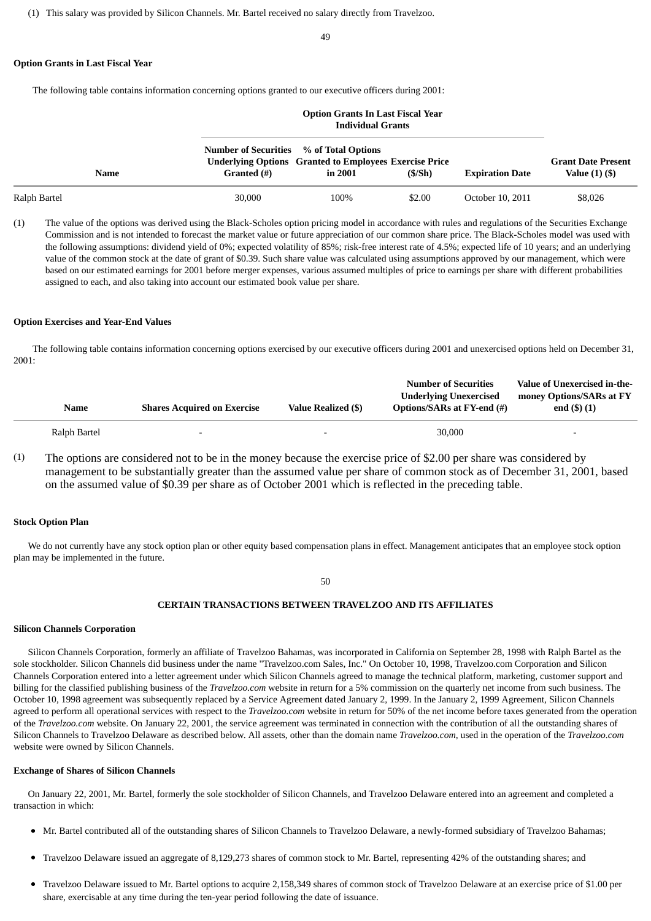49

#### **Option Grants in Last Fiscal Year**

The following table contains information concerning options granted to our executive officers during 2001:

|              |                                                               | <b>Option Grants In Last Fiscal Year</b><br><b>Individual Grants</b>     |        |                        |                                                |  |  |  |
|--------------|---------------------------------------------------------------|--------------------------------------------------------------------------|--------|------------------------|------------------------------------------------|--|--|--|
| Name         | <b>Number of Securities</b> % of Total Options<br>Granted (#) | <b>Underlying Options</b> Granted to Employees Exercise Price<br>in 2001 | (S/Sh) | <b>Expiration Date</b> | <b>Grant Date Present</b><br>Value $(1)$ $($ ) |  |  |  |
| Ralph Bartel | 30,000                                                        | 100%                                                                     | \$2.00 | October 10, 2011       | \$8,026                                        |  |  |  |

(1) The value of the options was derived using the Black-Scholes option pricing model in accordance with rules and regulations of the Securities Exchange Commission and is not intended to forecast the market value or future appreciation of our common share price. The Black-Scholes model was used with the following assumptions: dividend yield of 0%; expected volatility of 85%; risk-free interest rate of 4.5%; expected life of 10 years; and an underlying value of the common stock at the date of grant of \$0.39. Such share value was calculated using assumptions approved by our management, which were based on our estimated earnings for 2001 before merger expenses, various assumed multiples of price to earnings per share with different probabilities assigned to each, and also taking into account our estimated book value per share.

### **Option Exercises and Year-End Values**

 The following table contains information concerning options exercised by our executive officers during 2001 and unexercised options held on December 31, 2001:

| Name         | <b>Shares Acquired on Exercise</b> | Value Realized (\$)      | <b>Number of Securities</b><br><b>Underlying Unexercised</b><br>Options/SARs at FY-end (#) | Value of Unexercised in-the-<br>money Options/SARs at FY<br>end $($ \$) $(1)$ |
|--------------|------------------------------------|--------------------------|--------------------------------------------------------------------------------------------|-------------------------------------------------------------------------------|
| Ralph Bartel | $\overline{\phantom{0}}$           | $\overline{\phantom{0}}$ | 30,000                                                                                     | $\overline{\phantom{0}}$                                                      |

(1) The options are considered not to be in the money because the exercise price of \$2.00 per share was considered by management to be substantially greater than the assumed value per share of common stock as of December 31, 2001, based on the assumed value of \$0.39 per share as of October 2001 which is reflected in the preceding table.

### **Stock Option Plan**

 We do not currently have any stock option plan or other equity based compensation plans in effect. Management anticipates that an employee stock option plan may be implemented in the future.

#### 50

### **CERTAIN TRANSACTIONS BETWEEN TRAVELZOO AND ITS AFFILIATES**

#### **Silicon Channels Corporation**

 Silicon Channels Corporation, formerly an affiliate of Travelzoo Bahamas, was incorporated in California on September 28, 1998 with Ralph Bartel as the sole stockholder. Silicon Channels did business under the name "Travelzoo.com Sales, Inc." On October 10, 1998, Travelzoo.com Corporation and Silicon Channels Corporation entered into a letter agreement under which Silicon Channels agreed to manage the technical platform, marketing, customer support and billing for the classified publishing business of the *Travelzoo.com* website in return for a 5% commission on the quarterly net income from such business. The October 10, 1998 agreement was subsequently replaced by a Service Agreement dated January 2, 1999. In the January 2, 1999 Agreement, Silicon Channels agreed to perform all operational services with respect to the *Travelzoo.com* website in return for 50% of the net income before taxes generated from the operation of the *Travelzoo.com* website. On January 22, 2001, the service agreement was terminated in connection with the contribution of all the outstanding shares of Silicon Channels to Travelzoo Delaware as described below. All assets, other than the domain name *Travelzoo.com*, used in the operation of the *Travelzoo.com* website were owned by Silicon Channels.

### **Exchange of Shares of Silicon Channels**

 On January 22, 2001, Mr. Bartel, formerly the sole stockholder of Silicon Channels, and Travelzoo Delaware entered into an agreement and completed a transaction in which:

- Mr. Bartel contributed all of the outstanding shares of Silicon Channels to Travelzoo Delaware, a newly-formed subsidiary of Travelzoo Bahamas;
- Travelzoo Delaware issued an aggregate of 8,129,273 shares of common stock to Mr. Bartel, representing 42% of the outstanding shares; and
- Travelzoo Delaware issued to Mr. Bartel options to acquire 2,158,349 shares of common stock of Travelzoo Delaware at an exercise price of \$1.00 per share, exercisable at any time during the ten-year period following the date of issuance.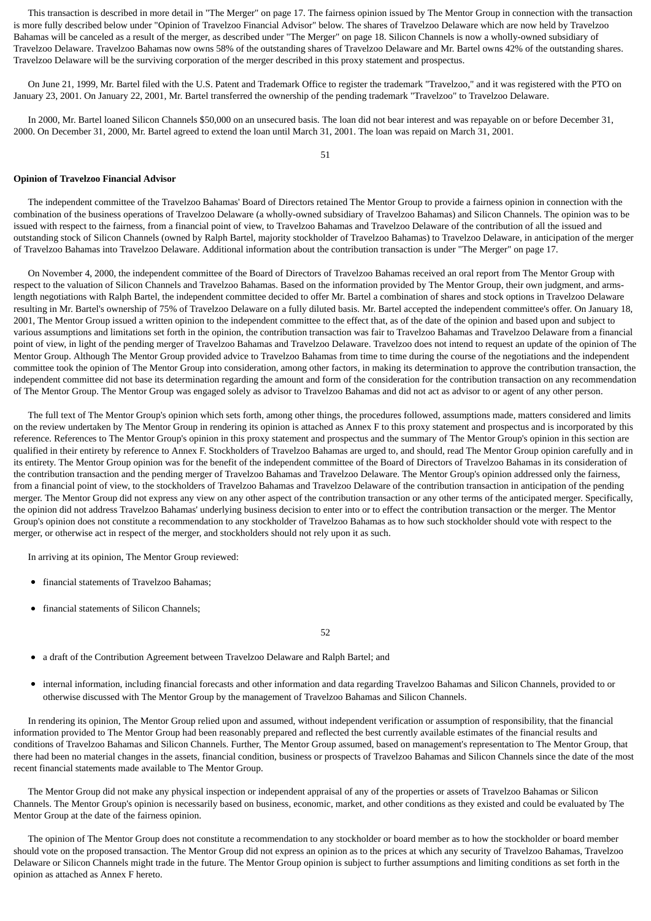This transaction is described in more detail in "The Merger" on page 17. The fairness opinion issued by The Mentor Group in connection with the transaction is more fully described below under "Opinion of Travelzoo Financial Advisor" below. The shares of Travelzoo Delaware which are now held by Travelzoo Bahamas will be canceled as a result of the merger, as described under "The Merger" on page 18. Silicon Channels is now a wholly-owned subsidiary of Travelzoo Delaware. Travelzoo Bahamas now owns 58% of the outstanding shares of Travelzoo Delaware and Mr. Bartel owns 42% of the outstanding shares. Travelzoo Delaware will be the surviving corporation of the merger described in this proxy statement and prospectus.

 On June 21, 1999, Mr. Bartel filed with the U.S. Patent and Trademark Office to register the trademark "Travelzoo," and it was registered with the PTO on January 23, 2001. On January 22, 2001, Mr. Bartel transferred the ownership of the pending trademark "Travelzoo" to Travelzoo Delaware.

 In 2000, Mr. Bartel loaned Silicon Channels \$50,000 on an unsecured basis. The loan did not bear interest and was repayable on or before December 31, 2000. On December 31, 2000, Mr. Bartel agreed to extend the loan until March 31, 2001. The loan was repaid on March 31, 2001.

51

#### **Opinion of Travelzoo Financial Advisor**

 The independent committee of the Travelzoo Bahamas' Board of Directors retained The Mentor Group to provide a fairness opinion in connection with the combination of the business operations of Travelzoo Delaware (a wholly-owned subsidiary of Travelzoo Bahamas) and Silicon Channels. The opinion was to be issued with respect to the fairness, from a financial point of view, to Travelzoo Bahamas and Travelzoo Delaware of the contribution of all the issued and outstanding stock of Silicon Channels (owned by Ralph Bartel, majority stockholder of Travelzoo Bahamas) to Travelzoo Delaware, in anticipation of the merger of Travelzoo Bahamas into Travelzoo Delaware. Additional information about the contribution transaction is under "The Merger" on page 17.

 On November 4, 2000, the independent committee of the Board of Directors of Travelzoo Bahamas received an oral report from The Mentor Group with respect to the valuation of Silicon Channels and Travelzoo Bahamas. Based on the information provided by The Mentor Group, their own judgment, and armslength negotiations with Ralph Bartel, the independent committee decided to offer Mr. Bartel a combination of shares and stock options in Travelzoo Delaware resulting in Mr. Bartel's ownership of 75% of Travelzoo Delaware on a fully diluted basis. Mr. Bartel accepted the independent committee's offer. On January 18, 2001, The Mentor Group issued a written opinion to the independent committee to the effect that, as of the date of the opinion and based upon and subject to various assumptions and limitations set forth in the opinion, the contribution transaction was fair to Travelzoo Bahamas and Travelzoo Delaware from a financial point of view, in light of the pending merger of Travelzoo Bahamas and Travelzoo Delaware. Travelzoo does not intend to request an update of the opinion of The Mentor Group. Although The Mentor Group provided advice to Travelzoo Bahamas from time to time during the course of the negotiations and the independent committee took the opinion of The Mentor Group into consideration, among other factors, in making its determination to approve the contribution transaction, the independent committee did not base its determination regarding the amount and form of the consideration for the contribution transaction on any recommendation of The Mentor Group. The Mentor Group was engaged solely as advisor to Travelzoo Bahamas and did not act as advisor to or agent of any other person.

 The full text of The Mentor Group's opinion which sets forth, among other things, the procedures followed, assumptions made, matters considered and limits on the review undertaken by The Mentor Group in rendering its opinion is attached as Annex F to this proxy statement and prospectus and is incorporated by this reference. References to The Mentor Group's opinion in this proxy statement and prospectus and the summary of The Mentor Group's opinion in this section are qualified in their entirety by reference to Annex F. Stockholders of Travelzoo Bahamas are urged to, and should, read The Mentor Group opinion carefully and in its entirety. The Mentor Group opinion was for the benefit of the independent committee of the Board of Directors of Travelzoo Bahamas in its consideration of the contribution transaction and the pending merger of Travelzoo Bahamas and Travelzoo Delaware. The Mentor Group's opinion addressed only the fairness, from a financial point of view, to the stockholders of Travelzoo Bahamas and Travelzoo Delaware of the contribution transaction in anticipation of the pending merger. The Mentor Group did not express any view on any other aspect of the contribution transaction or any other terms of the anticipated merger. Specifically, the opinion did not address Travelzoo Bahamas' underlying business decision to enter into or to effect the contribution transaction or the merger. The Mentor Group's opinion does not constitute a recommendation to any stockholder of Travelzoo Bahamas as to how such stockholder should vote with respect to the merger, or otherwise act in respect of the merger, and stockholders should not rely upon it as such.

In arriving at its opinion, The Mentor Group reviewed:

- financial statements of Travelzoo Bahamas;  $\bullet$
- financial statements of Silicon Channels;

52

- a draft of the Contribution Agreement between Travelzoo Delaware and Ralph Bartel; and
- $\bullet$ internal information, including financial forecasts and other information and data regarding Travelzoo Bahamas and Silicon Channels, provided to or otherwise discussed with The Mentor Group by the management of Travelzoo Bahamas and Silicon Channels.

 In rendering its opinion, The Mentor Group relied upon and assumed, without independent verification or assumption of responsibility, that the financial information provided to The Mentor Group had been reasonably prepared and reflected the best currently available estimates of the financial results and conditions of Travelzoo Bahamas and Silicon Channels. Further, The Mentor Group assumed, based on management's representation to The Mentor Group, that there had been no material changes in the assets, financial condition, business or prospects of Travelzoo Bahamas and Silicon Channels since the date of the most recent financial statements made available to The Mentor Group.

 The Mentor Group did not make any physical inspection or independent appraisal of any of the properties or assets of Travelzoo Bahamas or Silicon Channels. The Mentor Group's opinion is necessarily based on business, economic, market, and other conditions as they existed and could be evaluated by The Mentor Group at the date of the fairness opinion.

 The opinion of The Mentor Group does not constitute a recommendation to any stockholder or board member as to how the stockholder or board member should vote on the proposed transaction. The Mentor Group did not express an opinion as to the prices at which any security of Travelzoo Bahamas, Travelzoo Delaware or Silicon Channels might trade in the future. The Mentor Group opinion is subject to further assumptions and limiting conditions as set forth in the opinion as attached as Annex F hereto.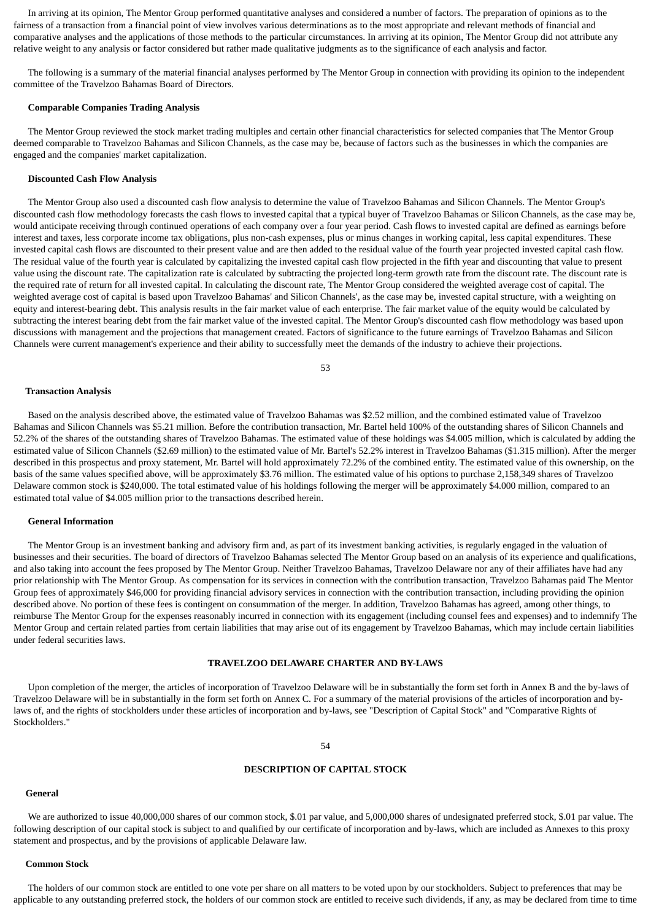In arriving at its opinion, The Mentor Group performed quantitative analyses and considered a number of factors. The preparation of opinions as to the fairness of a transaction from a financial point of view involves various determinations as to the most appropriate and relevant methods of financial and comparative analyses and the applications of those methods to the particular circumstances. In arriving at its opinion, The Mentor Group did not attribute any relative weight to any analysis or factor considered but rather made qualitative judgments as to the significance of each analysis and factor.

 The following is a summary of the material financial analyses performed by The Mentor Group in connection with providing its opinion to the independent committee of the Travelzoo Bahamas Board of Directors.

#### **Comparable Companies Trading Analysis**

 The Mentor Group reviewed the stock market trading multiples and certain other financial characteristics for selected companies that The Mentor Group deemed comparable to Travelzoo Bahamas and Silicon Channels, as the case may be, because of factors such as the businesses in which the companies are engaged and the companies' market capitalization.

#### **Discounted Cash Flow Analysis**

 The Mentor Group also used a discounted cash flow analysis to determine the value of Travelzoo Bahamas and Silicon Channels. The Mentor Group's discounted cash flow methodology forecasts the cash flows to invested capital that a typical buyer of Travelzoo Bahamas or Silicon Channels, as the case may be, would anticipate receiving through continued operations of each company over a four year period. Cash flows to invested capital are defined as earnings before interest and taxes, less corporate income tax obligations, plus non-cash expenses, plus or minus changes in working capital, less capital expenditures. These invested capital cash flows are discounted to their present value and are then added to the residual value of the fourth year projected invested capital cash flow. The residual value of the fourth year is calculated by capitalizing the invested capital cash flow projected in the fifth year and discounting that value to present value using the discount rate. The capitalization rate is calculated by subtracting the projected long-term growth rate from the discount rate. The discount rate is the required rate of return for all invested capital. In calculating the discount rate, The Mentor Group considered the weighted average cost of capital. The weighted average cost of capital is based upon Travelzoo Bahamas' and Silicon Channels', as the case may be, invested capital structure, with a weighting on equity and interest-bearing debt. This analysis results in the fair market value of each enterprise. The fair market value of the equity would be calculated by subtracting the interest bearing debt from the fair market value of the invested capital. The Mentor Group's discounted cash flow methodology was based upon discussions with management and the projections that management created. Factors of significance to the future earnings of Travelzoo Bahamas and Silicon Channels were current management's experience and their ability to successfully meet the demands of the industry to achieve their projections.

53

#### **Transaction Analysis**

 Based on the analysis described above, the estimated value of Travelzoo Bahamas was \$2.52 million, and the combined estimated value of Travelzoo Bahamas and Silicon Channels was \$5.21 million. Before the contribution transaction, Mr. Bartel held 100% of the outstanding shares of Silicon Channels and 52.2% of the shares of the outstanding shares of Travelzoo Bahamas. The estimated value of these holdings was \$4.005 million, which is calculated by adding the estimated value of Silicon Channels (\$2.69 million) to the estimated value of Mr. Bartel's 52.2% interest in Travelzoo Bahamas (\$1.315 million). After the merger described in this prospectus and proxy statement, Mr. Bartel will hold approximately 72.2% of the combined entity. The estimated value of this ownership, on the basis of the same values specified above, will be approximately \$3.76 million. The estimated value of his options to purchase 2,158,349 shares of Travelzoo Delaware common stock is \$240,000. The total estimated value of his holdings following the merger will be approximately \$4.000 million, compared to an estimated total value of \$4.005 million prior to the transactions described herein.

### **General Information**

 The Mentor Group is an investment banking and advisory firm and, as part of its investment banking activities, is regularly engaged in the valuation of businesses and their securities. The board of directors of Travelzoo Bahamas selected The Mentor Group based on an analysis of its experience and qualifications, and also taking into account the fees proposed by The Mentor Group. Neither Travelzoo Bahamas, Travelzoo Delaware nor any of their affiliates have had any prior relationship with The Mentor Group. As compensation for its services in connection with the contribution transaction, Travelzoo Bahamas paid The Mentor Group fees of approximately \$46,000 for providing financial advisory services in connection with the contribution transaction, including providing the opinion described above. No portion of these fees is contingent on consummation of the merger. In addition, Travelzoo Bahamas has agreed, among other things, to reimburse The Mentor Group for the expenses reasonably incurred in connection with its engagement (including counsel fees and expenses) and to indemnify The Mentor Group and certain related parties from certain liabilities that may arise out of its engagement by Travelzoo Bahamas, which may include certain liabilities under federal securities laws.

### **TRAVELZOO DELAWARE CHARTER AND BY-LAWS**

 Upon completion of the merger, the articles of incorporation of Travelzoo Delaware will be in substantially the form set forth in Annex B and the by-laws of Travelzoo Delaware will be in substantially in the form set forth on Annex C. For a summary of the material provisions of the articles of incorporation and bylaws of, and the rights of stockholders under these articles of incorporation and by-laws, see "Description of Capital Stock" and "Comparative Rights of Stockholders."

54

#### **DESCRIPTION OF CAPITAL STOCK**

#### **General**

 We are authorized to issue 40,000,000 shares of our common stock, \$.01 par value, and 5,000,000 shares of undesignated preferred stock, \$.01 par value. The following description of our capital stock is subject to and qualified by our certificate of incorporation and by-laws, which are included as Annexes to this proxy statement and prospectus, and by the provisions of applicable Delaware law.

#### **Common Stock**

 The holders of our common stock are entitled to one vote per share on all matters to be voted upon by our stockholders. Subject to preferences that may be applicable to any outstanding preferred stock, the holders of our common stock are entitled to receive such dividends, if any, as may be declared from time to time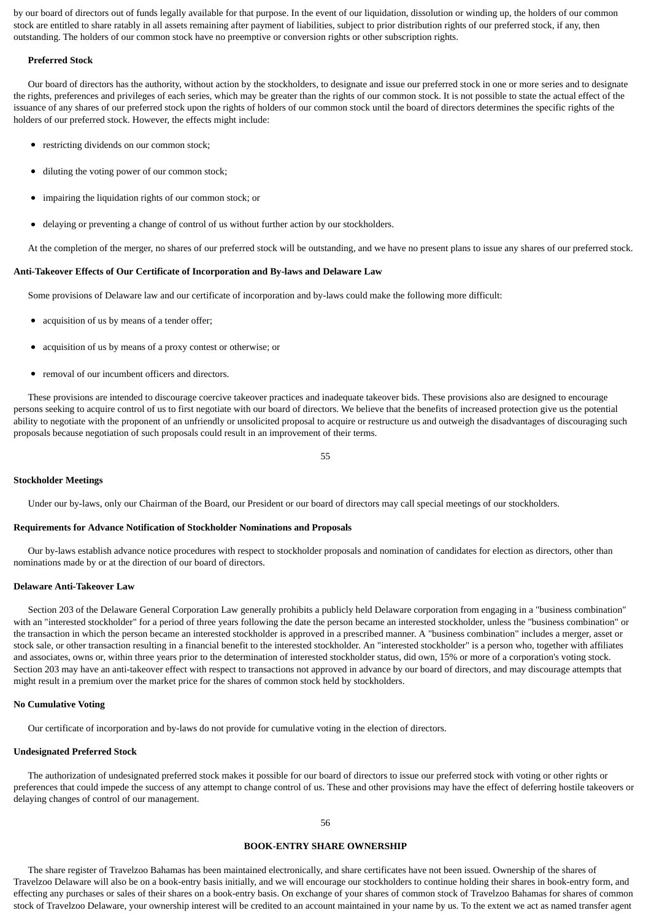by our board of directors out of funds legally available for that purpose. In the event of our liquidation, dissolution or winding up, the holders of our common stock are entitled to share ratably in all assets remaining after payment of liabilities, subject to prior distribution rights of our preferred stock, if any, then outstanding. The holders of our common stock have no preemptive or conversion rights or other subscription rights.

#### **Preferred Stock**

 Our board of directors has the authority, without action by the stockholders, to designate and issue our preferred stock in one or more series and to designate the rights, preferences and privileges of each series, which may be greater than the rights of our common stock. It is not possible to state the actual effect of the issuance of any shares of our preferred stock upon the rights of holders of our common stock until the board of directors determines the specific rights of the holders of our preferred stock. However, the effects might include:

- restricting dividends on our common stock;
- diluting the voting power of our common stock;
- impairing the liquidation rights of our common stock; or
- delaying or preventing a change of control of us without further action by our stockholders.

At the completion of the merger, no shares of our preferred stock will be outstanding, and we have no present plans to issue any shares of our preferred stock.

#### **Anti-Takeover Effects of Our Certificate of Incorporation and By-laws and Delaware Law**

Some provisions of Delaware law and our certificate of incorporation and by-laws could make the following more difficult:

- acquisition of us by means of a tender offer;
- acquisition of us by means of a proxy contest or otherwise; or
- removal of our incumbent officers and directors.

 These provisions are intended to discourage coercive takeover practices and inadequate takeover bids. These provisions also are designed to encourage persons seeking to acquire control of us to first negotiate with our board of directors. We believe that the benefits of increased protection give us the potential ability to negotiate with the proponent of an unfriendly or unsolicited proposal to acquire or restructure us and outweigh the disadvantages of discouraging such proposals because negotiation of such proposals could result in an improvement of their terms.

55

#### **Stockholder Meetings**

Under our by-laws, only our Chairman of the Board, our President or our board of directors may call special meetings of our stockholders.

#### **Requirements for Advance Notification of Stockholder Nominations and Proposals**

 Our by-laws establish advance notice procedures with respect to stockholder proposals and nomination of candidates for election as directors, other than nominations made by or at the direction of our board of directors.

#### **Delaware Anti-Takeover Law**

 Section 203 of the Delaware General Corporation Law generally prohibits a publicly held Delaware corporation from engaging in a "business combination" with an "interested stockholder" for a period of three years following the date the person became an interested stockholder, unless the "business combination" or the transaction in which the person became an interested stockholder is approved in a prescribed manner. A "business combination" includes a merger, asset or stock sale, or other transaction resulting in a financial benefit to the interested stockholder. An "interested stockholder" is a person who, together with affiliates and associates, owns or, within three years prior to the determination of interested stockholder status, did own, 15% or more of a corporation's voting stock. Section 203 may have an anti-takeover effect with respect to transactions not approved in advance by our board of directors, and may discourage attempts that might result in a premium over the market price for the shares of common stock held by stockholders.

#### **No Cumulative Voting**

Our certificate of incorporation and by-laws do not provide for cumulative voting in the election of directors.

#### **Undesignated Preferred Stock**

 The authorization of undesignated preferred stock makes it possible for our board of directors to issue our preferred stock with voting or other rights or preferences that could impede the success of any attempt to change control of us. These and other provisions may have the effect of deferring hostile takeovers or delaying changes of control of our management.

### **BOOK-ENTRY SHARE OWNERSHIP**

 The share register of Travelzoo Bahamas has been maintained electronically, and share certificates have not been issued. Ownership of the shares of Travelzoo Delaware will also be on a book-entry basis initially, and we will encourage our stockholders to continue holding their shares in book-entry form, and effecting any purchases or sales of their shares on a book-entry basis. On exchange of your shares of common stock of Travelzoo Bahamas for shares of common stock of Travelzoo Delaware, your ownership interest will be credited to an account maintained in your name by us. To the extent we act as named transfer agent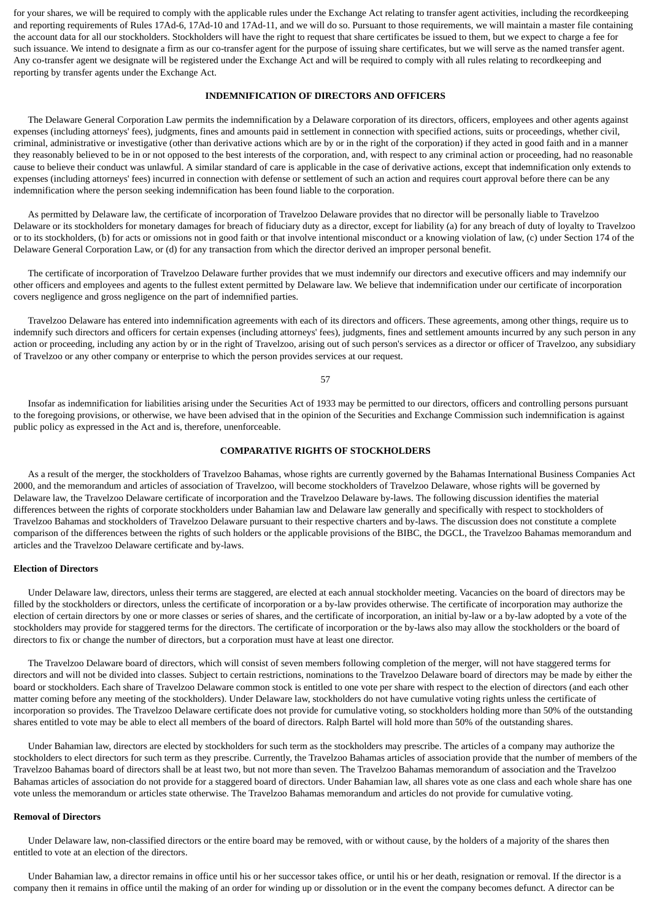for your shares, we will be required to comply with the applicable rules under the Exchange Act relating to transfer agent activities, including the recordkeeping and reporting requirements of Rules 17Ad-6, 17Ad-10 and 17Ad-11, and we will do so. Pursuant to those requirements, we will maintain a master file containing the account data for all our stockholders. Stockholders will have the right to request that share certificates be issued to them, but we expect to charge a fee for such issuance. We intend to designate a firm as our co-transfer agent for the purpose of issuing share certificates, but we will serve as the named transfer agent. Any co-transfer agent we designate will be registered under the Exchange Act and will be required to comply with all rules relating to recordkeeping and reporting by transfer agents under the Exchange Act.

### **INDEMNIFICATION OF DIRECTORS AND OFFICERS**

 The Delaware General Corporation Law permits the indemnification by a Delaware corporation of its directors, officers, employees and other agents against expenses (including attorneys' fees), judgments, fines and amounts paid in settlement in connection with specified actions, suits or proceedings, whether civil, criminal, administrative or investigative (other than derivative actions which are by or in the right of the corporation) if they acted in good faith and in a manner they reasonably believed to be in or not opposed to the best interests of the corporation, and, with respect to any criminal action or proceeding, had no reasonable cause to believe their conduct was unlawful. A similar standard of care is applicable in the case of derivative actions, except that indemnification only extends to expenses (including attorneys' fees) incurred in connection with defense or settlement of such an action and requires court approval before there can be any indemnification where the person seeking indemnification has been found liable to the corporation.

 As permitted by Delaware law, the certificate of incorporation of Travelzoo Delaware provides that no director will be personally liable to Travelzoo Delaware or its stockholders for monetary damages for breach of fiduciary duty as a director, except for liability (a) for any breach of duty of loyalty to Travelzoo or to its stockholders, (b) for acts or omissions not in good faith or that involve intentional misconduct or a knowing violation of law, (c) under Section 174 of the Delaware General Corporation Law, or (d) for any transaction from which the director derived an improper personal benefit.

 The certificate of incorporation of Travelzoo Delaware further provides that we must indemnify our directors and executive officers and may indemnify our other officers and employees and agents to the fullest extent permitted by Delaware law. We believe that indemnification under our certificate of incorporation covers negligence and gross negligence on the part of indemnified parties.

 Travelzoo Delaware has entered into indemnification agreements with each of its directors and officers. These agreements, among other things, require us to indemnify such directors and officers for certain expenses (including attorneys' fees), judgments, fines and settlement amounts incurred by any such person in any action or proceeding, including any action by or in the right of Travelzoo, arising out of such person's services as a director or officer of Travelzoo, any subsidiary of Travelzoo or any other company or enterprise to which the person provides services at our request.

57

 Insofar as indemnification for liabilities arising under the Securities Act of 1933 may be permitted to our directors, officers and controlling persons pursuant to the foregoing provisions, or otherwise, we have been advised that in the opinion of the Securities and Exchange Commission such indemnification is against public policy as expressed in the Act and is, therefore, unenforceable.

#### **COMPARATIVE RIGHTS OF STOCKHOLDERS**

 As a result of the merger, the stockholders of Travelzoo Bahamas, whose rights are currently governed by the Bahamas International Business Companies Act 2000, and the memorandum and articles of association of Travelzoo, will become stockholders of Travelzoo Delaware, whose rights will be governed by Delaware law, the Travelzoo Delaware certificate of incorporation and the Travelzoo Delaware by-laws. The following discussion identifies the material differences between the rights of corporate stockholders under Bahamian law and Delaware law generally and specifically with respect to stockholders of Travelzoo Bahamas and stockholders of Travelzoo Delaware pursuant to their respective charters and by-laws. The discussion does not constitute a complete comparison of the differences between the rights of such holders or the applicable provisions of the BIBC, the DGCL, the Travelzoo Bahamas memorandum and articles and the Travelzoo Delaware certificate and by-laws.

### **Election of Directors**

 Under Delaware law, directors, unless their terms are staggered, are elected at each annual stockholder meeting. Vacancies on the board of directors may be filled by the stockholders or directors, unless the certificate of incorporation or a by-law provides otherwise. The certificate of incorporation may authorize the election of certain directors by one or more classes or series of shares, and the certificate of incorporation, an initial by-law or a by-law adopted by a vote of the stockholders may provide for staggered terms for the directors. The certificate of incorporation or the by-laws also may allow the stockholders or the board of directors to fix or change the number of directors, but a corporation must have at least one director.

 The Travelzoo Delaware board of directors, which will consist of seven members following completion of the merger, will not have staggered terms for directors and will not be divided into classes. Subject to certain restrictions, nominations to the Travelzoo Delaware board of directors may be made by either the board or stockholders. Each share of Travelzoo Delaware common stock is entitled to one vote per share with respect to the election of directors (and each other matter coming before any meeting of the stockholders). Under Delaware law, stockholders do not have cumulative voting rights unless the certificate of incorporation so provides. The Travelzoo Delaware certificate does not provide for cumulative voting, so stockholders holding more than 50% of the outstanding shares entitled to vote may be able to elect all members of the board of directors. Ralph Bartel will hold more than 50% of the outstanding shares.

 Under Bahamian law, directors are elected by stockholders for such term as the stockholders may prescribe. The articles of a company may authorize the stockholders to elect directors for such term as they prescribe. Currently, the Travelzoo Bahamas articles of association provide that the number of members of the Travelzoo Bahamas board of directors shall be at least two, but not more than seven. The Travelzoo Bahamas memorandum of association and the Travelzoo Bahamas articles of association do not provide for a staggered board of directors. Under Bahamian law, all shares vote as one class and each whole share has one vote unless the memorandum or articles state otherwise. The Travelzoo Bahamas memorandum and articles do not provide for cumulative voting.

#### **Removal of Directors**

 Under Delaware law, non-classified directors or the entire board may be removed, with or without cause, by the holders of a majority of the shares then entitled to vote at an election of the directors.

 Under Bahamian law, a director remains in office until his or her successor takes office, or until his or her death, resignation or removal. If the director is a company then it remains in office until the making of an order for winding up or dissolution or in the event the company becomes defunct. A director can be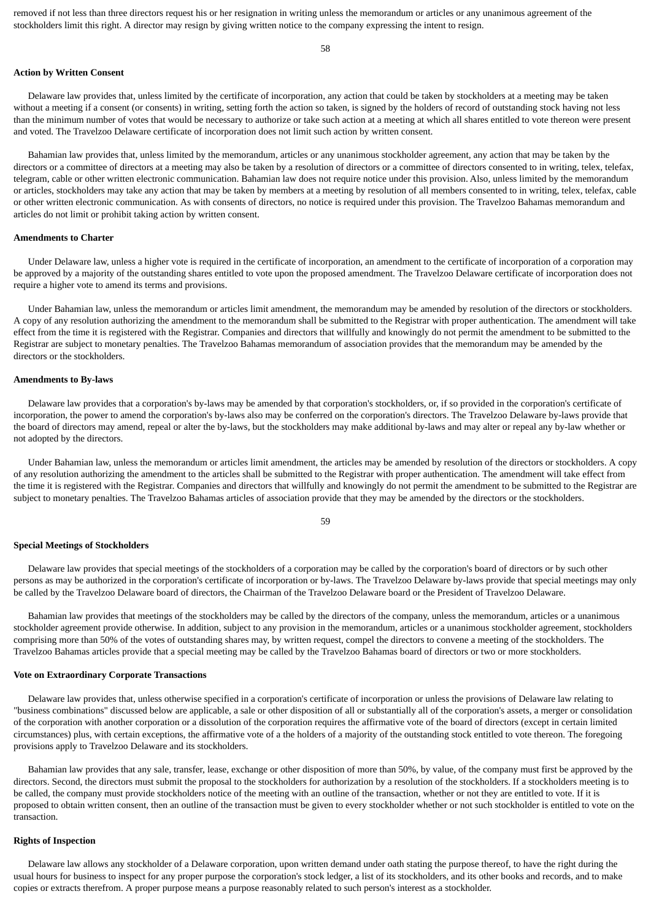removed if not less than three directors request his or her resignation in writing unless the memorandum or articles or any unanimous agreement of the stockholders limit this right. A director may resign by giving written notice to the company expressing the intent to resign.

58

#### **Action by Written Consent**

 Delaware law provides that, unless limited by the certificate of incorporation, any action that could be taken by stockholders at a meeting may be taken without a meeting if a consent (or consents) in writing, setting forth the action so taken, is signed by the holders of record of outstanding stock having not less than the minimum number of votes that would be necessary to authorize or take such action at a meeting at which all shares entitled to vote thereon were present and voted. The Travelzoo Delaware certificate of incorporation does not limit such action by written consent.

 Bahamian law provides that, unless limited by the memorandum, articles or any unanimous stockholder agreement, any action that may be taken by the directors or a committee of directors at a meeting may also be taken by a resolution of directors or a committee of directors consented to in writing, telex, telefax, telegram, cable or other written electronic communication. Bahamian law does not require notice under this provision. Also, unless limited by the memorandum or articles, stockholders may take any action that may be taken by members at a meeting by resolution of all members consented to in writing, telex, telefax, cable or other written electronic communication. As with consents of directors, no notice is required under this provision. The Travelzoo Bahamas memorandum and articles do not limit or prohibit taking action by written consent.

#### **Amendments to Charter**

 Under Delaware law, unless a higher vote is required in the certificate of incorporation, an amendment to the certificate of incorporation of a corporation may be approved by a majority of the outstanding shares entitled to vote upon the proposed amendment. The Travelzoo Delaware certificate of incorporation does not require a higher vote to amend its terms and provisions.

 Under Bahamian law, unless the memorandum or articles limit amendment, the memorandum may be amended by resolution of the directors or stockholders. A copy of any resolution authorizing the amendment to the memorandum shall be submitted to the Registrar with proper authentication. The amendment will take effect from the time it is registered with the Registrar. Companies and directors that willfully and knowingly do not permit the amendment to be submitted to the Registrar are subject to monetary penalties. The Travelzoo Bahamas memorandum of association provides that the memorandum may be amended by the directors or the stockholders.

#### **Amendments to By-laws**

 Delaware law provides that a corporation's by-laws may be amended by that corporation's stockholders, or, if so provided in the corporation's certificate of incorporation, the power to amend the corporation's by-laws also may be conferred on the corporation's directors. The Travelzoo Delaware by-laws provide that the board of directors may amend, repeal or alter the by-laws, but the stockholders may make additional by-laws and may alter or repeal any by-law whether or not adopted by the directors.

 Under Bahamian law, unless the memorandum or articles limit amendment, the articles may be amended by resolution of the directors or stockholders. A copy of any resolution authorizing the amendment to the articles shall be submitted to the Registrar with proper authentication. The amendment will take effect from the time it is registered with the Registrar. Companies and directors that willfully and knowingly do not permit the amendment to be submitted to the Registrar are subject to monetary penalties. The Travelzoo Bahamas articles of association provide that they may be amended by the directors or the stockholders.

#### **Special Meetings of Stockholders**

 Delaware law provides that special meetings of the stockholders of a corporation may be called by the corporation's board of directors or by such other persons as may be authorized in the corporation's certificate of incorporation or by-laws. The Travelzoo Delaware by-laws provide that special meetings may only be called by the Travelzoo Delaware board of directors, the Chairman of the Travelzoo Delaware board or the President of Travelzoo Delaware.

 Bahamian law provides that meetings of the stockholders may be called by the directors of the company, unless the memorandum, articles or a unanimous stockholder agreement provide otherwise. In addition, subject to any provision in the memorandum, articles or a unanimous stockholder agreement, stockholders comprising more than 50% of the votes of outstanding shares may, by written request, compel the directors to convene a meeting of the stockholders. The Travelzoo Bahamas articles provide that a special meeting may be called by the Travelzoo Bahamas board of directors or two or more stockholders.

### **Vote on Extraordinary Corporate Transactions**

 Delaware law provides that, unless otherwise specified in a corporation's certificate of incorporation or unless the provisions of Delaware law relating to "business combinations" discussed below are applicable, a sale or other disposition of all or substantially all of the corporation's assets, a merger or consolidation of the corporation with another corporation or a dissolution of the corporation requires the affirmative vote of the board of directors (except in certain limited circumstances) plus, with certain exceptions, the affirmative vote of a the holders of a majority of the outstanding stock entitled to vote thereon. The foregoing provisions apply to Travelzoo Delaware and its stockholders.

 Bahamian law provides that any sale, transfer, lease, exchange or other disposition of more than 50%, by value, of the company must first be approved by the directors. Second, the directors must submit the proposal to the stockholders for authorization by a resolution of the stockholders. If a stockholders meeting is to be called, the company must provide stockholders notice of the meeting with an outline of the transaction, whether or not they are entitled to vote. If it is proposed to obtain written consent, then an outline of the transaction must be given to every stockholder whether or not such stockholder is entitled to vote on the transaction.

#### **Rights of Inspection**

 Delaware law allows any stockholder of a Delaware corporation, upon written demand under oath stating the purpose thereof, to have the right during the usual hours for business to inspect for any proper purpose the corporation's stock ledger, a list of its stockholders, and its other books and records, and to make copies or extracts therefrom. A proper purpose means a purpose reasonably related to such person's interest as a stockholder.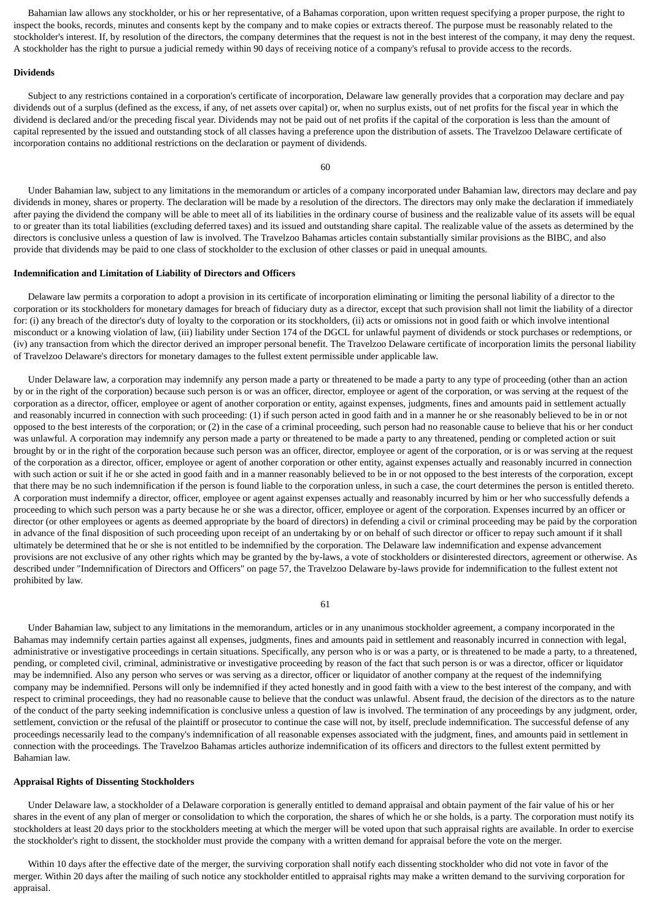Bahamian law allows any stockholder, or his or her representative, of a Bahamas corporation, upon written request specifying a proper purpose, the right to inspect the books, records, minutes and consents kept by the company and to make copies or extracts thereof. The purpose must be reasonably related to the stockholder's interest. If, by resolution of the directors, the company determines that the request is not in the best interest of the company, it may deny the request. A stockholder has the right to pursue a judicial remedy within 90 days of receiving notice of a company's refusal to provide access to the records.

#### **Dividends**

 Subject to any restrictions contained in a corporation's certificate of incorporation, Delaware law generally provides that a corporation may declare and pay dividends out of a surplus (defined as the excess, if any, of net assets over capital) or, when no surplus exists, out of net profits for the fiscal year in which the dividend is declared and/or the preceding fiscal year. Dividends may not be paid out of net profits if the capital of the corporation is less than the amount of capital represented by the issued and outstanding stock of all classes having a preference upon the distribution of assets. The Travelzoo Delaware certificate of incorporation contains no additional restrictions on the declaration or payment of dividends.

60

 Under Bahamian law, subject to any limitations in the memorandum or articles of a company incorporated under Bahamian law, directors may declare and pay dividends in money, shares or property. The declaration will be made by a resolution of the directors. The directors may only make the declaration if immediately after paying the dividend the company will be able to meet all of its liabilities in the ordinary course of business and the realizable value of its assets will be equal to or greater than its total liabilities (excluding deferred taxes) and its issued and outstanding share capital. The realizable value of the assets as determined by the directors is conclusive unless a question of law is involved. The Travelzoo Bahamas articles contain substantially similar provisions as the BIBC, and also provide that dividends may be paid to one class of stockholder to the exclusion of other classes or paid in unequal amounts.

#### **Indemnification and Limitation of Liability of Directors and Officers**

 Delaware law permits a corporation to adopt a provision in its certificate of incorporation eliminating or limiting the personal liability of a director to the corporation or its stockholders for monetary damages for breach of fiduciary duty as a director, except that such provision shall not limit the liability of a director for: (i) any breach of the director's duty of loyalty to the corporation or its stockholders, (ii) acts or omissions not in good faith or which involve intentional misconduct or a knowing violation of law, (iii) liability under Section 174 of the DGCL for unlawful payment of dividends or stock purchases or redemptions, or (iv) any transaction from which the director derived an improper personal benefit. The Travelzoo Delaware certificate of incorporation limits the personal liability of Travelzoo Delaware's directors for monetary damages to the fullest extent permissible under applicable law.

 Under Delaware law, a corporation may indemnify any person made a party or threatened to be made a party to any type of proceeding (other than an action by or in the right of the corporation) because such person is or was an officer, director, employee or agent of the corporation, or was serving at the request of the corporation as a director, officer, employee or agent of another corporation or entity, against expenses, judgments, fines and amounts paid in settlement actually and reasonably incurred in connection with such proceeding: (1) if such person acted in good faith and in a manner he or she reasonably believed to be in or not opposed to the best interests of the corporation; or (2) in the case of a criminal proceeding, such person had no reasonable cause to believe that his or her conduct was unlawful. A corporation may indemnify any person made a party or threatened to be made a party to any threatened, pending or completed action or suit brought by or in the right of the corporation because such person was an officer, director, employee or agent of the corporation, or is or was serving at the request of the corporation as a director, officer, employee or agent of another corporation or other entity, against expenses actually and reasonably incurred in connection with such action or suit if he or she acted in good faith and in a manner reasonably believed to be in or not opposed to the best interests of the corporation, except that there may be no such indemnification if the person is found liable to the corporation unless, in such a case, the court determines the person is entitled thereto. A corporation must indemnify a director, officer, employee or agent against expenses actually and reasonably incurred by him or her who successfully defends a proceeding to which such person was a party because he or she was a director, officer, employee or agent of the corporation. Expenses incurred by an officer or director (or other employees or agents as deemed appropriate by the board of directors) in defending a civil or criminal proceeding may be paid by the corporation in advance of the final disposition of such proceeding upon receipt of an undertaking by or on behalf of such director or officer to repay such amount if it shall ultimately be determined that he or she is not entitled to be indemnified by the corporation. The Delaware law indemnification and expense advancement provisions are not exclusive of any other rights which may be granted by the by-laws, a vote of stockholders or disinterested directors, agreement or otherwise. As described under "Indemnification of Directors and Officers" on page 57, the Travelzoo Delaware by-laws provide for indemnification to the fullest extent not prohibited by law.

61

 Under Bahamian law, subject to any limitations in the memorandum, articles or in any unanimous stockholder agreement, a company incorporated in the Bahamas may indemnify certain parties against all expenses, judgments, fines and amounts paid in settlement and reasonably incurred in connection with legal, administrative or investigative proceedings in certain situations. Specifically, any person who is or was a party, or is threatened to be made a party, to a threatened, pending, or completed civil, criminal, administrative or investigative proceeding by reason of the fact that such person is or was a director, officer or liquidator may be indemnified. Also any person who serves or was serving as a director, officer or liquidator of another company at the request of the indemnifying company may be indemnified. Persons will only be indemnified if they acted honestly and in good faith with a view to the best interest of the company, and with respect to criminal proceedings, they had no reasonable cause to believe that the conduct was unlawful. Absent fraud, the decision of the directors as to the nature of the conduct of the party seeking indemnification is conclusive unless a question of law is involved. The termination of any proceedings by any judgment, order, settlement, conviction or the refusal of the plaintiff or prosecutor to continue the case will not, by itself, preclude indemnification. The successful defense of any proceedings necessarily lead to the company's indemnification of all reasonable expenses associated with the judgment, fines, and amounts paid in settlement in connection with the proceedings. The Travelzoo Bahamas articles authorize indemnification of its officers and directors to the fullest extent permitted by Bahamian law.

### **Appraisal Rights of Dissenting Stockholders**

 Under Delaware law, a stockholder of a Delaware corporation is generally entitled to demand appraisal and obtain payment of the fair value of his or her shares in the event of any plan of merger or consolidation to which the corporation, the shares of which he or she holds, is a party. The corporation must notify its stockholders at least 20 days prior to the stockholders meeting at which the merger will be voted upon that such appraisal rights are available. In order to exercise the stockholder's right to dissent, the stockholder must provide the company with a written demand for appraisal before the vote on the merger.

 Within 10 days after the effective date of the merger, the surviving corporation shall notify each dissenting stockholder who did not vote in favor of the merger. Within 20 days after the mailing of such notice any stockholder entitled to appraisal rights may make a written demand to the surviving corporation for appraisal.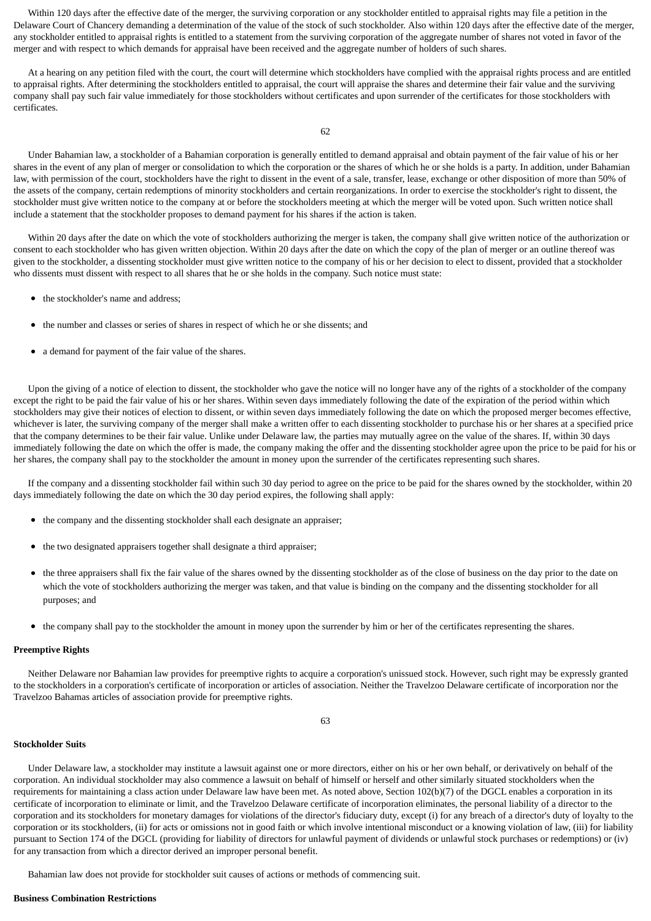Within 120 days after the effective date of the merger, the surviving corporation or any stockholder entitled to appraisal rights may file a petition in the Delaware Court of Chancery demanding a determination of the value of the stock of such stockholder. Also within 120 days after the effective date of the merger, any stockholder entitled to appraisal rights is entitled to a statement from the surviving corporation of the aggregate number of shares not voted in favor of the merger and with respect to which demands for appraisal have been received and the aggregate number of holders of such shares.

 At a hearing on any petition filed with the court, the court will determine which stockholders have complied with the appraisal rights process and are entitled to appraisal rights. After determining the stockholders entitled to appraisal, the court will appraise the shares and determine their fair value and the surviving company shall pay such fair value immediately for those stockholders without certificates and upon surrender of the certificates for those stockholders with certificates.

62

 Under Bahamian law, a stockholder of a Bahamian corporation is generally entitled to demand appraisal and obtain payment of the fair value of his or her shares in the event of any plan of merger or consolidation to which the corporation or the shares of which he or she holds is a party. In addition, under Bahamian law, with permission of the court, stockholders have the right to dissent in the event of a sale, transfer, lease, exchange or other disposition of more than 50% of the assets of the company, certain redemptions of minority stockholders and certain reorganizations. In order to exercise the stockholder's right to dissent, the stockholder must give written notice to the company at or before the stockholders meeting at which the merger will be voted upon. Such written notice shall include a statement that the stockholder proposes to demand payment for his shares if the action is taken.

 Within 20 days after the date on which the vote of stockholders authorizing the merger is taken, the company shall give written notice of the authorization or consent to each stockholder who has given written objection. Within 20 days after the date on which the copy of the plan of merger or an outline thereof was given to the stockholder, a dissenting stockholder must give written notice to the company of his or her decision to elect to dissent, provided that a stockholder who dissents must dissent with respect to all shares that he or she holds in the company. Such notice must state:

- the stockholder's name and address;
- the number and classes or series of shares in respect of which he or she dissents; and
- $\bullet$ a demand for payment of the fair value of the shares.

 Upon the giving of a notice of election to dissent, the stockholder who gave the notice will no longer have any of the rights of a stockholder of the company except the right to be paid the fair value of his or her shares. Within seven days immediately following the date of the expiration of the period within which stockholders may give their notices of election to dissent, or within seven days immediately following the date on which the proposed merger becomes effective, whichever is later, the surviving company of the merger shall make a written offer to each dissenting stockholder to purchase his or her shares at a specified price that the company determines to be their fair value. Unlike under Delaware law, the parties may mutually agree on the value of the shares. If, within 30 days immediately following the date on which the offer is made, the company making the offer and the dissenting stockholder agree upon the price to be paid for his or her shares, the company shall pay to the stockholder the amount in money upon the surrender of the certificates representing such shares.

 If the company and a dissenting stockholder fail within such 30 day period to agree on the price to be paid for the shares owned by the stockholder, within 20 days immediately following the date on which the 30 day period expires, the following shall apply:

- the company and the dissenting stockholder shall each designate an appraiser;
- the two designated appraisers together shall designate a third appraiser;
- the three appraisers shall fix the fair value of the shares owned by the dissenting stockholder as of the close of business on the day prior to the date on which the vote of stockholders authorizing the merger was taken, and that value is binding on the company and the dissenting stockholder for all purposes; and
- the company shall pay to the stockholder the amount in money upon the surrender by him or her of the certificates representing the shares.

### **Preemptive Rights**

 Neither Delaware nor Bahamian law provides for preemptive rights to acquire a corporation's unissued stock. However, such right may be expressly granted to the stockholders in a corporation's certificate of incorporation or articles of association. Neither the Travelzoo Delaware certificate of incorporation nor the Travelzoo Bahamas articles of association provide for preemptive rights.

63

#### **Stockholder Suits**

 Under Delaware law, a stockholder may institute a lawsuit against one or more directors, either on his or her own behalf, or derivatively on behalf of the corporation. An individual stockholder may also commence a lawsuit on behalf of himself or herself and other similarly situated stockholders when the requirements for maintaining a class action under Delaware law have been met. As noted above, Section 102(b)(7) of the DGCL enables a corporation in its certificate of incorporation to eliminate or limit, and the Travelzoo Delaware certificate of incorporation eliminates, the personal liability of a director to the corporation and its stockholders for monetary damages for violations of the director's fiduciary duty, except (i) for any breach of a director's duty of loyalty to the corporation or its stockholders, (ii) for acts or omissions not in good faith or which involve intentional misconduct or a knowing violation of law, (iii) for liability pursuant to Section 174 of the DGCL (providing for liability of directors for unlawful payment of dividends or unlawful stock purchases or redemptions) or (iv) for any transaction from which a director derived an improper personal benefit.

Bahamian law does not provide for stockholder suit causes of actions or methods of commencing suit.

#### **Business Combination Restrictions**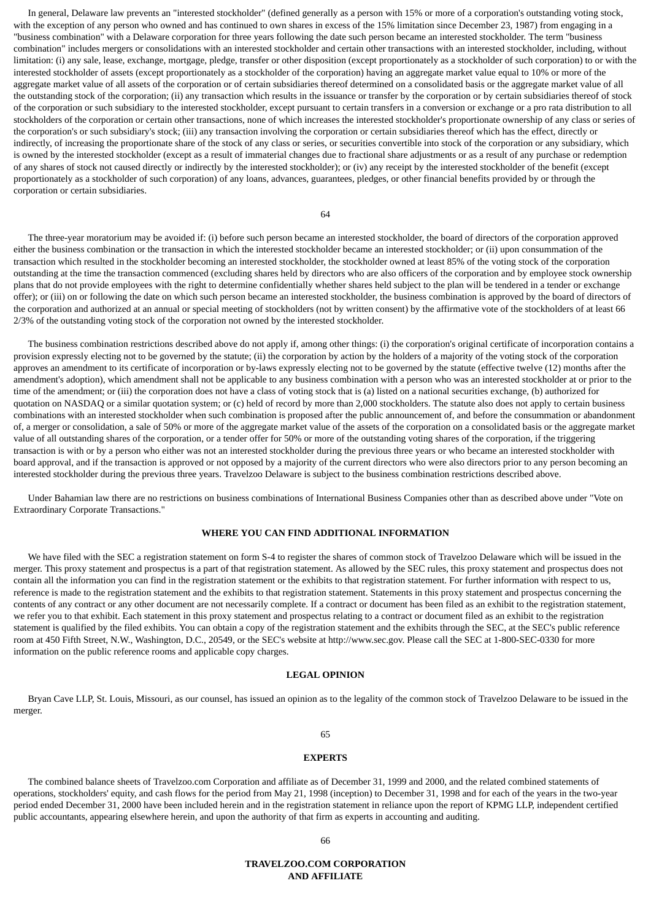In general, Delaware law prevents an "interested stockholder" (defined generally as a person with 15% or more of a corporation's outstanding voting stock, with the exception of any person who owned and has continued to own shares in excess of the 15% limitation since December 23, 1987) from engaging in a "business combination" with a Delaware corporation for three years following the date such person became an interested stockholder. The term "business combination" includes mergers or consolidations with an interested stockholder and certain other transactions with an interested stockholder, including, without limitation: (i) any sale, lease, exchange, mortgage, pledge, transfer or other disposition (except proportionately as a stockholder of such corporation) to or with the interested stockholder of assets (except proportionately as a stockholder of the corporation) having an aggregate market value equal to 10% or more of the aggregate market value of all assets of the corporation or of certain subsidiaries thereof determined on a consolidated basis or the aggregate market value of all the outstanding stock of the corporation; (ii) any transaction which results in the issuance or transfer by the corporation or by certain subsidiaries thereof of stock of the corporation or such subsidiary to the interested stockholder, except pursuant to certain transfers in a conversion or exchange or a pro rata distribution to all stockholders of the corporation or certain other transactions, none of which increases the interested stockholder's proportionate ownership of any class or series of the corporation's or such subsidiary's stock; (iii) any transaction involving the corporation or certain subsidiaries thereof which has the effect, directly or indirectly, of increasing the proportionate share of the stock of any class or series, or securities convertible into stock of the corporation or any subsidiary, which is owned by the interested stockholder (except as a result of immaterial changes due to fractional share adjustments or as a result of any purchase or redemption of any shares of stock not caused directly or indirectly by the interested stockholder); or (iv) any receipt by the interested stockholder of the benefit (except proportionately as a stockholder of such corporation) of any loans, advances, guarantees, pledges, or other financial benefits provided by or through the corporation or certain subsidiaries.

64

 The three-year moratorium may be avoided if: (i) before such person became an interested stockholder, the board of directors of the corporation approved either the business combination or the transaction in which the interested stockholder became an interested stockholder; or (ii) upon consummation of the transaction which resulted in the stockholder becoming an interested stockholder, the stockholder owned at least 85% of the voting stock of the corporation outstanding at the time the transaction commenced (excluding shares held by directors who are also officers of the corporation and by employee stock ownership plans that do not provide employees with the right to determine confidentially whether shares held subject to the plan will be tendered in a tender or exchange offer); or (iii) on or following the date on which such person became an interested stockholder, the business combination is approved by the board of directors of the corporation and authorized at an annual or special meeting of stockholders (not by written consent) by the affirmative vote of the stockholders of at least 66 2/3% of the outstanding voting stock of the corporation not owned by the interested stockholder.

 The business combination restrictions described above do not apply if, among other things: (i) the corporation's original certificate of incorporation contains a provision expressly electing not to be governed by the statute; (ii) the corporation by action by the holders of a majority of the voting stock of the corporation approves an amendment to its certificate of incorporation or by-laws expressly electing not to be governed by the statute (effective twelve (12) months after the amendment's adoption), which amendment shall not be applicable to any business combination with a person who was an interested stockholder at or prior to the time of the amendment; or (iii) the corporation does not have a class of voting stock that is (a) listed on a national securities exchange, (b) authorized for quotation on NASDAQ or a similar quotation system; or (c) held of record by more than 2,000 stockholders. The statute also does not apply to certain business combinations with an interested stockholder when such combination is proposed after the public announcement of, and before the consummation or abandonment of, a merger or consolidation, a sale of 50% or more of the aggregate market value of the assets of the corporation on a consolidated basis or the aggregate market value of all outstanding shares of the corporation, or a tender offer for 50% or more of the outstanding voting shares of the corporation, if the triggering transaction is with or by a person who either was not an interested stockholder during the previous three years or who became an interested stockholder with board approval, and if the transaction is approved or not opposed by a majority of the current directors who were also directors prior to any person becoming an interested stockholder during the previous three years. Travelzoo Delaware is subject to the business combination restrictions described above.

 Under Bahamian law there are no restrictions on business combinations of International Business Companies other than as described above under "Vote on Extraordinary Corporate Transactions."

#### **WHERE YOU CAN FIND ADDITIONAL INFORMATION**

 We have filed with the SEC a registration statement on form S-4 to register the shares of common stock of Travelzoo Delaware which will be issued in the merger. This proxy statement and prospectus is a part of that registration statement. As allowed by the SEC rules, this proxy statement and prospectus does not contain all the information you can find in the registration statement or the exhibits to that registration statement. For further information with respect to us, reference is made to the registration statement and the exhibits to that registration statement. Statements in this proxy statement and prospectus concerning the contents of any contract or any other document are not necessarily complete. If a contract or document has been filed as an exhibit to the registration statement, we refer you to that exhibit. Each statement in this proxy statement and prospectus relating to a contract or document filed as an exhibit to the registration statement is qualified by the filed exhibits. You can obtain a copy of the registration statement and the exhibits through the SEC, at the SEC's public reference room at 450 Fifth Street, N.W., Washington, D.C., 20549, or the SEC's website at http://www.sec.gov. Please call the SEC at 1-800-SEC-0330 for more information on the public reference rooms and applicable copy charges.

### **LEGAL OPINION**

 Bryan Cave LLP, St. Louis, Missouri, as our counsel, has issued an opinion as to the legality of the common stock of Travelzoo Delaware to be issued in the merger.

#### 65

### **EXPERTS**

 The combined balance sheets of Travelzoo.com Corporation and affiliate as of December 31, 1999 and 2000, and the related combined statements of operations, stockholders' equity, and cash flows for the period from May 21, 1998 (inception) to December 31, 1998 and for each of the years in the two-year period ended December 31, 2000 have been included herein and in the registration statement in reliance upon the report of KPMG LLP, independent certified public accountants, appearing elsewhere herein, and upon the authority of that firm as experts in accounting and auditing.

### **TRAVELZOO.COM CORPORATION AND AFFILIATE**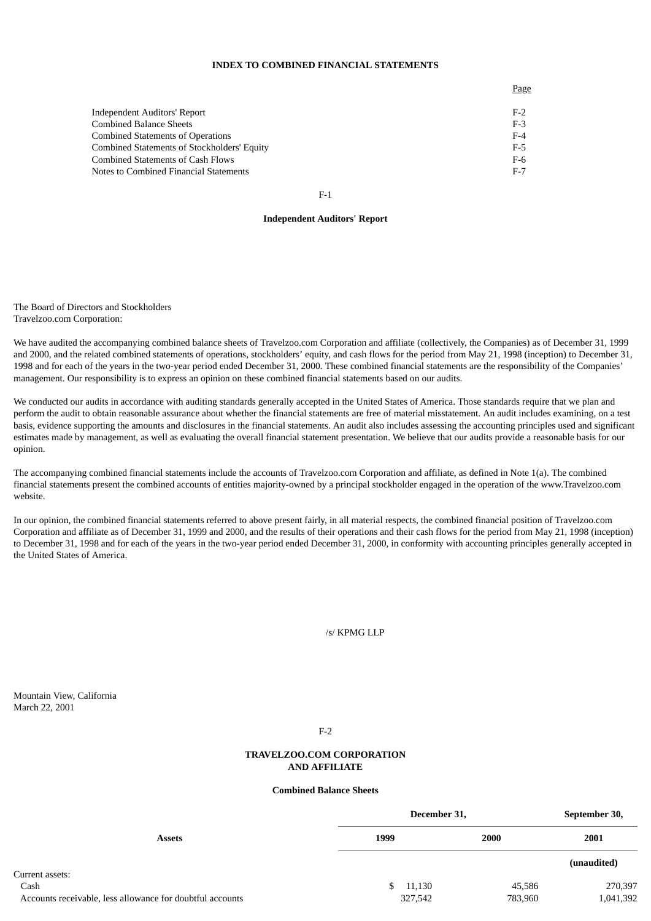### **INDEX TO COMBINED FINANCIAL STATEMENTS**

Page

| Independent Auditors' Report                | $F-2$ |
|---------------------------------------------|-------|
| Combined Balance Sheets                     | $F-3$ |
| Combined Statements of Operations           | $F-4$ |
| Combined Statements of Stockholders' Equity | $F-5$ |
| Combined Statements of Cash Flows           | F-6   |
| Notes to Combined Financial Statements      | $F-7$ |
|                                             |       |

F-1

#### **Independent Auditors' Report**

The Board of Directors and Stockholders Travelzoo.com Corporation:

We have audited the accompanying combined balance sheets of Travelzoo.com Corporation and affiliate (collectively, the Companies) as of December 31, 1999 and 2000, and the related combined statements of operations, stockholders' equity, and cash flows for the period from May 21, 1998 (inception) to December 31, 1998 and for each of the years in the two-year period ended December 31, 2000. These combined financial statements are the responsibility of the Companies' management. Our responsibility is to express an opinion on these combined financial statements based on our audits.

We conducted our audits in accordance with auditing standards generally accepted in the United States of America. Those standards require that we plan and perform the audit to obtain reasonable assurance about whether the financial statements are free of material misstatement. An audit includes examining, on a test basis, evidence supporting the amounts and disclosures in the financial statements. An audit also includes assessing the accounting principles used and significant estimates made by management, as well as evaluating the overall financial statement presentation. We believe that our audits provide a reasonable basis for our opinion.

The accompanying combined financial statements include the accounts of Travelzoo.com Corporation and affiliate, as defined in Note 1(a). The combined financial statements present the combined accounts of entities majority-owned by a principal stockholder engaged in the operation of the www.Travelzoo.com website.

In our opinion, the combined financial statements referred to above present fairly, in all material respects, the combined financial position of Travelzoo.com Corporation and affiliate as of December 31, 1999 and 2000, and the results of their operations and their cash flows for the period from May 21, 1998 (inception) to December 31, 1998 and for each of the years in the two-year period ended December 31, 2000, in conformity with accounting principles generally accepted in the United States of America.

### /s/ KPMG LLP

Mountain View, California March 22, 2001

F-2

### **TRAVELZOO.COM CORPORATION AND AFFILIATE**

### **Combined Balance Sheets**

|                                                           | December 31, |         |         | September 30, |
|-----------------------------------------------------------|--------------|---------|---------|---------------|
| <b>Assets</b>                                             | 1999         |         | 2000    | 2001          |
|                                                           |              |         |         | (unaudited)   |
| Current assets:                                           |              |         |         |               |
| Cash                                                      | S.           | 11,130  | 45,586  | 270,397       |
| Accounts receivable, less allowance for doubtful accounts |              | 327,542 | 783,960 | 1,041,392     |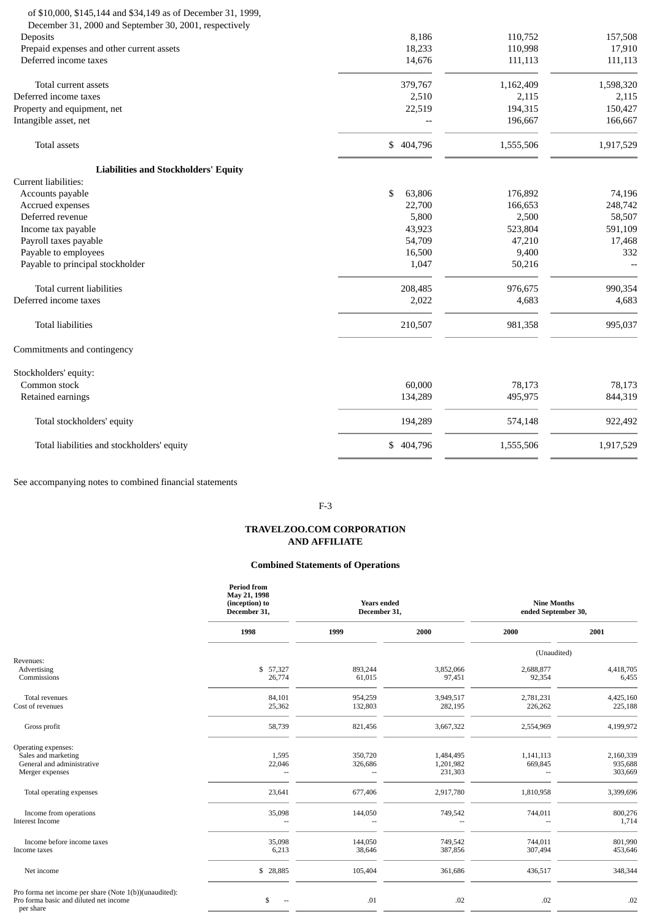#### of \$10,000, \$145,144 and \$34,149 as of December 31, 1999, December 31, 2000 and September 30, 2001, respectively

| December 31, 2000 and september 30, 2001, respectively |               |           |           |
|--------------------------------------------------------|---------------|-----------|-----------|
| Deposits                                               | 8,186         | 110,752   | 157,508   |
| Prepaid expenses and other current assets              | 18,233        | 110,998   | 17,910    |
| Deferred income taxes                                  | 14,676        | 111,113   | 111,113   |
| Total current assets                                   | 379,767       | 1,162,409 | 1,598,320 |
| Deferred income taxes                                  | 2,510         | 2,115     | 2,115     |
| Property and equipment, net                            | 22,519        | 194,315   | 150,427   |
| Intangible asset, net                                  |               | 196,667   | 166,667   |
| <b>Total assets</b>                                    | \$<br>404,796 | 1,555,506 | 1,917,529 |
| <b>Liabilities and Stockholders' Equity</b>            |               |           |           |
| Current liabilities:                                   |               |           |           |
| Accounts payable                                       | \$<br>63,806  | 176,892   | 74,196    |
| Accrued expenses                                       | 22,700        | 166,653   | 248,742   |
| Deferred revenue                                       | 5,800         | 2,500     | 58,507    |
| Income tax payable                                     | 43,923        | 523,804   | 591,109   |
| Payroll taxes payable                                  | 54,709        | 47,210    | 17,468    |
| Payable to employees                                   | 16,500        | 9,400     | 332       |
| Payable to principal stockholder                       | 1,047         | 50,216    |           |
| Total current liabilities                              | 208,485       | 976,675   | 990,354   |
| Deferred income taxes                                  | 2,022         | 4,683     | 4,683     |
| <b>Total liabilities</b>                               | 210,507       | 981,358   | 995,037   |
| Commitments and contingency                            |               |           |           |
| Stockholders' equity:                                  |               |           |           |
| Common stock                                           | 60,000        | 78,173    | 78,173    |
| Retained earnings                                      | 134,289       | 495,975   | 844,319   |
| Total stockholders' equity                             | 194,289       | 574,148   | 922,492   |
| Total liabilities and stockholders' equity             | \$404,796     | 1,555,506 | 1,917,529 |

See accompanying notes to combined financial statements

F-3

### **TRAVELZOO.COM CORPORATION AND AFFILIATE**

### **Combined Statements of Operations**

|                                                                                                               | <b>Period from</b><br>May 21, 1998<br>(inception) to<br>December 31, | <b>Years ended</b><br>December 31,   |                                   | <b>Nine Months</b><br>ended September 30, |                                 |
|---------------------------------------------------------------------------------------------------------------|----------------------------------------------------------------------|--------------------------------------|-----------------------------------|-------------------------------------------|---------------------------------|
|                                                                                                               | 1998                                                                 | 1999                                 | 2000                              | 2000                                      | 2001                            |
|                                                                                                               |                                                                      |                                      |                                   | (Unaudited)                               |                                 |
| Revenues:<br>Advertising<br>Commissions                                                                       | \$ 57,327<br>26,774                                                  | 893,244<br>61,015                    | 3,852,066<br>97,451               | 2,688,877<br>92,354                       | 4,418,705<br>6,455              |
| Total revenues<br>Cost of revenues                                                                            | 84,101<br>25,362                                                     | 954,259<br>132,803                   | 3,949,517<br>282,195              | 2,781,231<br>226,262                      | 4,425,160<br>225,188            |
| Gross profit                                                                                                  | 58,739                                                               | 821,456                              | 3,667,322                         | 2,554,969                                 | 4,199,972                       |
| Operating expenses:<br>Sales and marketing<br>General and administrative<br>Merger expenses                   | 1,595<br>22,046<br>$\sim$                                            | 350,720<br>326,686<br>$\overline{a}$ | 1,484,495<br>1,201,982<br>231,303 | 1,141,113<br>669,845<br>$\overline{a}$    | 2,160,339<br>935,688<br>303,669 |
| Total operating expenses                                                                                      | 23,641                                                               | 677,406                              | 2,917,780                         | 1,810,958                                 | 3,399,696                       |
| Income from operations<br><b>Interest Income</b>                                                              | 35,098                                                               | 144,050                              | 749,542                           | 744,011                                   | 800,276<br>1,714                |
| Income before income taxes<br>Income taxes                                                                    | 35,098<br>6,213                                                      | 144,050<br>38,646                    | 749,542<br>387,856                | 744,011<br>307,494                        | 801,990<br>453,646              |
| Net income                                                                                                    | \$28,885                                                             | 105,404                              | 361,686                           | 436,517                                   | 348,344                         |
| Pro forma net income per share (Note 1(b))(unaudited):<br>Pro forma basic and diluted net income<br>per share | \$                                                                   | .01                                  | .02                               | .02                                       | .02                             |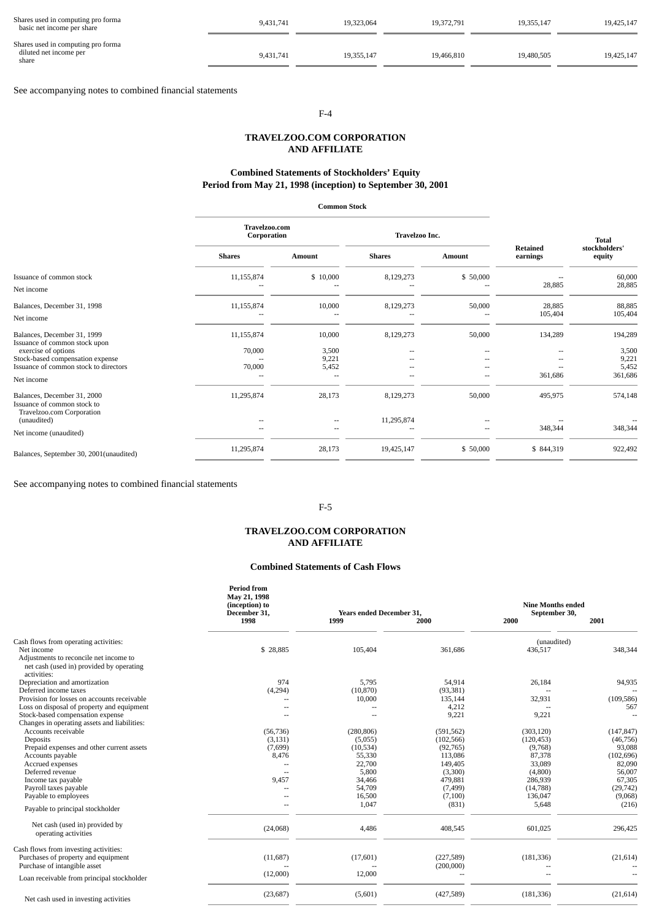| Shares used in computing pro forma<br>basic net income per share      | 9,431,741 | 19.323.064 | 19.372.791 | 19.355.147 | 19,425,147 |
|-----------------------------------------------------------------------|-----------|------------|------------|------------|------------|
| Shares used in computing pro forma<br>diluted net income per<br>share | 9,431,741 | 19.355.147 | 19,466,810 | 19,480,505 | 19.425.147 |

See accompanying notes to combined financial statements

## F-4

### **TRAVELZOO.COM CORPORATION AND AFFILIATE**

### **Combined Statements of Stockholders' Equity Period from May 21, 1998 (inception) to September 30, 2001**

|                                                                                         | Travelzoo.com<br>Corporation |                      | Travelzoo Inc. |               | <b>Retained</b>   | <b>Total</b><br>stockholders' |
|-----------------------------------------------------------------------------------------|------------------------------|----------------------|----------------|---------------|-------------------|-------------------------------|
|                                                                                         | <b>Shares</b>                | <b>Amount</b>        | <b>Shares</b>  | <b>Amount</b> | earnings          | equity                        |
| Issuance of common stock<br>Net income                                                  | 11,155,874                   | \$10,000             | 8,129,273      | \$50,000      | 28,885            | 60,000<br>28,885              |
| Balances, December 31, 1998<br>Net income                                               | 11,155,874                   | 10,000               | 8,129,273      | 50,000        | 28,885<br>105,404 | 88,885<br>105,404             |
| Balances, December 31, 1999<br>Issuance of common stock upon<br>exercise of options     | 11,155,874<br>70,000         | 10,000<br>3,500      | 8,129,273      | 50,000        | 134,289<br>--     | 194,289<br>3,500              |
| Stock-based compensation expense<br>Issuance of common stock to directors<br>Net income | 70,000                       | 9,221<br>5,452<br>-- |                |               | 361,686           | 9,221<br>5,452<br>361,686     |
| Balances, December 31, 2000<br>Issuance of common stock to<br>Travelzoo.com Corporation | 11,295,874                   | 28,173               | 8,129,273      | 50,000        | 495,975           | 574,148                       |
| (unaudited)<br>Net income (unaudited)                                                   | ٠.                           | --                   | 11,295,874     | --            | 348,344           | 348,344                       |
| Balances, September 30, 2001(unaudited)                                                 | 11,295,874                   | 28,173               | 19,425,147     | \$50,000      | \$844,319         | 922,492                       |

See accompanying notes to combined financial statements

### F-5

### **TRAVELZOO.COM CORPORATION AND AFFILIATE**

### **Combined Statements of Cash Flows**

|                                                                                                   | <b>Period from</b><br>May 21, 1998<br>(inception) to<br>December 31, | <b>Years ended December 31,</b> |            | <b>Nine Months ended</b><br>September 30, |            |
|---------------------------------------------------------------------------------------------------|----------------------------------------------------------------------|---------------------------------|------------|-------------------------------------------|------------|
|                                                                                                   | 1998                                                                 | 1999                            | 2000       | 2000                                      | 2001       |
| Cash flows from operating activities:                                                             |                                                                      |                                 |            | (unaudited)                               |            |
| Net income                                                                                        | \$ 28,885                                                            | 105,404                         | 361,686    | 436,517                                   | 348,344    |
| Adjustments to reconcile net income to<br>net cash (used in) provided by operating<br>activities: |                                                                      |                                 |            |                                           |            |
| Depreciation and amortization                                                                     | 974                                                                  | 5,795                           | 54,914     | 26,184                                    | 94,935     |
| Deferred income taxes                                                                             | (4,294)                                                              | (10, 870)                       | (93, 381)  |                                           |            |
| Provision for losses on accounts receivable                                                       |                                                                      | 10,000                          | 135,144    | 32,931                                    | (109, 586) |
| Loss on disposal of property and equipment                                                        |                                                                      | н.                              | 4,212      | $\overline{\phantom{a}}$                  | 567        |
| Stock-based compensation expense                                                                  |                                                                      | $\sim$                          | 9,221      | 9,221                                     |            |
| Changes in operating assets and liabilities:                                                      |                                                                      |                                 |            |                                           |            |
| Accounts receivable                                                                               | (56, 736)                                                            | (280, 806)                      | (591, 562) | (303, 120)                                | (147, 847) |
| Deposits                                                                                          | (3, 131)                                                             | (5,055)                         | (102, 566) | (120, 453)                                | (46, 756)  |
| Prepaid expenses and other current assets                                                         | (7,699)                                                              | (10,534)                        | (92,765)   | (9,768)                                   | 93,088     |
| Accounts payable                                                                                  | 8,476                                                                | 55,330                          | 113,086    | 87,378                                    | (102, 696) |
| Accrued expenses                                                                                  |                                                                      | 22,700                          | 149,405    | 33,089                                    | 82,090     |
| Deferred revenue                                                                                  | $\sim$                                                               | 5,800                           | (3,300)    | (4,800)                                   | 56,007     |
| Income tax payable                                                                                | 9,457                                                                | 34,466                          | 479,881    | 286,939                                   | 67,305     |
| Payroll taxes payable                                                                             |                                                                      | 54,709                          | (7, 499)   | (14,788)                                  | (29, 742)  |
| Payable to employees                                                                              |                                                                      | 16,500                          | (7,100)    | 136,047                                   | (9,068)    |
| Payable to principal stockholder                                                                  |                                                                      | 1,047                           | (831)      | 5,648                                     | (216)      |
| Net cash (used in) provided by<br>operating activities                                            | (24,068)                                                             | 4,486                           | 408,545    | 601,025                                   | 296,425    |
| Cash flows from investing activities:<br>Purchases of property and equipment                      | (11,687)                                                             | (17,601)                        | (227, 589) | (181, 336)                                | (21, 614)  |
| Purchase of intangible asset                                                                      |                                                                      | --                              | (200,000)  | --                                        |            |
| Loan receivable from principal stockholder                                                        | (12,000)                                                             | 12,000                          |            |                                           |            |
| Net cash used in investing activities                                                             | (23, 687)                                                            | (5,601)                         | (427,589)  | (181, 336)                                | (21, 614)  |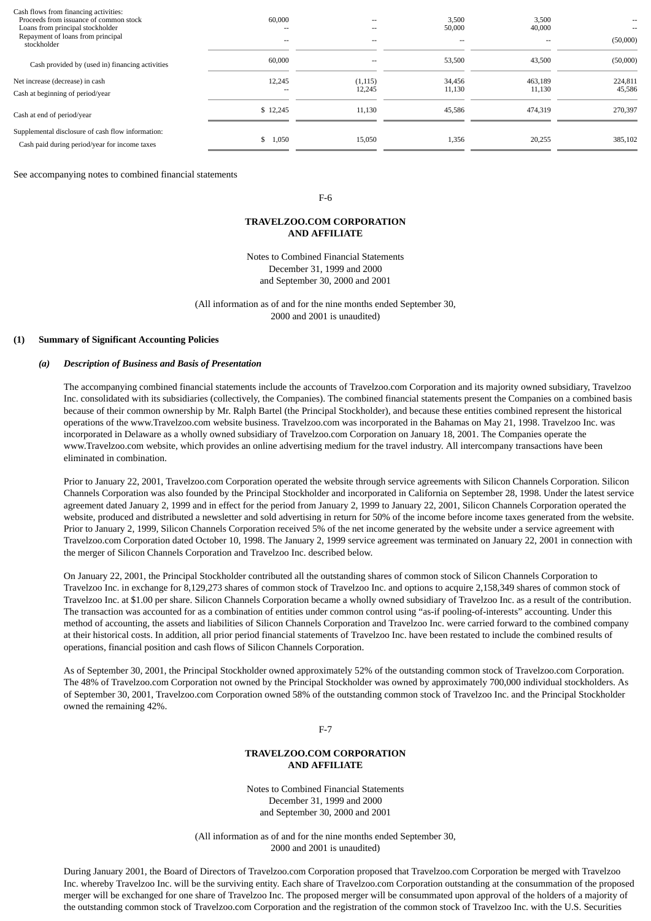| Cash flows from financing activities:<br>Proceeds from issuance of common stock<br>Loans from principal stockholder<br>Repayment of loans from principal<br>stockholder | 60,000<br>$\overline{\phantom{m}}$<br>$\overline{\phantom{a}}$ | $\sim$<br>$\sim$<br>$\sim$ | 3,500<br>50,000<br>$\overline{\phantom{a}}$ | 3,500<br>40,000<br>$\overline{\phantom{a}}$ | --<br>(50,000)    |
|-------------------------------------------------------------------------------------------------------------------------------------------------------------------------|----------------------------------------------------------------|----------------------------|---------------------------------------------|---------------------------------------------|-------------------|
| Cash provided by (used in) financing activities                                                                                                                         | 60,000                                                         | $\overline{\phantom{a}}$   | 53,500                                      | 43,500                                      | (50,000)          |
| Net increase (decrease) in cash<br>Cash at beginning of period/year                                                                                                     | 12,245<br>$\overline{\phantom{m}}$                             | (1, 115)<br>12,245         | 34,456<br>11,130                            | 463,189<br>11,130                           | 224,811<br>45,586 |
| Cash at end of period/year                                                                                                                                              | \$12,245                                                       | 11,130                     | 45,586                                      | 474,319                                     | 270,397           |
| Supplemental disclosure of cash flow information:<br>Cash paid during period/year for income taxes                                                                      | \$1,050                                                        | 15,050                     | 1,356                                       | 20,255                                      | 385,102           |

See accompanying notes to combined financial statements

#### F-6

### **TRAVELZOO.COM CORPORATION AND AFFILIATE**

Notes to Combined Financial Statements December 31, 1999 and 2000 and September 30, 2000 and 2001

(All information as of and for the nine months ended September 30, 2000 and 2001 is unaudited)

### **(1) Summary of Significant Accounting Policies**

### *(a) Description of Business and Basis of Presentation*

The accompanying combined financial statements include the accounts of Travelzoo.com Corporation and its majority owned subsidiary, Travelzoo Inc. consolidated with its subsidiaries (collectively, the Companies). The combined financial statements present the Companies on a combined basis because of their common ownership by Mr. Ralph Bartel (the Principal Stockholder), and because these entities combined represent the historical operations of the www.Travelzoo.com website business. Travelzoo.com was incorporated in the Bahamas on May 21, 1998. Travelzoo Inc. was incorporated in Delaware as a wholly owned subsidiary of Travelzoo.com Corporation on January 18, 2001. The Companies operate the www.Travelzoo.com website, which provides an online advertising medium for the travel industry. All intercompany transactions have been eliminated in combination.

Prior to January 22, 2001, Travelzoo.com Corporation operated the website through service agreements with Silicon Channels Corporation. Silicon Channels Corporation was also founded by the Principal Stockholder and incorporated in California on September 28, 1998. Under the latest service agreement dated January 2, 1999 and in effect for the period from January 2, 1999 to January 22, 2001, Silicon Channels Corporation operated the website, produced and distributed a newsletter and sold advertising in return for 50% of the income before income taxes generated from the website. Prior to January 2, 1999, Silicon Channels Corporation received 5% of the net income generated by the website under a service agreement with Travelzoo.com Corporation dated October 10, 1998. The January 2, 1999 service agreement was terminated on January 22, 2001 in connection with the merger of Silicon Channels Corporation and Travelzoo Inc. described below.

On January 22, 2001, the Principal Stockholder contributed all the outstanding shares of common stock of Silicon Channels Corporation to Travelzoo Inc. in exchange for 8,129,273 shares of common stock of Travelzoo Inc. and options to acquire 2,158,349 shares of common stock of Travelzoo Inc. at \$1.00 per share. Silicon Channels Corporation became a wholly owned subsidiary of Travelzoo Inc. as a result of the contribution. The transaction was accounted for as a combination of entities under common control using "as-if pooling-of-interests" accounting. Under this method of accounting, the assets and liabilities of Silicon Channels Corporation and Travelzoo Inc. were carried forward to the combined company at their historical costs. In addition, all prior period financial statements of Travelzoo Inc. have been restated to include the combined results of operations, financial position and cash flows of Silicon Channels Corporation.

As of September 30, 2001, the Principal Stockholder owned approximately 52% of the outstanding common stock of Travelzoo.com Corporation. The 48% of Travelzoo.com Corporation not owned by the Principal Stockholder was owned by approximately 700,000 individual stockholders. As of September 30, 2001, Travelzoo.com Corporation owned 58% of the outstanding common stock of Travelzoo Inc. and the Principal Stockholder owned the remaining 42%.

F-7

### **TRAVELZOO.COM CORPORATION AND AFFILIATE**

Notes to Combined Financial Statements December 31, 1999 and 2000 and September 30, 2000 and 2001

(All information as of and for the nine months ended September 30, 2000 and 2001 is unaudited)

During January 2001, the Board of Directors of Travelzoo.com Corporation proposed that Travelzoo.com Corporation be merged with Travelzoo Inc. whereby Travelzoo Inc. will be the surviving entity. Each share of Travelzoo.com Corporation outstanding at the consummation of the proposed merger will be exchanged for one share of Travelzoo Inc. The proposed merger will be consummated upon approval of the holders of a majority of the outstanding common stock of Travelzoo.com Corporation and the registration of the common stock of Travelzoo Inc. with the U.S. Securities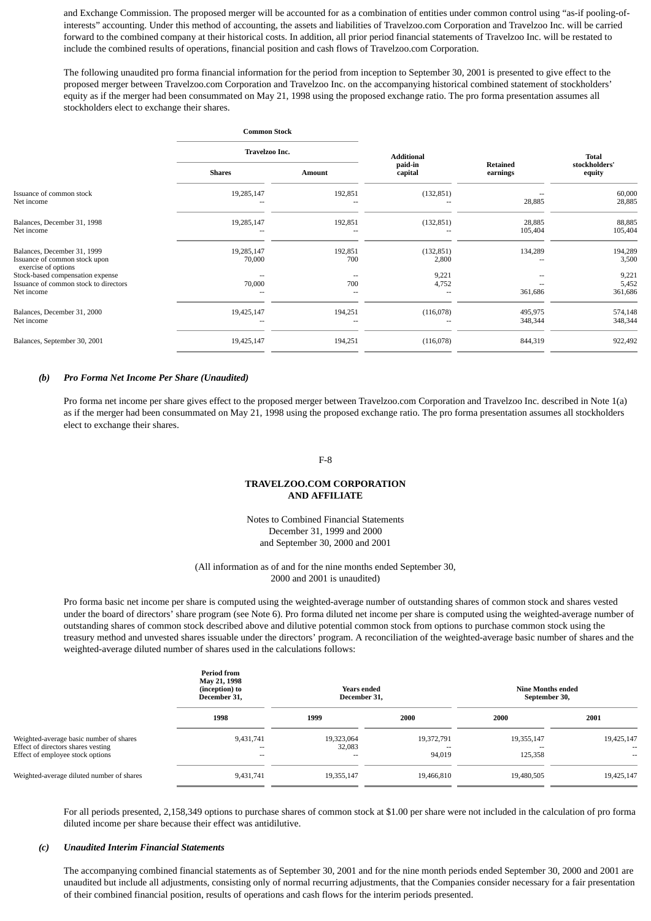and Exchange Commission. The proposed merger will be accounted for as a combination of entities under common control using "as-if pooling-ofinterests" accounting. Under this method of accounting, the assets and liabilities of Travelzoo.com Corporation and Travelzoo Inc. will be carried forward to the combined company at their historical costs. In addition, all prior period financial statements of Travelzoo Inc. will be restated to include the combined results of operations, financial position and cash flows of Travelzoo.com Corporation.

The following unaudited pro forma financial information for the period from inception to September 30, 2001 is presented to give effect to the proposed merger between Travelzoo.com Corporation and Travelzoo Inc. on the accompanying historical combined statement of stockholders' equity as if the merger had been consummated on May 21, 1998 using the proposed exchange ratio. The pro forma presentation assumes all stockholders elect to exchange their shares.

|                                                                                     |                      | <b>Common Stock</b><br>Travelzoo Inc. |                     |                             |                         |
|-------------------------------------------------------------------------------------|----------------------|---------------------------------------|---------------------|-----------------------------|-------------------------|
|                                                                                     |                      |                                       |                     |                             | <b>Total</b>            |
|                                                                                     | <b>Shares</b>        | Amount                                | paid-in<br>capital  | <b>Retained</b><br>earnings | stockholders'<br>equity |
| Issuance of common stock<br>Net income                                              | 19,285,147           | 192,851                               | (132, 851)          | 28,885                      | 60,000<br>28,885        |
| Balances, December 31, 1998<br>Net income                                           | 19,285,147           | 192,851                               | (132, 851)          | 28,885<br>105,404           | 88,885<br>105,404       |
| Balances, December 31, 1999<br>Issuance of common stock upon<br>exercise of options | 19,285,147<br>70,000 | 192,851<br>700                        | (132, 851)<br>2,800 | 134,289                     | 194,289<br>3,500        |
| Stock-based compensation expense                                                    |                      |                                       | 9,221               |                             | 9,221                   |
| Issuance of common stock to directors<br>Net income                                 | 70,000               | 700                                   | 4,752               | 361,686                     | 5,452<br>361,686        |
| Balances, December 31, 2000<br>Net income                                           | 19,425,147           | 194,251                               | (116,078)           | 495,975<br>348,344          | 574,148<br>348,344      |
| Balances, September 30, 2001                                                        | 19,425,147           | 194,251                               | (116,078)           | 844,319                     | 922,492                 |

#### *(b) Pro Forma Net Income Per Share (Unaudited)*

Pro forma net income per share gives effect to the proposed merger between Travelzoo.com Corporation and Travelzoo Inc. described in Note 1(a) as if the merger had been consummated on May 21, 1998 using the proposed exchange ratio. The pro forma presentation assumes all stockholders elect to exchange their shares.

#### F-8

### **TRAVELZOO.COM CORPORATION AND AFFILIATE**

Notes to Combined Financial Statements December 31, 1999 and 2000 and September 30, 2000 and 2001

(All information as of and for the nine months ended September 30, 2000 and 2001 is unaudited)

Pro forma basic net income per share is computed using the weighted-average number of outstanding shares of common stock and shares vested under the board of directors' share program (see Note 6). Pro forma diluted net income per share is computed using the weighted-average number of outstanding shares of common stock described above and dilutive potential common stock from options to purchase common stock using the treasury method and unvested shares issuable under the directors' program. A reconciliation of the weighted-average basic number of shares and the weighted-average diluted number of shares used in the calculations follows:

|                                                                                                                   | <b>Period from</b><br>May 21, 1998<br>(inception) to<br>December 31, | Years ended<br>December 31, |                            | Nine Months ended<br>September 30,                |                                              |
|-------------------------------------------------------------------------------------------------------------------|----------------------------------------------------------------------|-----------------------------|----------------------------|---------------------------------------------------|----------------------------------------------|
|                                                                                                                   | 1998                                                                 | 1999                        | 2000                       | 2000                                              | 2001                                         |
| Weighted-average basic number of shares<br>Effect of directors shares vesting<br>Effect of employee stock options | 9,431,741<br>$ -$<br>$- -$                                           | 19,323,064<br>32,083<br>--  | 19,372,791<br>--<br>94,019 | 19,355,147<br>$\overline{\phantom{a}}$<br>125,358 | 19,425,147<br>$\overline{\phantom{a}}$<br>-- |
| Weighted-average diluted number of shares                                                                         | 9,431,741                                                            | 19,355,147                  | 19,466,810                 | 19,480,505                                        | 19,425,147                                   |

For all periods presented, 2,158,349 options to purchase shares of common stock at \$1.00 per share were not included in the calculation of pro forma diluted income per share because their effect was antidilutive.

#### *(c) Unaudited Interim Financial Statements*

The accompanying combined financial statements as of September 30, 2001 and for the nine month periods ended September 30, 2000 and 2001 are unaudited but include all adjustments, consisting only of normal recurring adjustments, that the Companies consider necessary for a fair presentation of their combined financial position, results of operations and cash flows for the interim periods presented.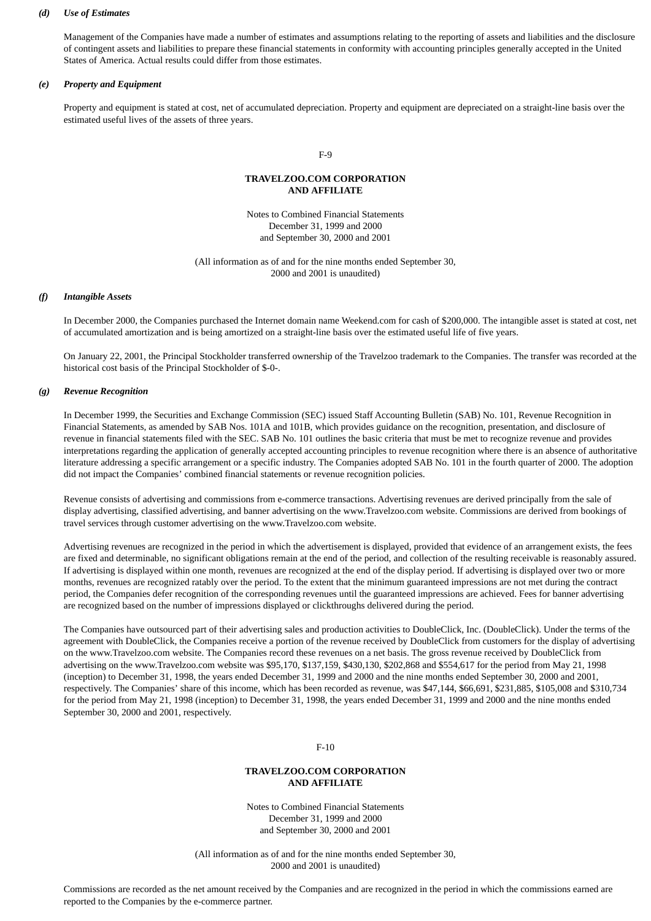### *(d) Use of Estimates*

Management of the Companies have made a number of estimates and assumptions relating to the reporting of assets and liabilities and the disclosure of contingent assets and liabilities to prepare these financial statements in conformity with accounting principles generally accepted in the United States of America. Actual results could differ from those estimates.

#### *(e) Property and Equipment*

Property and equipment is stated at cost, net of accumulated depreciation. Property and equipment are depreciated on a straight-line basis over the estimated useful lives of the assets of three years.

#### F-9

### **TRAVELZOO.COM CORPORATION AND AFFILIATE**

Notes to Combined Financial Statements December 31, 1999 and 2000 and September 30, 2000 and 2001

(All information as of and for the nine months ended September 30, 2000 and 2001 is unaudited)

#### *(f) Intangible Assets*

In December 2000, the Companies purchased the Internet domain name Weekend.com for cash of \$200,000. The intangible asset is stated at cost, net of accumulated amortization and is being amortized on a straight-line basis over the estimated useful life of five years.

On January 22, 2001, the Principal Stockholder transferred ownership of the Travelzoo trademark to the Companies. The transfer was recorded at the historical cost basis of the Principal Stockholder of \$-0-.

#### *(g) Revenue Recognition*

In December 1999, the Securities and Exchange Commission (SEC) issued Staff Accounting Bulletin (SAB) No. 101, Revenue Recognition in Financial Statements, as amended by SAB Nos. 101A and 101B, which provides guidance on the recognition, presentation, and disclosure of revenue in financial statements filed with the SEC. SAB No. 101 outlines the basic criteria that must be met to recognize revenue and provides interpretations regarding the application of generally accepted accounting principles to revenue recognition where there is an absence of authoritative literature addressing a specific arrangement or a specific industry. The Companies adopted SAB No. 101 in the fourth quarter of 2000. The adoption did not impact the Companies' combined financial statements or revenue recognition policies.

Revenue consists of advertising and commissions from e-commerce transactions. Advertising revenues are derived principally from the sale of display advertising, classified advertising, and banner advertising on the www.Travelzoo.com website. Commissions are derived from bookings of travel services through customer advertising on the www.Travelzoo.com website.

Advertising revenues are recognized in the period in which the advertisement is displayed, provided that evidence of an arrangement exists, the fees are fixed and determinable, no significant obligations remain at the end of the period, and collection of the resulting receivable is reasonably assured. If advertising is displayed within one month, revenues are recognized at the end of the display period. If advertising is displayed over two or more months, revenues are recognized ratably over the period. To the extent that the minimum guaranteed impressions are not met during the contract period, the Companies defer recognition of the corresponding revenues until the guaranteed impressions are achieved. Fees for banner advertising are recognized based on the number of impressions displayed or clickthroughs delivered during the period.

The Companies have outsourced part of their advertising sales and production activities to DoubleClick, Inc. (DoubleClick). Under the terms of the agreement with DoubleClick, the Companies receive a portion of the revenue received by DoubleClick from customers for the display of advertising on the www.Travelzoo.com website. The Companies record these revenues on a net basis. The gross revenue received by DoubleClick from advertising on the www.Travelzoo.com website was \$95,170, \$137,159, \$430,130, \$202,868 and \$554,617 for the period from May 21, 1998 (inception) to December 31, 1998, the years ended December 31, 1999 and 2000 and the nine months ended September 30, 2000 and 2001, respectively. The Companies' share of this income, which has been recorded as revenue, was \$47,144, \$66,691, \$231,885, \$105,008 and \$310,734 for the period from May 21, 1998 (inception) to December 31, 1998, the years ended December 31, 1999 and 2000 and the nine months ended September 30, 2000 and 2001, respectively.

F-10

### **TRAVELZOO.COM CORPORATION AND AFFILIATE**

Notes to Combined Financial Statements December 31, 1999 and 2000 and September 30, 2000 and 2001

(All information as of and for the nine months ended September 30, 2000 and 2001 is unaudited)

Commissions are recorded as the net amount received by the Companies and are recognized in the period in which the commissions earned are reported to the Companies by the e-commerce partner.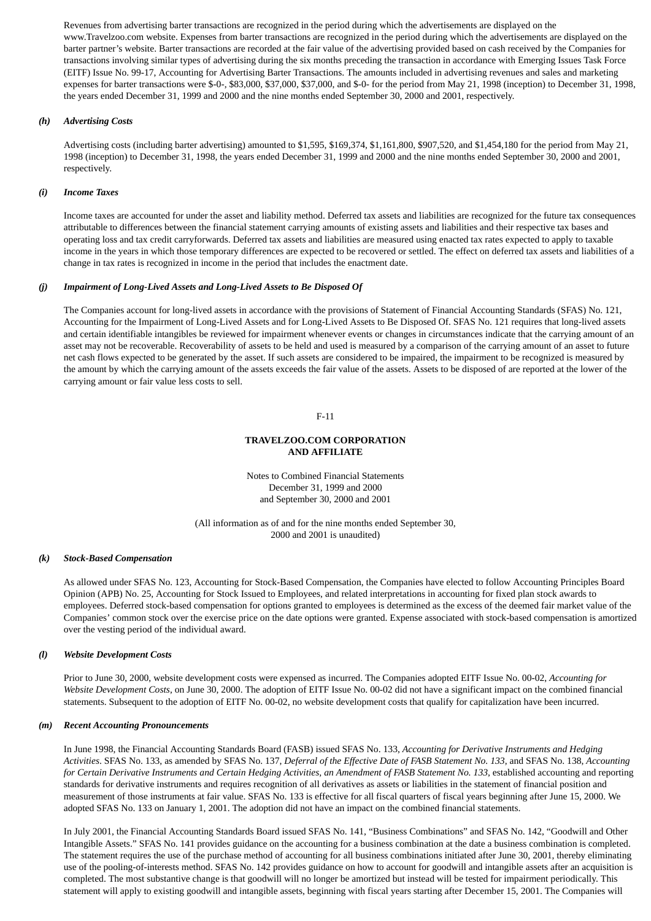Revenues from advertising barter transactions are recognized in the period during which the advertisements are displayed on the www.Travelzoo.com website. Expenses from barter transactions are recognized in the period during which the advertisements are displayed on the barter partner's website. Barter transactions are recorded at the fair value of the advertising provided based on cash received by the Companies for transactions involving similar types of advertising during the six months preceding the transaction in accordance with Emerging Issues Task Force (EITF) Issue No. 99-17, Accounting for Advertising Barter Transactions. The amounts included in advertising revenues and sales and marketing expenses for barter transactions were \$-0-, \$83,000, \$37,000, \$37,000, and \$-0- for the period from May 21, 1998 (inception) to December 31, 1998, the years ended December 31, 1999 and 2000 and the nine months ended September 30, 2000 and 2001, respectively.

### *(h) Advertising Costs*

Advertising costs (including barter advertising) amounted to \$1,595, \$169,374, \$1,161,800, \$907,520, and \$1,454,180 for the period from May 21, 1998 (inception) to December 31, 1998, the years ended December 31, 1999 and 2000 and the nine months ended September 30, 2000 and 2001, respectively.

### *(i) Income Taxes*

Income taxes are accounted for under the asset and liability method. Deferred tax assets and liabilities are recognized for the future tax consequences attributable to differences between the financial statement carrying amounts of existing assets and liabilities and their respective tax bases and operating loss and tax credit carryforwards. Deferred tax assets and liabilities are measured using enacted tax rates expected to apply to taxable income in the years in which those temporary differences are expected to be recovered or settled. The effect on deferred tax assets and liabilities of a change in tax rates is recognized in income in the period that includes the enactment date.

### *(j) Impairment of Long-Lived Assets and Long-Lived Assets to Be Disposed Of*

The Companies account for long-lived assets in accordance with the provisions of Statement of Financial Accounting Standards (SFAS) No. 121, Accounting for the Impairment of Long-Lived Assets and for Long-Lived Assets to Be Disposed Of. SFAS No. 121 requires that long-lived assets and certain identifiable intangibles be reviewed for impairment whenever events or changes in circumstances indicate that the carrying amount of an asset may not be recoverable. Recoverability of assets to be held and used is measured by a comparison of the carrying amount of an asset to future net cash flows expected to be generated by the asset. If such assets are considered to be impaired, the impairment to be recognized is measured by the amount by which the carrying amount of the assets exceeds the fair value of the assets. Assets to be disposed of are reported at the lower of the carrying amount or fair value less costs to sell.

F-11

### **TRAVELZOO.COM CORPORATION AND AFFILIATE**

Notes to Combined Financial Statements December 31, 1999 and 2000 and September 30, 2000 and 2001

(All information as of and for the nine months ended September 30, 2000 and 2001 is unaudited)

#### *(k) Stock-Based Compensation*

As allowed under SFAS No. 123, Accounting for Stock-Based Compensation, the Companies have elected to follow Accounting Principles Board Opinion (APB) No. 25, Accounting for Stock Issued to Employees, and related interpretations in accounting for fixed plan stock awards to employees. Deferred stock-based compensation for options granted to employees is determined as the excess of the deemed fair market value of the Companies' common stock over the exercise price on the date options were granted. Expense associated with stock-based compensation is amortized over the vesting period of the individual award.

#### *(l) Website Development Costs*

Prior to June 30, 2000, website development costs were expensed as incurred. The Companies adopted EITF Issue No. 00-02, *Accounting for Website Development Costs*, on June 30, 2000. The adoption of EITF Issue No. 00-02 did not have a significant impact on the combined financial statements. Subsequent to the adoption of EITF No. 00-02, no website development costs that qualify for capitalization have been incurred.

#### *(m) Recent Accounting Pronouncements*

In June 1998, the Financial Accounting Standards Board (FASB) issued SFAS No. 133, *Accounting for Derivative Instruments and Hedging Activities*. SFAS No. 133, as amended by SFAS No. 137, *Deferral of the Effective Date of FASB Statement No. 133*, and SFAS No. 138, *Accounting for Certain Derivative Instruments and Certain Hedging Activities, an Amendment of FASB Statement No. 133*, established accounting and reporting standards for derivative instruments and requires recognition of all derivatives as assets or liabilities in the statement of financial position and measurement of those instruments at fair value. SFAS No. 133 is effective for all fiscal quarters of fiscal years beginning after June 15, 2000. We adopted SFAS No. 133 on January 1, 2001. The adoption did not have an impact on the combined financial statements.

In July 2001, the Financial Accounting Standards Board issued SFAS No. 141, "Business Combinations" and SFAS No. 142, "Goodwill and Other Intangible Assets." SFAS No. 141 provides guidance on the accounting for a business combination at the date a business combination is completed. The statement requires the use of the purchase method of accounting for all business combinations initiated after June 30, 2001, thereby eliminating use of the pooling-of-interests method. SFAS No. 142 provides guidance on how to account for goodwill and intangible assets after an acquisition is completed. The most substantive change is that goodwill will no longer be amortized but instead will be tested for impairment periodically. This statement will apply to existing goodwill and intangible assets, beginning with fiscal years starting after December 15, 2001. The Companies will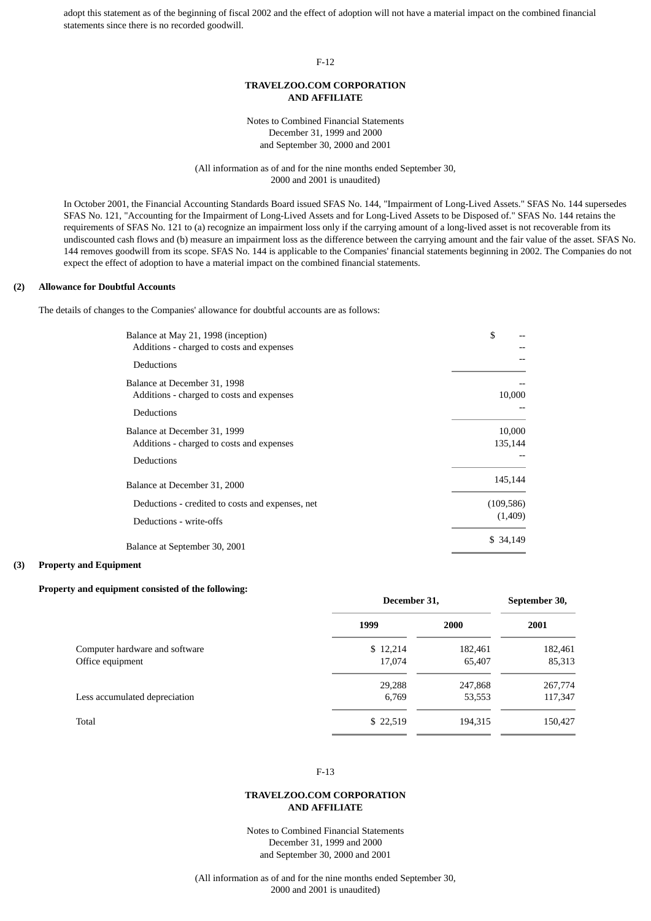adopt this statement as of the beginning of fiscal 2002 and the effect of adoption will not have a material impact on the combined financial statements since there is no recorded goodwill.

#### F-12

### **TRAVELZOO.COM CORPORATION AND AFFILIATE**

Notes to Combined Financial Statements December 31, 1999 and 2000 and September 30, 2000 and 2001

(All information as of and for the nine months ended September 30, 2000 and 2001 is unaudited)

In October 2001, the Financial Accounting Standards Board issued SFAS No. 144, "Impairment of Long-Lived Assets." SFAS No. 144 supersedes SFAS No. 121, "Accounting for the Impairment of Long-Lived Assets and for Long-Lived Assets to be Disposed of." SFAS No. 144 retains the requirements of SFAS No. 121 to (a) recognize an impairment loss only if the carrying amount of a long-lived asset is not recoverable from its undiscounted cash flows and (b) measure an impairment loss as the difference between the carrying amount and the fair value of the asset. SFAS No. 144 removes goodwill from its scope. SFAS No. 144 is applicable to the Companies' financial statements beginning in 2002. The Companies do not expect the effect of adoption to have a material impact on the combined financial statements.

### **(2) Allowance for Doubtful Accounts**

The details of changes to the Companies' allowance for doubtful accounts are as follows:

| Balance at May 21, 1998 (inception)<br>Additions - charged to costs and expenses | \$         |
|----------------------------------------------------------------------------------|------------|
| Deductions                                                                       |            |
| Balance at December 31, 1998<br>Additions - charged to costs and expenses        | 10,000     |
| Deductions                                                                       |            |
| Balance at December 31, 1999                                                     | 10,000     |
| Additions - charged to costs and expenses                                        | 135,144    |
| Deductions                                                                       |            |
| Balance at December 31, 2000                                                     | 145,144    |
| Deductions - credited to costs and expenses, net                                 | (109, 586) |
| Deductions - write-offs                                                          | (1,409)    |
| Balance at September 30, 2001                                                    | \$ 34,149  |

#### **(3) Property and Equipment**

#### **Property and equipment consisted of the following:**

|                                | December 31, |         |         |
|--------------------------------|--------------|---------|---------|
|                                | 1999         | 2000    | 2001    |
| Computer hardware and software | \$12,214     | 182,461 | 182,461 |
| Office equipment               | 17,074       | 65,407  | 85,313  |
|                                | 29,288       | 247,868 | 267,774 |
| Less accumulated depreciation  | 6,769        | 53,553  | 117,347 |
| Total                          | \$22,519     | 194,315 | 150,427 |

#### F-13

### **TRAVELZOO.COM CORPORATION AND AFFILIATE**

Notes to Combined Financial Statements December 31, 1999 and 2000 and September 30, 2000 and 2001

(All information as of and for the nine months ended September 30, 2000 and 2001 is unaudited)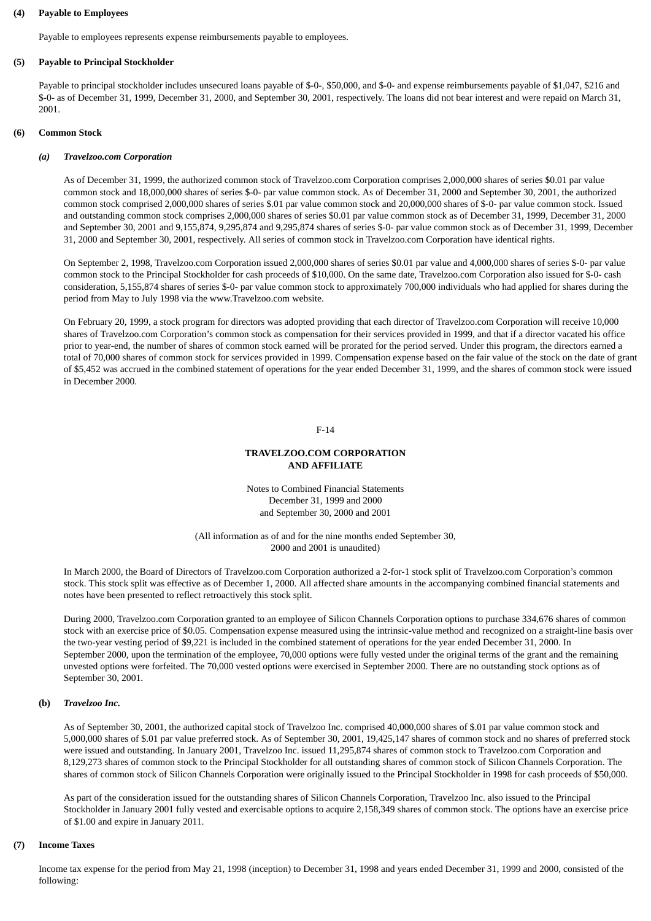#### **(4) Payable to Employees**

Payable to employees represents expense reimbursements payable to employees.

### **(5) Payable to Principal Stockholder**

Payable to principal stockholder includes unsecured loans payable of \$-0-, \$50,000, and \$-0- and expense reimbursements payable of \$1,047, \$216 and \$-0- as of December 31, 1999, December 31, 2000, and September 30, 2001, respectively. The loans did not bear interest and were repaid on March 31, 2001.

#### **(6) Common Stock**

#### *(a) Travelzoo.com Corporation*

As of December 31, 1999, the authorized common stock of Travelzoo.com Corporation comprises 2,000,000 shares of series \$0.01 par value common stock and 18,000,000 shares of series \$-0- par value common stock. As of December 31, 2000 and September 30, 2001, the authorized common stock comprised 2,000,000 shares of series \$.01 par value common stock and 20,000,000 shares of \$-0- par value common stock. Issued and outstanding common stock comprises 2,000,000 shares of series \$0.01 par value common stock as of December 31, 1999, December 31, 2000 and September 30, 2001 and 9,155,874, 9,295,874 and 9,295,874 shares of series \$-0- par value common stock as of December 31, 1999, December 31, 2000 and September 30, 2001, respectively. All series of common stock in Travelzoo.com Corporation have identical rights.

On September 2, 1998, Travelzoo.com Corporation issued 2,000,000 shares of series \$0.01 par value and 4,000,000 shares of series \$-0- par value common stock to the Principal Stockholder for cash proceeds of \$10,000. On the same date, Travelzoo.com Corporation also issued for \$-0- cash consideration, 5,155,874 shares of series \$-0- par value common stock to approximately 700,000 individuals who had applied for shares during the period from May to July 1998 via the www.Travelzoo.com website.

On February 20, 1999, a stock program for directors was adopted providing that each director of Travelzoo.com Corporation will receive 10,000 shares of Travelzoo.com Corporation's common stock as compensation for their services provided in 1999, and that if a director vacated his office prior to year-end, the number of shares of common stock earned will be prorated for the period served. Under this program, the directors earned a total of 70,000 shares of common stock for services provided in 1999. Compensation expense based on the fair value of the stock on the date of grant of \$5,452 was accrued in the combined statement of operations for the year ended December 31, 1999, and the shares of common stock were issued in December 2000.

#### F-14

### **TRAVELZOO.COM CORPORATION AND AFFILIATE**

Notes to Combined Financial Statements December 31, 1999 and 2000 and September 30, 2000 and 2001

(All information as of and for the nine months ended September 30, 2000 and 2001 is unaudited)

In March 2000, the Board of Directors of Travelzoo.com Corporation authorized a 2-for-1 stock split of Travelzoo.com Corporation's common stock. This stock split was effective as of December 1, 2000. All affected share amounts in the accompanying combined financial statements and notes have been presented to reflect retroactively this stock split.

During 2000, Travelzoo.com Corporation granted to an employee of Silicon Channels Corporation options to purchase 334,676 shares of common stock with an exercise price of \$0.05. Compensation expense measured using the intrinsic-value method and recognized on a straight-line basis over the two-year vesting period of \$9,221 is included in the combined statement of operations for the year ended December 31, 2000. In September 2000, upon the termination of the employee, 70,000 options were fully vested under the original terms of the grant and the remaining unvested options were forfeited. The 70,000 vested options were exercised in September 2000. There are no outstanding stock options as of September 30, 2001.

#### **(b)** *Travelzoo Inc.*

As of September 30, 2001, the authorized capital stock of Travelzoo Inc. comprised 40,000,000 shares of \$.01 par value common stock and 5,000,000 shares of \$.01 par value preferred stock. As of September 30, 2001, 19,425,147 shares of common stock and no shares of preferred stock were issued and outstanding. In January 2001, Travelzoo Inc. issued 11,295,874 shares of common stock to Travelzoo.com Corporation and 8,129,273 shares of common stock to the Principal Stockholder for all outstanding shares of common stock of Silicon Channels Corporation. The shares of common stock of Silicon Channels Corporation were originally issued to the Principal Stockholder in 1998 for cash proceeds of \$50,000.

As part of the consideration issued for the outstanding shares of Silicon Channels Corporation, Travelzoo Inc. also issued to the Principal Stockholder in January 2001 fully vested and exercisable options to acquire 2,158,349 shares of common stock. The options have an exercise price of \$1.00 and expire in January 2011.

### **(7) Income Taxes**

Income tax expense for the period from May 21, 1998 (inception) to December 31, 1998 and years ended December 31, 1999 and 2000, consisted of the following: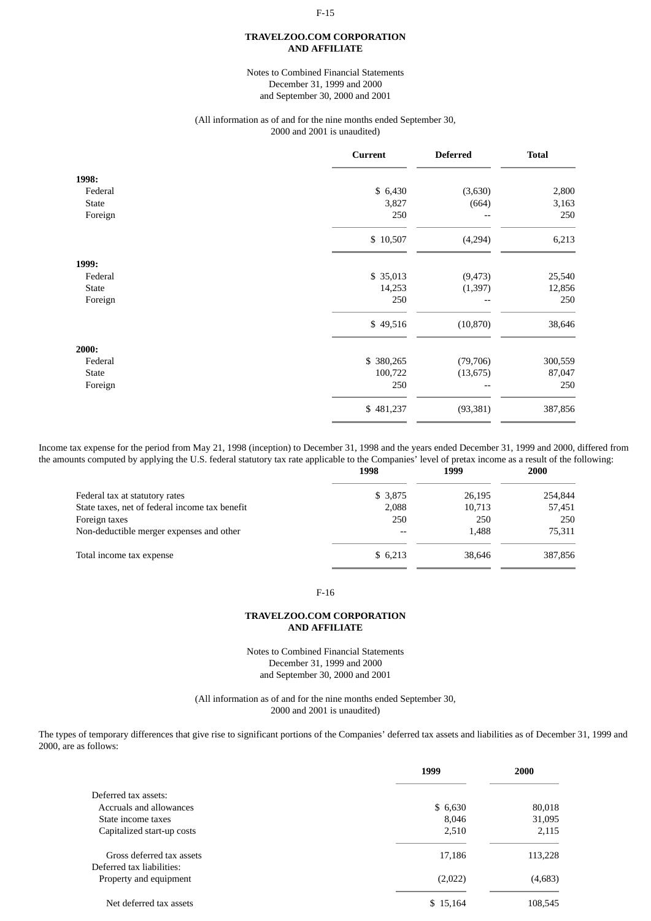# F-15 **TRAVELZOO.COM CORPORATION**

# **AND AFFILIATE**

### Notes to Combined Financial Statements December 31, 1999 and 2000 and September 30, 2000 and 2001

#### (All information as of and for the nine months ended September 30, 2000 and 2001 is unaudited)

|         | <b>Current</b> | <b>Deferred</b> | <b>Total</b> |
|---------|----------------|-----------------|--------------|
| 1998:   |                |                 |              |
| Federal | \$ 6,430       | (3,630)         | 2,800        |
| State   | 3,827          | (664)           | 3,163        |
| Foreign | 250            |                 | 250          |
|         | \$10,507       | (4,294)         | 6,213        |
| 1999:   |                |                 |              |
| Federal | \$ 35,013      | (9, 473)        | 25,540       |
| State   | 14,253         | (1, 397)        | 12,856       |
| Foreign | 250            | --              | 250          |
|         | \$49,516       | (10, 870)       | 38,646       |
| 2000:   |                |                 |              |
| Federal | \$ 380,265     | (79, 706)       | 300,559      |
| State   | 100,722        | (13, 675)       | 87,047       |
| Foreign | 250            | --              | 250          |
|         | \$481,237      | (93, 381)       | 387,856      |

Income tax expense for the period from May 21, 1998 (inception) to December 31, 1998 and the years ended December 31, 1999 and 2000, differed from the amounts computed by applying the U.S. federal statutory tax rate applicable to the Companies' level of pretax income as a result of the following:<br>1998 1999

|                                                | 1998    | 1999   | 2000    |
|------------------------------------------------|---------|--------|---------|
| Federal tax at statutory rates                 | \$3,875 | 26,195 | 254,844 |
| State taxes, net of federal income tax benefit | 2,088   | 10,713 | 57,451  |
| Foreign taxes                                  | 250     | 250    | 250     |
| Non-deductible merger expenses and other       |         | 1.488  | 75,311  |
| Total income tax expense                       | \$6,213 | 38.646 | 387,856 |

### F-16

### **TRAVELZOO.COM CORPORATION AND AFFILIATE**

Notes to Combined Financial Statements December 31, 1999 and 2000 and September 30, 2000 and 2001

(All information as of and for the nine months ended September 30, 2000 and 2001 is unaudited)

The types of temporary differences that give rise to significant portions of the Companies' deferred tax assets and liabilities as of December 31, 1999 and 2000, are as follows:

|                                                        | 1999     | 2000    |
|--------------------------------------------------------|----------|---------|
| Deferred tax assets:                                   |          |         |
| Accruals and allowances                                | \$ 6,630 | 80,018  |
| State income taxes                                     | 8,046    | 31,095  |
| Capitalized start-up costs                             | 2,510    | 2,115   |
| Gross deferred tax assets<br>Deferred tax liabilities: | 17,186   | 113,228 |
| Property and equipment                                 | (2,022)  | (4,683) |
| Net deferred tax assets                                | \$15,164 | 108,545 |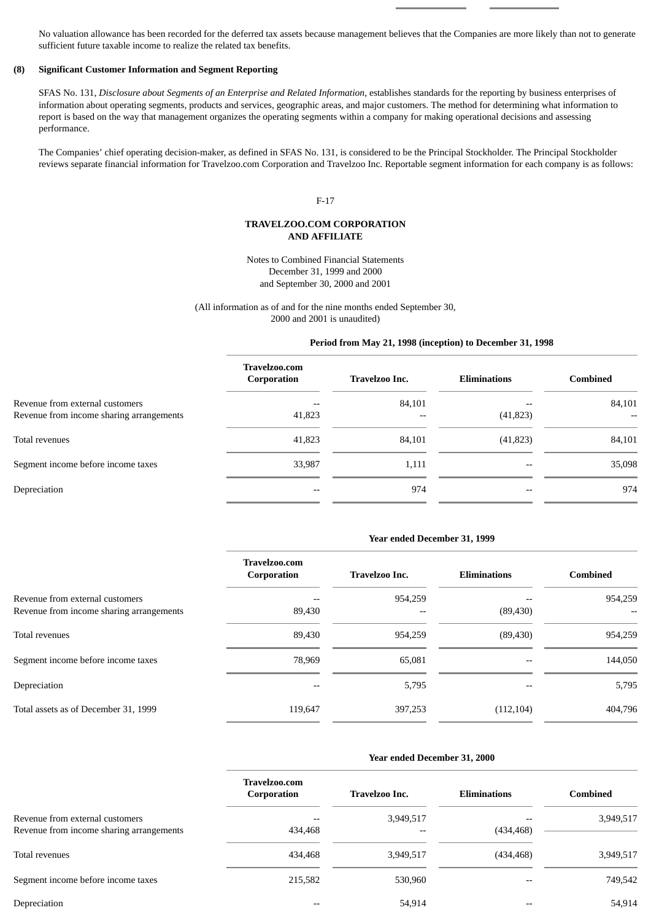No valuation allowance has been recorded for the deferred tax assets because management believes that the Companies are more likely than not to generate sufficient future taxable income to realize the related tax benefits.

### **(8) Significant Customer Information and Segment Reporting**

SFAS No. 131, *Disclosure about Segments of an Enterprise and Related Information*, establishes standards for the reporting by business enterprises of information about operating segments, products and services, geographic areas, and major customers. The method for determining what information to report is based on the way that management organizes the operating segments within a company for making operational decisions and assessing performance.

The Companies' chief operating decision-maker, as defined in SFAS No. 131, is considered to be the Principal Stockholder. The Principal Stockholder reviews separate financial information for Travelzoo.com Corporation and Travelzoo Inc. Reportable segment information for each company is as follows:

### F-17

### **TRAVELZOO.COM CORPORATION AND AFFILIATE**

Notes to Combined Financial Statements December 31, 1999 and 2000 and September 30, 2000 and 2001

(All information as of and for the nine months ended September 30, 2000 and 2001 is unaudited)

### **Period from May 21, 1998 (inception) to December 31, 1998**

|                                          | <b>Travelzoo.com</b><br>Corporation | Travelzoo Inc. | <b>Eliminations</b> | Combined |
|------------------------------------------|-------------------------------------|----------------|---------------------|----------|
| Revenue from external customers          |                                     | 84,101         |                     | 84,101   |
| Revenue from income sharing arrangements | 41,823                              | $-$            | (41, 823)           |          |
| Total revenues                           | 41,823                              | 84,101         | (41, 823)           | 84,101   |
| Segment income before income taxes       | 33,987                              | 1,111          | --                  | 35,098   |
| Depreciation                             | --                                  | 974            | $- -$               | 974      |

#### **Year ended December 31, 1999**

|                                                                             | Travelzoo.com<br>Corporation | <b>Travelzoo Inc.</b> | <b>Eliminations</b> | <b>Combined</b> |
|-----------------------------------------------------------------------------|------------------------------|-----------------------|---------------------|-----------------|
| Revenue from external customers<br>Revenue from income sharing arrangements | 89,430                       | 954,259               | (89, 430)           | 954,259         |
| Total revenues                                                              | 89,430                       | 954,259               | (89, 430)           | 954,259         |
| Segment income before income taxes                                          | 78,969                       | 65.081                |                     | 144,050         |
| Depreciation                                                                | --                           | 5,795                 |                     | 5,795           |
| Total assets as of December 31, 1999                                        | 119,647                      | 397,253               | (112, 104)          | 404,796         |

### **Year ended December 31, 2000**

|                                          | <b>Travelzoo.com</b><br>Corporation | <b>Travelzoo Inc.</b> | <b>Eliminations</b> | <b>Combined</b> |
|------------------------------------------|-------------------------------------|-----------------------|---------------------|-----------------|
| Revenue from external customers          |                                     | 3,949,517             | $- -$               | 3,949,517       |
| Revenue from income sharing arrangements | 434,468                             |                       | (434, 468)          |                 |
| Total revenues                           | 434,468                             | 3,949,517             | (434, 468)          | 3,949,517       |
| Segment income before income taxes       | 215,582                             | 530,960               | $- -$               | 749,542         |
| Depreciation                             | --                                  | 54,914                | $- -$               | 54,914          |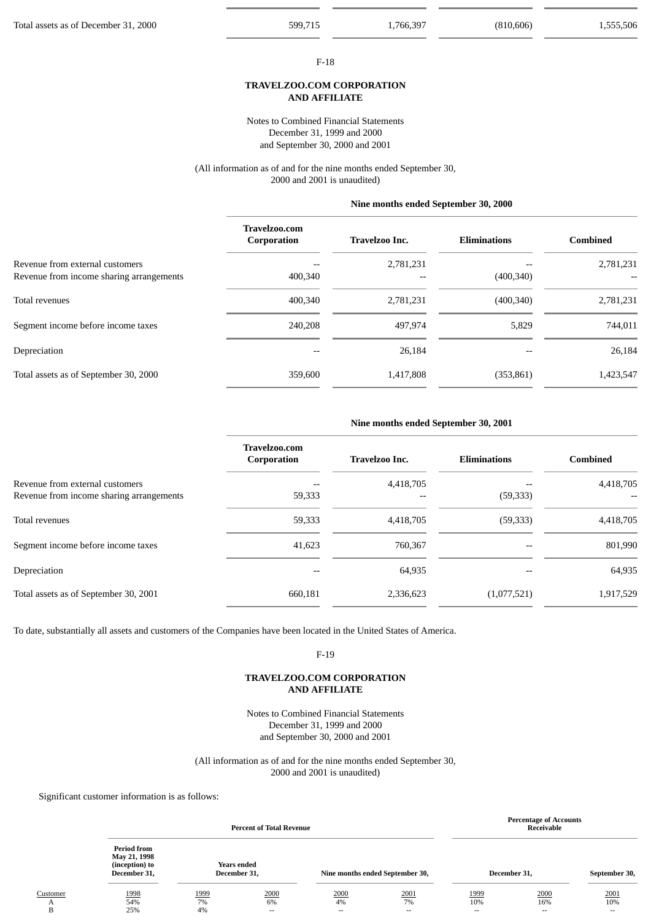#### F-18

### **TRAVELZOO.COM CORPORATION AND AFFILIATE**

Notes to Combined Financial Statements December 31, 1999 and 2000 and September 30, 2000 and 2001

(All information as of and for the nine months ended September 30, 2000 and 2001 is unaudited)

### **Nine months ended September 30, 2000**

|                                                                             | <b>Travelzoo.com</b><br>Corporation | Travelzoo Inc. | <b>Eliminations</b> | <b>Combined</b> |
|-----------------------------------------------------------------------------|-------------------------------------|----------------|---------------------|-----------------|
| Revenue from external customers<br>Revenue from income sharing arrangements | 400,340                             | 2,781,231      | (400, 340)          | 2,781,231       |
| Total revenues                                                              | 400,340                             | 2,781,231      | (400, 340)          | 2,781,231       |
| Segment income before income taxes                                          | 240,208                             | 497.974        | 5,829               | 744.011         |
| Depreciation                                                                | $- -$                               | 26,184         |                     | 26,184          |
| Total assets as of September 30, 2000                                       | 359,600                             | 1,417,808      | (353, 861)          | 1,423,547       |

### **Nine months ended September 30, 2001**

|                                          | Travelzoo.com<br>Corporation | Travelzoo Inc. | <b>Eliminations</b> | <b>Combined</b> |
|------------------------------------------|------------------------------|----------------|---------------------|-----------------|
| Revenue from external customers          |                              | 4,418,705      |                     | 4,418,705       |
| Revenue from income sharing arrangements | 59,333                       |                | (59, 333)           |                 |
| Total revenues                           | 59,333                       | 4,418,705      | (59, 333)           | 4,418,705       |
| Segment income before income taxes       | 41,623                       | 760,367        |                     | 801,990         |
| Depreciation                             |                              | 64,935         |                     | 64,935          |
| Total assets as of September 30, 2001    | 660,181                      | 2,336,623      | (1,077,521)         | 1,917,529       |

To date, substantially all assets and customers of the Companies have been located in the United States of America.

F-19

### **TRAVELZOO.COM CORPORATION AND AFFILIATE**

Notes to Combined Financial Statements December 31, 1999 and 2000 and September 30, 2000 and 2001

(All information as of and for the nine months ended September 30, 2000 and 2001 is unaudited)

Significant customer information is as follows:

|                    | <b>Percent of Total Revenue</b>                                      |                  |                             |                                        |                      |                     | <b>Percentage of Accounts</b><br>Receivable |                      |
|--------------------|----------------------------------------------------------------------|------------------|-----------------------------|----------------------------------------|----------------------|---------------------|---------------------------------------------|----------------------|
|                    | <b>Period from</b><br>May 21, 1998<br>(inception) to<br>December 31, |                  | Years ended<br>December 31, | Nine months ended September 30,        |                      |                     | December 31,                                | September 30,        |
| Customer<br>A<br>B | 1998<br>54%<br>25%                                                   | 1999<br>7%<br>4% | 2000<br>6%<br>$- -$         | 2000<br>4%<br>$\overline{\phantom{a}}$ | 2001<br>7%<br>$\sim$ | 1999<br>10%<br>$ -$ | 2000<br>16%<br>$\sim$                       | 2001<br>10%<br>$- -$ |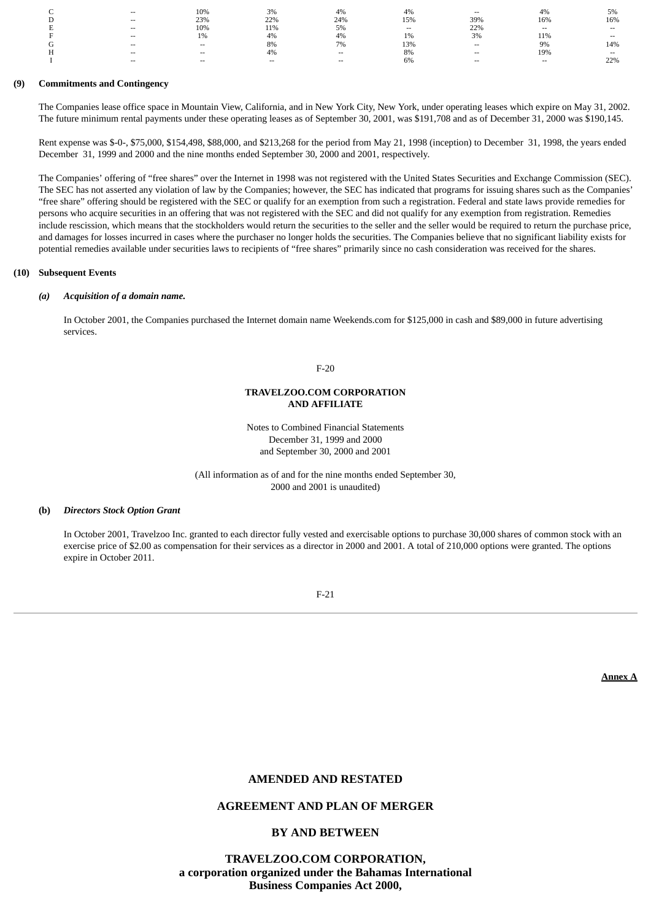| ∽<br>◡          | $\overline{\phantom{a}}$ | 10%                      | 3%    | 4%    | $4\%$ | $- -$  | 4%                       | 5%     |
|-----------------|--------------------------|--------------------------|-------|-------|-------|--------|--------------------------|--------|
| D               | $- -$                    | 23%                      | 22%   | 24%   | 15%   | 39%    | 16%                      | 16%    |
|                 | $- -$                    | 10%                      | 11%   | 5%    | $-$   | 22%    | $\overline{\phantom{a}}$ | $-$    |
|                 | $\sim$                   | 1%                       | 4%    | 4%    | 1%    | 3%     | 11%                      | $- -$  |
| $\sqrt{2}$<br>U | $- -$                    | $\overline{\phantom{a}}$ | 8%    | 7%    | 13%   | $\sim$ | 9%                       | 14%    |
| н               | $- -$                    | $\overline{\phantom{a}}$ | 4%    | $- -$ | 8%    | $-$    | 19%                      | $\sim$ |
|                 | $- -$                    | $\overline{\phantom{a}}$ | $- -$ | --    | 6%    | $-$    | $\overline{\phantom{a}}$ | 22%    |

### **(9) Commitments and Contingency**

The Companies lease office space in Mountain View, California, and in New York City, New York, under operating leases which expire on May 31, 2002. The future minimum rental payments under these operating leases as of September 30, 2001, was \$191,708 and as of December 31, 2000 was \$190,145.

Rent expense was \$-0-, \$75,000, \$154,498, \$88,000, and \$213,268 for the period from May 21, 1998 (inception) to December 31, 1998, the years ended December 31, 1999 and 2000 and the nine months ended September 30, 2000 and 2001, respectively.

The Companies' offering of "free shares" over the Internet in 1998 was not registered with the United States Securities and Exchange Commission (SEC). The SEC has not asserted any violation of law by the Companies; however, the SEC has indicated that programs for issuing shares such as the Companies' "free share" offering should be registered with the SEC or qualify for an exemption from such a registration. Federal and state laws provide remedies for persons who acquire securities in an offering that was not registered with the SEC and did not qualify for any exemption from registration. Remedies include rescission, which means that the stockholders would return the securities to the seller and the seller would be required to return the purchase price, and damages for losses incurred in cases where the purchaser no longer holds the securities. The Companies believe that no significant liability exists for potential remedies available under securities laws to recipients of "free shares" primarily since no cash consideration was received for the shares.

#### **(10) Subsequent Events**

### *(a) Acquisition of a domain name.*

In October 2001, the Companies purchased the Internet domain name Weekends.com for \$125,000 in cash and \$89,000 in future advertising services.

F-20

### **TRAVELZOO.COM CORPORATION AND AFFILIATE**

Notes to Combined Financial Statements December 31, 1999 and 2000 and September 30, 2000 and 2001

(All information as of and for the nine months ended September 30, 2000 and 2001 is unaudited)

### **(b)** *Directors Stock Option Grant*

In October 2001, Travelzoo Inc. granted to each director fully vested and exercisable options to purchase 30,000 shares of common stock with an exercise price of \$2.00 as compensation for their services as a director in 2000 and 2001. A total of 210,000 options were granted. The options expire in October 2011.

F-21

**Annex A**

### **AMENDED AND RESTATED**

### **AGREEMENT AND PLAN OF MERGER**

## **BY AND BETWEEN**

**TRAVELZOO.COM CORPORATION, a corporation organized under the Bahamas International Business Companies Act 2000,**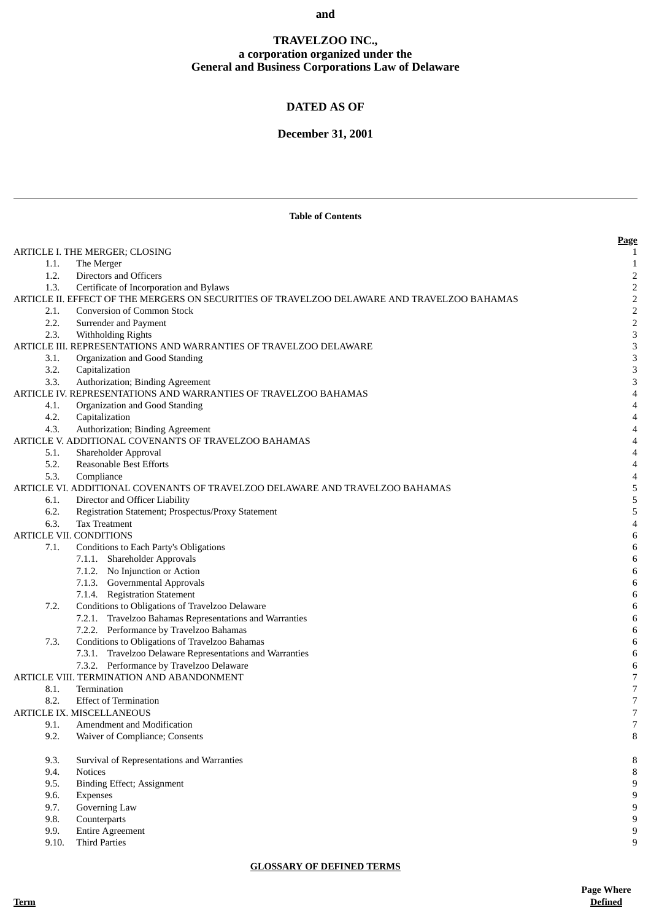### **and**

# **TRAVELZOO INC., a corporation organized under the General and Business Corporations Law of Delaware**

# **DATED AS OF**

# **December 31, 2001**

|              | <b>Table of Contents</b>                                                                    |                          |
|--------------|---------------------------------------------------------------------------------------------|--------------------------|
|              |                                                                                             | Page                     |
|              | ARTICLE I. THE MERGER; CLOSING                                                              | 1                        |
| 1.1.         | The Merger                                                                                  | $\mathbf{1}$             |
| 1.2.         | Directors and Officers                                                                      | $\overline{2}$           |
| 1.3.         | Certificate of Incorporation and Bylaws                                                     | $\mathbf 2$              |
|              | ARTICLE II. EFFECT OF THE MERGERS ON SECURITIES OF TRAVELZOO DELAWARE AND TRAVELZOO BAHAMAS | $\sqrt{2}$               |
| 2.1.         | <b>Conversion of Common Stock</b>                                                           | 2                        |
| 2.2.         | Surrender and Payment                                                                       | $\overline{2}$           |
| 2.3.         | Withholding Rights                                                                          | 3                        |
|              | ARTICLE III. REPRESENTATIONS AND WARRANTIES OF TRAVELZOO DELAWARE                           | 3                        |
| 3.1.         | Organization and Good Standing                                                              | 3                        |
| 3.2.         | Capitalization                                                                              | 3                        |
| 3.3.         | Authorization; Binding Agreement                                                            | 3                        |
|              | ARTICLE IV. REPRESENTATIONS AND WARRANTIES OF TRAVELZOO BAHAMAS                             | 4                        |
| 4.1.         | Organization and Good Standing                                                              | 4                        |
| 4.2.         | Capitalization                                                                              | 4                        |
| 4.3.         | Authorization; Binding Agreement<br>ARTICLE V. ADDITIONAL COVENANTS OF TRAVELZOO BAHAMAS    | 4                        |
|              |                                                                                             | 4                        |
| 5.1.<br>5.2. | Shareholder Approval<br>Reasonable Best Efforts                                             | 4<br>4                   |
| 5.3.         | Compliance                                                                                  | 4                        |
|              | ARTICLE VI. ADDITIONAL COVENANTS OF TRAVELZOO DELAWARE AND TRAVELZOO BAHAMAS                | 5                        |
| 6.1.         | Director and Officer Liability                                                              | 5                        |
| 6.2.         | Registration Statement; Prospectus/Proxy Statement                                          | 5                        |
| 6.3.         | <b>Tax Treatment</b>                                                                        | 4                        |
|              | <b>ARTICLE VII. CONDITIONS</b>                                                              | 6                        |
| 7.1.         | Conditions to Each Party's Obligations                                                      | $\,6\,$                  |
|              | 7.1.1. Shareholder Approvals                                                                | 6                        |
|              | 7.1.2. No Injunction or Action                                                              | $\,6\,$                  |
|              | 7.1.3. Governmental Approvals                                                               | 6                        |
|              | 7.1.4. Registration Statement                                                               | 6                        |
| 7.2.         | Conditions to Obligations of Travelzoo Delaware                                             | $\,6\,$                  |
|              | 7.2.1. Travelzoo Bahamas Representations and Warranties                                     | 6                        |
|              | 7.2.2. Performance by Travelzoo Bahamas                                                     | 6                        |
| 7.3.         | Conditions to Obligations of Travelzoo Bahamas                                              | 6                        |
|              | 7.3.1. Travelzoo Delaware Representations and Warranties                                    | 6                        |
|              | 7.3.2. Performance by Travelzoo Delaware                                                    | 6                        |
|              | ARTICLE VIII. TERMINATION AND ABANDONMENT                                                   | 7                        |
| 8.1.         | Termination                                                                                 | 7                        |
| 8.2.         | <b>Effect of Termination</b>                                                                | $\boldsymbol{7}$         |
|              | ARTICLE IX. MISCELLANEOUS                                                                   | $\overline{\phantom{a}}$ |
| 9.1.         | Amendment and Modification                                                                  | 7                        |
| 9.2.         | Waiver of Compliance; Consents                                                              | 8                        |
| 9.3.         | Survival of Representations and Warranties                                                  | 8                        |
| 9.4.         | <b>Notices</b>                                                                              | 8                        |
| 9.5.         | <b>Binding Effect; Assignment</b>                                                           | 9                        |
| 9.6.         | Expenses                                                                                    | 9                        |
| 9.7.         | Governing Law                                                                               | $\boldsymbol{9}$         |
| 9.8.         | Counterparts                                                                                | 9                        |
| 9.9.         | <b>Entire Agreement</b>                                                                     | 9                        |
| 9.10.        | <b>Third Parties</b>                                                                        | 9                        |

### **GLOSSARY OF DEFINED TERMS**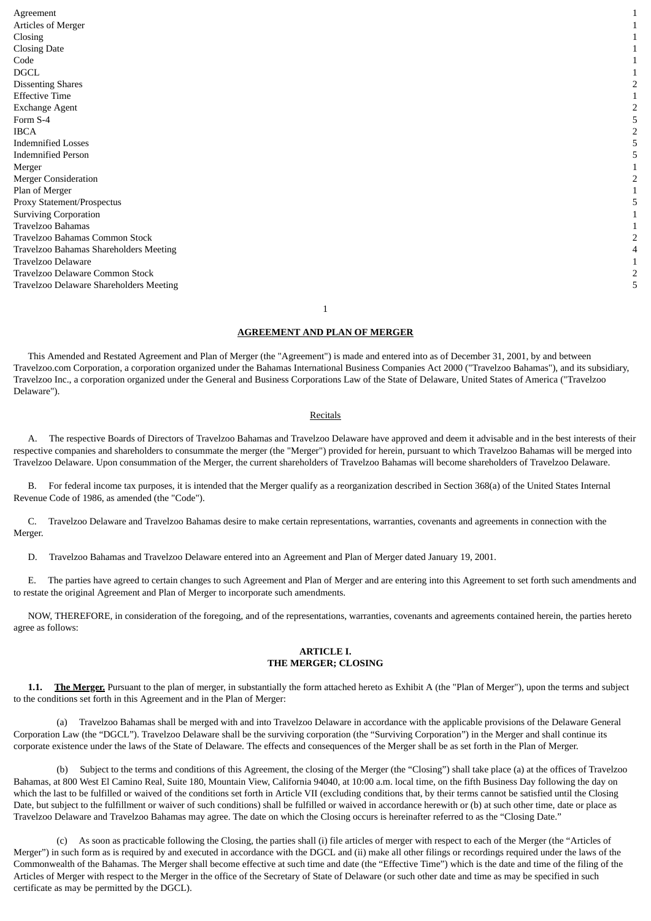Agreement 1 Articles of Merger 1  $\Box$ Closing Date 1  $\Box$  Code  $\Box$  1  $DGCL$  and the contract of  $\sim$  1 Dissenting Shares 2 Effective Time 1 Exchange Agent 2 Form  $S-4$  5 IBCA 2 Indemnified Losses 5 Indemnified Person 5 Merger and the contract of the contract of the contract of the contract of the contract of the contract of the contract of the contract of the contract of the contract of the contract of the contract of the contract of the Merger Consideration 2 Plan of Merger 2008 and 2008 and 2008 and 2008 and 2008 and 2008 and 2008 and 2008 and 2008 and 2008 and 2008  $\pm 1$ Proxy Statement/Prospectus 5 Surviving Corporation 1 Travelzoo Bahamas 1 Travelzoo Bahamas Common Stock 2 Travelzoo Bahamas Shareholders Meeting 4 Travelzoo Delaware 1 Travelzoo Delaware Common Stock 2 Travelzoo Delaware Shareholders Meeting 5

1

### **AGREEMENT AND PLAN OF MERGER**

 This Amended and Restated Agreement and Plan of Merger (the "Agreement") is made and entered into as of December 31, 2001, by and between Travelzoo.com Corporation, a corporation organized under the Bahamas International Business Companies Act 2000 ("Travelzoo Bahamas"), and its subsidiary, Travelzoo Inc., a corporation organized under the General and Business Corporations Law of the State of Delaware, United States of America ("Travelzoo Delaware").

### Recitals

The respective Boards of Directors of Travelzoo Bahamas and Travelzoo Delaware have approved and deem it advisable and in the best interests of their respective companies and shareholders to consummate the merger (the "Merger") provided for herein, pursuant to which Travelzoo Bahamas will be merged into Travelzoo Delaware. Upon consummation of the Merger, the current shareholders of Travelzoo Bahamas will become shareholders of Travelzoo Delaware.

 B. For federal income tax purposes, it is intended that the Merger qualify as a reorganization described in Section 368(a) of the United States Internal Revenue Code of 1986, as amended (the "Code").

 C. Travelzoo Delaware and Travelzoo Bahamas desire to make certain representations, warranties, covenants and agreements in connection with the Merger.

D. Travelzoo Bahamas and Travelzoo Delaware entered into an Agreement and Plan of Merger dated January 19, 2001.

 E. The parties have agreed to certain changes to such Agreement and Plan of Merger and are entering into this Agreement to set forth such amendments and to restate the original Agreement and Plan of Merger to incorporate such amendments.

 NOW, THEREFORE, in consideration of the foregoing, and of the representations, warranties, covenants and agreements contained herein, the parties hereto agree as follows:

### **ARTICLE I. THE MERGER; CLOSING**

1.1. The Merger. Pursuant to the plan of merger, in substantially the form attached hereto as Exhibit A (the "Plan of Merger"), upon the terms and subject to the conditions set forth in this Agreement and in the Plan of Merger:

 (a) Travelzoo Bahamas shall be merged with and into Travelzoo Delaware in accordance with the applicable provisions of the Delaware General Corporation Law (the "DGCL"). Travelzoo Delaware shall be the surviving corporation (the "Surviving Corporation") in the Merger and shall continue its corporate existence under the laws of the State of Delaware. The effects and consequences of the Merger shall be as set forth in the Plan of Merger.

 (b) Subject to the terms and conditions of this Agreement, the closing of the Merger (the "Closing") shall take place (a) at the offices of Travelzoo Bahamas, at 800 West El Camino Real, Suite 180, Mountain View, California 94040, at 10:00 a.m. local time, on the fifth Business Day following the day on which the last to be fulfilled or waived of the conditions set forth in Article VII (excluding conditions that, by their terms cannot be satisfied until the Closing Date, but subject to the fulfillment or waiver of such conditions) shall be fulfilled or waived in accordance herewith or (b) at such other time, date or place as Travelzoo Delaware and Travelzoo Bahamas may agree. The date on which the Closing occurs is hereinafter referred to as the "Closing Date."

 (c) As soon as practicable following the Closing, the parties shall (i) file articles of merger with respect to each of the Merger (the "Articles of Merger") in such form as is required by and executed in accordance with the DGCL and (ii) make all other filings or recordings required under the laws of the Commonwealth of the Bahamas. The Merger shall become effective at such time and date (the "Effective Time") which is the date and time of the filing of the Articles of Merger with respect to the Merger in the office of the Secretary of State of Delaware (or such other date and time as may be specified in such certificate as may be permitted by the DGCL).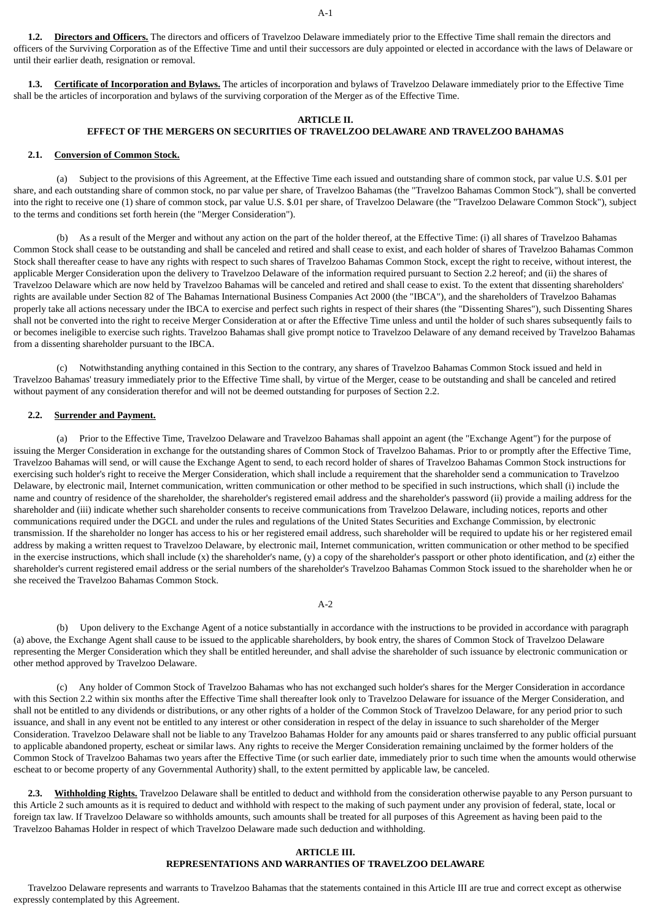**1.2. Directors and Officers.** The directors and officers of Travelzoo Delaware immediately prior to the Effective Time shall remain the directors and officers of the Surviving Corporation as of the Effective Time and until their successors are duly appointed or elected in accordance with the laws of Delaware or until their earlier death, resignation or removal.

 **1.3. Certificate of Incorporation and Bylaws.** The articles of incorporation and bylaws of Travelzoo Delaware immediately prior to the Effective Time shall be the articles of incorporation and bylaws of the surviving corporation of the Merger as of the Effective Time.

### **ARTICLE II.**

### **EFFECT OF THE MERGERS ON SECURITIES OF TRAVELZOO DELAWARE AND TRAVELZOO BAHAMAS**

#### **2.1. Conversion of Common Stock.**

 (a) Subject to the provisions of this Agreement, at the Effective Time each issued and outstanding share of common stock, par value U.S. \$.01 per share, and each outstanding share of common stock, no par value per share, of Travelzoo Bahamas (the "Travelzoo Bahamas Common Stock"), shall be converted into the right to receive one (1) share of common stock, par value U.S. \$.01 per share, of Travelzoo Delaware (the "Travelzoo Delaware Common Stock"), subject to the terms and conditions set forth herein (the "Merger Consideration").

 (b) As a result of the Merger and without any action on the part of the holder thereof, at the Effective Time: (i) all shares of Travelzoo Bahamas Common Stock shall cease to be outstanding and shall be canceled and retired and shall cease to exist, and each holder of shares of Travelzoo Bahamas Common Stock shall thereafter cease to have any rights with respect to such shares of Travelzoo Bahamas Common Stock, except the right to receive, without interest, the applicable Merger Consideration upon the delivery to Travelzoo Delaware of the information required pursuant to Section 2.2 hereof; and (ii) the shares of Travelzoo Delaware which are now held by Travelzoo Bahamas will be canceled and retired and shall cease to exist. To the extent that dissenting shareholders' rights are available under Section 82 of The Bahamas International Business Companies Act 2000 (the "IBCA"), and the shareholders of Travelzoo Bahamas properly take all actions necessary under the IBCA to exercise and perfect such rights in respect of their shares (the "Dissenting Shares"), such Dissenting Shares shall not be converted into the right to receive Merger Consideration at or after the Effective Time unless and until the holder of such shares subsequently fails to or becomes ineligible to exercise such rights. Travelzoo Bahamas shall give prompt notice to Travelzoo Delaware of any demand received by Travelzoo Bahamas from a dissenting shareholder pursuant to the IBCA.

 (c) Notwithstanding anything contained in this Section to the contrary, any shares of Travelzoo Bahamas Common Stock issued and held in Travelzoo Bahamas' treasury immediately prior to the Effective Time shall, by virtue of the Merger, cease to be outstanding and shall be canceled and retired without payment of any consideration therefor and will not be deemed outstanding for purposes of Section 2.2.

### **2.2. Surrender and Payment.**

 (a) Prior to the Effective Time, Travelzoo Delaware and Travelzoo Bahamas shall appoint an agent (the "Exchange Agent") for the purpose of issuing the Merger Consideration in exchange for the outstanding shares of Common Stock of Travelzoo Bahamas. Prior to or promptly after the Effective Time, Travelzoo Bahamas will send, or will cause the Exchange Agent to send, to each record holder of shares of Travelzoo Bahamas Common Stock instructions for exercising such holder's right to receive the Merger Consideration, which shall include a requirement that the shareholder send a communication to Travelzoo Delaware, by electronic mail, Internet communication, written communication or other method to be specified in such instructions, which shall (i) include the name and country of residence of the shareholder, the shareholder's registered email address and the shareholder's password (ii) provide a mailing address for the shareholder and (iii) indicate whether such shareholder consents to receive communications from Travelzoo Delaware, including notices, reports and other communications required under the DGCL and under the rules and regulations of the United States Securities and Exchange Commission, by electronic transmission. If the shareholder no longer has access to his or her registered email address, such shareholder will be required to update his or her registered email address by making a written request to Travelzoo Delaware, by electronic mail, Internet communication, written communication or other method to be specified in the exercise instructions, which shall include (x) the shareholder's name, (y) a copy of the shareholder's passport or other photo identification, and (z) either the shareholder's current registered email address or the serial numbers of the shareholder's Travelzoo Bahamas Common Stock issued to the shareholder when he or she received the Travelzoo Bahamas Common Stock.

### A-2

 (b) Upon delivery to the Exchange Agent of a notice substantially in accordance with the instructions to be provided in accordance with paragraph (a) above, the Exchange Agent shall cause to be issued to the applicable shareholders, by book entry, the shares of Common Stock of Travelzoo Delaware representing the Merger Consideration which they shall be entitled hereunder, and shall advise the shareholder of such issuance by electronic communication or other method approved by Travelzoo Delaware.

 (c) Any holder of Common Stock of Travelzoo Bahamas who has not exchanged such holder's shares for the Merger Consideration in accordance with this Section 2.2 within six months after the Effective Time shall thereafter look only to Travelzoo Delaware for issuance of the Merger Consideration, and shall not be entitled to any dividends or distributions, or any other rights of a holder of the Common Stock of Travelzoo Delaware, for any period prior to such issuance, and shall in any event not be entitled to any interest or other consideration in respect of the delay in issuance to such shareholder of the Merger Consideration. Travelzoo Delaware shall not be liable to any Travelzoo Bahamas Holder for any amounts paid or shares transferred to any public official pursuant to applicable abandoned property, escheat or similar laws. Any rights to receive the Merger Consideration remaining unclaimed by the former holders of the Common Stock of Travelzoo Bahamas two years after the Effective Time (or such earlier date, immediately prior to such time when the amounts would otherwise escheat to or become property of any Governmental Authority) shall, to the extent permitted by applicable law, be canceled.

 **2.3. Withholding Rights.** Travelzoo Delaware shall be entitled to deduct and withhold from the consideration otherwise payable to any Person pursuant to this Article 2 such amounts as it is required to deduct and withhold with respect to the making of such payment under any provision of federal, state, local or foreign tax law. If Travelzoo Delaware so withholds amounts, such amounts shall be treated for all purposes of this Agreement as having been paid to the Travelzoo Bahamas Holder in respect of which Travelzoo Delaware made such deduction and withholding.

### **ARTICLE III. REPRESENTATIONS AND WARRANTIES OF TRAVELZOO DELAWARE**

 Travelzoo Delaware represents and warrants to Travelzoo Bahamas that the statements contained in this Article III are true and correct except as otherwise expressly contemplated by this Agreement.

#### A-1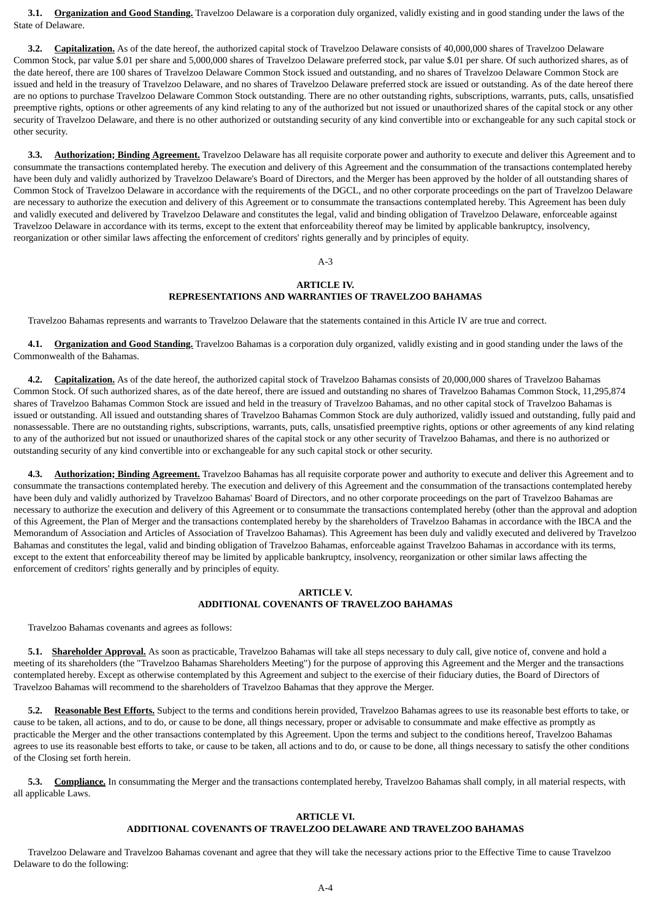**3.1. Organization and Good Standing.** Travelzoo Delaware is a corporation duly organized, validly existing and in good standing under the laws of the State of Delaware.

 **3.2. Capitalization.** As of the date hereof, the authorized capital stock of Travelzoo Delaware consists of 40,000,000 shares of Travelzoo Delaware Common Stock, par value \$.01 per share and 5,000,000 shares of Travelzoo Delaware preferred stock, par value \$.01 per share. Of such authorized shares, as of the date hereof, there are 100 shares of Travelzoo Delaware Common Stock issued and outstanding, and no shares of Travelzoo Delaware Common Stock are issued and held in the treasury of Travelzoo Delaware, and no shares of Travelzoo Delaware preferred stock are issued or outstanding. As of the date hereof there are no options to purchase Travelzoo Delaware Common Stock outstanding. There are no other outstanding rights, subscriptions, warrants, puts, calls, unsatisfied preemptive rights, options or other agreements of any kind relating to any of the authorized but not issued or unauthorized shares of the capital stock or any other security of Travelzoo Delaware, and there is no other authorized or outstanding security of any kind convertible into or exchangeable for any such capital stock or other security.

 **3.3. Authorization; Binding Agreement.** Travelzoo Delaware has all requisite corporate power and authority to execute and deliver this Agreement and to consummate the transactions contemplated hereby. The execution and delivery of this Agreement and the consummation of the transactions contemplated hereby have been duly and validly authorized by Travelzoo Delaware's Board of Directors, and the Merger has been approved by the holder of all outstanding shares of Common Stock of Travelzoo Delaware in accordance with the requirements of the DGCL, and no other corporate proceedings on the part of Travelzoo Delaware are necessary to authorize the execution and delivery of this Agreement or to consummate the transactions contemplated hereby. This Agreement has been duly and validly executed and delivered by Travelzoo Delaware and constitutes the legal, valid and binding obligation of Travelzoo Delaware, enforceable against Travelzoo Delaware in accordance with its terms, except to the extent that enforceability thereof may be limited by applicable bankruptcy, insolvency, reorganization or other similar laws affecting the enforcement of creditors' rights generally and by principles of equity.

 $\Delta - 3$ 

### **ARTICLE IV. REPRESENTATIONS AND WARRANTIES OF TRAVELZOO BAHAMAS**

Travelzoo Bahamas represents and warrants to Travelzoo Delaware that the statements contained in this Article IV are true and correct.

 **4.1. Organization and Good Standing.** Travelzoo Bahamas is a corporation duly organized, validly existing and in good standing under the laws of the Commonwealth of the Bahamas.

 **4.2. Capitalization.** As of the date hereof, the authorized capital stock of Travelzoo Bahamas consists of 20,000,000 shares of Travelzoo Bahamas Common Stock. Of such authorized shares, as of the date hereof, there are issued and outstanding no shares of Travelzoo Bahamas Common Stock, 11,295,874 shares of Travelzoo Bahamas Common Stock are issued and held in the treasury of Travelzoo Bahamas, and no other capital stock of Travelzoo Bahamas is issued or outstanding. All issued and outstanding shares of Travelzoo Bahamas Common Stock are duly authorized, validly issued and outstanding, fully paid and nonassessable. There are no outstanding rights, subscriptions, warrants, puts, calls, unsatisfied preemptive rights, options or other agreements of any kind relating to any of the authorized but not issued or unauthorized shares of the capital stock or any other security of Travelzoo Bahamas, and there is no authorized or outstanding security of any kind convertible into or exchangeable for any such capital stock or other security.

 **4.3. Authorization; Binding Agreement.** Travelzoo Bahamas has all requisite corporate power and authority to execute and deliver this Agreement and to consummate the transactions contemplated hereby. The execution and delivery of this Agreement and the consummation of the transactions contemplated hereby have been duly and validly authorized by Travelzoo Bahamas' Board of Directors, and no other corporate proceedings on the part of Travelzoo Bahamas are necessary to authorize the execution and delivery of this Agreement or to consummate the transactions contemplated hereby (other than the approval and adoption of this Agreement, the Plan of Merger and the transactions contemplated hereby by the shareholders of Travelzoo Bahamas in accordance with the IBCA and the Memorandum of Association and Articles of Association of Travelzoo Bahamas). This Agreement has been duly and validly executed and delivered by Travelzoo Bahamas and constitutes the legal, valid and binding obligation of Travelzoo Bahamas, enforceable against Travelzoo Bahamas in accordance with its terms, except to the extent that enforceability thereof may be limited by applicable bankruptcy, insolvency, reorganization or other similar laws affecting the enforcement of creditors' rights generally and by principles of equity.

### **ARTICLE V. ADDITIONAL COVENANTS OF TRAVELZOO BAHAMAS**

Travelzoo Bahamas covenants and agrees as follows:

5.1. Shareholder Approval. As soon as practicable, Travelzoo Bahamas will take all steps necessary to duly call, give notice of, convene and hold a meeting of its shareholders (the "Travelzoo Bahamas Shareholders Meeting") for the purpose of approving this Agreement and the Merger and the transactions contemplated hereby. Except as otherwise contemplated by this Agreement and subject to the exercise of their fiduciary duties, the Board of Directors of Travelzoo Bahamas will recommend to the shareholders of Travelzoo Bahamas that they approve the Merger.

 **5.2. Reasonable Best Efforts.** Subject to the terms and conditions herein provided, Travelzoo Bahamas agrees to use its reasonable best efforts to take, or cause to be taken, all actions, and to do, or cause to be done, all things necessary, proper or advisable to consummate and make effective as promptly as practicable the Merger and the other transactions contemplated by this Agreement. Upon the terms and subject to the conditions hereof, Travelzoo Bahamas agrees to use its reasonable best efforts to take, or cause to be taken, all actions and to do, or cause to be done, all things necessary to satisfy the other conditions of the Closing set forth herein.

 **5.3. Compliance.** In consummating the Merger and the transactions contemplated hereby, Travelzoo Bahamas shall comply, in all material respects, with all applicable Laws.

#### **ARTICLE VI.**

#### **ADDITIONAL COVENANTS OF TRAVELZOO DELAWARE AND TRAVELZOO BAHAMAS**

 Travelzoo Delaware and Travelzoo Bahamas covenant and agree that they will take the necessary actions prior to the Effective Time to cause Travelzoo Delaware to do the following: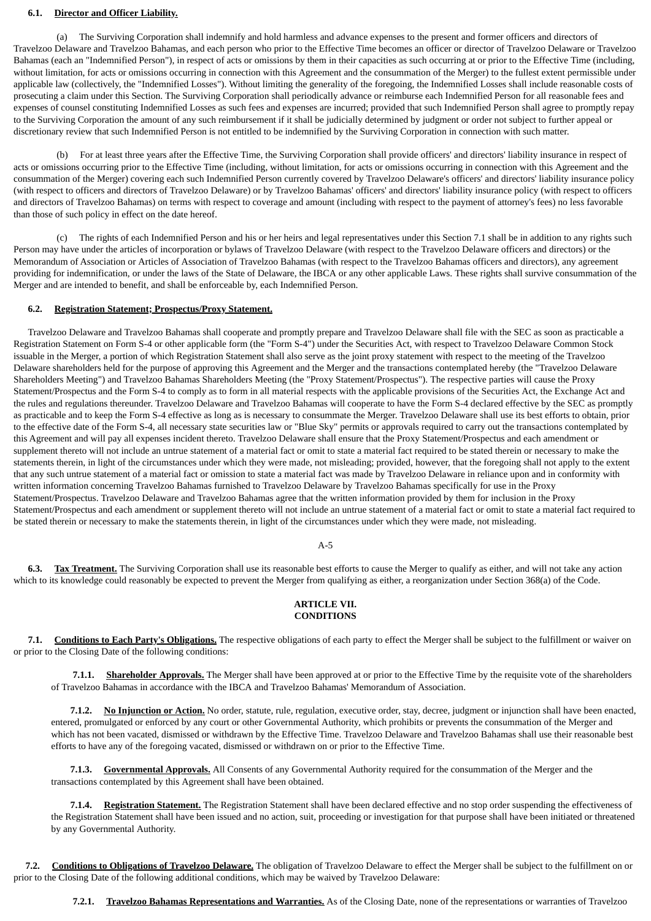### **6.1. Director and Officer Liability.**

 (a) The Surviving Corporation shall indemnify and hold harmless and advance expenses to the present and former officers and directors of Travelzoo Delaware and Travelzoo Bahamas, and each person who prior to the Effective Time becomes an officer or director of Travelzoo Delaware or Travelzoo Bahamas (each an "Indemnified Person"), in respect of acts or omissions by them in their capacities as such occurring at or prior to the Effective Time (including, without limitation, for acts or omissions occurring in connection with this Agreement and the consummation of the Merger) to the fullest extent permissible under applicable law (collectively, the "Indemnified Losses"). Without limiting the generality of the foregoing, the Indemnified Losses shall include reasonable costs of prosecuting a claim under this Section. The Surviving Corporation shall periodically advance or reimburse each Indemnified Person for all reasonable fees and expenses of counsel constituting Indemnified Losses as such fees and expenses are incurred; provided that such Indemnified Person shall agree to promptly repay to the Surviving Corporation the amount of any such reimbursement if it shall be judicially determined by judgment or order not subject to further appeal or discretionary review that such Indemnified Person is not entitled to be indemnified by the Surviving Corporation in connection with such matter.

 (b) For at least three years after the Effective Time, the Surviving Corporation shall provide officers' and directors' liability insurance in respect of acts or omissions occurring prior to the Effective Time (including, without limitation, for acts or omissions occurring in connection with this Agreement and the consummation of the Merger) covering each such Indemnified Person currently covered by Travelzoo Delaware's officers' and directors' liability insurance policy (with respect to officers and directors of Travelzoo Delaware) or by Travelzoo Bahamas' officers' and directors' liability insurance policy (with respect to officers and directors of Travelzoo Bahamas) on terms with respect to coverage and amount (including with respect to the payment of attorney's fees) no less favorable than those of such policy in effect on the date hereof.

 (c) The rights of each Indemnified Person and his or her heirs and legal representatives under this Section 7.1 shall be in addition to any rights such Person may have under the articles of incorporation or bylaws of Travelzoo Delaware (with respect to the Travelzoo Delaware officers and directors) or the Memorandum of Association or Articles of Association of Travelzoo Bahamas (with respect to the Travelzoo Bahamas officers and directors), any agreement providing for indemnification, or under the laws of the State of Delaware, the IBCA or any other applicable Laws. These rights shall survive consummation of the Merger and are intended to benefit, and shall be enforceable by, each Indemnified Person.

#### **6.2. Registration Statement; Prospectus/Proxy Statement.**

 Travelzoo Delaware and Travelzoo Bahamas shall cooperate and promptly prepare and Travelzoo Delaware shall file with the SEC as soon as practicable a Registration Statement on Form S-4 or other applicable form (the "Form S-4") under the Securities Act, with respect to Travelzoo Delaware Common Stock issuable in the Merger, a portion of which Registration Statement shall also serve as the joint proxy statement with respect to the meeting of the Travelzoo Delaware shareholders held for the purpose of approving this Agreement and the Merger and the transactions contemplated hereby (the "Travelzoo Delaware Shareholders Meeting") and Travelzoo Bahamas Shareholders Meeting (the "Proxy Statement/Prospectus"). The respective parties will cause the Proxy Statement/Prospectus and the Form S-4 to comply as to form in all material respects with the applicable provisions of the Securities Act, the Exchange Act and the rules and regulations thereunder. Travelzoo Delaware and Travelzoo Bahamas will cooperate to have the Form S-4 declared effective by the SEC as promptly as practicable and to keep the Form S-4 effective as long as is necessary to consummate the Merger. Travelzoo Delaware shall use its best efforts to obtain, prior to the effective date of the Form S-4, all necessary state securities law or "Blue Sky" permits or approvals required to carry out the transactions contemplated by this Agreement and will pay all expenses incident thereto. Travelzoo Delaware shall ensure that the Proxy Statement/Prospectus and each amendment or supplement thereto will not include an untrue statement of a material fact or omit to state a material fact required to be stated therein or necessary to make the statements therein, in light of the circumstances under which they were made, not misleading; provided, however, that the foregoing shall not apply to the extent that any such untrue statement of a material fact or omission to state a material fact was made by Travelzoo Delaware in reliance upon and in conformity with written information concerning Travelzoo Bahamas furnished to Travelzoo Delaware by Travelzoo Bahamas specifically for use in the Proxy Statement/Prospectus. Travelzoo Delaware and Travelzoo Bahamas agree that the written information provided by them for inclusion in the Proxy Statement/Prospectus and each amendment or supplement thereto will not include an untrue statement of a material fact or omit to state a material fact required to be stated therein or necessary to make the statements therein, in light of the circumstances under which they were made, not misleading.

### A-5

 **6.3. Tax Treatment.** The Surviving Corporation shall use its reasonable best efforts to cause the Merger to qualify as either, and will not take any action which to its knowledge could reasonably be expected to prevent the Merger from qualifying as either, a reorganization under Section 368(a) of the Code.

### **ARTICLE VII. CONDITIONS**

 **7.1. Conditions to Each Party's Obligations.** The respective obligations of each party to effect the Merger shall be subject to the fulfillment or waiver on or prior to the Closing Date of the following conditions:

 **7.1.1. Shareholder Approvals.** The Merger shall have been approved at or prior to the Effective Time by the requisite vote of the shareholders of Travelzoo Bahamas in accordance with the IBCA and Travelzoo Bahamas' Memorandum of Association.

 **7.1.2. No Injunction or Action.** No order, statute, rule, regulation, executive order, stay, decree, judgment or injunction shall have been enacted, entered, promulgated or enforced by any court or other Governmental Authority, which prohibits or prevents the consummation of the Merger and which has not been vacated, dismissed or withdrawn by the Effective Time. Travelzoo Delaware and Travelzoo Bahamas shall use their reasonable best efforts to have any of the foregoing vacated, dismissed or withdrawn on or prior to the Effective Time.

 **7.1.3. Governmental Approvals.** All Consents of any Governmental Authority required for the consummation of the Merger and the transactions contemplated by this Agreement shall have been obtained.

 **7.1.4. Registration Statement.** The Registration Statement shall have been declared effective and no stop order suspending the effectiveness of the Registration Statement shall have been issued and no action, suit, proceeding or investigation for that purpose shall have been initiated or threatened by any Governmental Authority.

 **7.2. Conditions to Obligations of Travelzoo Delaware.** The obligation of Travelzoo Delaware to effect the Merger shall be subject to the fulfillment on or prior to the Closing Date of the following additional conditions, which may be waived by Travelzoo Delaware:

**7.2.1. Travelzoo Bahamas Representations and Warranties.** As of the Closing Date, none of the representations or warranties of Travelzoo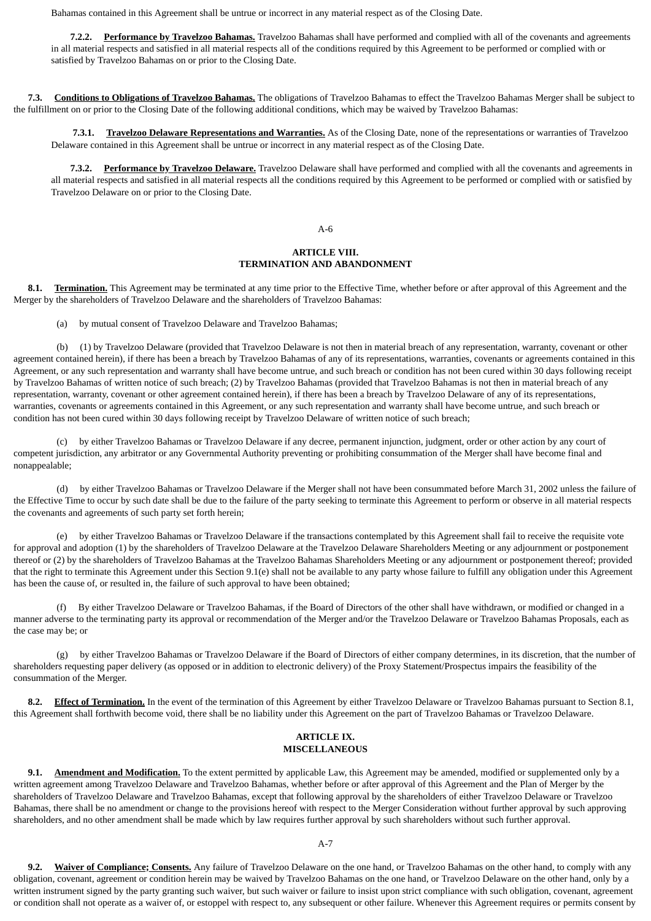Bahamas contained in this Agreement shall be untrue or incorrect in any material respect as of the Closing Date.

 **7.2.2. Performance by Travelzoo Bahamas.** Travelzoo Bahamas shall have performed and complied with all of the covenants and agreements in all material respects and satisfied in all material respects all of the conditions required by this Agreement to be performed or complied with or satisfied by Travelzoo Bahamas on or prior to the Closing Date.

 **7.3. Conditions to Obligations of Travelzoo Bahamas.** The obligations of Travelzoo Bahamas to effect the Travelzoo Bahamas Merger shall be subject to the fulfillment on or prior to the Closing Date of the following additional conditions, which may be waived by Travelzoo Bahamas:

 **7.3.1. Travelzoo Delaware Representations and Warranties.** As of the Closing Date, none of the representations or warranties of Travelzoo Delaware contained in this Agreement shall be untrue or incorrect in any material respect as of the Closing Date.

 **7.3.2. Performance by Travelzoo Delaware.** Travelzoo Delaware shall have performed and complied with all the covenants and agreements in all material respects and satisfied in all material respects all the conditions required by this Agreement to be performed or complied with or satisfied by Travelzoo Delaware on or prior to the Closing Date.

#### A-6

### **ARTICLE VIII. TERMINATION AND ABANDONMENT**

 **8.1. Termination.** This Agreement may be terminated at any time prior to the Effective Time, whether before or after approval of this Agreement and the Merger by the shareholders of Travelzoo Delaware and the shareholders of Travelzoo Bahamas:

(a) by mutual consent of Travelzoo Delaware and Travelzoo Bahamas;

 (b) (1) by Travelzoo Delaware (provided that Travelzoo Delaware is not then in material breach of any representation, warranty, covenant or other agreement contained herein), if there has been a breach by Travelzoo Bahamas of any of its representations, warranties, covenants or agreements contained in this Agreement, or any such representation and warranty shall have become untrue, and such breach or condition has not been cured within 30 days following receipt by Travelzoo Bahamas of written notice of such breach; (2) by Travelzoo Bahamas (provided that Travelzoo Bahamas is not then in material breach of any representation, warranty, covenant or other agreement contained herein), if there has been a breach by Travelzoo Delaware of any of its representations, warranties, covenants or agreements contained in this Agreement, or any such representation and warranty shall have become untrue, and such breach or condition has not been cured within 30 days following receipt by Travelzoo Delaware of written notice of such breach;

 (c) by either Travelzoo Bahamas or Travelzoo Delaware if any decree, permanent injunction, judgment, order or other action by any court of competent jurisdiction, any arbitrator or any Governmental Authority preventing or prohibiting consummation of the Merger shall have become final and nonappealable;

 (d) by either Travelzoo Bahamas or Travelzoo Delaware if the Merger shall not have been consummated before March 31, 2002 unless the failure of the Effective Time to occur by such date shall be due to the failure of the party seeking to terminate this Agreement to perform or observe in all material respects the covenants and agreements of such party set forth herein;

 (e) by either Travelzoo Bahamas or Travelzoo Delaware if the transactions contemplated by this Agreement shall fail to receive the requisite vote for approval and adoption (1) by the shareholders of Travelzoo Delaware at the Travelzoo Delaware Shareholders Meeting or any adjournment or postponement thereof or (2) by the shareholders of Travelzoo Bahamas at the Travelzoo Bahamas Shareholders Meeting or any adjournment or postponement thereof; provided that the right to terminate this Agreement under this Section 9.1(e) shall not be available to any party whose failure to fulfill any obligation under this Agreement has been the cause of, or resulted in, the failure of such approval to have been obtained;

 (f) By either Travelzoo Delaware or Travelzoo Bahamas, if the Board of Directors of the other shall have withdrawn, or modified or changed in a manner adverse to the terminating party its approval or recommendation of the Merger and/or the Travelzoo Delaware or Travelzoo Bahamas Proposals, each as the case may be; or

 (g) by either Travelzoo Bahamas or Travelzoo Delaware if the Board of Directors of either company determines, in its discretion, that the number of shareholders requesting paper delivery (as opposed or in addition to electronic delivery) of the Proxy Statement/Prospectus impairs the feasibility of the consummation of the Merger.

**8.2.** Effect of Termination. In the event of the termination of this Agreement by either Travelzoo Delaware or Travelzoo Bahamas pursuant to Section 8.1, this Agreement shall forthwith become void, there shall be no liability under this Agreement on the part of Travelzoo Bahamas or Travelzoo Delaware.

### **ARTICLE IX. MISCELLANEOUS**

**9.1.** Amendment and Modification. To the extent permitted by applicable Law, this Agreement may be amended, modified or supplemented only by a written agreement among Travelzoo Delaware and Travelzoo Bahamas, whether before or after approval of this Agreement and the Plan of Merger by the shareholders of Travelzoo Delaware and Travelzoo Bahamas, except that following approval by the shareholders of either Travelzoo Delaware or Travelzoo Bahamas, there shall be no amendment or change to the provisions hereof with respect to the Merger Consideration without further approval by such approving shareholders, and no other amendment shall be made which by law requires further approval by such shareholders without such further approval.

 **9.2. Waiver of Compliance; Consents.** Any failure of Travelzoo Delaware on the one hand, or Travelzoo Bahamas on the other hand, to comply with any obligation, covenant, agreement or condition herein may be waived by Travelzoo Bahamas on the one hand, or Travelzoo Delaware on the other hand, only by a written instrument signed by the party granting such waiver, but such waiver or failure to insist upon strict compliance with such obligation, covenant, agreement or condition shall not operate as a waiver of, or estoppel with respect to, any subsequent or other failure. Whenever this Agreement requires or permits consent by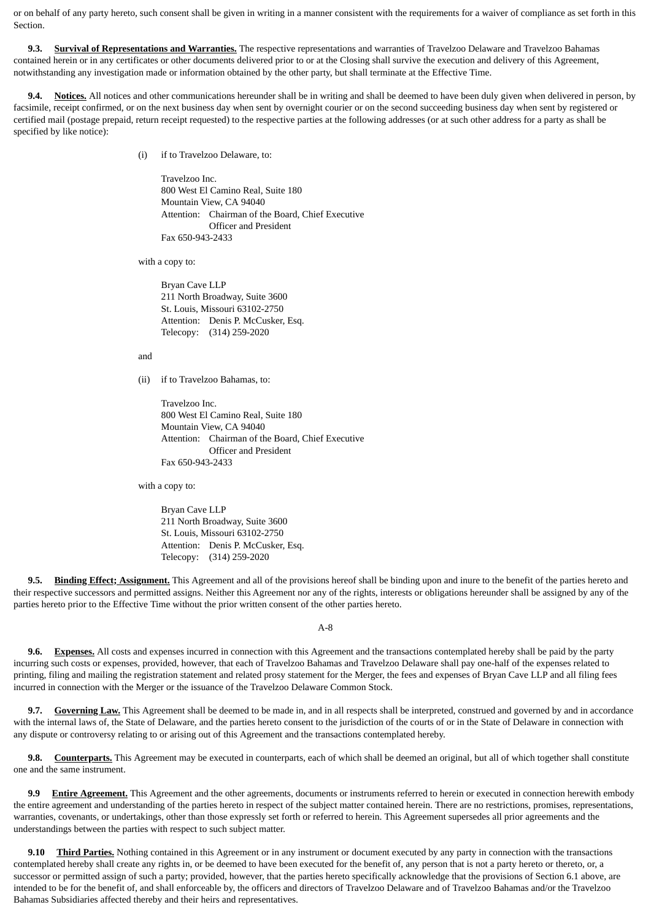or on behalf of any party hereto, such consent shall be given in writing in a manner consistent with the requirements for a waiver of compliance as set forth in this Section.

 **9.3. Survival of Representations and Warranties.** The respective representations and warranties of Travelzoo Delaware and Travelzoo Bahamas contained herein or in any certificates or other documents delivered prior to or at the Closing shall survive the execution and delivery of this Agreement, notwithstanding any investigation made or information obtained by the other party, but shall terminate at the Effective Time.

**9.4.** Notices. All notices and other communications hereunder shall be in writing and shall be deemed to have been duly given when delivered in person, by facsimile, receipt confirmed, or on the next business day when sent by overnight courier or on the second succeeding business day when sent by registered or certified mail (postage prepaid, return receipt requested) to the respective parties at the following addresses (or at such other address for a party as shall be specified by like notice):

(i) if to Travelzoo Delaware, to:

Travelzoo Inc. 800 West El Camino Real, Suite 180 Mountain View, CA 94040 Attention: Chairman of the Board, Chief Executive Officer and President Fax 650-943-2433

with a copy to:

Bryan Cave LLP 211 North Broadway, Suite 3600 St. Louis, Missouri 63102-2750 Attention: Denis P. McCusker, Esq. Telecopy: (314) 259-2020

and

(ii) if to Travelzoo Bahamas, to:

Travelzoo Inc. 800 West El Camino Real, Suite 180 Mountain View, CA 94040 Attention: Chairman of the Board, Chief Executive Officer and President Fax 650-943-2433

with a copy to:

Bryan Cave LLP 211 North Broadway, Suite 3600 St. Louis, Missouri 63102-2750 Attention: Denis P. McCusker, Esq. Telecopy: (314) 259-2020

 **9.5. Binding Effect; Assignment.** This Agreement and all of the provisions hereof shall be binding upon and inure to the benefit of the parties hereto and their respective successors and permitted assigns. Neither this Agreement nor any of the rights, interests or obligations hereunder shall be assigned by any of the parties hereto prior to the Effective Time without the prior written consent of the other parties hereto.

A-8

 **9.6. Expenses.** All costs and expenses incurred in connection with this Agreement and the transactions contemplated hereby shall be paid by the party incurring such costs or expenses, provided, however, that each of Travelzoo Bahamas and Travelzoo Delaware shall pay one-half of the expenses related to printing, filing and mailing the registration statement and related prosy statement for the Merger, the fees and expenses of Bryan Cave LLP and all filing fees incurred in connection with the Merger or the issuance of the Travelzoo Delaware Common Stock.

**9.7.** Governing Law. This Agreement shall be deemed to be made in, and in all respects shall be interpreted, construed and governed by and in accordance with the internal laws of, the State of Delaware, and the parties hereto consent to the jurisdiction of the courts of or in the State of Delaware in connection with any dispute or controversy relating to or arising out of this Agreement and the transactions contemplated hereby.

 **9.8. Counterparts.** This Agreement may be executed in counterparts, each of which shall be deemed an original, but all of which together shall constitute one and the same instrument.

**9.9** Entire Agreement. This Agreement and the other agreements, documents or instruments referred to herein or executed in connection herewith embody the entire agreement and understanding of the parties hereto in respect of the subject matter contained herein. There are no restrictions, promises, representations, warranties, covenants, or undertakings, other than those expressly set forth or referred to herein. This Agreement supersedes all prior agreements and the understandings between the parties with respect to such subject matter.

**9.10** Third Parties. Nothing contained in this Agreement or in any instrument or document executed by any party in connection with the transactions contemplated hereby shall create any rights in, or be deemed to have been executed for the benefit of, any person that is not a party hereto or thereto, or, a successor or permitted assign of such a party; provided, however, that the parties hereto specifically acknowledge that the provisions of Section 6.1 above, are intended to be for the benefit of, and shall enforceable by, the officers and directors of Travelzoo Delaware and of Travelzoo Bahamas and/or the Travelzoo Bahamas Subsidiaries affected thereby and their heirs and representatives.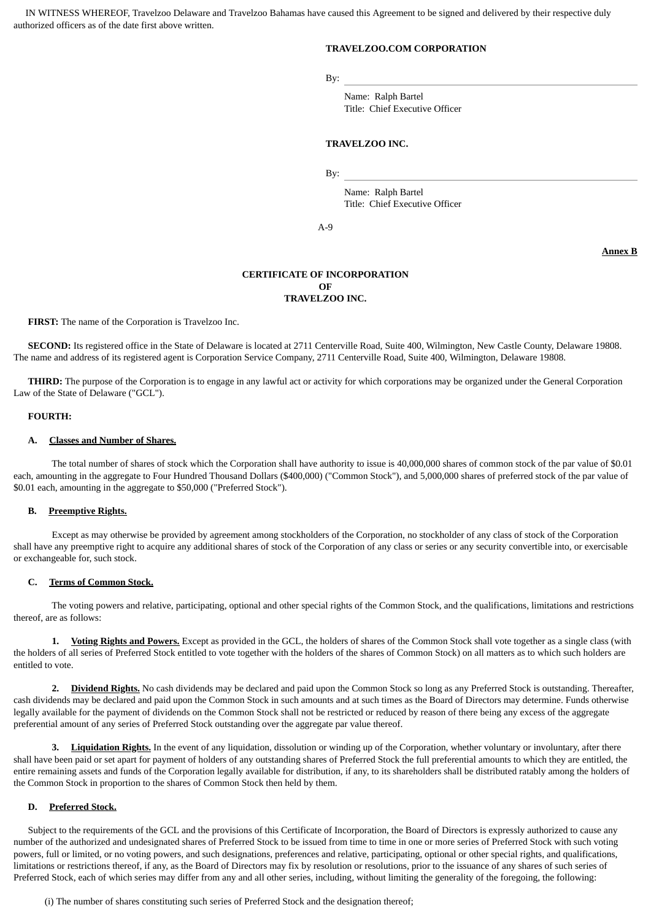IN WITNESS WHEREOF, Travelzoo Delaware and Travelzoo Bahamas have caused this Agreement to be signed and delivered by their respective duly authorized officers as of the date first above written.

### **TRAVELZOO.COM CORPORATION**

By:

Name: Ralph Bartel Title: Chief Executive Officer

### **TRAVELZOO INC.**

By:

Name: Ralph Bartel Title: Chief Executive Officer

A-9

**Annex B**

#### **CERTIFICATE OF INCORPORATION OF TRAVELZOO INC.**

**FIRST:** The name of the Corporation is Travelzoo Inc.

 **SECOND:** Its registered office in the State of Delaware is located at 2711 Centerville Road, Suite 400, Wilmington, New Castle County, Delaware 19808. The name and address of its registered agent is Corporation Service Company, 2711 Centerville Road, Suite 400, Wilmington, Delaware 19808.

 **THIRD:** The purpose of the Corporation is to engage in any lawful act or activity for which corporations may be organized under the General Corporation Law of the State of Delaware ("GCL").

#### **FOURTH:**

#### **A. Classes and Number of Shares.**

 The total number of shares of stock which the Corporation shall have authority to issue is 40,000,000 shares of common stock of the par value of \$0.01 each, amounting in the aggregate to Four Hundred Thousand Dollars (\$400,000) ("Common Stock"), and 5,000,000 shares of preferred stock of the par value of \$0.01 each, amounting in the aggregate to \$50,000 ("Preferred Stock").

#### **B. Preemptive Rights.**

 Except as may otherwise be provided by agreement among stockholders of the Corporation, no stockholder of any class of stock of the Corporation shall have any preemptive right to acquire any additional shares of stock of the Corporation of any class or series or any security convertible into, or exercisable or exchangeable for, such stock.

#### **C. Terms of Common Stock.**

 The voting powers and relative, participating, optional and other special rights of the Common Stock, and the qualifications, limitations and restrictions thereof, are as follows:

 **1. Voting Rights and Powers.** Except as provided in the GCL, the holders of shares of the Common Stock shall vote together as a single class (with the holders of all series of Preferred Stock entitled to vote together with the holders of the shares of Common Stock) on all matters as to which such holders are entitled to vote.

 **2. Dividend Rights.** No cash dividends may be declared and paid upon the Common Stock so long as any Preferred Stock is outstanding. Thereafter, cash dividends may be declared and paid upon the Common Stock in such amounts and at such times as the Board of Directors may determine. Funds otherwise legally available for the payment of dividends on the Common Stock shall not be restricted or reduced by reason of there being any excess of the aggregate preferential amount of any series of Preferred Stock outstanding over the aggregate par value thereof.

 **3. Liquidation Rights.** In the event of any liquidation, dissolution or winding up of the Corporation, whether voluntary or involuntary, after there shall have been paid or set apart for payment of holders of any outstanding shares of Preferred Stock the full preferential amounts to which they are entitled, the entire remaining assets and funds of the Corporation legally available for distribution, if any, to its shareholders shall be distributed ratably among the holders of the Common Stock in proportion to the shares of Common Stock then held by them.

#### **D. Preferred Stock.**

 Subject to the requirements of the GCL and the provisions of this Certificate of Incorporation, the Board of Directors is expressly authorized to cause any number of the authorized and undesignated shares of Preferred Stock to be issued from time to time in one or more series of Preferred Stock with such voting powers, full or limited, or no voting powers, and such designations, preferences and relative, participating, optional or other special rights, and qualifications, limitations or restrictions thereof, if any, as the Board of Directors may fix by resolution or resolutions, prior to the issuance of any shares of such series of Preferred Stock, each of which series may differ from any and all other series, including, without limiting the generality of the foregoing, the following:

(i) The number of shares constituting such series of Preferred Stock and the designation thereof;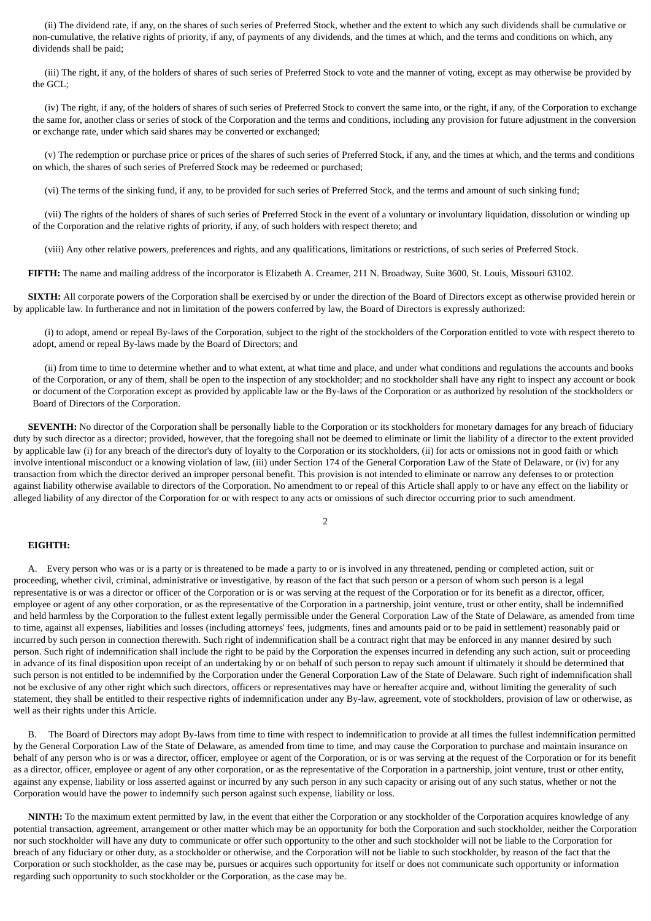(ii) The dividend rate, if any, on the shares of such series of Preferred Stock, whether and the extent to which any such dividends shall be cumulative or non-cumulative, the relative rights of priority, if any, of payments of any dividends, and the times at which, and the terms and conditions on which, any dividends shall be paid;

 (iii) The right, if any, of the holders of shares of such series of Preferred Stock to vote and the manner of voting, except as may otherwise be provided by the GCL;

 (iv) The right, if any, of the holders of shares of such series of Preferred Stock to convert the same into, or the right, if any, of the Corporation to exchange the same for, another class or series of stock of the Corporation and the terms and conditions, including any provision for future adjustment in the conversion or exchange rate, under which said shares may be converted or exchanged;

 (v) The redemption or purchase price or prices of the shares of such series of Preferred Stock, if any, and the times at which, and the terms and conditions on which, the shares of such series of Preferred Stock may be redeemed or purchased;

(vi) The terms of the sinking fund, if any, to be provided for such series of Preferred Stock, and the terms and amount of such sinking fund;

 (vii) The rights of the holders of shares of such series of Preferred Stock in the event of a voluntary or involuntary liquidation, dissolution or winding up of the Corporation and the relative rights of priority, if any, of such holders with respect thereto; and

(viii) Any other relative powers, preferences and rights, and any qualifications, limitations or restrictions, of such series of Preferred Stock.

**FIFTH:** The name and mailing address of the incorporator is Elizabeth A. Creamer, 211 N. Broadway, Suite 3600, St. Louis, Missouri 63102.

 **SIXTH:** All corporate powers of the Corporation shall be exercised by or under the direction of the Board of Directors except as otherwise provided herein or by applicable law. In furtherance and not in limitation of the powers conferred by law, the Board of Directors is expressly authorized:

 (i) to adopt, amend or repeal By-laws of the Corporation, subject to the right of the stockholders of the Corporation entitled to vote with respect thereto to adopt, amend or repeal By-laws made by the Board of Directors; and

 (ii) from time to time to determine whether and to what extent, at what time and place, and under what conditions and regulations the accounts and books of the Corporation, or any of them, shall be open to the inspection of any stockholder; and no stockholder shall have any right to inspect any account or book or document of the Corporation except as provided by applicable law or the By-laws of the Corporation or as authorized by resolution of the stockholders or Board of Directors of the Corporation.

 **SEVENTH:** No director of the Corporation shall be personally liable to the Corporation or its stockholders for monetary damages for any breach of fiduciary duty by such director as a director; provided, however, that the foregoing shall not be deemed to eliminate or limit the liability of a director to the extent provided by applicable law (i) for any breach of the director's duty of loyalty to the Corporation or its stockholders, (ii) for acts or omissions not in good faith or which involve intentional misconduct or a knowing violation of law, (iii) under Section 174 of the General Corporation Law of the State of Delaware, or (iv) for any transaction from which the director derived an improper personal benefit. This provision is not intended to eliminate or narrow any defenses to or protection against liability otherwise available to directors of the Corporation. No amendment to or repeal of this Article shall apply to or have any effect on the liability or alleged liability of any director of the Corporation for or with respect to any acts or omissions of such director occurring prior to such amendment.

2

### **EIGHTH:**

 A. Every person who was or is a party or is threatened to be made a party to or is involved in any threatened, pending or completed action, suit or proceeding, whether civil, criminal, administrative or investigative, by reason of the fact that such person or a person of whom such person is a legal representative is or was a director or officer of the Corporation or is or was serving at the request of the Corporation or for its benefit as a director, officer, employee or agent of any other corporation, or as the representative of the Corporation in a partnership, joint venture, trust or other entity, shall be indemnified and held harmless by the Corporation to the fullest extent legally permissible under the General Corporation Law of the State of Delaware, as amended from time to time, against all expenses, liabilities and losses (including attorneys' fees, judgments, fines and amounts paid or to be paid in settlement) reasonably paid or incurred by such person in connection therewith. Such right of indemnification shall be a contract right that may be enforced in any manner desired by such person. Such right of indemnification shall include the right to be paid by the Corporation the expenses incurred in defending any such action, suit or proceeding in advance of its final disposition upon receipt of an undertaking by or on behalf of such person to repay such amount if ultimately it should be determined that such person is not entitled to be indemnified by the Corporation under the General Corporation Law of the State of Delaware. Such right of indemnification shall not be exclusive of any other right which such directors, officers or representatives may have or hereafter acquire and, without limiting the generality of such statement, they shall be entitled to their respective rights of indemnification under any By-law, agreement, vote of stockholders, provision of law or otherwise, as well as their rights under this Article.

 B. The Board of Directors may adopt By-laws from time to time with respect to indemnification to provide at all times the fullest indemnification permitted by the General Corporation Law of the State of Delaware, as amended from time to time, and may cause the Corporation to purchase and maintain insurance on behalf of any person who is or was a director, officer, employee or agent of the Corporation, or is or was serving at the request of the Corporation or for its benefit as a director, officer, employee or agent of any other corporation, or as the representative of the Corporation in a partnership, joint venture, trust or other entity, against any expense, liability or loss asserted against or incurred by any such person in any such capacity or arising out of any such status, whether or not the Corporation would have the power to indemnify such person against such expense, liability or loss.

 **NINTH:** To the maximum extent permitted by law, in the event that either the Corporation or any stockholder of the Corporation acquires knowledge of any potential transaction, agreement, arrangement or other matter which may be an opportunity for both the Corporation and such stockholder, neither the Corporation nor such stockholder will have any duty to communicate or offer such opportunity to the other and such stockholder will not be liable to the Corporation for breach of any fiduciary or other duty, as a stockholder or otherwise, and the Corporation will not be liable to such stockholder, by reason of the fact that the Corporation or such stockholder, as the case may be, pursues or acquires such opportunity for itself or does not communicate such opportunity or information regarding such opportunity to such stockholder or the Corporation, as the case may be.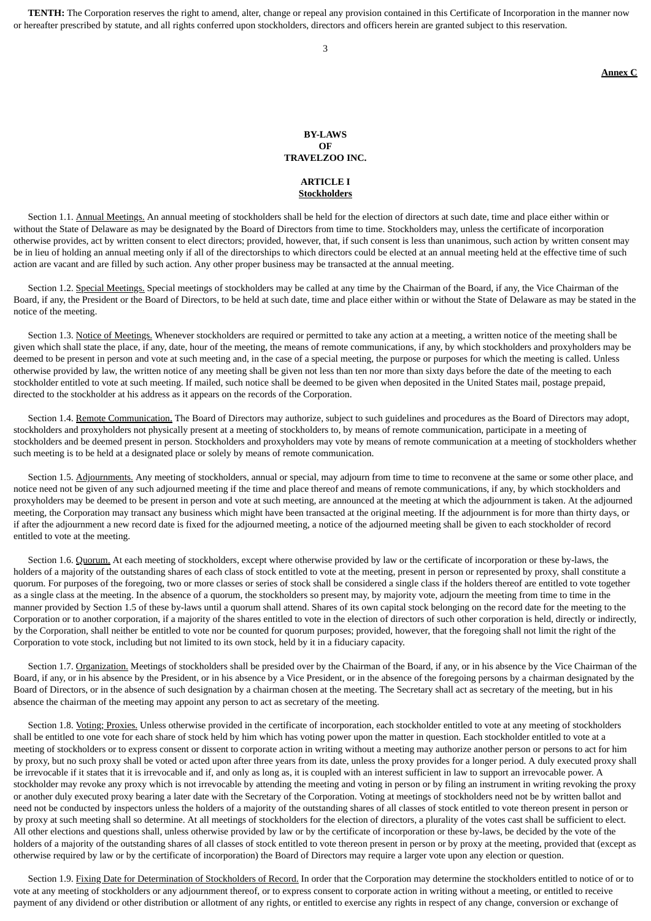**TENTH:** The Corporation reserves the right to amend, alter, change or repeal any provision contained in this Certificate of Incorporation in the manner now or hereafter prescribed by statute, and all rights conferred upon stockholders, directors and officers herein are granted subject to this reservation.

3

**Annex C**

#### **BY-LAWS OF TRAVELZOO INC.**

### **ARTICLE I Stockholders**

Section 1.1. Annual Meetings. An annual meeting of stockholders shall be held for the election of directors at such date, time and place either within or without the State of Delaware as may be designated by the Board of Directors from time to time. Stockholders may, unless the certificate of incorporation otherwise provides, act by written consent to elect directors; provided, however, that, if such consent is less than unanimous, such action by written consent may be in lieu of holding an annual meeting only if all of the directorships to which directors could be elected at an annual meeting held at the effective time of such action are vacant and are filled by such action. Any other proper business may be transacted at the annual meeting.

Section 1.2. Special Meetings. Special meetings of stockholders may be called at any time by the Chairman of the Board, if any, the Vice Chairman of the Board, if any, the President or the Board of Directors, to be held at such date, time and place either within or without the State of Delaware as may be stated in the notice of the meeting.

Section 1.3. Notice of Meetings. Whenever stockholders are required or permitted to take any action at a meeting, a written notice of the meeting shall be given which shall state the place, if any, date, hour of the meeting, the means of remote communications, if any, by which stockholders and proxyholders may be deemed to be present in person and vote at such meeting and, in the case of a special meeting, the purpose or purposes for which the meeting is called. Unless otherwise provided by law, the written notice of any meeting shall be given not less than ten nor more than sixty days before the date of the meeting to each stockholder entitled to vote at such meeting. If mailed, such notice shall be deemed to be given when deposited in the United States mail, postage prepaid, directed to the stockholder at his address as it appears on the records of the Corporation.

Section 1.4. Remote Communication. The Board of Directors may authorize, subject to such guidelines and procedures as the Board of Directors may adopt, stockholders and proxyholders not physically present at a meeting of stockholders to, by means of remote communication, participate in a meeting of stockholders and be deemed present in person. Stockholders and proxyholders may vote by means of remote communication at a meeting of stockholders whether such meeting is to be held at a designated place or solely by means of remote communication.

Section 1.5. Adjournments. Any meeting of stockholders, annual or special, may adjourn from time to time to reconvene at the same or some other place, and notice need not be given of any such adjourned meeting if the time and place thereof and means of remote communications, if any, by which stockholders and proxyholders may be deemed to be present in person and vote at such meeting, are announced at the meeting at which the adjournment is taken. At the adjourned meeting, the Corporation may transact any business which might have been transacted at the original meeting. If the adjournment is for more than thirty days, or if after the adjournment a new record date is fixed for the adjourned meeting, a notice of the adjourned meeting shall be given to each stockholder of record entitled to vote at the meeting.

Section 1.6. Quorum. At each meeting of stockholders, except where otherwise provided by law or the certificate of incorporation or these by-laws, the holders of a majority of the outstanding shares of each class of stock entitled to vote at the meeting, present in person or represented by proxy, shall constitute a quorum. For purposes of the foregoing, two or more classes or series of stock shall be considered a single class if the holders thereof are entitled to vote together as a single class at the meeting. In the absence of a quorum, the stockholders so present may, by majority vote, adjourn the meeting from time to time in the manner provided by Section 1.5 of these by-laws until a quorum shall attend. Shares of its own capital stock belonging on the record date for the meeting to the Corporation or to another corporation, if a majority of the shares entitled to vote in the election of directors of such other corporation is held, directly or indirectly, by the Corporation, shall neither be entitled to vote nor be counted for quorum purposes; provided, however, that the foregoing shall not limit the right of the Corporation to vote stock, including but not limited to its own stock, held by it in a fiduciary capacity.

 Section 1.7. Organization. Meetings of stockholders shall be presided over by the Chairman of the Board, if any, or in his absence by the Vice Chairman of the Board, if any, or in his absence by the President, or in his absence by a Vice President, or in the absence of the foregoing persons by a chairman designated by the Board of Directors, or in the absence of such designation by a chairman chosen at the meeting. The Secretary shall act as secretary of the meeting, but in his absence the chairman of the meeting may appoint any person to act as secretary of the meeting.

Section 1.8. Voting: Proxies. Unless otherwise provided in the certificate of incorporation, each stockholder entitled to vote at any meeting of stockholders shall be entitled to one vote for each share of stock held by him which has voting power upon the matter in question. Each stockholder entitled to vote at a meeting of stockholders or to express consent or dissent to corporate action in writing without a meeting may authorize another person or persons to act for him by proxy, but no such proxy shall be voted or acted upon after three years from its date, unless the proxy provides for a longer period. A duly executed proxy shall be irrevocable if it states that it is irrevocable and if, and only as long as, it is coupled with an interest sufficient in law to support an irrevocable power. A stockholder may revoke any proxy which is not irrevocable by attending the meeting and voting in person or by filing an instrument in writing revoking the proxy or another duly executed proxy bearing a later date with the Secretary of the Corporation. Voting at meetings of stockholders need not be by written ballot and need not be conducted by inspectors unless the holders of a majority of the outstanding shares of all classes of stock entitled to vote thereon present in person or by proxy at such meeting shall so determine. At all meetings of stockholders for the election of directors, a plurality of the votes cast shall be sufficient to elect. All other elections and questions shall, unless otherwise provided by law or by the certificate of incorporation or these by-laws, be decided by the vote of the holders of a majority of the outstanding shares of all classes of stock entitled to vote thereon present in person or by proxy at the meeting, provided that (except as otherwise required by law or by the certificate of incorporation) the Board of Directors may require a larger vote upon any election or question.

Section 1.9. Fixing Date for Determination of Stockholders of Record. In order that the Corporation may determine the stockholders entitled to notice of or to vote at any meeting of stockholders or any adjournment thereof, or to express consent to corporate action in writing without a meeting, or entitled to receive payment of any dividend or other distribution or allotment of any rights, or entitled to exercise any rights in respect of any change, conversion or exchange of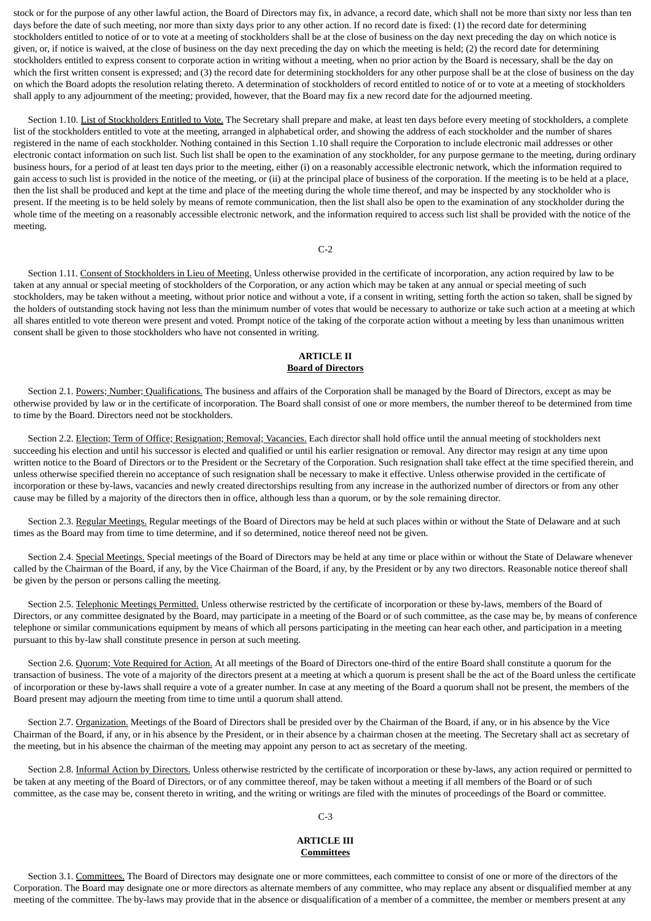stock or for the purpose of any other lawful action, the Board of Directors may fix, in advance, a record date, which shall not be more than sixty nor less than ten days before the date of such meeting, nor more than sixty days prior to any other action. If no record date is fixed: (1) the record date for determining stockholders entitled to notice of or to vote at a meeting of stockholders shall be at the close of business on the day next preceding the day on which notice is given, or, if notice is waived, at the close of business on the day next preceding the day on which the meeting is held; (2) the record date for determining stockholders entitled to express consent to corporate action in writing without a meeting, when no prior action by the Board is necessary, shall be the day on which the first written consent is expressed; and (3) the record date for determining stockholders for any other purpose shall be at the close of business on the day on which the Board adopts the resolution relating thereto. A determination of stockholders of record entitled to notice of or to vote at a meeting of stockholders shall apply to any adjournment of the meeting; provided, however, that the Board may fix a new record date for the adjourned meeting.

 Section 1.10. List of Stockholders Entitled to Vote. The Secretary shall prepare and make, at least ten days before every meeting of stockholders, a complete list of the stockholders entitled to vote at the meeting, arranged in alphabetical order, and showing the address of each stockholder and the number of shares registered in the name of each stockholder. Nothing contained in this Section 1.10 shall require the Corporation to include electronic mail addresses or other electronic contact information on such list. Such list shall be open to the examination of any stockholder, for any purpose germane to the meeting, during ordinary business hours, for a period of at least ten days prior to the meeting, either (i) on a reasonably accessible electronic network, which the information required to gain access to such list is provided in the notice of the meeting, or (ii) at the principal place of business of the corporation. If the meeting is to be held at a place, then the list shall be produced and kept at the time and place of the meeting during the whole time thereof, and may be inspected by any stockholder who is present. If the meeting is to be held solely by means of remote communication, then the list shall also be open to the examination of any stockholder during the whole time of the meeting on a reasonably accessible electronic network, and the information required to access such list shall be provided with the notice of the meeting.

#### $C-2$

 Section 1.11. Consent of Stockholders in Lieu of Meeting. Unless otherwise provided in the certificate of incorporation, any action required by law to be taken at any annual or special meeting of stockholders of the Corporation, or any action which may be taken at any annual or special meeting of such stockholders, may be taken without a meeting, without prior notice and without a vote, if a consent in writing, setting forth the action so taken, shall be signed by the holders of outstanding stock having not less than the minimum number of votes that would be necessary to authorize or take such action at a meeting at which all shares entitled to vote thereon were present and voted. Prompt notice of the taking of the corporate action without a meeting by less than unanimous written consent shall be given to those stockholders who have not consented in writing.

### **ARTICLE II Board of Directors**

Section 2.1. Powers; Number; Qualifications. The business and affairs of the Corporation shall be managed by the Board of Directors, except as may be otherwise provided by law or in the certificate of incorporation. The Board shall consist of one or more members, the number thereof to be determined from time to time by the Board. Directors need not be stockholders.

Section 2.2. Election; Term of Office; Resignation; Removal; Vacancies. Each director shall hold office until the annual meeting of stockholders next succeeding his election and until his successor is elected and qualified or until his earlier resignation or removal. Any director may resign at any time upon written notice to the Board of Directors or to the President or the Secretary of the Corporation. Such resignation shall take effect at the time specified therein, and unless otherwise specified therein no acceptance of such resignation shall be necessary to make it effective. Unless otherwise provided in the certificate of incorporation or these by-laws, vacancies and newly created directorships resulting from any increase in the authorized number of directors or from any other cause may be filled by a majority of the directors then in office, although less than a quorum, or by the sole remaining director.

 Section 2.3. Regular Meetings. Regular meetings of the Board of Directors may be held at such places within or without the State of Delaware and at such times as the Board may from time to time determine, and if so determined, notice thereof need not be given.

Section 2.4. Special Meetings. Special meetings of the Board of Directors may be held at any time or place within or without the State of Delaware whenever called by the Chairman of the Board, if any, by the Vice Chairman of the Board, if any, by the President or by any two directors. Reasonable notice thereof shall be given by the person or persons calling the meeting.

Section 2.5. Telephonic Meetings Permitted. Unless otherwise restricted by the certificate of incorporation or these by-laws, members of the Board of Directors, or any committee designated by the Board, may participate in a meeting of the Board or of such committee, as the case may be, by means of conference telephone or similar communications equipment by means of which all persons participating in the meeting can hear each other, and participation in a meeting pursuant to this by-law shall constitute presence in person at such meeting.

Section 2.6. Quorum; Vote Required for Action. At all meetings of the Board of Directors one-third of the entire Board shall constitute a quorum for the transaction of business. The vote of a majority of the directors present at a meeting at which a quorum is present shall be the act of the Board unless the certificate of incorporation or these by-laws shall require a vote of a greater number. In case at any meeting of the Board a quorum shall not be present, the members of the Board present may adjourn the meeting from time to time until a quorum shall attend.

Section 2.7. Organization. Meetings of the Board of Directors shall be presided over by the Chairman of the Board, if any, or in his absence by the Vice Chairman of the Board, if any, or in his absence by the President, or in their absence by a chairman chosen at the meeting. The Secretary shall act as secretary of the meeting, but in his absence the chairman of the meeting may appoint any person to act as secretary of the meeting.

Section 2.8. Informal Action by Directors. Unless otherwise restricted by the certificate of incorporation or these by-laws, any action required or permitted to be taken at any meeting of the Board of Directors, or of any committee thereof, may be taken without a meeting if all members of the Board or of such committee, as the case may be, consent thereto in writing, and the writing or writings are filed with the minutes of proceedings of the Board or committee.

#### C-3

### **ARTICLE III Committees**

Section 3.1. Committees. The Board of Directors may designate one or more committees, each committee to consist of one or more of the directors of the Corporation. The Board may designate one or more directors as alternate members of any committee, who may replace any absent or disqualified member at any meeting of the committee. The by-laws may provide that in the absence or disqualification of a member of a committee, the member or members present at any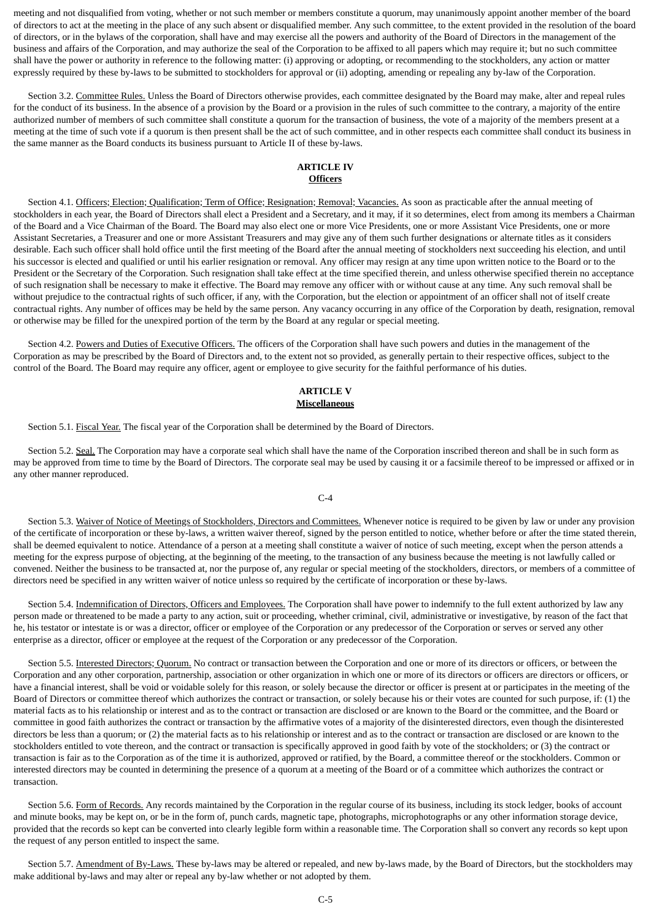meeting and not disqualified from voting, whether or not such member or members constitute a quorum, may unanimously appoint another member of the board of directors to act at the meeting in the place of any such absent or disqualified member. Any such committee, to the extent provided in the resolution of the board of directors, or in the bylaws of the corporation, shall have and may exercise all the powers and authority of the Board of Directors in the management of the business and affairs of the Corporation, and may authorize the seal of the Corporation to be affixed to all papers which may require it; but no such committee shall have the power or authority in reference to the following matter: (i) approving or adopting, or recommending to the stockholders, any action or matter expressly required by these by-laws to be submitted to stockholders for approval or (ii) adopting, amending or repealing any by-law of the Corporation.

Section 3.2. Committee Rules. Unless the Board of Directors otherwise provides, each committee designated by the Board may make, alter and repeal rules for the conduct of its business. In the absence of a provision by the Board or a provision in the rules of such committee to the contrary, a majority of the entire authorized number of members of such committee shall constitute a quorum for the transaction of business, the vote of a majority of the members present at a meeting at the time of such vote if a quorum is then present shall be the act of such committee, and in other respects each committee shall conduct its business in the same manner as the Board conducts its business pursuant to Article II of these by-laws.

### **ARTICLE IV Officers**

Section 4.1. Officers; Election; Qualification; Term of Office; Resignation; Removal; Vacancies. As soon as practicable after the annual meeting of stockholders in each year, the Board of Directors shall elect a President and a Secretary, and it may, if it so determines, elect from among its members a Chairman of the Board and a Vice Chairman of the Board. The Board may also elect one or more Vice Presidents, one or more Assistant Vice Presidents, one or more Assistant Secretaries, a Treasurer and one or more Assistant Treasurers and may give any of them such further designations or alternate titles as it considers desirable. Each such officer shall hold office until the first meeting of the Board after the annual meeting of stockholders next succeeding his election, and until his successor is elected and qualified or until his earlier resignation or removal. Any officer may resign at any time upon written notice to the Board or to the President or the Secretary of the Corporation. Such resignation shall take effect at the time specified therein, and unless otherwise specified therein no acceptance of such resignation shall be necessary to make it effective. The Board may remove any officer with or without cause at any time. Any such removal shall be without prejudice to the contractual rights of such officer, if any, with the Corporation, but the election or appointment of an officer shall not of itself create contractual rights. Any number of offices may be held by the same person. Any vacancy occurring in any office of the Corporation by death, resignation, removal or otherwise may be filled for the unexpired portion of the term by the Board at any regular or special meeting.

Section 4.2. Powers and Duties of Executive Officers. The officers of the Corporation shall have such powers and duties in the management of the Corporation as may be prescribed by the Board of Directors and, to the extent not so provided, as generally pertain to their respective offices, subject to the control of the Board. The Board may require any officer, agent or employee to give security for the faithful performance of his duties.

### **ARTICLE V Miscellaneous**

Section 5.1. Fiscal Year. The fiscal year of the Corporation shall be determined by the Board of Directors.

Section 5.2. Seal. The Corporation may have a corporate seal which shall have the name of the Corporation inscribed thereon and shall be in such form as may be approved from time to time by the Board of Directors. The corporate seal may be used by causing it or a facsimile thereof to be impressed or affixed or in any other manner reproduced.

### C-4

 Section 5.3. Waiver of Notice of Meetings of Stockholders, Directors and Committees. Whenever notice is required to be given by law or under any provision of the certificate of incorporation or these by-laws, a written waiver thereof, signed by the person entitled to notice, whether before or after the time stated therein, shall be deemed equivalent to notice. Attendance of a person at a meeting shall constitute a waiver of notice of such meeting, except when the person attends a meeting for the express purpose of objecting, at the beginning of the meeting, to the transaction of any business because the meeting is not lawfully called or convened. Neither the business to be transacted at, nor the purpose of, any regular or special meeting of the stockholders, directors, or members of a committee of directors need be specified in any written waiver of notice unless so required by the certificate of incorporation or these by-laws.

Section 5.4. Indemnification of Directors, Officers and Employees. The Corporation shall have power to indemnify to the full extent authorized by law any person made or threatened to be made a party to any action, suit or proceeding, whether criminal, civil, administrative or investigative, by reason of the fact that he, his testator or intestate is or was a director, officer or employee of the Corporation or any predecessor of the Corporation or serves or served any other enterprise as a director, officer or employee at the request of the Corporation or any predecessor of the Corporation.

Section 5.5. Interested Directors; Quorum. No contract or transaction between the Corporation and one or more of its directors or officers, or between the Corporation and any other corporation, partnership, association or other organization in which one or more of its directors or officers are directors or officers, or have a financial interest, shall be void or voidable solely for this reason, or solely because the director or officer is present at or participates in the meeting of the Board of Directors or committee thereof which authorizes the contract or transaction, or solely because his or their votes are counted for such purpose, if: (1) the material facts as to his relationship or interest and as to the contract or transaction are disclosed or are known to the Board or the committee, and the Board or committee in good faith authorizes the contract or transaction by the affirmative votes of a majority of the disinterested directors, even though the disinterested directors be less than a quorum; or (2) the material facts as to his relationship or interest and as to the contract or transaction are disclosed or are known to the stockholders entitled to vote thereon, and the contract or transaction is specifically approved in good faith by vote of the stockholders; or (3) the contract or transaction is fair as to the Corporation as of the time it is authorized, approved or ratified, by the Board, a committee thereof or the stockholders. Common or interested directors may be counted in determining the presence of a quorum at a meeting of the Board or of a committee which authorizes the contract or transaction.

Section 5.6. Form of Records. Any records maintained by the Corporation in the regular course of its business, including its stock ledger, books of account and minute books, may be kept on, or be in the form of, punch cards, magnetic tape, photographs, microphotographs or any other information storage device, provided that the records so kept can be converted into clearly legible form within a reasonable time. The Corporation shall so convert any records so kept upon the request of any person entitled to inspect the same.

Section 5.7. Amendment of By-Laws. These by-laws may be altered or repealed, and new by-laws made, by the Board of Directors, but the stockholders may make additional by-laws and may alter or repeal any by-law whether or not adopted by them.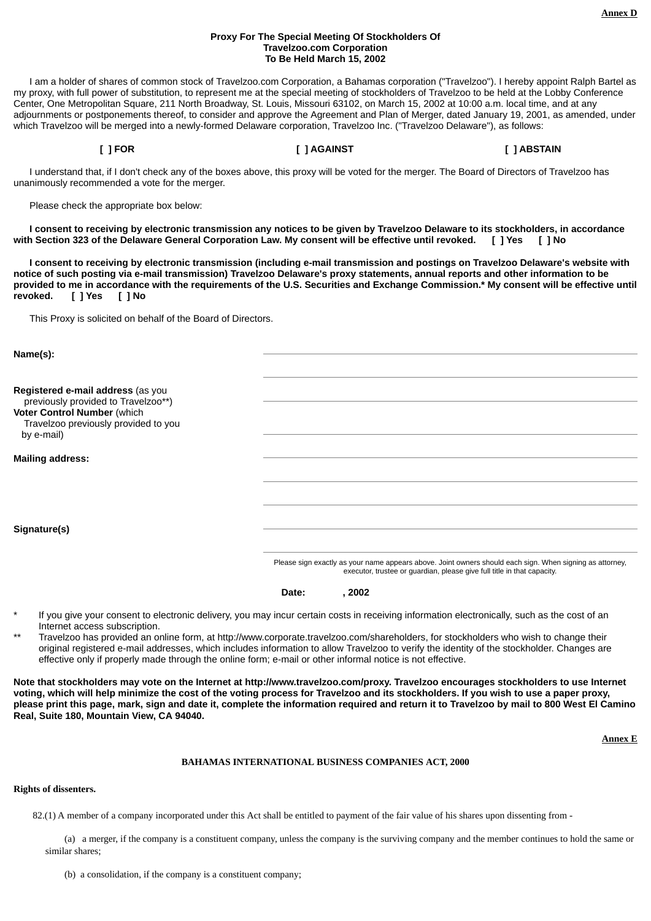### **Proxy For The Special Meeting Of Stockholders Of Travelzoo.com Corporation To Be Held March 15, 2002**

 I am a holder of shares of common stock of Travelzoo.com Corporation, a Bahamas corporation ("Travelzoo"). I hereby appoint Ralph Bartel as my proxy, with full power of substitution, to represent me at the special meeting of stockholders of Travelzoo to be held at the Lobby Conference Center, One Metropolitan Square, 211 North Broadway, St. Louis, Missouri 63102, on March 15, 2002 at 10:00 a.m. local time, and at any adjournments or postponements thereof, to consider and approve the Agreement and Plan of Merger, dated January 19, 2001, as amended, under which Travelzoo will be merged into a newly-formed Delaware corporation, Travelzoo Inc. ("Travelzoo Delaware"), as follows:

**[ ] FOR [ ] AGAINST [ ] ABSTAIN**

 I understand that, if I don't check any of the boxes above, this proxy will be voted for the merger. The Board of Directors of Travelzoo has unanimously recommended a vote for the merger.

Please check the appropriate box below:

 **I consent to receiving by electronic transmission any notices to be given by Travelzoo Delaware to its stockholders, in accordance with Section 323 of the Delaware General Corporation Law. My consent will be effective until revoked. [ ] Yes [ ] No**

 **I consent to receiving by electronic transmission (including e-mail transmission and postings on Travelzoo Delaware's website with notice of such posting via e-mail transmission) Travelzoo Delaware's proxy statements, annual reports and other information to be provided to me in accordance with the requirements of the U.S. Securities and Exchange Commission.\* My consent will be effective until revoked. [ ] Yes [ ] No**

This Proxy is solicited on behalf of the Board of Directors.

| Name(s):                                                                          |                                                                                                                                                                                     |
|-----------------------------------------------------------------------------------|-------------------------------------------------------------------------------------------------------------------------------------------------------------------------------------|
|                                                                                   |                                                                                                                                                                                     |
| Registered e-mail address (as you<br>previously provided to Travelzoo**)          |                                                                                                                                                                                     |
| Voter Control Number (which<br>Travelzoo previously provided to you<br>by e-mail) |                                                                                                                                                                                     |
|                                                                                   |                                                                                                                                                                                     |
| <b>Mailing address:</b>                                                           |                                                                                                                                                                                     |
|                                                                                   |                                                                                                                                                                                     |
|                                                                                   |                                                                                                                                                                                     |
|                                                                                   |                                                                                                                                                                                     |
| Signature(s)                                                                      |                                                                                                                                                                                     |
|                                                                                   | Please sign exactly as your name appears above. Joint owners should each sign. When signing as attorney,<br>executor, trustee or guardian, please give full title in that capacity. |

**Date: , 2002**

- If you give your consent to electronic delivery, you may incur certain costs in receiving information electronically, such as the cost of an Internet access subscription.
- \*\* Travelzoo has provided an online form, at http://www.corporate.travelzoo.com/shareholders, for stockholders who wish to change their original registered e-mail addresses, which includes information to allow Travelzoo to verify the identity of the stockholder. Changes are effective only if properly made through the online form; e-mail or other informal notice is not effective.

**Note that stockholders may vote on the Internet at http://www.travelzoo.com/proxy. Travelzoo encourages stockholders to use Internet voting, which will help minimize the cost of the voting process for Travelzoo and its stockholders. If you wish to use a paper proxy, please print this page, mark, sign and date it, complete the information required and return it to Travelzoo by mail to 800 West El Camino Real, Suite 180, Mountain View, CA 94040.**

**Annex E**

### **BAHAMAS INTERNATIONAL BUSINESS COMPANIES ACT, 2000**

#### **Rights of dissenters.**

82.(1) A member of a company incorporated under this Act shall be entitled to payment of the fair value of his shares upon dissenting from -

 (a) a merger, if the company is a constituent company, unless the company is the surviving company and the member continues to hold the same or similar shares;

(b) a consolidation, if the company is a constituent company;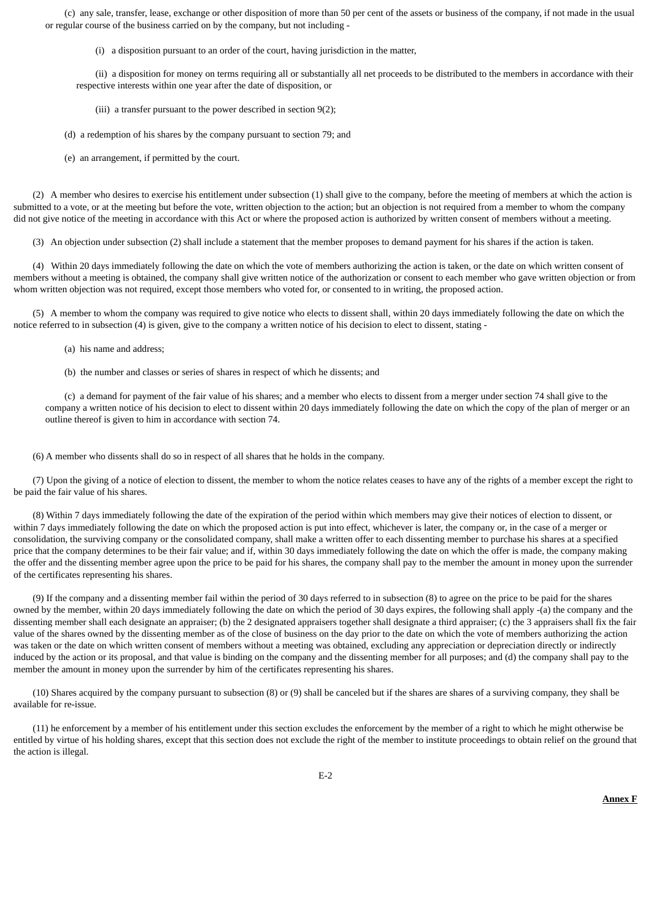(c) any sale, transfer, lease, exchange or other disposition of more than 50 per cent of the assets or business of the company, if not made in the usual or regular course of the business carried on by the company, but not including -

(i) a disposition pursuant to an order of the court, having jurisdiction in the matter,

 (ii) a disposition for money on terms requiring all or substantially all net proceeds to be distributed to the members in accordance with their respective interests within one year after the date of disposition, or

(iii) a transfer pursuant to the power described in section 9(2);

(d) a redemption of his shares by the company pursuant to section 79; and

(e) an arrangement, if permitted by the court.

 (2) A member who desires to exercise his entitlement under subsection (1) shall give to the company, before the meeting of members at which the action is submitted to a vote, or at the meeting but before the vote, written objection to the action; but an objection is not required from a member to whom the company did not give notice of the meeting in accordance with this Act or where the proposed action is authorized by written consent of members without a meeting.

(3) An objection under subsection (2) shall include a statement that the member proposes to demand payment for his shares if the action is taken.

 (4) Within 20 days immediately following the date on which the vote of members authorizing the action is taken, or the date on which written consent of members without a meeting is obtained, the company shall give written notice of the authorization or consent to each member who gave written objection or from whom written objection was not required, except those members who voted for, or consented to in writing, the proposed action.

 (5) A member to whom the company was required to give notice who elects to dissent shall, within 20 days immediately following the date on which the notice referred to in subsection (4) is given, give to the company a written notice of his decision to elect to dissent, stating -

- (a) his name and address;
- (b) the number and classes or series of shares in respect of which he dissents; and

 (c) a demand for payment of the fair value of his shares; and a member who elects to dissent from a merger under section 74 shall give to the company a written notice of his decision to elect to dissent within 20 days immediately following the date on which the copy of the plan of merger or an outline thereof is given to him in accordance with section 74.

(6) A member who dissents shall do so in respect of all shares that he holds in the company.

 (7) Upon the giving of a notice of election to dissent, the member to whom the notice relates ceases to have any of the rights of a member except the right to be paid the fair value of his shares.

 (8) Within 7 days immediately following the date of the expiration of the period within which members may give their notices of election to dissent, or within 7 days immediately following the date on which the proposed action is put into effect, whichever is later, the company or, in the case of a merger or consolidation, the surviving company or the consolidated company, shall make a written offer to each dissenting member to purchase his shares at a specified price that the company determines to be their fair value; and if, within 30 days immediately following the date on which the offer is made, the company making the offer and the dissenting member agree upon the price to be paid for his shares, the company shall pay to the member the amount in money upon the surrender of the certificates representing his shares.

 (9) If the company and a dissenting member fail within the period of 30 days referred to in subsection (8) to agree on the price to be paid for the shares owned by the member, within 20 days immediately following the date on which the period of 30 days expires, the following shall apply -(a) the company and the dissenting member shall each designate an appraiser; (b) the 2 designated appraisers together shall designate a third appraiser; (c) the 3 appraisers shall fix the fair value of the shares owned by the dissenting member as of the close of business on the day prior to the date on which the vote of members authorizing the action was taken or the date on which written consent of members without a meeting was obtained, excluding any appreciation or depreciation directly or indirectly induced by the action or its proposal, and that value is binding on the company and the dissenting member for all purposes; and (d) the company shall pay to the member the amount in money upon the surrender by him of the certificates representing his shares.

 (10) Shares acquired by the company pursuant to subsection (8) or (9) shall be canceled but if the shares are shares of a surviving company, they shall be available for re-issue.

 (11) he enforcement by a member of his entitlement under this section excludes the enforcement by the member of a right to which he might otherwise be entitled by virtue of his holding shares, except that this section does not exclude the right of the member to institute proceedings to obtain relief on the ground that the action is illegal.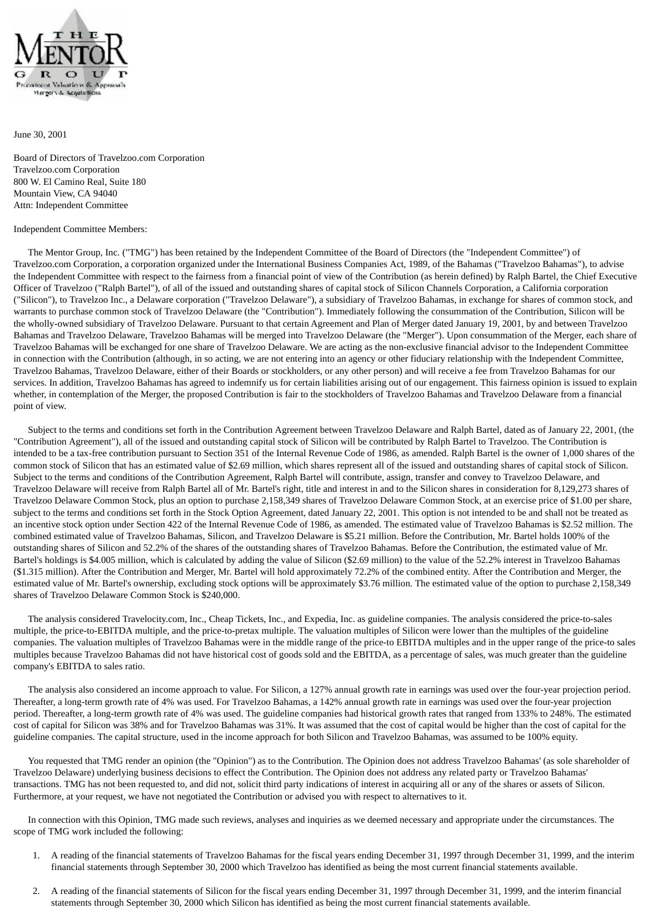

June 30, 2001

Board of Directors of Travelzoo.com Corporation Travelzoo.com Corporation 800 W. El Camino Real, Suite 180 Mountain View, CA 94040 Attn: Independent Committee

#### Independent Committee Members:

 The Mentor Group, Inc. ("TMG") has been retained by the Independent Committee of the Board of Directors (the "Independent Committee") of Travelzoo.com Corporation, a corporation organized under the International Business Companies Act, 1989, of the Bahamas ("Travelzoo Bahamas"), to advise the Independent Committee with respect to the fairness from a financial point of view of the Contribution (as herein defined) by Ralph Bartel, the Chief Executive Officer of Travelzoo ("Ralph Bartel"), of all of the issued and outstanding shares of capital stock of Silicon Channels Corporation, a California corporation ("Silicon"), to Travelzoo Inc., a Delaware corporation ("Travelzoo Delaware"), a subsidiary of Travelzoo Bahamas, in exchange for shares of common stock, and warrants to purchase common stock of Travelzoo Delaware (the "Contribution"). Immediately following the consummation of the Contribution, Silicon will be the wholly-owned subsidiary of Travelzoo Delaware. Pursuant to that certain Agreement and Plan of Merger dated January 19, 2001, by and between Travelzoo Bahamas and Travelzoo Delaware, Travelzoo Bahamas will be merged into Travelzoo Delaware (the "Merger"). Upon consummation of the Merger, each share of Travelzoo Bahamas will be exchanged for one share of Travelzoo Delaware. We are acting as the non-exclusive financial advisor to the Independent Committee in connection with the Contribution (although, in so acting, we are not entering into an agency or other fiduciary relationship with the Independent Committee, Travelzoo Bahamas, Travelzoo Delaware, either of their Boards or stockholders, or any other person) and will receive a fee from Travelzoo Bahamas for our services. In addition, Travelzoo Bahamas has agreed to indemnify us for certain liabilities arising out of our engagement. This fairness opinion is issued to explain whether, in contemplation of the Merger, the proposed Contribution is fair to the stockholders of Travelzoo Bahamas and Travelzoo Delaware from a financial point of view.

 Subject to the terms and conditions set forth in the Contribution Agreement between Travelzoo Delaware and Ralph Bartel, dated as of January 22, 2001, (the "Contribution Agreement"), all of the issued and outstanding capital stock of Silicon will be contributed by Ralph Bartel to Travelzoo. The Contribution is intended to be a tax-free contribution pursuant to Section 351 of the Internal Revenue Code of 1986, as amended. Ralph Bartel is the owner of 1,000 shares of the common stock of Silicon that has an estimated value of \$2.69 million, which shares represent all of the issued and outstanding shares of capital stock of Silicon. Subject to the terms and conditions of the Contribution Agreement, Ralph Bartel will contribute, assign, transfer and convey to Travelzoo Delaware, and Travelzoo Delaware will receive from Ralph Bartel all of Mr. Bartel's right, title and interest in and to the Silicon shares in consideration for 8,129,273 shares of Travelzoo Delaware Common Stock, plus an option to purchase 2,158,349 shares of Travelzoo Delaware Common Stock, at an exercise price of \$1.00 per share, subject to the terms and conditions set forth in the Stock Option Agreement, dated January 22, 2001. This option is not intended to be and shall not be treated as an incentive stock option under Section 422 of the Internal Revenue Code of 1986, as amended. The estimated value of Travelzoo Bahamas is \$2.52 million. The combined estimated value of Travelzoo Bahamas, Silicon, and Travelzoo Delaware is \$5.21 million. Before the Contribution, Mr. Bartel holds 100% of the outstanding shares of Silicon and 52.2% of the shares of the outstanding shares of Travelzoo Bahamas. Before the Contribution, the estimated value of Mr. Bartel's holdings is \$4.005 million, which is calculated by adding the value of Silicon (\$2.69 million) to the value of the 52.2% interest in Travelzoo Bahamas (\$1.315 million). After the Contribution and Merger, Mr. Bartel will hold approximately 72.2% of the combined entity. After the Contribution and Merger, the estimated value of Mr. Bartel's ownership, excluding stock options will be approximately \$3.76 million. The estimated value of the option to purchase 2,158,349 shares of Travelzoo Delaware Common Stock is \$240,000.

 The analysis considered Travelocity.com, Inc., Cheap Tickets, Inc., and Expedia, Inc. as guideline companies. The analysis considered the price-to-sales multiple, the price-to-EBITDA multiple, and the price-to-pretax multiple. The valuation multiples of Silicon were lower than the multiples of the guideline companies. The valuation multiples of Travelzoo Bahamas were in the middle range of the price-to EBITDA multiples and in the upper range of the price-to sales multiples because Travelzoo Bahamas did not have historical cost of goods sold and the EBITDA, as a percentage of sales, was much greater than the guideline company's EBITDA to sales ratio.

 The analysis also considered an income approach to value. For Silicon, a 127% annual growth rate in earnings was used over the four-year projection period. Thereafter, a long-term growth rate of 4% was used. For Travelzoo Bahamas, a 142% annual growth rate in earnings was used over the four-year projection period. Thereafter, a long-term growth rate of 4% was used. The guideline companies had historical growth rates that ranged from 133% to 248%. The estimated cost of capital for Silicon was 38% and for Travelzoo Bahamas was 31%. It was assumed that the cost of capital would be higher than the cost of capital for the guideline companies. The capital structure, used in the income approach for both Silicon and Travelzoo Bahamas, was assumed to be 100% equity.

You requested that TMG render an opinion (the "Opinion") as to the Contribution. The Opinion does not address Travelzoo Bahamas' (as sole shareholder of Travelzoo Delaware) underlying business decisions to effect the Contribution. The Opinion does not address any related party or Travelzoo Bahamas' transactions. TMG has not been requested to, and did not, solicit third party indications of interest in acquiring all or any of the shares or assets of Silicon. Furthermore, at your request, we have not negotiated the Contribution or advised you with respect to alternatives to it.

 In connection with this Opinion, TMG made such reviews, analyses and inquiries as we deemed necessary and appropriate under the circumstances. The scope of TMG work included the following:

- 1. A reading of the financial statements of Travelzoo Bahamas for the fiscal years ending December 31, 1997 through December 31, 1999, and the interim financial statements through September 30, 2000 which Travelzoo has identified as being the most current financial statements available.
- 2. A reading of the financial statements of Silicon for the fiscal years ending December 31, 1997 through December 31, 1999, and the interim financial statements through September 30, 2000 which Silicon has identified as being the most current financial statements available.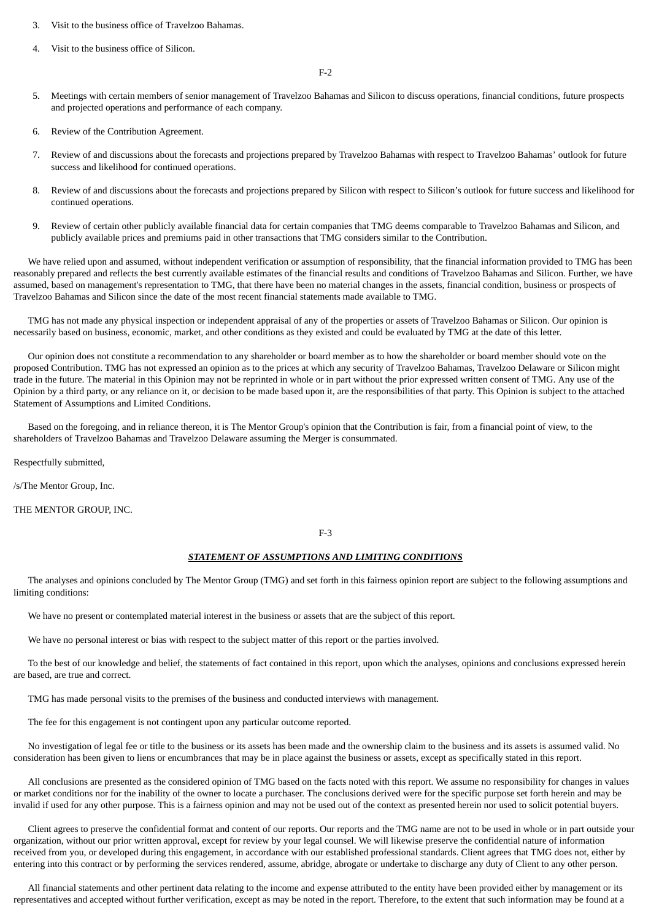- 3. Visit to the business office of Travelzoo Bahamas.
- 4. Visit to the business office of Silicon.

 $F-2$ 

- 5. Meetings with certain members of senior management of Travelzoo Bahamas and Silicon to discuss operations, financial conditions, future prospects and projected operations and performance of each company.
- 6. Review of the Contribution Agreement.
- 7. Review of and discussions about the forecasts and projections prepared by Travelzoo Bahamas with respect to Travelzoo Bahamas' outlook for future success and likelihood for continued operations.
- 8. Review of and discussions about the forecasts and projections prepared by Silicon with respect to Silicon's outlook for future success and likelihood for continued operations.
- 9. Review of certain other publicly available financial data for certain companies that TMG deems comparable to Travelzoo Bahamas and Silicon, and publicly available prices and premiums paid in other transactions that TMG considers similar to the Contribution.

 We have relied upon and assumed, without independent verification or assumption of responsibility, that the financial information provided to TMG has been reasonably prepared and reflects the best currently available estimates of the financial results and conditions of Travelzoo Bahamas and Silicon. Further, we have assumed, based on management's representation to TMG, that there have been no material changes in the assets, financial condition, business or prospects of Travelzoo Bahamas and Silicon since the date of the most recent financial statements made available to TMG.

 TMG has not made any physical inspection or independent appraisal of any of the properties or assets of Travelzoo Bahamas or Silicon. Our opinion is necessarily based on business, economic, market, and other conditions as they existed and could be evaluated by TMG at the date of this letter.

 Our opinion does not constitute a recommendation to any shareholder or board member as to how the shareholder or board member should vote on the proposed Contribution. TMG has not expressed an opinion as to the prices at which any security of Travelzoo Bahamas, Travelzoo Delaware or Silicon might trade in the future. The material in this Opinion may not be reprinted in whole or in part without the prior expressed written consent of TMG. Any use of the Opinion by a third party, or any reliance on it, or decision to be made based upon it, are the responsibilities of that party. This Opinion is subject to the attached Statement of Assumptions and Limited Conditions.

 Based on the foregoing, and in reliance thereon, it is The Mentor Group's opinion that the Contribution is fair, from a financial point of view, to the shareholders of Travelzoo Bahamas and Travelzoo Delaware assuming the Merger is consummated.

Respectfully submitted,

/s/The Mentor Group, Inc.

THE MENTOR GROUP, INC.

#### F-3

#### *STATEMENT OF ASSUMPTIONS AND LIMITING CONDITIONS*

 The analyses and opinions concluded by The Mentor Group (TMG) and set forth in this fairness opinion report are subject to the following assumptions and limiting conditions:

We have no present or contemplated material interest in the business or assets that are the subject of this report.

We have no personal interest or bias with respect to the subject matter of this report or the parties involved.

 To the best of our knowledge and belief, the statements of fact contained in this report, upon which the analyses, opinions and conclusions expressed herein are based, are true and correct.

TMG has made personal visits to the premises of the business and conducted interviews with management.

The fee for this engagement is not contingent upon any particular outcome reported.

 No investigation of legal fee or title to the business or its assets has been made and the ownership claim to the business and its assets is assumed valid. No consideration has been given to liens or encumbrances that may be in place against the business or assets, except as specifically stated in this report.

 All conclusions are presented as the considered opinion of TMG based on the facts noted with this report. We assume no responsibility for changes in values or market conditions nor for the inability of the owner to locate a purchaser. The conclusions derived were for the specific purpose set forth herein and may be invalid if used for any other purpose. This is a fairness opinion and may not be used out of the context as presented herein nor used to solicit potential buyers.

 Client agrees to preserve the confidential format and content of our reports. Our reports and the TMG name are not to be used in whole or in part outside your organization, without our prior written approval, except for review by your legal counsel. We will likewise preserve the confidential nature of information received from you, or developed during this engagement, in accordance with our established professional standards. Client agrees that TMG does not, either by entering into this contract or by performing the services rendered, assume, abridge, abrogate or undertake to discharge any duty of Client to any other person.

 All financial statements and other pertinent data relating to the income and expense attributed to the entity have been provided either by management or its representatives and accepted without further verification, except as may be noted in the report. Therefore, to the extent that such information may be found at a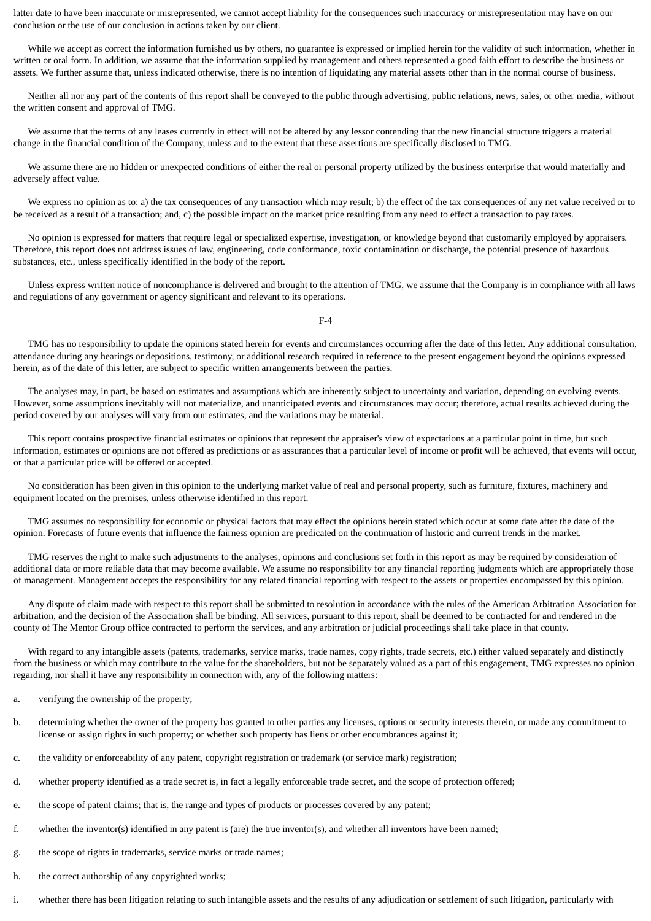latter date to have been inaccurate or misrepresented, we cannot accept liability for the consequences such inaccuracy or misrepresentation may have on our conclusion or the use of our conclusion in actions taken by our client.

 While we accept as correct the information furnished us by others, no guarantee is expressed or implied herein for the validity of such information, whether in written or oral form. In addition, we assume that the information supplied by management and others represented a good faith effort to describe the business or assets. We further assume that, unless indicated otherwise, there is no intention of liquidating any material assets other than in the normal course of business.

 Neither all nor any part of the contents of this report shall be conveyed to the public through advertising, public relations, news, sales, or other media, without the written consent and approval of TMG.

We assume that the terms of any leases currently in effect will not be altered by any lessor contending that the new financial structure triggers a material change in the financial condition of the Company, unless and to the extent that these assertions are specifically disclosed to TMG.

 We assume there are no hidden or unexpected conditions of either the real or personal property utilized by the business enterprise that would materially and adversely affect value.

We express no opinion as to: a) the tax consequences of any transaction which may result; b) the effect of the tax consequences of any net value received or to be received as a result of a transaction; and, c) the possible impact on the market price resulting from any need to effect a transaction to pay taxes.

 No opinion is expressed for matters that require legal or specialized expertise, investigation, or knowledge beyond that customarily employed by appraisers. Therefore, this report does not address issues of law, engineering, code conformance, toxic contamination or discharge, the potential presence of hazardous substances, etc., unless specifically identified in the body of the report.

 Unless express written notice of noncompliance is delivered and brought to the attention of TMG, we assume that the Company is in compliance with all laws and regulations of any government or agency significant and relevant to its operations.

 $E-A$ 

 TMG has no responsibility to update the opinions stated herein for events and circumstances occurring after the date of this letter. Any additional consultation, attendance during any hearings or depositions, testimony, or additional research required in reference to the present engagement beyond the opinions expressed herein, as of the date of this letter, are subject to specific written arrangements between the parties.

 The analyses may, in part, be based on estimates and assumptions which are inherently subject to uncertainty and variation, depending on evolving events. However, some assumptions inevitably will not materialize, and unanticipated events and circumstances may occur; therefore, actual results achieved during the period covered by our analyses will vary from our estimates, and the variations may be material.

 This report contains prospective financial estimates or opinions that represent the appraiser's view of expectations at a particular point in time, but such information, estimates or opinions are not offered as predictions or as assurances that a particular level of income or profit will be achieved, that events will occur, or that a particular price will be offered or accepted.

 No consideration has been given in this opinion to the underlying market value of real and personal property, such as furniture, fixtures, machinery and equipment located on the premises, unless otherwise identified in this report.

 TMG assumes no responsibility for economic or physical factors that may effect the opinions herein stated which occur at some date after the date of the opinion. Forecasts of future events that influence the fairness opinion are predicated on the continuation of historic and current trends in the market.

 TMG reserves the right to make such adjustments to the analyses, opinions and conclusions set forth in this report as may be required by consideration of additional data or more reliable data that may become available. We assume no responsibility for any financial reporting judgments which are appropriately those of management. Management accepts the responsibility for any related financial reporting with respect to the assets or properties encompassed by this opinion.

 Any dispute of claim made with respect to this report shall be submitted to resolution in accordance with the rules of the American Arbitration Association for arbitration, and the decision of the Association shall be binding. All services, pursuant to this report, shall be deemed to be contracted for and rendered in the county of The Mentor Group office contracted to perform the services, and any arbitration or judicial proceedings shall take place in that county.

With regard to any intangible assets (patents, trademarks, service marks, trade names, copy rights, trade secrets, etc.) either valued separately and distinctly from the business or which may contribute to the value for the shareholders, but not be separately valued as a part of this engagement, TMG expresses no opinion regarding, nor shall it have any responsibility in connection with, any of the following matters:

- a. verifying the ownership of the property;
- b. determining whether the owner of the property has granted to other parties any licenses, options or security interests therein, or made any commitment to license or assign rights in such property; or whether such property has liens or other encumbrances against it;
- c. the validity or enforceability of any patent, copyright registration or trademark (or service mark) registration;
- d. whether property identified as a trade secret is, in fact a legally enforceable trade secret, and the scope of protection offered;
- e. the scope of patent claims; that is, the range and types of products or processes covered by any patent;
- f. whether the inventor(s) identified in any patent is (are) the true inventor(s), and whether all inventors have been named;
- g. the scope of rights in trademarks, service marks or trade names;
- h. the correct authorship of any copyrighted works;
- i. whether there has been litigation relating to such intangible assets and the results of any adjudication or settlement of such litigation, particularly with